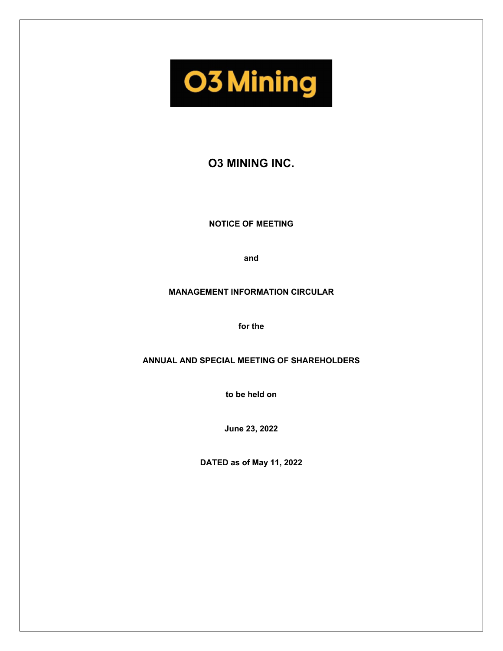**O3 Mining** 

# **O3 MINING INC.**

**NOTICE OF MEETING** 

**and** 

### **MANAGEMENT INFORMATION CIRCULAR**

**for the** 

**ANNUAL AND SPECIAL MEETING OF SHAREHOLDERS** 

**to be held on** 

**June 23, 2022** 

**DATED as of May 11, 2022**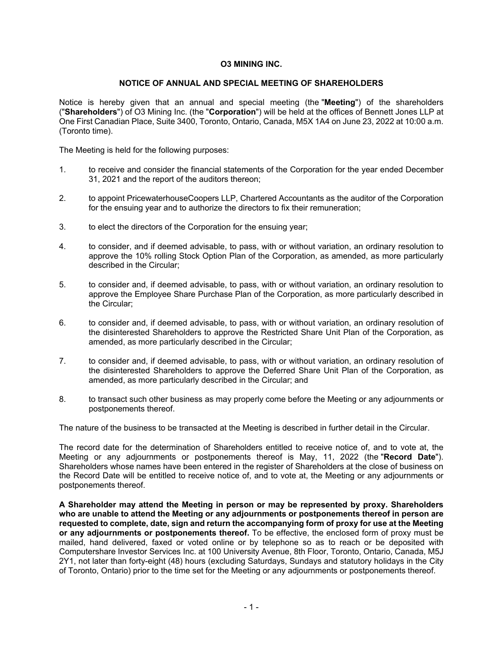### **O3 MINING INC.**

### **NOTICE OF ANNUAL AND SPECIAL MEETING OF SHAREHOLDERS**

Notice is hereby given that an annual and special meeting (the "**Meeting**") of the shareholders ("**Shareholders**") of O3 Mining Inc. (the "**Corporation**") will be held at the offices of Bennett Jones LLP at One First Canadian Place, Suite 3400, Toronto, Ontario, Canada, M5X 1A4 on June 23, 2022 at 10:00 a.m. (Toronto time).

The Meeting is held for the following purposes:

- 1. to receive and consider the financial statements of the Corporation for the year ended December 31, 2021 and the report of the auditors thereon;
- 2. to appoint PricewaterhouseCoopers LLP, Chartered Accountants as the auditor of the Corporation for the ensuing year and to authorize the directors to fix their remuneration;
- 3. to elect the directors of the Corporation for the ensuing year;
- 4. to consider, and if deemed advisable, to pass, with or without variation, an ordinary resolution to approve the 10% rolling Stock Option Plan of the Corporation, as amended, as more particularly described in the Circular;
- 5. to consider and, if deemed advisable, to pass, with or without variation, an ordinary resolution to approve the Employee Share Purchase Plan of the Corporation, as more particularly described in the Circular;
- 6. to consider and, if deemed advisable, to pass, with or without variation, an ordinary resolution of the disinterested Shareholders to approve the Restricted Share Unit Plan of the Corporation, as amended, as more particularly described in the Circular;
- 7. to consider and, if deemed advisable, to pass, with or without variation, an ordinary resolution of the disinterested Shareholders to approve the Deferred Share Unit Plan of the Corporation, as amended, as more particularly described in the Circular; and
- 8. to transact such other business as may properly come before the Meeting or any adjournments or postponements thereof.

The nature of the business to be transacted at the Meeting is described in further detail in the Circular.

The record date for the determination of Shareholders entitled to receive notice of, and to vote at, the Meeting or any adjournments or postponements thereof is May, 11, 2022 (the "**Record Date**"). Shareholders whose names have been entered in the register of Shareholders at the close of business on the Record Date will be entitled to receive notice of, and to vote at, the Meeting or any adjournments or postponements thereof.

**A Shareholder may attend the Meeting in person or may be represented by proxy. Shareholders who are unable to attend the Meeting or any adjournments or postponements thereof in person are requested to complete, date, sign and return the accompanying form of proxy for use at the Meeting or any adjournments or postponements thereof.** To be effective, the enclosed form of proxy must be mailed, hand delivered, faxed or voted online or by telephone so as to reach or be deposited with Computershare Investor Services Inc. at 100 University Avenue, 8th Floor, Toronto, Ontario, Canada, M5J 2Y1, not later than forty-eight (48) hours (excluding Saturdays, Sundays and statutory holidays in the City of Toronto, Ontario) prior to the time set for the Meeting or any adjournments or postponements thereof.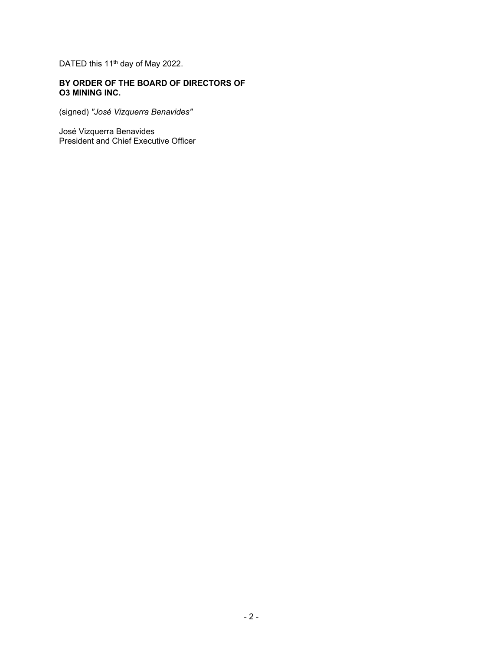DATED this 11<sup>th</sup> day of May 2022.

# **BY ORDER OF THE BOARD OF DIRECTORS OF O3 MINING INC.**

(signed) *"José Vizquerra Benavides"*

José Vizquerra Benavides President and Chief Executive Officer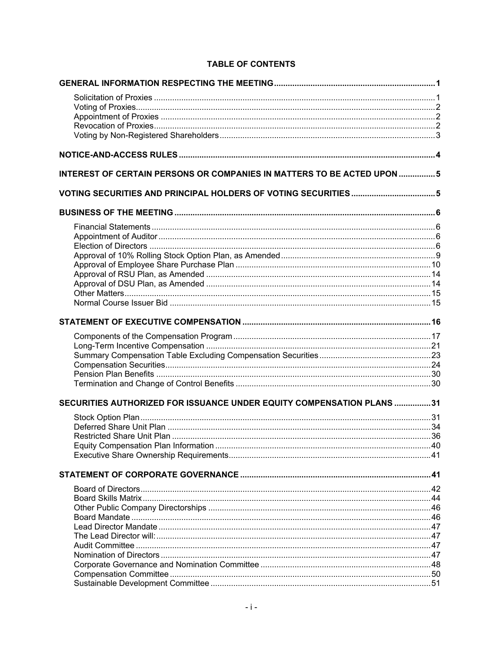| <b>INTEREST OF CERTAIN PERSONS OR COMPANIES IN MATTERS TO BE ACTED UPON 5</b> |  |
|-------------------------------------------------------------------------------|--|
|                                                                               |  |
|                                                                               |  |
|                                                                               |  |
|                                                                               |  |
|                                                                               |  |
|                                                                               |  |
|                                                                               |  |
|                                                                               |  |
|                                                                               |  |
|                                                                               |  |
|                                                                               |  |
|                                                                               |  |
|                                                                               |  |
|                                                                               |  |
|                                                                               |  |
|                                                                               |  |
|                                                                               |  |
|                                                                               |  |
| SECURITIES AUTHORIZED FOR ISSUANCE UNDER EQUITY COMPENSATION PLANS 31         |  |
|                                                                               |  |
|                                                                               |  |
|                                                                               |  |
|                                                                               |  |
|                                                                               |  |
|                                                                               |  |
|                                                                               |  |
|                                                                               |  |
|                                                                               |  |
|                                                                               |  |
|                                                                               |  |
|                                                                               |  |
|                                                                               |  |
|                                                                               |  |
|                                                                               |  |
|                                                                               |  |
|                                                                               |  |

### **TABLE OF CONTENTS**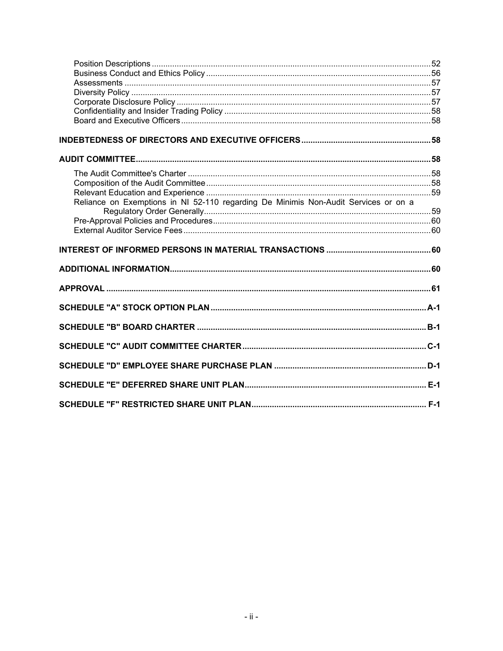| Reliance on Exemptions in NI 52-110 regarding De Minimis Non-Audit Services or on a |  |
|-------------------------------------------------------------------------------------|--|
|                                                                                     |  |
|                                                                                     |  |
|                                                                                     |  |
|                                                                                     |  |
|                                                                                     |  |
|                                                                                     |  |
|                                                                                     |  |
|                                                                                     |  |
|                                                                                     |  |
|                                                                                     |  |
|                                                                                     |  |
|                                                                                     |  |
|                                                                                     |  |
|                                                                                     |  |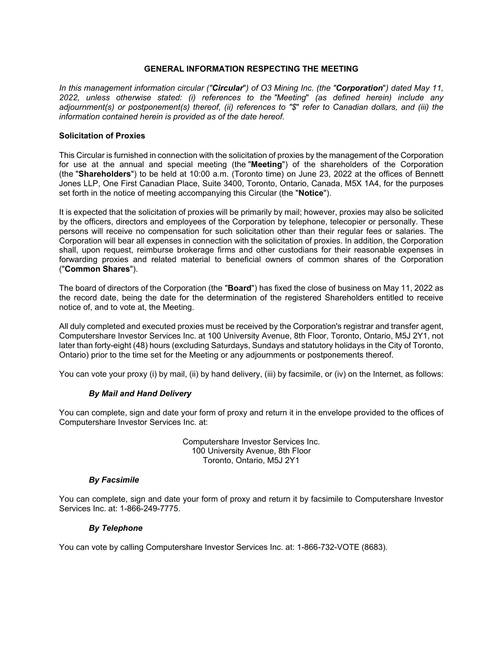### **GENERAL INFORMATION RESPECTING THE MEETING**

*In this management information circular ("Circular*"*) of O3 Mining Inc. (the "Corporation*"*) dated May 11, 2022, unless otherwise stated: (i) references to the "Meeting*" *(as defined herein) include any adjournment(s) or postponement(s) thereof, (ii) references to "\$*" *refer to Canadian dollars, and (iii) the information contained herein is provided as of the date hereof.* 

#### **Solicitation of Proxies**

This Circular is furnished in connection with the solicitation of proxies by the management of the Corporation for use at the annual and special meeting (the "**Meeting**") of the shareholders of the Corporation (the "**Shareholders**") to be held at 10:00 a.m. (Toronto time) on June 23, 2022 at the offices of Bennett Jones LLP, One First Canadian Place, Suite 3400, Toronto, Ontario, Canada, M5X 1A4, for the purposes set forth in the notice of meeting accompanying this Circular (the "**Notice**").

It is expected that the solicitation of proxies will be primarily by mail; however, proxies may also be solicited by the officers, directors and employees of the Corporation by telephone, telecopier or personally. These persons will receive no compensation for such solicitation other than their regular fees or salaries. The Corporation will bear all expenses in connection with the solicitation of proxies. In addition, the Corporation shall, upon request, reimburse brokerage firms and other custodians for their reasonable expenses in forwarding proxies and related material to beneficial owners of common shares of the Corporation ("**Common Shares**").

The board of directors of the Corporation (the "**Board**") has fixed the close of business on May 11, 2022 as the record date, being the date for the determination of the registered Shareholders entitled to receive notice of, and to vote at, the Meeting.

All duly completed and executed proxies must be received by the Corporation's registrar and transfer agent, Computershare Investor Services Inc. at 100 University Avenue, 8th Floor, Toronto, Ontario, M5J 2Y1, not later than forty-eight (48) hours (excluding Saturdays, Sundays and statutory holidays in the City of Toronto, Ontario) prior to the time set for the Meeting or any adjournments or postponements thereof.

You can vote your proxy (i) by mail, (ii) by hand delivery, (iii) by facsimile, or (iv) on the Internet, as follows:

#### *By Mail and Hand Delivery*

You can complete, sign and date your form of proxy and return it in the envelope provided to the offices of Computershare Investor Services Inc. at:

> Computershare Investor Services Inc. 100 University Avenue, 8th Floor Toronto, Ontario, M5J 2Y1

#### *By Facsimile*

You can complete, sign and date your form of proxy and return it by facsimile to Computershare Investor Services Inc. at: 1-866-249-7775.

#### *By Telephone*

You can vote by calling Computershare Investor Services Inc. at: 1-866-732-VOTE (8683).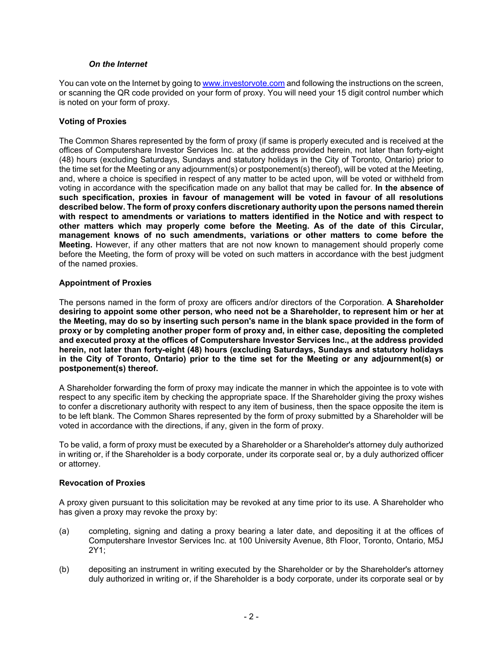#### *On the Internet*

You can vote on the Internet by going to www.investorvote.com and following the instructions on the screen, or scanning the QR code provided on your form of proxy. You will need your 15 digit control number which is noted on your form of proxy.

### **Voting of Proxies**

The Common Shares represented by the form of proxy (if same is properly executed and is received at the offices of Computershare Investor Services Inc. at the address provided herein, not later than forty-eight (48) hours (excluding Saturdays, Sundays and statutory holidays in the City of Toronto, Ontario) prior to the time set for the Meeting or any adjournment(s) or postponement(s) thereof), will be voted at the Meeting, and, where a choice is specified in respect of any matter to be acted upon, will be voted or withheld from voting in accordance with the specification made on any ballot that may be called for. **In the absence of such specification, proxies in favour of management will be voted in favour of all resolutions described below. The form of proxy confers discretionary authority upon the persons named therein with respect to amendments or variations to matters identified in the Notice and with respect to other matters which may properly come before the Meeting. As of the date of this Circular, management knows of no such amendments, variations or other matters to come before the Meeting.** However, if any other matters that are not now known to management should properly come before the Meeting, the form of proxy will be voted on such matters in accordance with the best judgment of the named proxies.

### **Appointment of Proxies**

The persons named in the form of proxy are officers and/or directors of the Corporation. **A Shareholder desiring to appoint some other person, who need not be a Shareholder, to represent him or her at the Meeting, may do so by inserting such person's name in the blank space provided in the form of proxy or by completing another proper form of proxy and, in either case, depositing the completed and executed proxy at the offices of Computershare Investor Services Inc., at the address provided herein, not later than forty-eight (48) hours (excluding Saturdays, Sundays and statutory holidays in the City of Toronto, Ontario) prior to the time set for the Meeting or any adjournment(s) or postponement(s) thereof.** 

A Shareholder forwarding the form of proxy may indicate the manner in which the appointee is to vote with respect to any specific item by checking the appropriate space. If the Shareholder giving the proxy wishes to confer a discretionary authority with respect to any item of business, then the space opposite the item is to be left blank. The Common Shares represented by the form of proxy submitted by a Shareholder will be voted in accordance with the directions, if any, given in the form of proxy.

To be valid, a form of proxy must be executed by a Shareholder or a Shareholder's attorney duly authorized in writing or, if the Shareholder is a body corporate, under its corporate seal or, by a duly authorized officer or attorney.

#### **Revocation of Proxies**

A proxy given pursuant to this solicitation may be revoked at any time prior to its use. A Shareholder who has given a proxy may revoke the proxy by:

- (a) completing, signing and dating a proxy bearing a later date, and depositing it at the offices of Computershare Investor Services Inc. at 100 University Avenue, 8th Floor, Toronto, Ontario, M5J 2Y1;
- (b) depositing an instrument in writing executed by the Shareholder or by the Shareholder's attorney duly authorized in writing or, if the Shareholder is a body corporate, under its corporate seal or by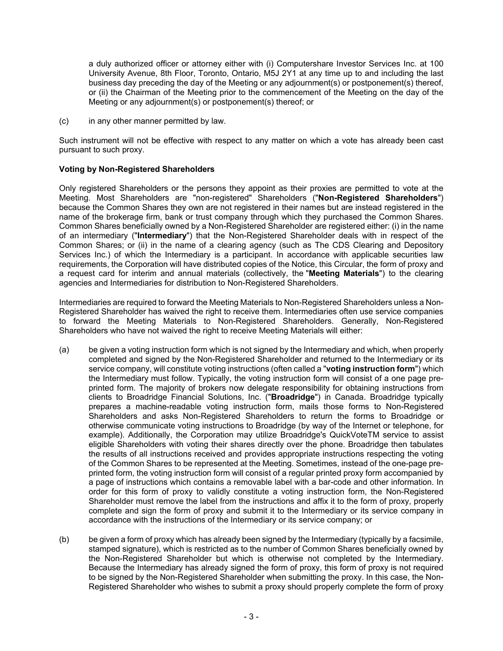a duly authorized officer or attorney either with (i) Computershare Investor Services Inc. at 100 University Avenue, 8th Floor, Toronto, Ontario, M5J 2Y1 at any time up to and including the last business day preceding the day of the Meeting or any adjournment(s) or postponement(s) thereof, or (ii) the Chairman of the Meeting prior to the commencement of the Meeting on the day of the Meeting or any adjournment(s) or postponement(s) thereof; or

(c) in any other manner permitted by law.

Such instrument will not be effective with respect to any matter on which a vote has already been cast pursuant to such proxy.

## **Voting by Non-Registered Shareholders**

Only registered Shareholders or the persons they appoint as their proxies are permitted to vote at the Meeting. Most Shareholders are "non-registered" Shareholders ("**Non-Registered Shareholders**") because the Common Shares they own are not registered in their names but are instead registered in the name of the brokerage firm, bank or trust company through which they purchased the Common Shares. Common Shares beneficially owned by a Non-Registered Shareholder are registered either: (i) in the name of an intermediary ("**Intermediary**") that the Non-Registered Shareholder deals with in respect of the Common Shares; or (ii) in the name of a clearing agency (such as The CDS Clearing and Depository Services Inc.) of which the Intermediary is a participant. In accordance with applicable securities law requirements, the Corporation will have distributed copies of the Notice, this Circular, the form of proxy and a request card for interim and annual materials (collectively, the "**Meeting Materials**") to the clearing agencies and Intermediaries for distribution to Non-Registered Shareholders.

Intermediaries are required to forward the Meeting Materials to Non-Registered Shareholders unless a Non-Registered Shareholder has waived the right to receive them. Intermediaries often use service companies to forward the Meeting Materials to Non-Registered Shareholders. Generally, Non-Registered Shareholders who have not waived the right to receive Meeting Materials will either:

- (a) be given a voting instruction form which is not signed by the Intermediary and which, when properly completed and signed by the Non-Registered Shareholder and returned to the Intermediary or its service company, will constitute voting instructions (often called a "**voting instruction form**") which the Intermediary must follow. Typically, the voting instruction form will consist of a one page preprinted form. The majority of brokers now delegate responsibility for obtaining instructions from clients to Broadridge Financial Solutions, Inc. ("**Broadridge**") in Canada. Broadridge typically prepares a machine-readable voting instruction form, mails those forms to Non-Registered Shareholders and asks Non-Registered Shareholders to return the forms to Broadridge or otherwise communicate voting instructions to Broadridge (by way of the Internet or telephone, for example). Additionally, the Corporation may utilize Broadridge's QuickVoteTM service to assist eligible Shareholders with voting their shares directly over the phone. Broadridge then tabulates the results of all instructions received and provides appropriate instructions respecting the voting of the Common Shares to be represented at the Meeting. Sometimes, instead of the one-page preprinted form, the voting instruction form will consist of a regular printed proxy form accompanied by a page of instructions which contains a removable label with a bar-code and other information. In order for this form of proxy to validly constitute a voting instruction form, the Non-Registered Shareholder must remove the label from the instructions and affix it to the form of proxy, properly complete and sign the form of proxy and submit it to the Intermediary or its service company in accordance with the instructions of the Intermediary or its service company; or
- (b) be given a form of proxy which has already been signed by the Intermediary (typically by a facsimile, stamped signature), which is restricted as to the number of Common Shares beneficially owned by the Non-Registered Shareholder but which is otherwise not completed by the Intermediary. Because the Intermediary has already signed the form of proxy, this form of proxy is not required to be signed by the Non-Registered Shareholder when submitting the proxy. In this case, the Non-Registered Shareholder who wishes to submit a proxy should properly complete the form of proxy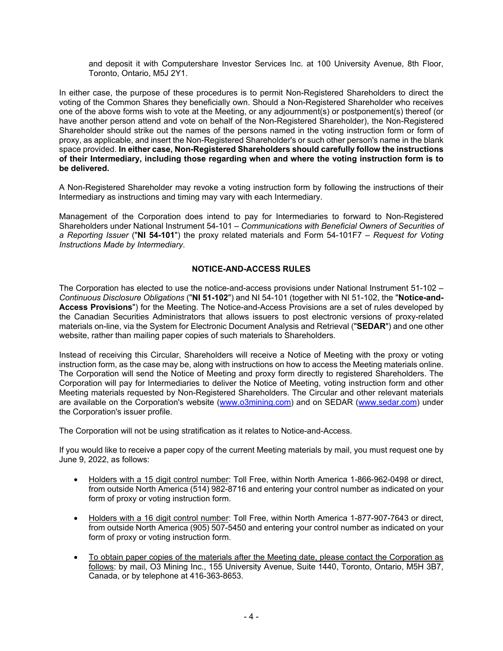and deposit it with Computershare Investor Services Inc. at 100 University Avenue, 8th Floor, Toronto, Ontario, M5J 2Y1.

In either case, the purpose of these procedures is to permit Non-Registered Shareholders to direct the voting of the Common Shares they beneficially own. Should a Non-Registered Shareholder who receives one of the above forms wish to vote at the Meeting, or any adjournment(s) or postponement(s) thereof (or have another person attend and vote on behalf of the Non-Registered Shareholder), the Non-Registered Shareholder should strike out the names of the persons named in the voting instruction form or form of proxy, as applicable, and insert the Non-Registered Shareholder's or such other person's name in the blank space provided. **In either case, Non-Registered Shareholders should carefully follow the instructions of their Intermediary, including those regarding when and where the voting instruction form is to be delivered.**

A Non-Registered Shareholder may revoke a voting instruction form by following the instructions of their Intermediary as instructions and timing may vary with each Intermediary.

Management of the Corporation does intend to pay for Intermediaries to forward to Non-Registered Shareholders under National Instrument 54-101 – *Communications with Beneficial Owners of Securities of a Reporting Issuer* ("**NI 54-101**") the proxy related materials and Form 54-101F7 – *Request for Voting Instructions Made by Intermediary*.

### **NOTICE-AND-ACCESS RULES**

The Corporation has elected to use the notice-and-access provisions under National Instrument 51-102 – *Continuous Disclosure Obligations* ("**NI 51-102**") and NI 54-101 (together with NI 51-102, the "**Notice-and-Access Provisions**") for the Meeting. The Notice-and-Access Provisions are a set of rules developed by the Canadian Securities Administrators that allows issuers to post electronic versions of proxy-related materials on-line, via the System for Electronic Document Analysis and Retrieval ("**SEDAR**") and one other website, rather than mailing paper copies of such materials to Shareholders.

Instead of receiving this Circular, Shareholders will receive a Notice of Meeting with the proxy or voting instruction form, as the case may be, along with instructions on how to access the Meeting materials online. The Corporation will send the Notice of Meeting and proxy form directly to registered Shareholders. The Corporation will pay for Intermediaries to deliver the Notice of Meeting, voting instruction form and other Meeting materials requested by Non-Registered Shareholders. The Circular and other relevant materials are available on the Corporation's website (www.o3mining.com) and on SEDAR (www.sedar.com) under the Corporation's issuer profile.

The Corporation will not be using stratification as it relates to Notice-and-Access.

If you would like to receive a paper copy of the current Meeting materials by mail, you must request one by June 9, 2022, as follows:

- Holders with a 15 digit control number: Toll Free, within North America 1-866-962-0498 or direct, from outside North America (514) 982-8716 and entering your control number as indicated on your form of proxy or voting instruction form.
- Holders with a 16 digit control number: Toll Free, within North America 1-877-907-7643 or direct, from outside North America (905) 507-5450 and entering your control number as indicated on your form of proxy or voting instruction form.
- To obtain paper copies of the materials after the Meeting date, please contact the Corporation as follows: by mail, O3 Mining Inc., 155 University Avenue, Suite 1440, Toronto, Ontario, M5H 3B7, Canada, or by telephone at 416-363-8653.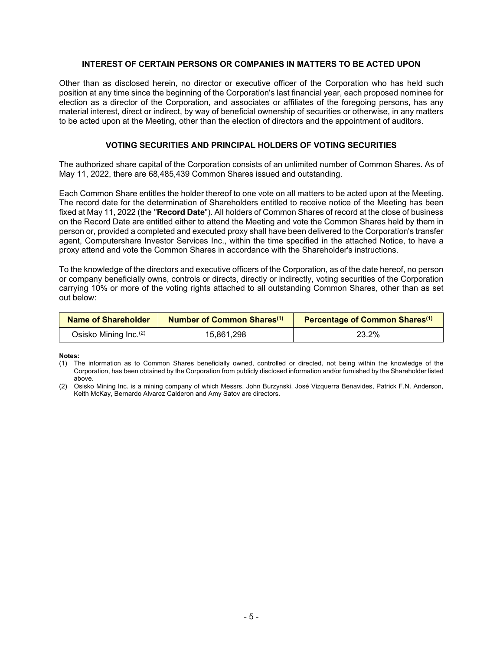### **INTEREST OF CERTAIN PERSONS OR COMPANIES IN MATTERS TO BE ACTED UPON**

Other than as disclosed herein, no director or executive officer of the Corporation who has held such position at any time since the beginning of the Corporation's last financial year, each proposed nominee for election as a director of the Corporation, and associates or affiliates of the foregoing persons, has any material interest, direct or indirect, by way of beneficial ownership of securities or otherwise, in any matters to be acted upon at the Meeting, other than the election of directors and the appointment of auditors.

### **VOTING SECURITIES AND PRINCIPAL HOLDERS OF VOTING SECURITIES**

The authorized share capital of the Corporation consists of an unlimited number of Common Shares. As of May 11, 2022, there are 68,485,439 Common Shares issued and outstanding.

Each Common Share entitles the holder thereof to one vote on all matters to be acted upon at the Meeting. The record date for the determination of Shareholders entitled to receive notice of the Meeting has been fixed at May 11, 2022 (the "**Record Date**"). All holders of Common Shares of record at the close of business on the Record Date are entitled either to attend the Meeting and vote the Common Shares held by them in person or, provided a completed and executed proxy shall have been delivered to the Corporation's transfer agent, Computershare Investor Services Inc., within the time specified in the attached Notice, to have a proxy attend and vote the Common Shares in accordance with the Shareholder's instructions.

To the knowledge of the directors and executive officers of the Corporation, as of the date hereof, no person or company beneficially owns, controls or directs, directly or indirectly, voting securities of the Corporation carrying 10% or more of the voting rights attached to all outstanding Common Shares, other than as set out below:

| Name of Shareholder               | Number of Common Shares <sup>(1)</sup> | Percentage of Common Shares <sup>(1)</sup> |
|-----------------------------------|----------------------------------------|--------------------------------------------|
| Osisko Mining Inc. <sup>(2)</sup> | 15.861.298                             | 23.2%                                      |

**Notes:** 

<sup>(1)</sup> The information as to Common Shares beneficially owned, controlled or directed, not being within the knowledge of the Corporation, has been obtained by the Corporation from publicly disclosed information and/or furnished by the Shareholder listed above.

<sup>(2)</sup> Osisko Mining Inc. is a mining company of which Messrs. John Burzynski, José Vizquerra Benavides, Patrick F.N. Anderson, Keith McKay, Bernardo Alvarez Calderon and Amy Satov are directors.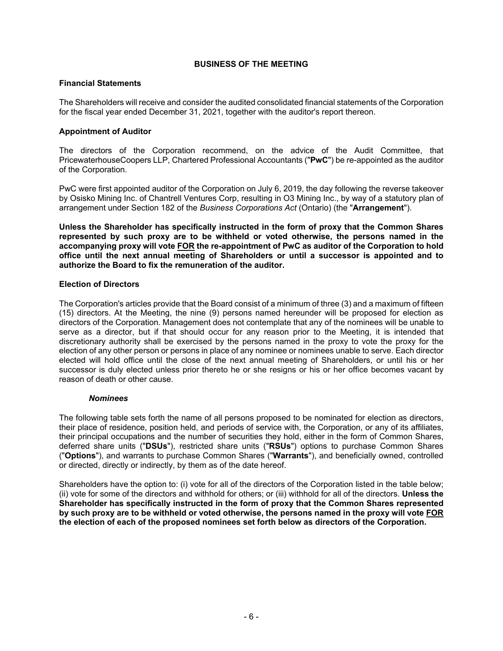### **BUSINESS OF THE MEETING**

### **Financial Statements**

The Shareholders will receive and consider the audited consolidated financial statements of the Corporation for the fiscal year ended December 31, 2021, together with the auditor's report thereon.

### **Appointment of Auditor**

The directors of the Corporation recommend, on the advice of the Audit Committee, that PricewaterhouseCoopers LLP, Chartered Professional Accountants ("**PwC**") be re-appointed as the auditor of the Corporation.

PwC were first appointed auditor of the Corporation on July 6, 2019, the day following the reverse takeover by Osisko Mining Inc. of Chantrell Ventures Corp, resulting in O3 Mining Inc., by way of a statutory plan of arrangement under Section 182 of the *Business Corporations Act* (Ontario) (the "**Arrangement**").

**Unless the Shareholder has specifically instructed in the form of proxy that the Common Shares represented by such proxy are to be withheld or voted otherwise, the persons named in the accompanying proxy will vote FOR the re-appointment of PwC as auditor of the Corporation to hold office until the next annual meeting of Shareholders or until a successor is appointed and to authorize the Board to fix the remuneration of the auditor.** 

### **Election of Directors**

The Corporation's articles provide that the Board consist of a minimum of three (3) and a maximum of fifteen (15) directors. At the Meeting, the nine (9) persons named hereunder will be proposed for election as directors of the Corporation. Management does not contemplate that any of the nominees will be unable to serve as a director, but if that should occur for any reason prior to the Meeting, it is intended that discretionary authority shall be exercised by the persons named in the proxy to vote the proxy for the election of any other person or persons in place of any nominee or nominees unable to serve. Each director elected will hold office until the close of the next annual meeting of Shareholders, or until his or her successor is duly elected unless prior thereto he or she resigns or his or her office becomes vacant by reason of death or other cause.

#### *Nominees*

The following table sets forth the name of all persons proposed to be nominated for election as directors, their place of residence, position held, and periods of service with, the Corporation, or any of its affiliates, their principal occupations and the number of securities they hold, either in the form of Common Shares, deferred share units ("**DSUs**"), restricted share units ("**RSUs**") options to purchase Common Shares ("**Options**"), and warrants to purchase Common Shares ("**Warrants**"), and beneficially owned, controlled or directed, directly or indirectly, by them as of the date hereof.

Shareholders have the option to: (i) vote for all of the directors of the Corporation listed in the table below; (ii) vote for some of the directors and withhold for others; or (iii) withhold for all of the directors. **Unless the Shareholder has specifically instructed in the form of proxy that the Common Shares represented by such proxy are to be withheld or voted otherwise, the persons named in the proxy will vote FOR the election of each of the proposed nominees set forth below as directors of the Corporation.**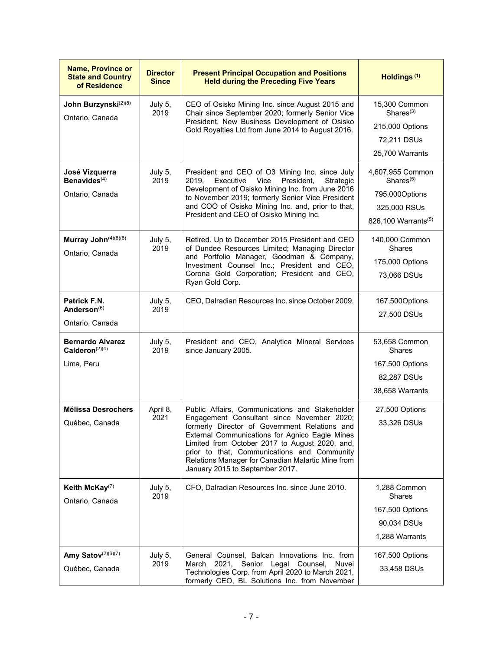| <b>Name, Province or</b><br><b>State and Country</b><br>of Residence | <b>Director</b><br><b>Since</b> | <b>Present Principal Occupation and Positions</b><br><b>Held during the Preceding Five Years</b>                                                                                                                                                                                                                                                                                         | Holdings <sup>(1)</sup>                                                                                        |
|----------------------------------------------------------------------|---------------------------------|------------------------------------------------------------------------------------------------------------------------------------------------------------------------------------------------------------------------------------------------------------------------------------------------------------------------------------------------------------------------------------------|----------------------------------------------------------------------------------------------------------------|
| John Burzynski <sup>(2)(8)</sup><br>Ontario, Canada                  | July 5,<br>2019                 | CEO of Osisko Mining Inc. since August 2015 and<br>Chair since September 2020; formerly Senior Vice<br>President, New Business Development of Osisko<br>Gold Royalties Ltd from June 2014 to August 2016.                                                                                                                                                                                | 15,300 Common<br>Shares <sup>(3)</sup><br>215,000 Options<br>72,211 DSUs<br>25,700 Warrants                    |
| José Vizquerra<br>Benavides <sup>(4)</sup><br>Ontario, Canada        | July 5,<br>2019                 | President and CEO of O3 Mining Inc. since July<br>2019,<br>Executive<br>Vice<br>President,<br>Strategic<br>Development of Osisko Mining Inc. from June 2016<br>to November 2019; formerly Senior Vice President<br>and COO of Osisko Mining Inc. and, prior to that,<br>President and CEO of Osisko Mining Inc.                                                                          | 4,607,955 Common<br>Shares <sup>(5)</sup><br>795,000Options<br>325,000 RSUs<br>826,100 Warrants <sup>(5)</sup> |
| Murray John(4)(6)(8)<br>Ontario, Canada                              | July 5,<br>2019                 | Retired. Up to December 2015 President and CEO<br>of Dundee Resources Limited; Managing Director<br>and Portfolio Manager, Goodman & Company,<br>Investment Counsel Inc.; President and CEO,<br>Corona Gold Corporation; President and CEO,<br>Ryan Gold Corp.                                                                                                                           | 140,000 Common<br><b>Shares</b><br>175,000 Options<br>73,066 DSUs                                              |
| Patrick F.N.<br>Anderson <sup>(6)</sup><br>Ontario, Canada           | July 5,<br>2019                 | CEO, Dalradian Resources Inc. since October 2009.                                                                                                                                                                                                                                                                                                                                        | 167,500Options<br>27,500 DSUs                                                                                  |
| <b>Bernardo Alvarez</b><br>Calderon $(2)(4)$<br>Lima, Peru           | July 5,<br>2019                 | President and CEO, Analytica Mineral Services<br>since January 2005.                                                                                                                                                                                                                                                                                                                     | 53,658 Common<br>Shares<br>167,500 Options<br>82,287 DSUs<br>38,658 Warrants                                   |
| <b>Mélissa Desrochers</b><br>Québec, Canada                          | April 8,<br>2021                | Public Affairs, Communications and Stakeholder<br>Engagement Consultant since November 2020;<br>formerly Director of Government Relations and<br>External Communications for Agnico Eagle Mines<br>Limited from October 2017 to August 2020, and,<br>prior to that, Communications and Community<br>Relations Manager for Canadian Malartic Mine from<br>January 2015 to September 2017. | 27,500 Options<br>33,326 DSUs                                                                                  |
| Keith McKay <sup>(7)</sup><br>Ontario, Canada                        | July 5,<br>2019                 | CFO, Dalradian Resources Inc. since June 2010.                                                                                                                                                                                                                                                                                                                                           | 1,288 Common<br><b>Shares</b><br>167,500 Options<br>90,034 DSUs<br>1,288 Warrants                              |
| Amy Satov <sup>(2)(6)(7)</sup><br>Québec, Canada                     | July 5,<br>2019                 | General Counsel, Balcan Innovations Inc. from<br>March 2021, Senior Legal Counsel,<br>Nuvei<br>Technologies Corp. from April 2020 to March 2021,<br>formerly CEO, BL Solutions Inc. from November                                                                                                                                                                                        | 167,500 Options<br>33,458 DSUs                                                                                 |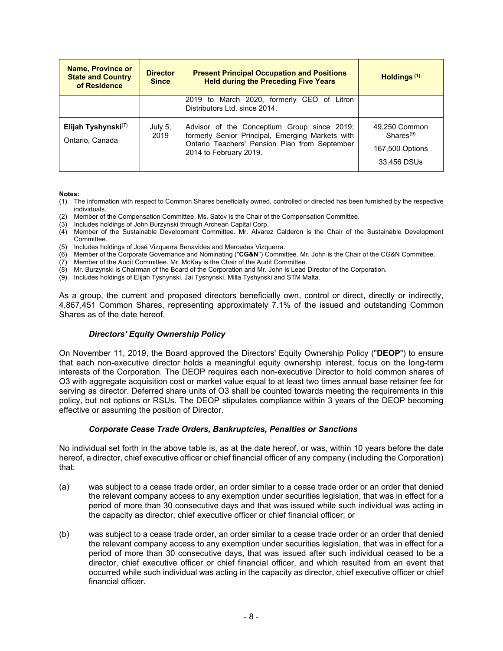| <b>Name, Province or</b><br><b>State and Country</b><br>of Residence | <b>Director</b><br><b>Since</b> | <b>Present Principal Occupation and Positions</b><br><b>Held during the Preceding Five Years</b>                                                                           | Holdings <sup>(1)</sup>                                           |
|----------------------------------------------------------------------|---------------------------------|----------------------------------------------------------------------------------------------------------------------------------------------------------------------------|-------------------------------------------------------------------|
|                                                                      |                                 | 2019 to March 2020, formerly CEO of Litron<br>Distributors Ltd. since 2014.                                                                                                |                                                                   |
| Elijah Tyshynski $(7)$<br>Ontario, Canada                            | July 5,<br>2019                 | Advisor of the Conceptium Group since 2019;<br>formerly Senior Principal, Emerging Markets with<br>Ontario Teachers' Pension Plan from September<br>2014 to February 2019. | 49,250 Common<br>$Shares^{(9)}$<br>167,500 Options<br>33,456 DSUs |

**Notes:** 

- (1) The information with respect to Common Shares beneficially owned, controlled or directed has been furnished by the respective individuals.
- (2) Member of the Compensation Committee. Ms. Satov is the Chair of the Compensation Committee.
- (3) Includes holdings of John Burzynski through Archean Capital Corp.
- (4) Member of the Sustainable Development Committee. Mr. Alvarez Calderon is the Chair of the Sustainable Development Committee.
- (5) Includes holdings of José Vizquerra Benavides and Mercedes Vizquerra.
- (6) Member of the Corporate Governance and Nominating ("**CG&N**") Committee. Mr. John is the Chair of the CG&N Committee.
- (7) Member of the Audit Committee. Mr. McKay is the Chair of the Audit Committee.
- (8) Mr. Burzynski is Chairman of the Board of the Corporation and Mr. John is Lead Director of the Corporation.
- (9) Includes holdings of Elijah Tyshynski, Jai Tyshynski, Milla Tyshynski and STM Malta.

As a group, the current and proposed directors beneficially own, control or direct, directly or indirectly, 4,867,451 Common Shares, representing approximately 7.1% of the issued and outstanding Common Shares as of the date hereof.

#### *Directors' Equity Ownership Policy*

On November 11, 2019, the Board approved the Directors' Equity Ownership Policy ("**DEOP**") to ensure that each non-executive director holds a meaningful equity ownership interest, focus on the long-term interests of the Corporation. The DEOP requires each non-executive Director to hold common shares of O3 with aggregate acquisition cost or market value equal to at least two times annual base retainer fee for serving as director. Deferred share units of O3 shall be counted towards meeting the requirements in this policy, but not options or RSUs. The DEOP stipulates compliance within 3 years of the DEOP becoming effective or assuming the position of Director.

#### *Corporate Cease Trade Orders, Bankruptcies, Penalties or Sanctions*

No individual set forth in the above table is, as at the date hereof, or was, within 10 years before the date hereof, a director, chief executive officer or chief financial officer of any company (including the Corporation) that:

- (a) was subject to a cease trade order, an order similar to a cease trade order or an order that denied the relevant company access to any exemption under securities legislation, that was in effect for a period of more than 30 consecutive days and that was issued while such individual was acting in the capacity as director, chief executive officer or chief financial officer; or
- (b) was subject to a cease trade order, an order similar to a cease trade order or an order that denied the relevant company access to any exemption under securities legislation, that was in effect for a period of more than 30 consecutive days, that was issued after such individual ceased to be a director, chief executive officer or chief financial officer, and which resulted from an event that occurred while such individual was acting in the capacity as director, chief executive officer or chief financial officer.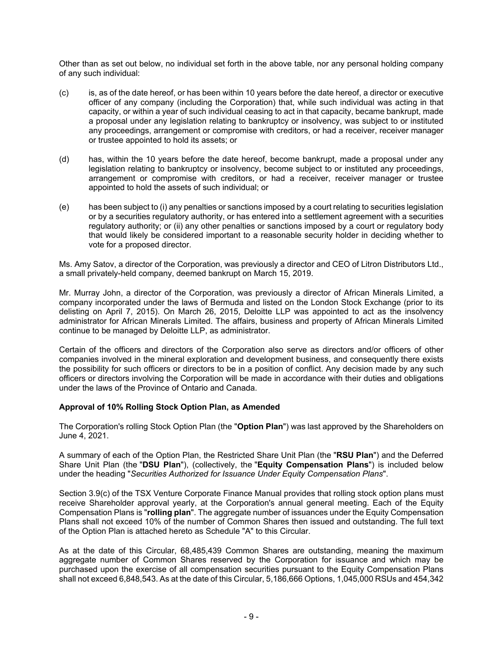Other than as set out below, no individual set forth in the above table, nor any personal holding company of any such individual:

- (c) is, as of the date hereof, or has been within 10 years before the date hereof, a director or executive officer of any company (including the Corporation) that, while such individual was acting in that capacity, or within a year of such individual ceasing to act in that capacity, became bankrupt, made a proposal under any legislation relating to bankruptcy or insolvency, was subject to or instituted any proceedings, arrangement or compromise with creditors, or had a receiver, receiver manager or trustee appointed to hold its assets; or
- (d) has, within the 10 years before the date hereof, become bankrupt, made a proposal under any legislation relating to bankruptcy or insolvency, become subject to or instituted any proceedings, arrangement or compromise with creditors, or had a receiver, receiver manager or trustee appointed to hold the assets of such individual; or
- (e) has been subject to (i) any penalties or sanctions imposed by a court relating to securities legislation or by a securities regulatory authority, or has entered into a settlement agreement with a securities regulatory authority; or (ii) any other penalties or sanctions imposed by a court or regulatory body that would likely be considered important to a reasonable security holder in deciding whether to vote for a proposed director.

Ms. Amy Satov, a director of the Corporation, was previously a director and CEO of Litron Distributors Ltd., a small privately-held company, deemed bankrupt on March 15, 2019.

Mr. Murray John, a director of the Corporation, was previously a director of African Minerals Limited, a company incorporated under the laws of Bermuda and listed on the London Stock Exchange (prior to its delisting on April 7, 2015). On March 26, 2015, Deloitte LLP was appointed to act as the insolvency administrator for African Minerals Limited. The affairs, business and property of African Minerals Limited continue to be managed by Deloitte LLP, as administrator.

Certain of the officers and directors of the Corporation also serve as directors and/or officers of other companies involved in the mineral exploration and development business, and consequently there exists the possibility for such officers or directors to be in a position of conflict. Any decision made by any such officers or directors involving the Corporation will be made in accordance with their duties and obligations under the laws of the Province of Ontario and Canada.

### **Approval of 10% Rolling Stock Option Plan, as Amended**

The Corporation's rolling Stock Option Plan (the "**Option Plan**") was last approved by the Shareholders on June 4, 2021.

A summary of each of the Option Plan, the Restricted Share Unit Plan (the "**RSU Plan**") and the Deferred Share Unit Plan (the "**DSU Plan**"), (collectively, the "**Equity Compensation Plans**") is included below under the heading "*Securities Authorized for Issuance Under Equity Compensation Plans*".

Section 3.9(c) of the TSX Venture Corporate Finance Manual provides that rolling stock option plans must receive Shareholder approval yearly, at the Corporation's annual general meeting. Each of the Equity Compensation Plans is "**rolling plan**". The aggregate number of issuances under the Equity Compensation Plans shall not exceed 10% of the number of Common Shares then issued and outstanding. The full text of the Option Plan is attached hereto as Schedule "A" to this Circular.

As at the date of this Circular, 68,485,439 Common Shares are outstanding, meaning the maximum aggregate number of Common Shares reserved by the Corporation for issuance and which may be purchased upon the exercise of all compensation securities pursuant to the Equity Compensation Plans shall not exceed 6,848,543. As at the date of this Circular, 5,186,666 Options, 1,045,000 RSUs and 454,342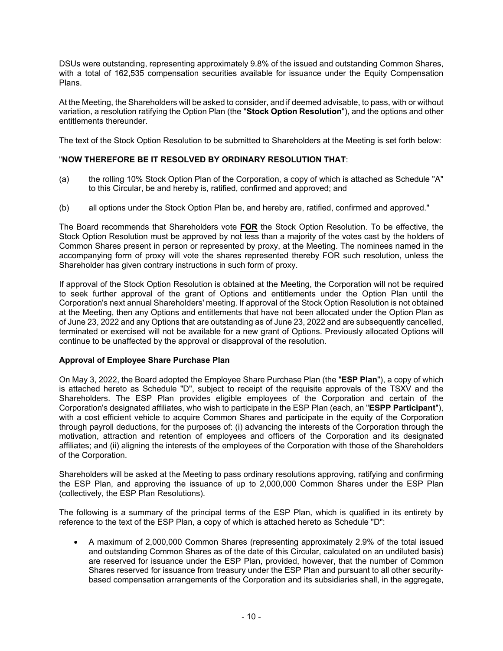DSUs were outstanding, representing approximately 9.8% of the issued and outstanding Common Shares, with a total of 162,535 compensation securities available for issuance under the Equity Compensation Plans.

At the Meeting, the Shareholders will be asked to consider, and if deemed advisable, to pass, with or without variation, a resolution ratifying the Option Plan (the "**Stock Option Resolution**"), and the options and other entitlements thereunder.

The text of the Stock Option Resolution to be submitted to Shareholders at the Meeting is set forth below:

### "**NOW THEREFORE BE IT RESOLVED BY ORDINARY RESOLUTION THAT**:

- (a) the rolling 10% Stock Option Plan of the Corporation, a copy of which is attached as Schedule "A" to this Circular, be and hereby is, ratified, confirmed and approved; and
- (b) all options under the Stock Option Plan be, and hereby are, ratified, confirmed and approved."

The Board recommends that Shareholders vote **FOR** the Stock Option Resolution. To be effective, the Stock Option Resolution must be approved by not less than a majority of the votes cast by the holders of Common Shares present in person or represented by proxy, at the Meeting. The nominees named in the accompanying form of proxy will vote the shares represented thereby FOR such resolution, unless the Shareholder has given contrary instructions in such form of proxy.

If approval of the Stock Option Resolution is obtained at the Meeting, the Corporation will not be required to seek further approval of the grant of Options and entitlements under the Option Plan until the Corporation's next annual Shareholders' meeting. If approval of the Stock Option Resolution is not obtained at the Meeting, then any Options and entitlements that have not been allocated under the Option Plan as of June 23, 2022 and any Options that are outstanding as of June 23, 2022 and are subsequently cancelled, terminated or exercised will not be available for a new grant of Options. Previously allocated Options will continue to be unaffected by the approval or disapproval of the resolution.

### **Approval of Employee Share Purchase Plan**

On May 3, 2022, the Board adopted the Employee Share Purchase Plan (the "**ESP Plan**"), a copy of which is attached hereto as Schedule "D", subject to receipt of the requisite approvals of the TSXV and the Shareholders. The ESP Plan provides eligible employees of the Corporation and certain of the Corporation's designated affiliates, who wish to participate in the ESP Plan (each, an "**ESPP Participant**"), with a cost efficient vehicle to acquire Common Shares and participate in the equity of the Corporation through payroll deductions, for the purposes of: (i) advancing the interests of the Corporation through the motivation, attraction and retention of employees and officers of the Corporation and its designated affiliates; and (ii) aligning the interests of the employees of the Corporation with those of the Shareholders of the Corporation.

Shareholders will be asked at the Meeting to pass ordinary resolutions approving, ratifying and confirming the ESP Plan, and approving the issuance of up to 2,000,000 Common Shares under the ESP Plan (collectively, the ESP Plan Resolutions).

The following is a summary of the principal terms of the ESP Plan, which is qualified in its entirety by reference to the text of the ESP Plan, a copy of which is attached hereto as Schedule "D":

• A maximum of 2,000,000 Common Shares (representing approximately 2.9% of the total issued and outstanding Common Shares as of the date of this Circular, calculated on an undiluted basis) are reserved for issuance under the ESP Plan, provided, however, that the number of Common Shares reserved for issuance from treasury under the ESP Plan and pursuant to all other securitybased compensation arrangements of the Corporation and its subsidiaries shall, in the aggregate,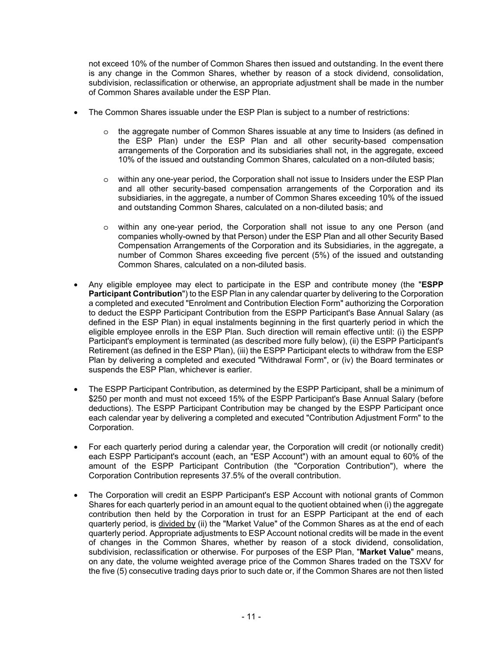not exceed 10% of the number of Common Shares then issued and outstanding. In the event there is any change in the Common Shares, whether by reason of a stock dividend, consolidation, subdivision, reclassification or otherwise, an appropriate adjustment shall be made in the number of Common Shares available under the ESP Plan.

- The Common Shares issuable under the ESP Plan is subject to a number of restrictions:
	- o the aggregate number of Common Shares issuable at any time to Insiders (as defined in the ESP Plan) under the ESP Plan and all other security-based compensation arrangements of the Corporation and its subsidiaries shall not, in the aggregate, exceed 10% of the issued and outstanding Common Shares, calculated on a non-diluted basis;
	- o within any one-year period, the Corporation shall not issue to Insiders under the ESP Plan and all other security-based compensation arrangements of the Corporation and its subsidiaries, in the aggregate, a number of Common Shares exceeding 10% of the issued and outstanding Common Shares, calculated on a non-diluted basis; and
	- o within any one-year period, the Corporation shall not issue to any one Person (and companies wholly-owned by that Person) under the ESP Plan and all other Security Based Compensation Arrangements of the Corporation and its Subsidiaries, in the aggregate, a number of Common Shares exceeding five percent (5%) of the issued and outstanding Common Shares, calculated on a non-diluted basis.
- Any eligible employee may elect to participate in the ESP and contribute money (the "**ESPP Participant Contribution**") to the ESP Plan in any calendar quarter by delivering to the Corporation a completed and executed "Enrolment and Contribution Election Form" authorizing the Corporation to deduct the ESPP Participant Contribution from the ESPP Participant's Base Annual Salary (as defined in the ESP Plan) in equal instalments beginning in the first quarterly period in which the eligible employee enrolls in the ESP Plan. Such direction will remain effective until: (i) the ESPP Participant's employment is terminated (as described more fully below), (ii) the ESPP Participant's Retirement (as defined in the ESP Plan), (iii) the ESPP Participant elects to withdraw from the ESP Plan by delivering a completed and executed "Withdrawal Form", or (iv) the Board terminates or suspends the ESP Plan, whichever is earlier.
- The ESPP Participant Contribution, as determined by the ESPP Participant, shall be a minimum of \$250 per month and must not exceed 15% of the ESPP Participant's Base Annual Salary (before deductions). The ESPP Participant Contribution may be changed by the ESPP Participant once each calendar year by delivering a completed and executed "Contribution Adjustment Form" to the Corporation.
- For each quarterly period during a calendar year, the Corporation will credit (or notionally credit) each ESPP Participant's account (each, an "ESP Account") with an amount equal to 60% of the amount of the ESPP Participant Contribution (the "Corporation Contribution"), where the Corporation Contribution represents 37.5% of the overall contribution.
- The Corporation will credit an ESPP Participant's ESP Account with notional grants of Common Shares for each quarterly period in an amount equal to the quotient obtained when (i) the aggregate contribution then held by the Corporation in trust for an ESPP Participant at the end of each quarterly period, is divided by (ii) the "Market Value" of the Common Shares as at the end of each quarterly period. Appropriate adjustments to ESP Account notional credits will be made in the event of changes in the Common Shares, whether by reason of a stock dividend, consolidation, subdivision, reclassification or otherwise. For purposes of the ESP Plan, "**Market Value**" means, on any date, the volume weighted average price of the Common Shares traded on the TSXV for the five (5) consecutive trading days prior to such date or, if the Common Shares are not then listed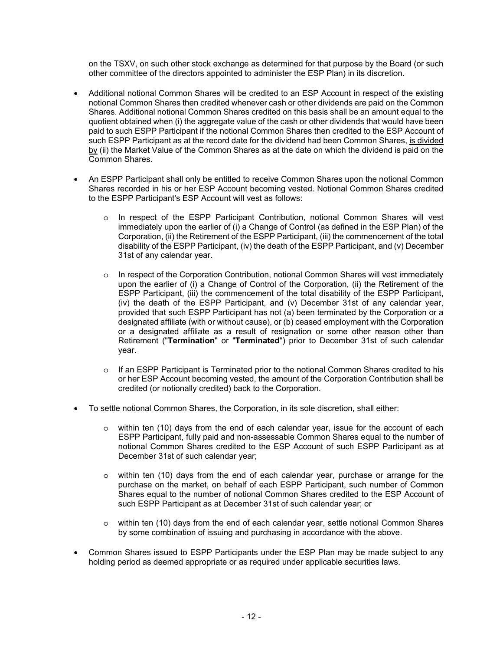on the TSXV, on such other stock exchange as determined for that purpose by the Board (or such other committee of the directors appointed to administer the ESP Plan) in its discretion.

- Additional notional Common Shares will be credited to an ESP Account in respect of the existing notional Common Shares then credited whenever cash or other dividends are paid on the Common Shares. Additional notional Common Shares credited on this basis shall be an amount equal to the quotient obtained when (i) the aggregate value of the cash or other dividends that would have been paid to such ESPP Participant if the notional Common Shares then credited to the ESP Account of such ESPP Participant as at the record date for the dividend had been Common Shares, is divided by (ii) the Market Value of the Common Shares as at the date on which the dividend is paid on the Common Shares.
- An ESPP Participant shall only be entitled to receive Common Shares upon the notional Common Shares recorded in his or her ESP Account becoming vested. Notional Common Shares credited to the ESPP Participant's ESP Account will vest as follows:
	- o In respect of the ESPP Participant Contribution, notional Common Shares will vest immediately upon the earlier of (i) a Change of Control (as defined in the ESP Plan) of the Corporation, (ii) the Retirement of the ESPP Participant, (iii) the commencement of the total disability of the ESPP Participant, (iv) the death of the ESPP Participant, and (v) December 31st of any calendar year.
	- o In respect of the Corporation Contribution, notional Common Shares will vest immediately upon the earlier of (i) a Change of Control of the Corporation, (ii) the Retirement of the ESPP Participant, (iii) the commencement of the total disability of the ESPP Participant, (iv) the death of the ESPP Participant, and (v) December 31st of any calendar year, provided that such ESPP Participant has not (a) been terminated by the Corporation or a designated affiliate (with or without cause), or (b) ceased employment with the Corporation or a designated affiliate as a result of resignation or some other reason other than Retirement ("**Termination**" or "**Terminated**") prior to December 31st of such calendar year.
	- o If an ESPP Participant is Terminated prior to the notional Common Shares credited to his or her ESP Account becoming vested, the amount of the Corporation Contribution shall be credited (or notionally credited) back to the Corporation.
- To settle notional Common Shares, the Corporation, in its sole discretion, shall either:
	- $\circ$  within ten (10) days from the end of each calendar year, issue for the account of each ESPP Participant, fully paid and non-assessable Common Shares equal to the number of notional Common Shares credited to the ESP Account of such ESPP Participant as at December 31st of such calendar year;
	- o within ten (10) days from the end of each calendar year, purchase or arrange for the purchase on the market, on behalf of each ESPP Participant, such number of Common Shares equal to the number of notional Common Shares credited to the ESP Account of such ESPP Participant as at December 31st of such calendar year; or
	- o within ten (10) days from the end of each calendar year, settle notional Common Shares by some combination of issuing and purchasing in accordance with the above.
- Common Shares issued to ESPP Participants under the ESP Plan may be made subject to any holding period as deemed appropriate or as required under applicable securities laws.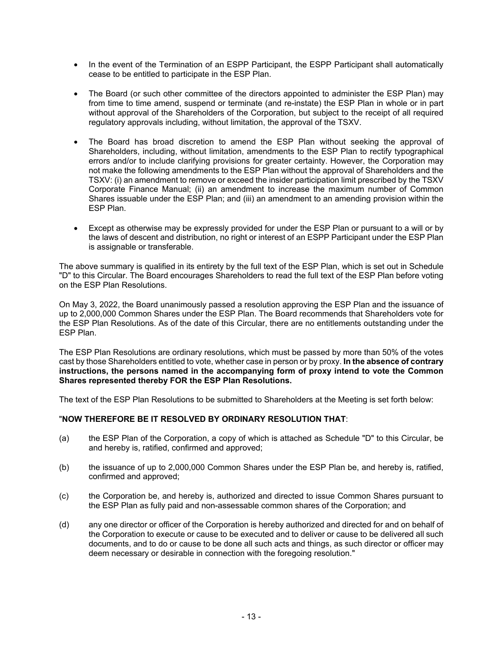- In the event of the Termination of an ESPP Participant, the ESPP Participant shall automatically cease to be entitled to participate in the ESP Plan.
- The Board (or such other committee of the directors appointed to administer the ESP Plan) may from time to time amend, suspend or terminate (and re-instate) the ESP Plan in whole or in part without approval of the Shareholders of the Corporation, but subject to the receipt of all required regulatory approvals including, without limitation, the approval of the TSXV.
- The Board has broad discretion to amend the ESP Plan without seeking the approval of Shareholders, including, without limitation, amendments to the ESP Plan to rectify typographical errors and/or to include clarifying provisions for greater certainty. However, the Corporation may not make the following amendments to the ESP Plan without the approval of Shareholders and the TSXV: (i) an amendment to remove or exceed the insider participation limit prescribed by the TSXV Corporate Finance Manual; (ii) an amendment to increase the maximum number of Common Shares issuable under the ESP Plan; and (iii) an amendment to an amending provision within the ESP Plan.
- Except as otherwise may be expressly provided for under the ESP Plan or pursuant to a will or by the laws of descent and distribution, no right or interest of an ESPP Participant under the ESP Plan is assignable or transferable.

The above summary is qualified in its entirety by the full text of the ESP Plan, which is set out in Schedule "D" to this Circular. The Board encourages Shareholders to read the full text of the ESP Plan before voting on the ESP Plan Resolutions.

On May 3, 2022, the Board unanimously passed a resolution approving the ESP Plan and the issuance of up to 2,000,000 Common Shares under the ESP Plan. The Board recommends that Shareholders vote for the ESP Plan Resolutions. As of the date of this Circular, there are no entitlements outstanding under the ESP Plan.

The ESP Plan Resolutions are ordinary resolutions, which must be passed by more than 50% of the votes cast by those Shareholders entitled to vote, whether case in person or by proxy. **In the absence of contrary instructions, the persons named in the accompanying form of proxy intend to vote the Common Shares represented thereby FOR the ESP Plan Resolutions.**

The text of the ESP Plan Resolutions to be submitted to Shareholders at the Meeting is set forth below:

### "**NOW THEREFORE BE IT RESOLVED BY ORDINARY RESOLUTION THAT**:

- (a) the ESP Plan of the Corporation, a copy of which is attached as Schedule "D" to this Circular, be and hereby is, ratified, confirmed and approved;
- (b) the issuance of up to 2,000,000 Common Shares under the ESP Plan be, and hereby is, ratified, confirmed and approved;
- (c) the Corporation be, and hereby is, authorized and directed to issue Common Shares pursuant to the ESP Plan as fully paid and non-assessable common shares of the Corporation; and
- (d) any one director or officer of the Corporation is hereby authorized and directed for and on behalf of the Corporation to execute or cause to be executed and to deliver or cause to be delivered all such documents, and to do or cause to be done all such acts and things, as such director or officer may deem necessary or desirable in connection with the foregoing resolution."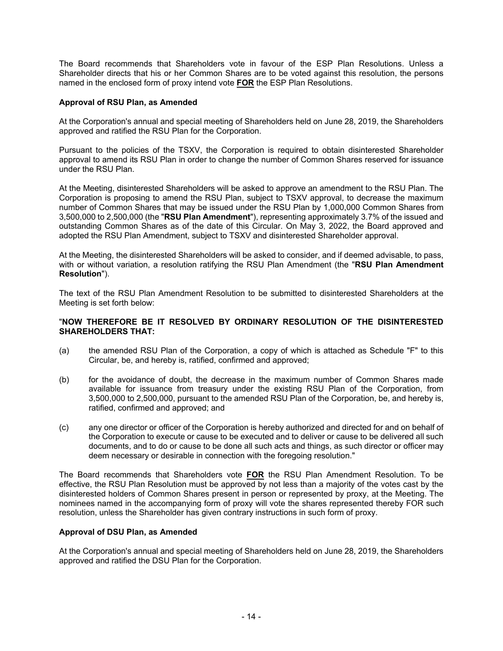The Board recommends that Shareholders vote in favour of the ESP Plan Resolutions. Unless a Shareholder directs that his or her Common Shares are to be voted against this resolution, the persons named in the enclosed form of proxy intend vote **FOR** the ESP Plan Resolutions.

### **Approval of RSU Plan, as Amended**

At the Corporation's annual and special meeting of Shareholders held on June 28, 2019, the Shareholders approved and ratified the RSU Plan for the Corporation.

Pursuant to the policies of the TSXV, the Corporation is required to obtain disinterested Shareholder approval to amend its RSU Plan in order to change the number of Common Shares reserved for issuance under the RSU Plan.

At the Meeting, disinterested Shareholders will be asked to approve an amendment to the RSU Plan. The Corporation is proposing to amend the RSU Plan, subject to TSXV approval, to decrease the maximum number of Common Shares that may be issued under the RSU Plan by 1,000,000 Common Shares from 3,500,000 to 2,500,000 (the "**RSU Plan Amendment**"), representing approximately 3.7% of the issued and outstanding Common Shares as of the date of this Circular. On May 3, 2022, the Board approved and adopted the RSU Plan Amendment, subject to TSXV and disinterested Shareholder approval.

At the Meeting, the disinterested Shareholders will be asked to consider, and if deemed advisable, to pass, with or without variation, a resolution ratifying the RSU Plan Amendment (the "**RSU Plan Amendment Resolution**").

The text of the RSU Plan Amendment Resolution to be submitted to disinterested Shareholders at the Meeting is set forth below:

#### "**NOW THEREFORE BE IT RESOLVED BY ORDINARY RESOLUTION OF THE DISINTERESTED SHAREHOLDERS THAT:**

- (a) the amended RSU Plan of the Corporation, a copy of which is attached as Schedule "F" to this Circular, be, and hereby is, ratified, confirmed and approved;
- (b) for the avoidance of doubt, the decrease in the maximum number of Common Shares made available for issuance from treasury under the existing RSU Plan of the Corporation, from 3,500,000 to 2,500,000, pursuant to the amended RSU Plan of the Corporation, be, and hereby is, ratified, confirmed and approved; and
- (c) any one director or officer of the Corporation is hereby authorized and directed for and on behalf of the Corporation to execute or cause to be executed and to deliver or cause to be delivered all such documents, and to do or cause to be done all such acts and things, as such director or officer may deem necessary or desirable in connection with the foregoing resolution."

The Board recommends that Shareholders vote **FOR** the RSU Plan Amendment Resolution. To be effective, the RSU Plan Resolution must be approved by not less than a majority of the votes cast by the disinterested holders of Common Shares present in person or represented by proxy, at the Meeting. The nominees named in the accompanying form of proxy will vote the shares represented thereby FOR such resolution, unless the Shareholder has given contrary instructions in such form of proxy.

#### **Approval of DSU Plan, as Amended**

At the Corporation's annual and special meeting of Shareholders held on June 28, 2019, the Shareholders approved and ratified the DSU Plan for the Corporation.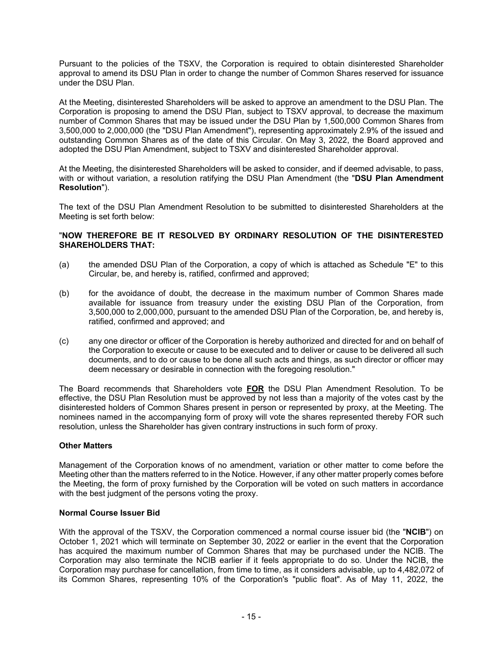Pursuant to the policies of the TSXV, the Corporation is required to obtain disinterested Shareholder approval to amend its DSU Plan in order to change the number of Common Shares reserved for issuance under the DSU Plan.

At the Meeting, disinterested Shareholders will be asked to approve an amendment to the DSU Plan. The Corporation is proposing to amend the DSU Plan, subject to TSXV approval, to decrease the maximum number of Common Shares that may be issued under the DSU Plan by 1,500,000 Common Shares from 3,500,000 to 2,000,000 (the "DSU Plan Amendment"), representing approximately 2.9% of the issued and outstanding Common Shares as of the date of this Circular. On May 3, 2022, the Board approved and adopted the DSU Plan Amendment, subject to TSXV and disinterested Shareholder approval.

At the Meeting, the disinterested Shareholders will be asked to consider, and if deemed advisable, to pass, with or without variation, a resolution ratifying the DSU Plan Amendment (the "**DSU Plan Amendment Resolution**").

The text of the DSU Plan Amendment Resolution to be submitted to disinterested Shareholders at the Meeting is set forth below:

### "**NOW THEREFORE BE IT RESOLVED BY ORDINARY RESOLUTION OF THE DISINTERESTED SHAREHOLDERS THAT:**

- (a) the amended DSU Plan of the Corporation, a copy of which is attached as Schedule "E" to this Circular, be, and hereby is, ratified, confirmed and approved;
- (b) for the avoidance of doubt, the decrease in the maximum number of Common Shares made available for issuance from treasury under the existing DSU Plan of the Corporation, from 3,500,000 to 2,000,000, pursuant to the amended DSU Plan of the Corporation, be, and hereby is, ratified, confirmed and approved; and
- (c) any one director or officer of the Corporation is hereby authorized and directed for and on behalf of the Corporation to execute or cause to be executed and to deliver or cause to be delivered all such documents, and to do or cause to be done all such acts and things, as such director or officer may deem necessary or desirable in connection with the foregoing resolution."

The Board recommends that Shareholders vote **FOR** the DSU Plan Amendment Resolution. To be effective, the DSU Plan Resolution must be approved by not less than a majority of the votes cast by the disinterested holders of Common Shares present in person or represented by proxy, at the Meeting. The nominees named in the accompanying form of proxy will vote the shares represented thereby FOR such resolution, unless the Shareholder has given contrary instructions in such form of proxy.

### **Other Matters**

Management of the Corporation knows of no amendment, variation or other matter to come before the Meeting other than the matters referred to in the Notice. However, if any other matter properly comes before the Meeting, the form of proxy furnished by the Corporation will be voted on such matters in accordance with the best judgment of the persons voting the proxy.

#### **Normal Course Issuer Bid**

With the approval of the TSXV, the Corporation commenced a normal course issuer bid (the "**NCIB**") on October 1, 2021 which will terminate on September 30, 2022 or earlier in the event that the Corporation has acquired the maximum number of Common Shares that may be purchased under the NCIB. The Corporation may also terminate the NCIB earlier if it feels appropriate to do so. Under the NCIB, the Corporation may purchase for cancellation, from time to time, as it considers advisable, up to 4,482,072 of its Common Shares, representing 10% of the Corporation's "public float". As of May 11, 2022, the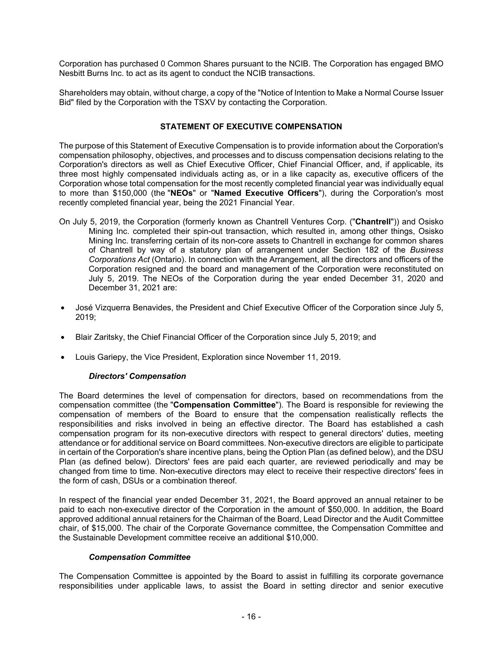Corporation has purchased 0 Common Shares pursuant to the NCIB. The Corporation has engaged BMO Nesbitt Burns Inc. to act as its agent to conduct the NCIB transactions.

Shareholders may obtain, without charge, a copy of the "Notice of Intention to Make a Normal Course Issuer Bid" filed by the Corporation with the TSXV by contacting the Corporation.

### **STATEMENT OF EXECUTIVE COMPENSATION**

The purpose of this Statement of Executive Compensation is to provide information about the Corporation's compensation philosophy, objectives, and processes and to discuss compensation decisions relating to the Corporation's directors as well as Chief Executive Officer, Chief Financial Officer, and, if applicable, its three most highly compensated individuals acting as, or in a like capacity as, executive officers of the Corporation whose total compensation for the most recently completed financial year was individually equal to more than \$150,000 (the "**NEOs**" or "**Named Executive Officers**"), during the Corporation's most recently completed financial year, being the 2021 Financial Year.

- On July 5, 2019, the Corporation (formerly known as Chantrell Ventures Corp. ("**Chantrell**")) and Osisko Mining Inc. completed their spin-out transaction, which resulted in, among other things, Osisko Mining Inc. transferring certain of its non-core assets to Chantrell in exchange for common shares of Chantrell by way of a statutory plan of arrangement under Section 182 of the *Business Corporations Act* (Ontario). In connection with the Arrangement, all the directors and officers of the Corporation resigned and the board and management of the Corporation were reconstituted on July 5, 2019. The NEOs of the Corporation during the year ended December 31, 2020 and December 31, 2021 are:
- José Vizquerra Benavides, the President and Chief Executive Officer of the Corporation since July 5, 2019;
- Blair Zaritsky, the Chief Financial Officer of the Corporation since July 5, 2019; and
- Louis Gariepy, the Vice President, Exploration since November 11, 2019.

### *Directors' Compensation*

The Board determines the level of compensation for directors, based on recommendations from the compensation committee (the "**Compensation Committee**"). The Board is responsible for reviewing the compensation of members of the Board to ensure that the compensation realistically reflects the responsibilities and risks involved in being an effective director. The Board has established a cash compensation program for its non-executive directors with respect to general directors' duties, meeting attendance or for additional service on Board committees. Non-executive directors are eligible to participate in certain of the Corporation's share incentive plans, being the Option Plan (as defined below), and the DSU Plan (as defined below). Directors' fees are paid each quarter, are reviewed periodically and may be changed from time to time. Non-executive directors may elect to receive their respective directors' fees in the form of cash, DSUs or a combination thereof.

In respect of the financial year ended December 31, 2021, the Board approved an annual retainer to be paid to each non-executive director of the Corporation in the amount of \$50,000. In addition, the Board approved additional annual retainers for the Chairman of the Board, Lead Director and the Audit Committee chair, of \$15,000. The chair of the Corporate Governance committee, the Compensation Committee and the Sustainable Development committee receive an additional \$10,000.

#### *Compensation Committee*

The Compensation Committee is appointed by the Board to assist in fulfilling its corporate governance responsibilities under applicable laws, to assist the Board in setting director and senior executive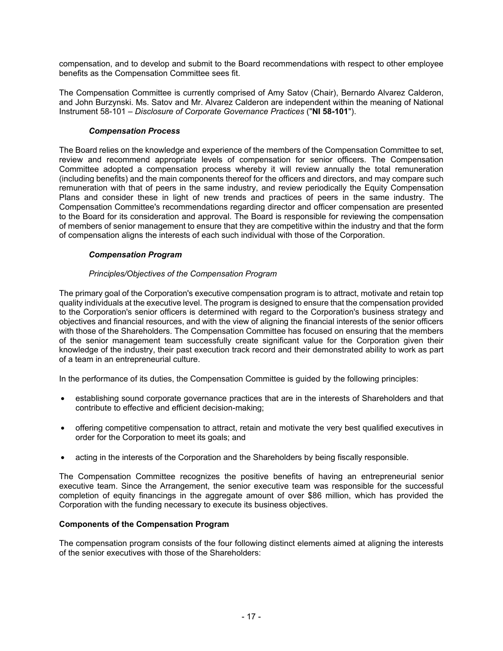compensation, and to develop and submit to the Board recommendations with respect to other employee benefits as the Compensation Committee sees fit.

The Compensation Committee is currently comprised of Amy Satov (Chair), Bernardo Alvarez Calderon, and John Burzynski. Ms. Satov and Mr. Alvarez Calderon are independent within the meaning of National Instrument 58-101 – *Disclosure of Corporate Governance Practices* ("**NI 58-101**").

### *Compensation Process*

The Board relies on the knowledge and experience of the members of the Compensation Committee to set, review and recommend appropriate levels of compensation for senior officers. The Compensation Committee adopted a compensation process whereby it will review annually the total remuneration (including benefits) and the main components thereof for the officers and directors, and may compare such remuneration with that of peers in the same industry, and review periodically the Equity Compensation Plans and consider these in light of new trends and practices of peers in the same industry. The Compensation Committee's recommendations regarding director and officer compensation are presented to the Board for its consideration and approval. The Board is responsible for reviewing the compensation of members of senior management to ensure that they are competitive within the industry and that the form of compensation aligns the interests of each such individual with those of the Corporation.

### *Compensation Program*

### *Principles/Objectives of the Compensation Program*

The primary goal of the Corporation's executive compensation program is to attract, motivate and retain top quality individuals at the executive level. The program is designed to ensure that the compensation provided to the Corporation's senior officers is determined with regard to the Corporation's business strategy and objectives and financial resources, and with the view of aligning the financial interests of the senior officers with those of the Shareholders. The Compensation Committee has focused on ensuring that the members of the senior management team successfully create significant value for the Corporation given their knowledge of the industry, their past execution track record and their demonstrated ability to work as part of a team in an entrepreneurial culture.

In the performance of its duties, the Compensation Committee is guided by the following principles:

- establishing sound corporate governance practices that are in the interests of Shareholders and that contribute to effective and efficient decision-making;
- offering competitive compensation to attract, retain and motivate the very best qualified executives in order for the Corporation to meet its goals; and
- acting in the interests of the Corporation and the Shareholders by being fiscally responsible.

The Compensation Committee recognizes the positive benefits of having an entrepreneurial senior executive team. Since the Arrangement, the senior executive team was responsible for the successful completion of equity financings in the aggregate amount of over \$86 million, which has provided the Corporation with the funding necessary to execute its business objectives.

### **Components of the Compensation Program**

The compensation program consists of the four following distinct elements aimed at aligning the interests of the senior executives with those of the Shareholders: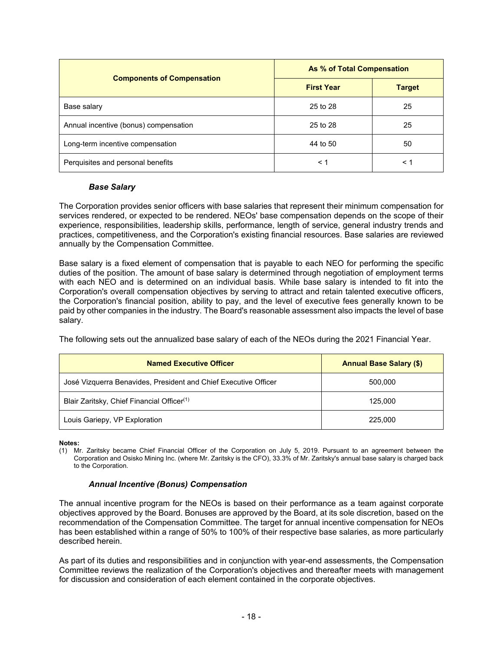|                                       | As % of Total Compensation |               |  |
|---------------------------------------|----------------------------|---------------|--|
| <b>Components of Compensation</b>     | <b>First Year</b>          | <b>Target</b> |  |
| Base salary                           | 25 to 28                   | 25            |  |
| Annual incentive (bonus) compensation | 25 to 28                   | 25            |  |
| Long-term incentive compensation      | 44 to 50                   | 50            |  |
| Perquisites and personal benefits     | $\leq 1$                   | $\leq 1$      |  |

### *Base Salary*

The Corporation provides senior officers with base salaries that represent their minimum compensation for services rendered, or expected to be rendered. NEOs' base compensation depends on the scope of their experience, responsibilities, leadership skills, performance, length of service, general industry trends and practices, competitiveness, and the Corporation's existing financial resources. Base salaries are reviewed annually by the Compensation Committee.

Base salary is a fixed element of compensation that is payable to each NEO for performing the specific duties of the position. The amount of base salary is determined through negotiation of employment terms with each NEO and is determined on an individual basis. While base salary is intended to fit into the Corporation's overall compensation objectives by serving to attract and retain talented executive officers, the Corporation's financial position, ability to pay, and the level of executive fees generally known to be paid by other companies in the industry. The Board's reasonable assessment also impacts the level of base salary.

The following sets out the annualized base salary of each of the NEOs during the 2021 Financial Year.

| <b>Named Executive Officer</b>                                  | <b>Annual Base Salary (\$)</b> |
|-----------------------------------------------------------------|--------------------------------|
| José Vizquerra Benavides, President and Chief Executive Officer | 500,000                        |
| Blair Zaritsky, Chief Financial Officer <sup>(1)</sup>          | 125.000                        |
| Louis Gariepy, VP Exploration                                   | 225,000                        |

**Notes:** 

(1) Mr. Zaritsky became Chief Financial Officer of the Corporation on July 5, 2019. Pursuant to an agreement between the Corporation and Osisko Mining Inc. (where Mr. Zaritsky is the CFO), 33.3% of Mr. Zaritsky's annual base salary is charged back to the Corporation.

### *Annual Incentive (Bonus) Compensation*

The annual incentive program for the NEOs is based on their performance as a team against corporate objectives approved by the Board. Bonuses are approved by the Board, at its sole discretion, based on the recommendation of the Compensation Committee. The target for annual incentive compensation for NEOs has been established within a range of 50% to 100% of their respective base salaries, as more particularly described herein.

As part of its duties and responsibilities and in conjunction with year-end assessments, the Compensation Committee reviews the realization of the Corporation's objectives and thereafter meets with management for discussion and consideration of each element contained in the corporate objectives.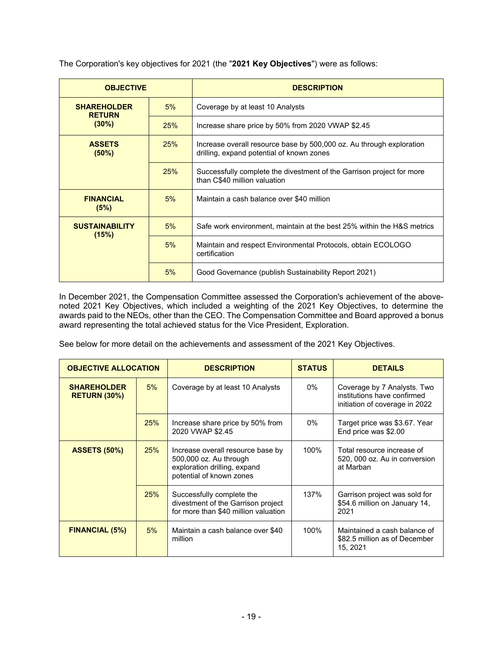The Corporation's key objectives for 2021 (the "**2021 Key Objectives**") were as follows:

| <b>OBJECTIVE</b>                    |            | <b>DESCRIPTION</b>                                                                                                |  |
|-------------------------------------|------------|-------------------------------------------------------------------------------------------------------------------|--|
| <b>SHAREHOLDER</b><br><b>RETURN</b> | 5%         | Coverage by at least 10 Analysts                                                                                  |  |
| $(30\%)$                            | <b>25%</b> | Increase share price by 50% from 2020 VWAP \$2.45                                                                 |  |
| <b>ASSETS</b><br>(50%)              | 25%        | Increase overall resource base by 500,000 oz. Au through exploration<br>drilling, expand potential of known zones |  |
|                                     | 25%        | Successfully complete the divestment of the Garrison project for more<br>than C\$40 million valuation             |  |
| <b>FINANCIAL</b><br>(5%)            | 5%         | Maintain a cash balance over \$40 million                                                                         |  |
| <b>SUSTAINABILITY</b><br>(15%)      | 5%         | Safe work environment, maintain at the best 25% within the H&S metrics                                            |  |
|                                     | 5%         | Maintain and respect Environmental Protocols, obtain ECOLOGO<br>certification                                     |  |
|                                     | 5%         | Good Governance (publish Sustainability Report 2021)                                                              |  |

In December 2021, the Compensation Committee assessed the Corporation's achievement of the abovenoted 2021 Key Objectives, which included a weighting of the 2021 Key Objectives, to determine the awards paid to the NEOs, other than the CEO. The Compensation Committee and Board approved a bonus award representing the total achieved status for the Vice President, Exploration.

See below for more detail on the achievements and assessment of the 2021 Key Objectives.

| <b>OBJECTIVE ALLOCATION</b>               |            | <b>DESCRIPTION</b>                                                                                                      | <b>STATUS</b> | <b>DETAILS</b>                                                                               |
|-------------------------------------------|------------|-------------------------------------------------------------------------------------------------------------------------|---------------|----------------------------------------------------------------------------------------------|
| <b>SHAREHOLDER</b><br><b>RETURN (30%)</b> | 5%         | Coverage by at least 10 Analysts                                                                                        | 0%            | Coverage by 7 Analysts. Two<br>institutions have confirmed<br>initiation of coverage in 2022 |
|                                           | 25%        | Increase share price by 50% from<br>2020 VWAP \$2.45                                                                    | 0%            | Target price was \$3.67. Year<br>End price was \$2.00                                        |
| <b>ASSETS (50%)</b>                       | <b>25%</b> | Increase overall resource base by<br>500,000 oz. Au through<br>exploration drilling, expand<br>potential of known zones | 100%          | Total resource increase of<br>520, 000 oz. Au in conversion<br>at Marban                     |
|                                           | 25%        | Successfully complete the<br>divestment of the Garrison project<br>for more than \$40 million valuation                 | 137%          | Garrison project was sold for<br>\$54.6 million on January 14,<br>2021                       |
| <b>FINANCIAL (5%)</b>                     | 5%         | Maintain a cash balance over \$40<br>million                                                                            | 100%          | Maintained a cash balance of<br>\$82.5 million as of December<br>15, 2021                    |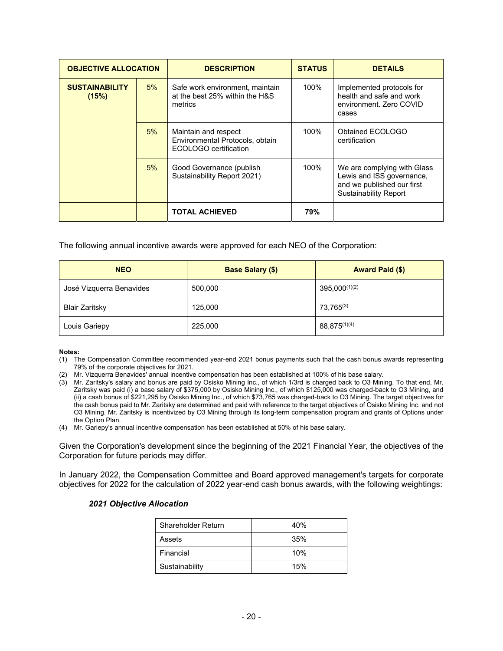| <b>OBJECTIVE ALLOCATION</b>    |    | <b>DESCRIPTION</b>                                                               | <b>STATUS</b> | <b>DETAILS</b>                                                                                                         |
|--------------------------------|----|----------------------------------------------------------------------------------|---------------|------------------------------------------------------------------------------------------------------------------------|
| <b>SUSTAINABILITY</b><br>(15%) | 5% | Safe work environment, maintain<br>at the best 25% within the H&S<br>metrics     | 100%          | Implemented protocols for<br>health and safe and work<br>environment. Zero COVID<br>cases                              |
|                                | 5% | Maintain and respect<br>Environmental Protocols, obtain<br>ECOLOGO certification | 100%          | Obtained ECOLOGO<br>certification                                                                                      |
|                                | 5% | Good Governance (publish<br>Sustainability Report 2021)                          | 100%          | We are complying with Glass<br>Lewis and ISS governance,<br>and we published our first<br><b>Sustainability Report</b> |
|                                |    | <b>TOTAL ACHIEVED</b>                                                            | 79%           |                                                                                                                        |

The following annual incentive awards were approved for each NEO of the Corporation:

| <b>NEO</b>               | <b>Base Salary (\$)</b> | <b>Award Paid (\$)</b> |
|--------------------------|-------------------------|------------------------|
| José Vizquerra Benavides | 500,000                 | $395,000^{(1)(2)}$     |
| <b>Blair Zaritsky</b>    | 125,000                 | 73,765(3)              |
| Louis Gariepy            | 225,000                 | 88,875(1)(4)           |

#### **Notes:**

- (1) The Compensation Committee recommended year-end 2021 bonus payments such that the cash bonus awards representing 79% of the corporate objectives for 2021.
- (2) Mr. Vizquerra Benavides' annual incentive compensation has been established at 100% of his base salary.
- (3) Mr. Zaritsky's salary and bonus are paid by Osisko Mining Inc., of which 1/3rd is charged back to O3 Mining. To that end, Mr. Zaritsky was paid (i) a base salary of \$375,000 by Osisko Mining Inc., of which \$125,000 was charged-back to O3 Mining, and (ii) a cash bonus of \$221,295 by Osisko Mining Inc., of which \$73,765 was charged-back to O3 Mining. The target objectives for the cash bonus paid to Mr. Zaritsky are determined and paid with reference to the target objectives of Osisko Mining Inc. and not O3 Mining. Mr. Zaritsky is incentivized by O3 Mining through its long-term compensation program and grants of Options under the Option Plan.
- (4) Mr. Gariepy's annual incentive compensation has been established at 50% of his base salary.

Given the Corporation's development since the beginning of the 2021 Financial Year, the objectives of the Corporation for future periods may differ.

In January 2022, the Compensation Committee and Board approved management's targets for corporate objectives for 2022 for the calculation of 2022 year-end cash bonus awards, with the following weightings:

### *2021 Objective Allocation*

| Shareholder Return | 40% |
|--------------------|-----|
| Assets             | 35% |
| Financial          | 10% |
| Sustainability     | 15% |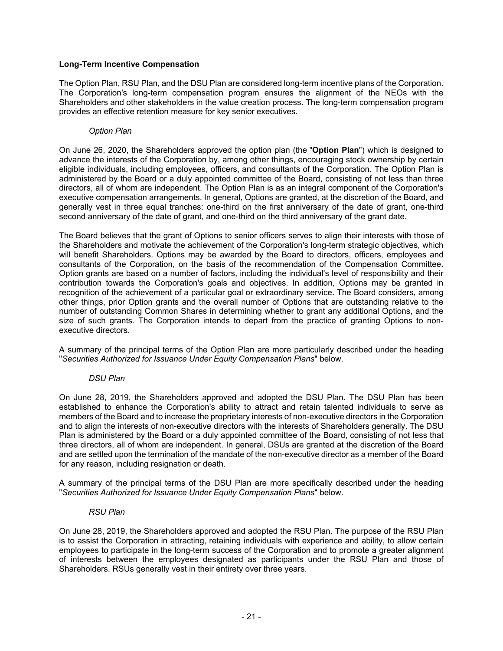### **Long-Term Incentive Compensation**

The Option Plan, RSU Plan, and the DSU Plan are considered long-term incentive plans of the Corporation. The Corporation's long-term compensation program ensures the alignment of the NEOs with the Shareholders and other stakeholders in the value creation process. The long-term compensation program provides an effective retention measure for key senior executives.

#### *Option Plan*

On June 26, 2020, the Shareholders approved the option plan (the "**Option Plan**") which is designed to advance the interests of the Corporation by, among other things, encouraging stock ownership by certain eligible individuals, including employees, officers, and consultants of the Corporation. The Option Plan is administered by the Board or a duly appointed committee of the Board, consisting of not less than three directors, all of whom are independent. The Option Plan is as an integral component of the Corporation's executive compensation arrangements. In general, Options are granted, at the discretion of the Board, and generally vest in three equal tranches: one-third on the first anniversary of the date of grant, one-third second anniversary of the date of grant, and one-third on the third anniversary of the grant date.

The Board believes that the grant of Options to senior officers serves to align their interests with those of the Shareholders and motivate the achievement of the Corporation's long-term strategic objectives, which will benefit Shareholders. Options may be awarded by the Board to directors, officers, employees and consultants of the Corporation, on the basis of the recommendation of the Compensation Committee. Option grants are based on a number of factors, including the individual's level of responsibility and their contribution towards the Corporation's goals and objectives. In addition, Options may be granted in recognition of the achievement of a particular goal or extraordinary service. The Board considers, among other things, prior Option grants and the overall number of Options that are outstanding relative to the number of outstanding Common Shares in determining whether to grant any additional Options, and the size of such grants. The Corporation intends to depart from the practice of granting Options to nonexecutive directors.

A summary of the principal terms of the Option Plan are more particularly described under the heading "*Securities Authorized for Issuance Under Equity Compensation Plans*" below.

#### *DSU Plan*

On June 28, 2019, the Shareholders approved and adopted the DSU Plan. The DSU Plan has been established to enhance the Corporation's ability to attract and retain talented individuals to serve as members of the Board and to increase the proprietary interests of non-executive directors in the Corporation and to align the interests of non-executive directors with the interests of Shareholders generally. The DSU Plan is administered by the Board or a duly appointed committee of the Board, consisting of not less that three directors, all of whom are independent. In general, DSUs are granted at the discretion of the Board and are settled upon the termination of the mandate of the non-executive director as a member of the Board for any reason, including resignation or death.

A summary of the principal terms of the DSU Plan are more specifically described under the heading "*Securities Authorized for Issuance Under Equity Compensation Plans*" below.

#### *RSU Plan*

On June 28, 2019, the Shareholders approved and adopted the RSU Plan. The purpose of the RSU Plan is to assist the Corporation in attracting, retaining individuals with experience and ability, to allow certain employees to participate in the long-term success of the Corporation and to promote a greater alignment of interests between the employees designated as participants under the RSU Plan and those of Shareholders. RSUs generally vest in their entirety over three years.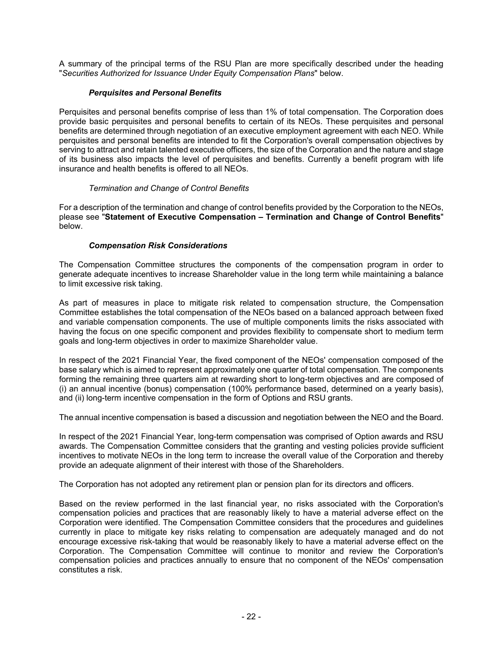A summary of the principal terms of the RSU Plan are more specifically described under the heading "*Securities Authorized for Issuance Under Equity Compensation Plans*" below.

### *Perquisites and Personal Benefits*

Perquisites and personal benefits comprise of less than 1% of total compensation. The Corporation does provide basic perquisites and personal benefits to certain of its NEOs. These perquisites and personal benefits are determined through negotiation of an executive employment agreement with each NEO. While perquisites and personal benefits are intended to fit the Corporation's overall compensation objectives by serving to attract and retain talented executive officers, the size of the Corporation and the nature and stage of its business also impacts the level of perquisites and benefits. Currently a benefit program with life insurance and health benefits is offered to all NEOs.

### *Termination and Change of Control Benefits*

For a description of the termination and change of control benefits provided by the Corporation to the NEOs, please see "**Statement of Executive Compensation – Termination and Change of Control Benefits**" below.

### *Compensation Risk Considerations*

The Compensation Committee structures the components of the compensation program in order to generate adequate incentives to increase Shareholder value in the long term while maintaining a balance to limit excessive risk taking.

As part of measures in place to mitigate risk related to compensation structure, the Compensation Committee establishes the total compensation of the NEOs based on a balanced approach between fixed and variable compensation components. The use of multiple components limits the risks associated with having the focus on one specific component and provides flexibility to compensate short to medium term goals and long-term objectives in order to maximize Shareholder value.

In respect of the 2021 Financial Year, the fixed component of the NEOs' compensation composed of the base salary which is aimed to represent approximately one quarter of total compensation. The components forming the remaining three quarters aim at rewarding short to long-term objectives and are composed of (i) an annual incentive (bonus) compensation (100% performance based, determined on a yearly basis), and (ii) long-term incentive compensation in the form of Options and RSU grants.

The annual incentive compensation is based a discussion and negotiation between the NEO and the Board.

In respect of the 2021 Financial Year, long-term compensation was comprised of Option awards and RSU awards. The Compensation Committee considers that the granting and vesting policies provide sufficient incentives to motivate NEOs in the long term to increase the overall value of the Corporation and thereby provide an adequate alignment of their interest with those of the Shareholders.

The Corporation has not adopted any retirement plan or pension plan for its directors and officers.

Based on the review performed in the last financial year, no risks associated with the Corporation's compensation policies and practices that are reasonably likely to have a material adverse effect on the Corporation were identified. The Compensation Committee considers that the procedures and guidelines currently in place to mitigate key risks relating to compensation are adequately managed and do not encourage excessive risk-taking that would be reasonably likely to have a material adverse effect on the Corporation. The Compensation Committee will continue to monitor and review the Corporation's compensation policies and practices annually to ensure that no component of the NEOs' compensation constitutes a risk.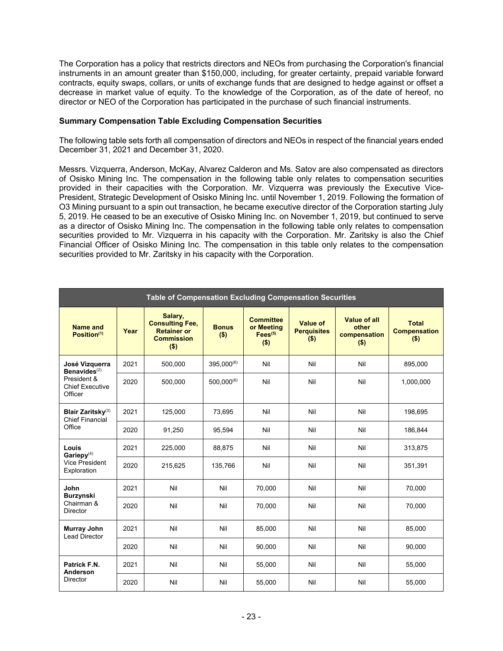The Corporation has a policy that restricts directors and NEOs from purchasing the Corporation's financial instruments in an amount greater than \$150,000, including, for greater certainty, prepaid variable forward contracts, equity swaps, collars, or units of exchange funds that are designed to hedge against or offset a decrease in market value of equity. To the knowledge of the Corporation, as of the date of hereof, no director or NEO of the Corporation has participated in the purchase of such financial instruments.

### **Summary Compensation Table Excluding Compensation Securities**

The following table sets forth all compensation of directors and NEOs in respect of the financial years ended December 31, 2021 and December 31, 2020.

Messrs. Vizquerra, Anderson, McKay, Alvarez Calderon and Ms. Satov are also compensated as directors of Osisko Mining Inc. The compensation in the following table only relates to compensation securities provided in their capacities with the Corporation. Mr. Vizquerra was previously the Executive Vice-President, Strategic Development of Osisko Mining Inc. until November 1, 2019. Following the formation of O3 Mining pursuant to a spin out transaction, he became executive director of the Corporation starting July 5, 2019. He ceased to be an executive of Osisko Mining Inc. on November 1, 2019, but continued to serve as a director of Osisko Mining Inc. The compensation in the following table only relates to compensation securities provided to Mr. Vizquerra in his capacity with the Corporation. Mr. Zaritsky is also the Chief Financial Officer of Osisko Mining Inc. The compensation in this table only relates to the compensation securities provided to Mr. Zaritsky in his capacity with the Corporation.

| Table of Compensation Excluding Compensation Securities        |      |                                                                                         |                         |                                                                 |                                           |                                                  |                                                |
|----------------------------------------------------------------|------|-----------------------------------------------------------------------------------------|-------------------------|-----------------------------------------------------------------|-------------------------------------------|--------------------------------------------------|------------------------------------------------|
| Name and<br>Position <sup>(1)</sup>                            | Year | Salary,<br><b>Consulting Fee,</b><br><b>Retainer or</b><br><b>Commission</b><br>$($ \$) | <b>Bonus</b><br>$($ \$) | <b>Committee</b><br>or Meeting<br>Fees <sup>(5)</sup><br>( \$ ) | Value of<br><b>Perquisites</b><br>$($ \$) | Value of all<br>other<br>compensation<br>$($ \$) | <b>Total</b><br><b>Compensation</b><br>$($ \$) |
| José Vizquerra<br>Benavides $(2)$                              | 2021 | 500,000                                                                                 | 395,000(6)              | Nil                                                             | Nil                                       | Nil                                              | 895,000                                        |
| President &<br><b>Chief Executive</b><br>Officer               | 2020 | 500,000                                                                                 | $500.000^{(6)}$         | Nil                                                             | Nil                                       | Nil                                              | 1,000,000                                      |
| <b>Blair Zaritsky</b> <sup>(3)</sup><br><b>Chief Financial</b> | 2021 | 125,000                                                                                 | 73.695                  | Nil                                                             | Nil                                       | Nil                                              | 198,695                                        |
| Office                                                         | 2020 | 91,250                                                                                  | 95,594                  | Nil                                                             | Nil                                       | Nil                                              | 186,844                                        |
| Louis<br>Gariepy $(4)$                                         | 2021 | 225,000                                                                                 | 88,875                  | Nil                                                             | Nil                                       | Nil                                              | 313,875                                        |
| <b>Vice President</b><br>Exploration                           | 2020 | 215,625                                                                                 | 135,766                 | Nil                                                             | Nil                                       | Nil                                              | 351,391                                        |
| John<br><b>Burzynski</b>                                       | 2021 | Nil                                                                                     | Nil                     | 70,000                                                          | Nil                                       | Nil                                              | 70,000                                         |
| Chairman &<br><b>Director</b>                                  | 2020 | Nil                                                                                     | Nil                     | 70,000                                                          | Nil                                       | Nil                                              | 70,000                                         |
| Murray John<br><b>Lead Director</b>                            | 2021 | Nil                                                                                     | Nil                     | 85,000                                                          | Nil                                       | Nil                                              | 85,000                                         |
|                                                                | 2020 | Nil                                                                                     | Nil                     | 90,000                                                          | Nil                                       | Nil                                              | 90,000                                         |
| Patrick F.N.<br>Anderson                                       | 2021 | Nil                                                                                     | Nil                     | 55,000                                                          | Nil                                       | Nil                                              | 55,000                                         |
| <b>Director</b>                                                | 2020 | Nil                                                                                     | Nil                     | 55,000                                                          | Nil                                       | Nil                                              | 55,000                                         |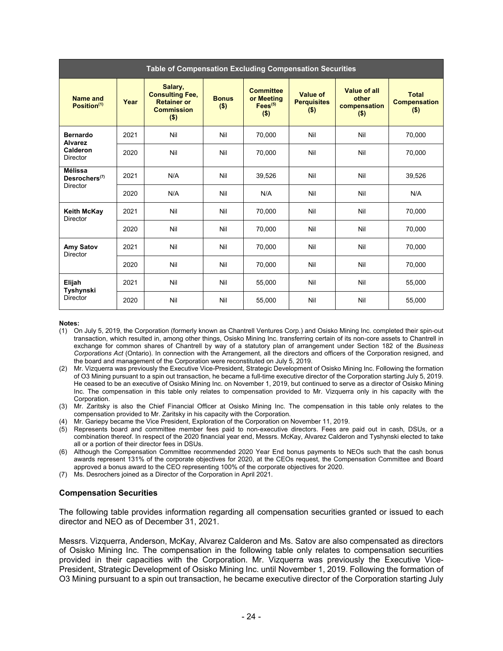| Table of Compensation Excluding Compensation Securities |      |                                                                                         |                         |                                                                  |                                           |                                                  |                                                |
|---------------------------------------------------------|------|-----------------------------------------------------------------------------------------|-------------------------|------------------------------------------------------------------|-------------------------------------------|--------------------------------------------------|------------------------------------------------|
| Name and<br>Position <sup>(1)</sup>                     | Year | Salary,<br><b>Consulting Fee,</b><br><b>Retainer or</b><br><b>Commission</b><br>$($ \$) | <b>Bonus</b><br>$($ \$) | <b>Committee</b><br>or Meeting<br>Fees <sup>(5)</sup><br>$($ \$) | Value of<br><b>Perquisites</b><br>$($ \$) | Value of all<br>other<br>compensation<br>$($ \$) | <b>Total</b><br><b>Compensation</b><br>$($ \$) |
| <b>Bernardo</b><br><b>Alvarez</b>                       | 2021 | Nil                                                                                     | Nil                     | 70,000                                                           | Nil                                       | Nil                                              | 70,000                                         |
| Calderon<br>Director                                    | 2020 | Nil                                                                                     | Nil                     | 70,000                                                           | Nil                                       | Nil                                              | 70,000                                         |
| <b>Mélissa</b><br>Desrochers $(7)$                      | 2021 | N/A                                                                                     | Nil                     | 39,526                                                           | Nil                                       | Nil                                              | 39,526                                         |
| <b>Director</b>                                         | 2020 | N/A                                                                                     | Nil                     | N/A                                                              | Nil                                       | Nil                                              | N/A                                            |
| <b>Keith McKay</b><br>Director                          | 2021 | Nil                                                                                     | Nil                     | 70,000                                                           | Nil                                       | Nil                                              | 70,000                                         |
|                                                         | 2020 | Nil                                                                                     | Nil                     | 70,000                                                           | Nil                                       | Nil                                              | 70,000                                         |
| Amy Satov<br><b>Director</b>                            | 2021 | Nil                                                                                     | Nil                     | 70,000                                                           | Nil                                       | Nil                                              | 70,000                                         |
|                                                         | 2020 | Nil                                                                                     | Nil                     | 70,000                                                           | Nil                                       | Nil                                              | 70,000                                         |
| Elijah<br>Tyshynski                                     | 2021 | Nil                                                                                     | Nil                     | 55,000                                                           | Nil                                       | Nil                                              | 55,000                                         |
| <b>Director</b>                                         | 2020 | Nil                                                                                     | Nil                     | 55,000                                                           | Nil                                       | Nil                                              | 55,000                                         |

#### **Notes:**

- (1) On July 5, 2019, the Corporation (formerly known as Chantrell Ventures Corp.) and Osisko Mining Inc. completed their spin-out transaction, which resulted in, among other things, Osisko Mining Inc. transferring certain of its non-core assets to Chantrell in exchange for common shares of Chantrell by way of a statutory plan of arrangement under Section 182 of the *Business Corporations Act* (Ontario). In connection with the Arrangement, all the directors and officers of the Corporation resigned, and the board and management of the Corporation were reconstituted on July 5, 2019.
- (2) Mr. Vizquerra was previously the Executive Vice-President, Strategic Development of Osisko Mining Inc. Following the formation of O3 Mining pursuant to a spin out transaction, he became a full-time executive director of the Corporation starting July 5, 2019. He ceased to be an executive of Osisko Mining Inc. on November 1, 2019, but continued to serve as a director of Osisko Mining Inc. The compensation in this table only relates to compensation provided to Mr. Vizquerra only in his capacity with the Corporation.
- (3) Mr. Zaritsky is also the Chief Financial Officer at Osisko Mining Inc. The compensation in this table only relates to the compensation provided to Mr. Zaritsky in his capacity with the Corporation.
- (4) Mr. Gariepy became the Vice President, Exploration of the Corporation on November 11, 2019.
- (5) Represents board and committee member fees paid to non-executive directors. Fees are paid out in cash, DSUs, or a combination thereof. In respect of the 2020 financial year end, Messrs. McKay, Alvarez Calderon and Tyshynski elected to take all or a portion of their director fees in DSUs.
- (6) Although the Compensation Committee recommended 2020 Year End bonus payments to NEOs such that the cash bonus awards represent 131% of the corporate objectives for 2020, at the CEOs request, the Compensation Committee and Board approved a bonus award to the CEO representing 100% of the corporate objectives for 2020.
- (7) Ms. Desrochers joined as a Director of the Corporation in April 2021.

#### **Compensation Securities**

The following table provides information regarding all compensation securities granted or issued to each director and NEO as of December 31, 2021.

Messrs. Vizquerra, Anderson, McKay, Alvarez Calderon and Ms. Satov are also compensated as directors of Osisko Mining Inc. The compensation in the following table only relates to compensation securities provided in their capacities with the Corporation. Mr. Vizquerra was previously the Executive Vice-President, Strategic Development of Osisko Mining Inc. until November 1, 2019. Following the formation of O3 Mining pursuant to a spin out transaction, he became executive director of the Corporation starting July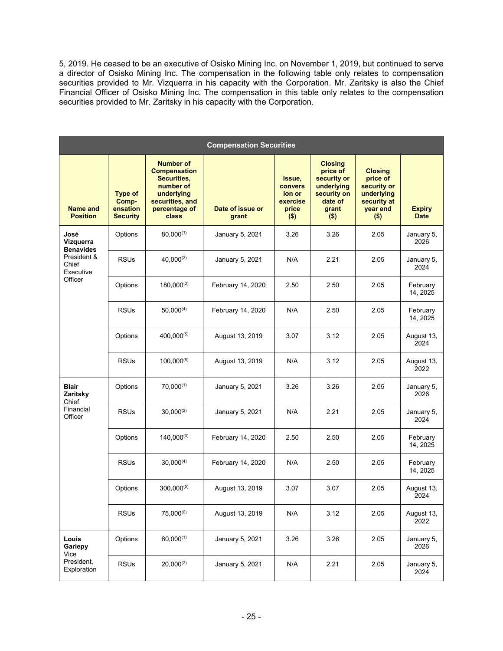5, 2019. He ceased to be an executive of Osisko Mining Inc. on November 1, 2019, but continued to serve a director of Osisko Mining Inc. The compensation in the following table only relates to compensation securities provided to Mr. Vizquerra in his capacity with the Corporation. Mr. Zaritsky is also the Chief Financial Officer of Osisko Mining Inc. The compensation in this table only relates to the compensation securities provided to Mr. Zaritsky in his capacity with the Corporation.

| <b>Compensation Securities</b>        |                                                        |                                                                                                                                       |                           |                                                             |                                                                                                       |                                                                                               |                              |
|---------------------------------------|--------------------------------------------------------|---------------------------------------------------------------------------------------------------------------------------------------|---------------------------|-------------------------------------------------------------|-------------------------------------------------------------------------------------------------------|-----------------------------------------------------------------------------------------------|------------------------------|
| <b>Name and</b><br><b>Position</b>    | <b>Type of</b><br>Comp-<br>ensation<br><b>Security</b> | <b>Number of</b><br><b>Compensation</b><br>Securities,<br>number of<br>underlying<br>securities, and<br>percentage of<br><b>class</b> | Date of issue or<br>grant | Issue,<br>convers<br>ion or<br>exercise<br>price<br>$($ \$) | <b>Closing</b><br>price of<br>security or<br>underlying<br>security on<br>date of<br>grant<br>$($ \$) | <b>Closing</b><br>price of<br>security or<br>underlying<br>security at<br>year end<br>$($ \$) | <b>Expiry</b><br><b>Date</b> |
| José<br>Vizquerra<br><b>Benavides</b> | Options                                                | $80,000^{(1)}$                                                                                                                        | January 5, 2021           | 3.26                                                        | 3.26                                                                                                  | 2.05                                                                                          | January 5,<br>2026           |
| President &<br>Chief<br>Executive     | <b>RSUs</b>                                            | $40,000^{(2)}$                                                                                                                        | January 5, 2021           | N/A                                                         | 2.21                                                                                                  | 2.05                                                                                          | January 5,<br>2024           |
| Officer                               | Options                                                | $180,000^{(3)}$                                                                                                                       | February 14, 2020         | 2.50                                                        | 2.50                                                                                                  | 2.05                                                                                          | February<br>14, 2025         |
|                                       | <b>RSUs</b>                                            | $50,000^{(4)}$                                                                                                                        | February 14, 2020         | N/A                                                         | 2.50                                                                                                  | 2.05                                                                                          | February<br>14, 2025         |
|                                       | Options                                                | $400,000^{(5)}$                                                                                                                       | August 13, 2019           | 3.07                                                        | 3.12                                                                                                  | 2.05                                                                                          | August 13,<br>2024           |
|                                       | <b>RSUs</b>                                            | $100,000^{(6)}$                                                                                                                       | August 13, 2019           | N/A                                                         | 3.12                                                                                                  | 2.05                                                                                          | August 13,<br>2022           |
| <b>Blair</b><br>Zaritsky<br>Chief     | Options                                                | $70.000^{(1)}$                                                                                                                        | January 5, 2021           | 3.26                                                        | 3.26                                                                                                  | 2.05                                                                                          | January 5,<br>2026           |
| Financial<br>Officer                  | <b>RSUs</b>                                            | $30,000^{(2)}$                                                                                                                        | January 5, 2021           | N/A                                                         | 2.21                                                                                                  | 2.05                                                                                          | January 5,<br>2024           |
|                                       | Options                                                | $140,000^{(3)}$                                                                                                                       | February 14, 2020         | 2.50                                                        | 2.50                                                                                                  | 2.05                                                                                          | February<br>14, 2025         |
|                                       | <b>RSUs</b>                                            | $30,000^{(4)}$                                                                                                                        | February 14, 2020         | N/A                                                         | 2.50                                                                                                  | 2.05                                                                                          | February<br>14, 2025         |
|                                       | Options                                                | $300,000^{(5)}$                                                                                                                       | August 13, 2019           | 3.07                                                        | 3.07                                                                                                  | 2.05                                                                                          | August 13,<br>2024           |
|                                       | <b>RSUs</b>                                            | 75,000(6)                                                                                                                             | August 13, 2019           | N/A                                                         | 3.12                                                                                                  | 2.05                                                                                          | August 13,<br>2022           |
| Louis<br>Gariepy<br>Vice              | Options                                                | $60,000^{(1)}$                                                                                                                        | January 5, 2021           | 3.26                                                        | 3.26                                                                                                  | 2.05                                                                                          | January 5,<br>2026           |
| President,<br>Exploration             | <b>RSUs</b>                                            | $20,000^{(2)}$                                                                                                                        | January 5, 2021           | N/A                                                         | 2.21                                                                                                  | 2.05                                                                                          | January 5,<br>2024           |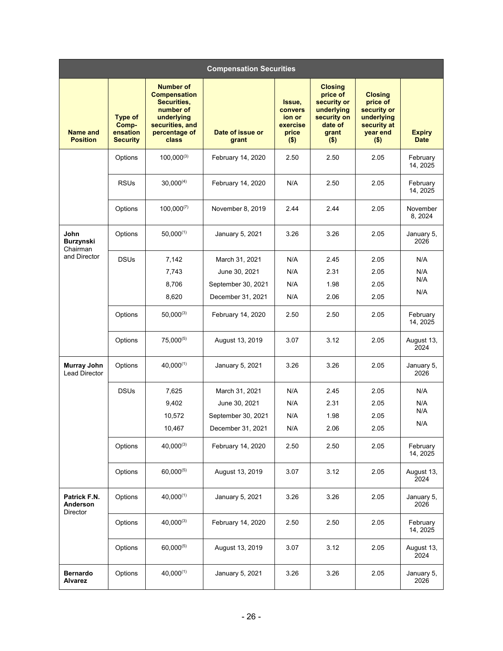| <b>Compensation Securities</b>       |                                                        |                                                                                                                                |                           |                                                                    |                                                                                                       |                                                                                               |                              |
|--------------------------------------|--------------------------------------------------------|--------------------------------------------------------------------------------------------------------------------------------|---------------------------|--------------------------------------------------------------------|-------------------------------------------------------------------------------------------------------|-----------------------------------------------------------------------------------------------|------------------------------|
| <b>Name and</b><br><b>Position</b>   | <b>Type of</b><br>Comp-<br>ensation<br><b>Security</b> | <b>Number of</b><br><b>Compensation</b><br>Securities,<br>number of<br>underlying<br>securities, and<br>percentage of<br>class | Date of issue or<br>grant | Issue,<br><b>convers</b><br>ion or<br>exercise<br>price<br>$($ \$) | <b>Closing</b><br>price of<br>security or<br>underlying<br>security on<br>date of<br>grant<br>$($ \$) | <b>Closing</b><br>price of<br>security or<br>underlying<br>security at<br>year end<br>$($ \$) | <b>Expiry</b><br><b>Date</b> |
|                                      | Options                                                | $100,000^{(3)}$                                                                                                                | February 14, 2020         | 2.50                                                               | 2.50                                                                                                  | 2.05                                                                                          | February<br>14, 2025         |
|                                      | <b>RSUs</b>                                            | $30,000^{(4)}$                                                                                                                 | February 14, 2020         | N/A                                                                | 2.50                                                                                                  | 2.05                                                                                          | February<br>14, 2025         |
|                                      | Options                                                | $100,000^{(7)}$                                                                                                                | November 8, 2019          | 2.44                                                               | 2.44                                                                                                  | 2.05                                                                                          | November<br>8, 2024          |
| John<br><b>Burzynski</b><br>Chairman | Options                                                | $50,000^{(1)}$                                                                                                                 | January 5, 2021           | 3.26                                                               | 3.26                                                                                                  | 2.05                                                                                          | January 5,<br>2026           |
| and Director                         | <b>DSUs</b>                                            | 7,142                                                                                                                          | March 31, 2021            | N/A                                                                | 2.45                                                                                                  | 2.05                                                                                          | N/A                          |
|                                      |                                                        | 7,743                                                                                                                          | June 30, 2021             | N/A                                                                | 2.31                                                                                                  | 2.05                                                                                          | N/A                          |
|                                      |                                                        | 8,706                                                                                                                          | September 30, 2021        | N/A                                                                | 1.98                                                                                                  | 2.05                                                                                          | N/A                          |
|                                      |                                                        | 8,620                                                                                                                          | December 31, 2021         | N/A                                                                | 2.06                                                                                                  | 2.05                                                                                          | N/A                          |
|                                      | Options                                                | $50,000^{(3)}$                                                                                                                 | February 14, 2020         | 2.50                                                               | 2.50                                                                                                  | 2.05                                                                                          | February<br>14, 2025         |
|                                      | Options                                                | $75,000^{(5)}$                                                                                                                 | August 13, 2019           | 3.07                                                               | 3.12                                                                                                  | 2.05                                                                                          | August 13,<br>2024           |
| Murray John<br>Lead Director         | Options                                                | $40.000^{(1)}$                                                                                                                 | January 5, 2021           | 3.26                                                               | 3.26                                                                                                  | 2.05                                                                                          | January 5,<br>2026           |
|                                      | <b>DSUs</b>                                            | 7,625                                                                                                                          | March 31, 2021            | N/A                                                                | 2.45                                                                                                  | 2.05                                                                                          | N/A                          |
|                                      |                                                        | 9,402                                                                                                                          | June 30, 2021             | N/A                                                                | 2.31                                                                                                  | 2.05                                                                                          | N/A                          |
|                                      |                                                        | 10,572                                                                                                                         | September 30, 2021        | N/A                                                                | 1.98                                                                                                  | 2.05                                                                                          | N/A                          |
|                                      |                                                        | 10,467                                                                                                                         | December 31, 2021         | N/A                                                                | 2.06                                                                                                  | 2.05                                                                                          | N/A                          |
|                                      | Options                                                | $40,000^{(3)}$                                                                                                                 | February 14, 2020         | 2.50                                                               | 2.50                                                                                                  | 2.05                                                                                          | February<br>14, 2025         |
|                                      | Options                                                | $60,000^{(5)}$                                                                                                                 | August 13, 2019           | 3.07                                                               | 3.12                                                                                                  | 2.05                                                                                          | August 13,<br>2024           |
| Patrick F.N.<br>Anderson<br>Director | Options                                                | $40,000^{(1)}$                                                                                                                 | January 5, 2021           | 3.26                                                               | 3.26                                                                                                  | 2.05                                                                                          | January 5,<br>2026           |
|                                      | Options                                                | $40,000^{(3)}$                                                                                                                 | February 14, 2020         | 2.50                                                               | 2.50                                                                                                  | 2.05                                                                                          | February<br>14, 2025         |
|                                      | Options                                                | 60,000(5)                                                                                                                      | August 13, 2019           | 3.07                                                               | 3.12                                                                                                  | 2.05                                                                                          | August 13,<br>2024           |
| <b>Bernardo</b><br><b>Alvarez</b>    | Options                                                | $40,000^{(1)}$                                                                                                                 | January 5, 2021           | 3.26                                                               | 3.26                                                                                                  | 2.05                                                                                          | January 5,<br>2026           |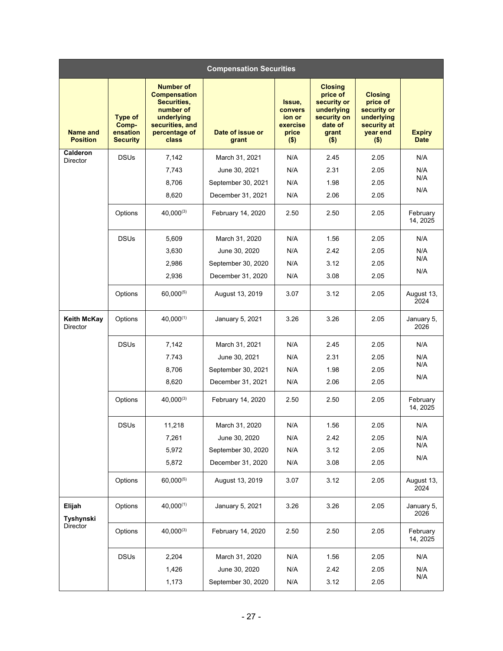| <b>Compensation Securities</b>     |                                                        |                                                                                                                                |                           |                                                             |                                                                                                       |                                                                                               |                              |
|------------------------------------|--------------------------------------------------------|--------------------------------------------------------------------------------------------------------------------------------|---------------------------|-------------------------------------------------------------|-------------------------------------------------------------------------------------------------------|-----------------------------------------------------------------------------------------------|------------------------------|
| <b>Name and</b><br><b>Position</b> | <b>Type of</b><br>Comp-<br>ensation<br><b>Security</b> | <b>Number of</b><br><b>Compensation</b><br>Securities,<br>number of<br>underlying<br>securities, and<br>percentage of<br>class | Date of issue or<br>grant | Issue,<br>convers<br>ion or<br>exercise<br>price<br>$($ \$) | <b>Closing</b><br>price of<br>security or<br>underlying<br>security on<br>date of<br>grant<br>$($ \$) | <b>Closing</b><br>price of<br>security or<br>underlying<br>security at<br>year end<br>$($ \$) | <b>Expiry</b><br><b>Date</b> |
| Calderon<br>Director               | <b>DSUs</b>                                            | 7,142                                                                                                                          | March 31, 2021            | N/A                                                         | 2.45                                                                                                  | 2.05                                                                                          | N/A                          |
|                                    |                                                        | 7,743                                                                                                                          | June 30, 2021             | N/A                                                         | 2.31                                                                                                  | 2.05                                                                                          | N/A                          |
|                                    |                                                        | 8,706                                                                                                                          | September 30, 2021        | N/A                                                         | 1.98                                                                                                  | 2.05                                                                                          | N/A                          |
|                                    |                                                        | 8,620                                                                                                                          | December 31, 2021         | N/A                                                         | 2.06                                                                                                  | 2.05                                                                                          | N/A                          |
|                                    | Options                                                | $40,000^{(3)}$                                                                                                                 | February 14, 2020         | 2.50                                                        | 2.50                                                                                                  | 2.05                                                                                          | February<br>14, 2025         |
|                                    | <b>DSUs</b>                                            | 5,609                                                                                                                          | March 31, 2020            | N/A                                                         | 1.56                                                                                                  | 2.05                                                                                          | N/A                          |
|                                    |                                                        | 3,630                                                                                                                          | June 30, 2020             | N/A                                                         | 2.42                                                                                                  | 2.05                                                                                          | N/A                          |
|                                    |                                                        | 2,986                                                                                                                          | September 30, 2020        | N/A                                                         | 3.12                                                                                                  | 2.05                                                                                          | N/A                          |
|                                    |                                                        | 2,936                                                                                                                          | December 31, 2020         | N/A                                                         | 3.08                                                                                                  | 2.05                                                                                          | N/A                          |
|                                    | Options                                                | $60,000^{(5)}$                                                                                                                 | August 13, 2019           | 3.07                                                        | 3.12                                                                                                  | 2.05                                                                                          | August 13,<br>2024           |
| <b>Keith McKay</b><br>Director     | Options                                                | $40,000^{(1)}$                                                                                                                 | January 5, 2021           | 3.26                                                        | 3.26                                                                                                  | 2.05                                                                                          | January 5,<br>2026           |
|                                    | <b>DSUs</b>                                            | 7,142                                                                                                                          | March 31, 2021            | N/A                                                         | 2.45                                                                                                  | 2.05                                                                                          | N/A                          |
|                                    |                                                        | 7.743                                                                                                                          | June 30, 2021             | N/A                                                         | 2.31                                                                                                  | 2.05                                                                                          | N/A                          |
|                                    |                                                        | 8,706                                                                                                                          | September 30, 2021        | N/A                                                         | 1.98                                                                                                  | 2.05                                                                                          | N/A                          |
|                                    |                                                        | 8,620                                                                                                                          | December 31, 2021         | N/A                                                         | 2.06                                                                                                  | 2.05                                                                                          | N/A                          |
|                                    | Options                                                | $40,000^{(3)}$                                                                                                                 | February 14, 2020         | 2.50                                                        | 2.50                                                                                                  | 2.05                                                                                          | February<br>14, 2025         |
|                                    | <b>DSUs</b>                                            | 11,218                                                                                                                         | March 31, 2020            | N/A                                                         | 1.56                                                                                                  | 2.05                                                                                          | N/A                          |
|                                    |                                                        | 7,261                                                                                                                          | June 30, 2020             | N/A                                                         | 2.42                                                                                                  | 2.05                                                                                          | N/A                          |
|                                    |                                                        | 5,972                                                                                                                          | September 30, 2020        | N/A                                                         | 3.12                                                                                                  | 2.05                                                                                          | N/A                          |
|                                    |                                                        | 5,872                                                                                                                          | December 31, 2020         | N/A                                                         | 3.08                                                                                                  | 2.05                                                                                          | N/A                          |
|                                    | Options                                                | $60,000^{(5)}$                                                                                                                 | August 13, 2019           | 3.07                                                        | 3.12                                                                                                  | 2.05                                                                                          | August 13,<br>2024           |
| Elijah<br>Tyshynski                | Options                                                | $40,000^{(1)}$                                                                                                                 | January 5, 2021           | 3.26                                                        | 3.26                                                                                                  | 2.05                                                                                          | January 5,<br>2026           |
| Director                           | Options                                                | $40,000^{(3)}$                                                                                                                 | February 14, 2020         | 2.50                                                        | 2.50                                                                                                  | 2.05                                                                                          | February<br>14, 2025         |
|                                    | <b>DSUs</b>                                            | 2,204                                                                                                                          | March 31, 2020            | N/A                                                         | 1.56                                                                                                  | 2.05                                                                                          | N/A                          |
|                                    |                                                        | 1,426                                                                                                                          | June 30, 2020             | N/A                                                         | 2.42                                                                                                  | 2.05                                                                                          | N/A                          |
|                                    |                                                        | 1,173                                                                                                                          | September 30, 2020        | N/A                                                         | 3.12                                                                                                  | 2.05                                                                                          | N/A                          |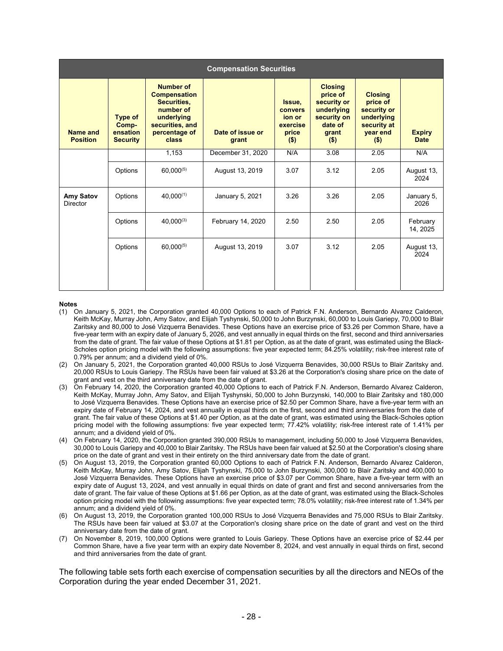| <b>Compensation Securities</b> |                                                        |                                                                                                                                |                           |                                                             |                                                                                                       |                                                                                               |                              |
|--------------------------------|--------------------------------------------------------|--------------------------------------------------------------------------------------------------------------------------------|---------------------------|-------------------------------------------------------------|-------------------------------------------------------------------------------------------------------|-----------------------------------------------------------------------------------------------|------------------------------|
| Name and<br><b>Position</b>    | <b>Type of</b><br>Comp-<br>ensation<br><b>Security</b> | <b>Number of</b><br><b>Compensation</b><br>Securities,<br>number of<br>underlying<br>securities, and<br>percentage of<br>class | Date of issue or<br>grant | Issue,<br>convers<br>ion or<br>exercise<br>price<br>$($ \$) | <b>Closing</b><br>price of<br>security or<br>underlying<br>security on<br>date of<br>grant<br>$($ \$) | <b>Closing</b><br>price of<br>security or<br>underlying<br>security at<br>year end<br>$($ \$) | <b>Expiry</b><br><b>Date</b> |
|                                |                                                        | 1,153                                                                                                                          | December 31, 2020         | N/A                                                         | 3.08                                                                                                  | 2.05                                                                                          | N/A                          |
|                                | Options                                                | $60,000^{(5)}$                                                                                                                 | August 13, 2019           | 3.07                                                        | 3.12                                                                                                  | 2.05                                                                                          | August 13,<br>2024           |
| Amy Satov<br><b>Director</b>   | Options                                                | $40,000^{(1)}$                                                                                                                 | January 5, 2021           | 3.26                                                        | 3.26                                                                                                  | 2.05                                                                                          | January 5,<br>2026           |
|                                | Options                                                | $40.000^{(3)}$                                                                                                                 | February 14, 2020         | 2.50                                                        | 2.50                                                                                                  | 2.05                                                                                          | February<br>14, 2025         |
|                                | Options                                                | $60,000^{(5)}$                                                                                                                 | August 13, 2019           | 3.07                                                        | 3.12                                                                                                  | 2.05                                                                                          | August 13,<br>2024           |

#### **Notes**

- (1) On January 5, 2021, the Corporation granted 40,000 Options to each of Patrick F.N. Anderson, Bernardo Alvarez Calderon, Keith McKay, Murray John, Amy Satov, and Elijah Tyshynski, 50,000 to John Burzynski, 60,000 to Louis Gariepy, 70,000 to Blair Zaritsky and 80,000 to José Vizquerra Benavides. These Options have an exercise price of \$3.26 per Common Share, have a five-year term with an expiry date of January 5, 2026, and vest annually in equal thirds on the first, second and third anniversaries from the date of grant. The fair value of these Options at \$1.81 per Option, as at the date of grant, was estimated using the Black-Scholes option pricing model with the following assumptions: five year expected term; 84.25% volatility; risk-free interest rate of 0.79% per annum; and a dividend yield of 0%.
- (2) On January 5, 2021, the Corporation granted 40,000 RSUs to José Vizquerra Benavides, 30,000 RSUs to Blair Zaritsky and. 20,000 RSUs to Louis Gariepy. The RSUs have been fair valued at \$3.26 at the Corporation's closing share price on the date of grant and vest on the third anniversary date from the date of grant.
- (3) On February 14, 2020, the Corporation granted 40,000 Options to each of Patrick F.N. Anderson, Bernardo Alvarez Calderon, Keith McKay, Murray John, Amy Satov, and Elijah Tyshynski, 50,000 to John Burzynski, 140,000 to Blair Zaritsky and 180,000 to José Vizquerra Benavides. These Options have an exercise price of \$2.50 per Common Share, have a five-year term with an expiry date of February 14, 2024, and vest annually in equal thirds on the first, second and third anniversaries from the date of grant. The fair value of these Options at \$1.40 per Option, as at the date of grant, was estimated using the Black-Scholes option pricing model with the following assumptions: five year expected term; 77.42% volatility; risk-free interest rate of 1.41% per annum; and a dividend yield of 0%.
- (4) On February 14, 2020, the Corporation granted 390,000 RSUs to management, including 50,000 to José Vizquerra Benavides, 30,000 to Louis Gariepy and 40,000 to Blair Zaritsky. The RSUs have been fair valued at \$2.50 at the Corporation's closing share price on the date of grant and vest in their entirety on the third anniversary date from the date of grant.
- (5) On August 13, 2019, the Corporation granted 60,000 Options to each of Patrick F.N. Anderson, Bernardo Alvarez Calderon, Keith McKay, Murray John, Amy Satov, Elijah Tyshynski, 75,000 to John Burzynski, 300,000 to Blair Zaritsky and 400,000 to José Vizquerra Benavides. These Options have an exercise price of \$3.07 per Common Share, have a five-year term with an expiry date of August 13, 2024, and vest annually in equal thirds on date of grant and first and second anniversaries from the date of grant. The fair value of these Options at \$1.66 per Option, as at the date of grant, was estimated using the Black-Scholes option pricing model with the following assumptions: five year expected term; 78.0% volatility; risk-free interest rate of 1.34% per annum; and a dividend yield of 0%.
- (6) On August 13, 2019, the Corporation granted 100,000 RSUs to José Vizquerra Benavides and 75,000 RSUs to Blair Zaritsky. The RSUs have been fair valued at \$3.07 at the Corporation's closing share price on the date of grant and vest on the third anniversary date from the date of grant.
- (7) On November 8, 2019, 100,000 Options were granted to Louis Gariepy. These Options have an exercise price of \$2.44 per Common Share, have a five year term with an expiry date November 8, 2024, and vest annually in equal thirds on first, second and third anniversaries from the date of grant.

The following table sets forth each exercise of compensation securities by all the directors and NEOs of the Corporation during the year ended December 31, 2021.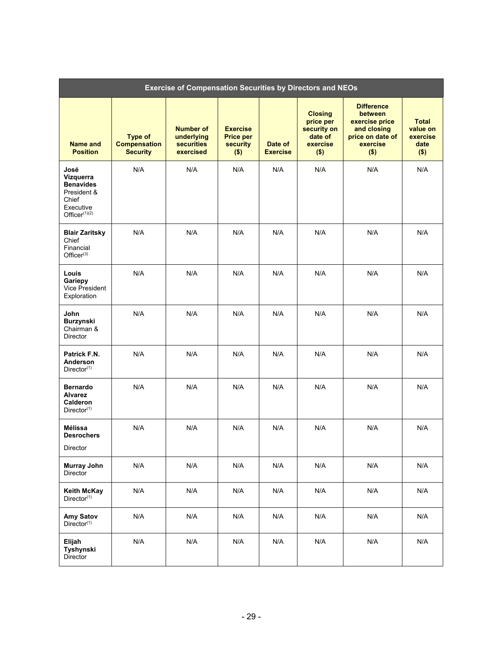|                                                                                                   | <b>Exercise of Compensation Securities by Directors and NEOs</b> |                                                                  |                                                                   |                            |                                                                              |                                                                                                                 |                                                         |  |
|---------------------------------------------------------------------------------------------------|------------------------------------------------------------------|------------------------------------------------------------------|-------------------------------------------------------------------|----------------------------|------------------------------------------------------------------------------|-----------------------------------------------------------------------------------------------------------------|---------------------------------------------------------|--|
| Name and<br><b>Position</b>                                                                       | <b>Type of</b><br><b>Compensation</b><br><b>Security</b>         | <b>Number of</b><br>underlying<br><b>securities</b><br>exercised | <b>Exercise</b><br><b>Price per</b><br><b>security</b><br>$($ \$) | Date of<br><b>Exercise</b> | <b>Closing</b><br>price per<br>security on<br>date of<br>exercise<br>$($ \$) | <b>Difference</b><br><b>between</b><br>exercise price<br>and closing<br>price on date of<br>exercise<br>$($ \$) | <b>Total</b><br>value on<br>exercise<br>date<br>$($ \$) |  |
| José<br>Vizquerra<br><b>Benavides</b><br>President &<br>Chief<br>Executive<br>Office $r^{(1)(2)}$ | N/A                                                              | N/A                                                              | N/A                                                               | N/A                        | N/A                                                                          | N/A                                                                                                             | N/A                                                     |  |
| <b>Blair Zaritsky</b><br>Chief<br>Financial<br>Office $r^{(3)}$                                   | N/A                                                              | N/A                                                              | N/A                                                               | N/A                        | N/A                                                                          | N/A                                                                                                             | N/A                                                     |  |
| Louis<br>Gariepy<br>Vice President<br>Exploration                                                 | N/A                                                              | N/A                                                              | N/A                                                               | N/A                        | N/A                                                                          | N/A                                                                                                             | N/A                                                     |  |
| John<br><b>Burzynski</b><br>Chairman &<br>Director                                                | N/A                                                              | N/A                                                              | N/A                                                               | N/A                        | N/A                                                                          | N/A                                                                                                             | N/A                                                     |  |
| Patrick F.N.<br>Anderson<br>Director <sup>(1)</sup>                                               | N/A                                                              | N/A                                                              | N/A                                                               | N/A                        | N/A                                                                          | N/A                                                                                                             | N/A                                                     |  |
| <b>Bernardo</b><br><b>Alvarez</b><br><b>Calderon</b><br>Director <sup>(1)</sup>                   | N/A                                                              | N/A                                                              | N/A                                                               | N/A                        | N/A                                                                          | N/A                                                                                                             | N/A                                                     |  |
| Mélissa<br><b>Desrochers</b><br>Director                                                          | N/A                                                              | N/A                                                              | N/A                                                               | N/A                        | N/A                                                                          | N/A                                                                                                             | N/A                                                     |  |
| <b>Murray John</b><br>Director                                                                    | N/A                                                              | N/A                                                              | N/A                                                               | N/A                        | N/A                                                                          | N/A                                                                                                             | N/A                                                     |  |
| <b>Keith McKay</b><br>Director <sup>(1)</sup>                                                     | N/A                                                              | N/A                                                              | N/A                                                               | N/A                        | N/A                                                                          | N/A                                                                                                             | N/A                                                     |  |
| Amy Satov<br>Director <sup>(1)</sup>                                                              | N/A                                                              | N/A                                                              | N/A                                                               | N/A                        | N/A                                                                          | N/A                                                                                                             | N/A                                                     |  |
| Elijah<br>Tyshynski<br>Director                                                                   | N/A                                                              | N/A                                                              | N/A                                                               | N/A                        | N/A                                                                          | N/A                                                                                                             | N/A                                                     |  |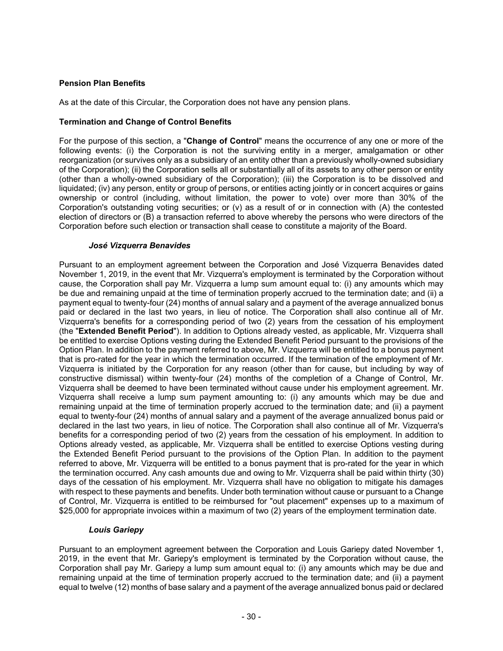### **Pension Plan Benefits**

As at the date of this Circular, the Corporation does not have any pension plans.

### **Termination and Change of Control Benefits**

For the purpose of this section, a "**Change of Control**" means the occurrence of any one or more of the following events: (i) the Corporation is not the surviving entity in a merger, amalgamation or other reorganization (or survives only as a subsidiary of an entity other than a previously wholly-owned subsidiary of the Corporation); (ii) the Corporation sells all or substantially all of its assets to any other person or entity (other than a wholly-owned subsidiary of the Corporation); (iii) the Corporation is to be dissolved and liquidated; (iv) any person, entity or group of persons, or entities acting jointly or in concert acquires or gains ownership or control (including, without limitation, the power to vote) over more than 30% of the Corporation's outstanding voting securities; or (v) as a result of or in connection with (A) the contested election of directors or (B) a transaction referred to above whereby the persons who were directors of the Corporation before such election or transaction shall cease to constitute a majority of the Board.

### *José Vizquerra Benavides*

Pursuant to an employment agreement between the Corporation and José Vizquerra Benavides dated November 1, 2019, in the event that Mr. Vizquerra's employment is terminated by the Corporation without cause, the Corporation shall pay Mr. Vizquerra a lump sum amount equal to: (i) any amounts which may be due and remaining unpaid at the time of termination properly accrued to the termination date; and (ii) a payment equal to twenty-four (24) months of annual salary and a payment of the average annualized bonus paid or declared in the last two years, in lieu of notice. The Corporation shall also continue all of Mr. Vizquerra's benefits for a corresponding period of two (2) years from the cessation of his employment (the "**Extended Benefit Period**"). In addition to Options already vested, as applicable, Mr. Vizquerra shall be entitled to exercise Options vesting during the Extended Benefit Period pursuant to the provisions of the Option Plan. In addition to the payment referred to above, Mr. Vizquerra will be entitled to a bonus payment that is pro-rated for the year in which the termination occurred. If the termination of the employment of Mr. Vizquerra is initiated by the Corporation for any reason (other than for cause, but including by way of constructive dismissal) within twenty-four (24) months of the completion of a Change of Control, Mr. Vizquerra shall be deemed to have been terminated without cause under his employment agreement. Mr. Vizquerra shall receive a lump sum payment amounting to: (i) any amounts which may be due and remaining unpaid at the time of termination properly accrued to the termination date; and (ii) a payment equal to twenty-four (24) months of annual salary and a payment of the average annualized bonus paid or declared in the last two years, in lieu of notice. The Corporation shall also continue all of Mr. Vizquerra's benefits for a corresponding period of two (2) years from the cessation of his employment. In addition to Options already vested, as applicable, Mr. Vizquerra shall be entitled to exercise Options vesting during the Extended Benefit Period pursuant to the provisions of the Option Plan. In addition to the payment referred to above, Mr. Vizquerra will be entitled to a bonus payment that is pro-rated for the year in which the termination occurred. Any cash amounts due and owing to Mr. Vizquerra shall be paid within thirty (30) days of the cessation of his employment. Mr. Vizquerra shall have no obligation to mitigate his damages with respect to these payments and benefits. Under both termination without cause or pursuant to a Change of Control, Mr. Vizquerra is entitled to be reimbursed for "out placement" expenses up to a maximum of \$25,000 for appropriate invoices within a maximum of two (2) years of the employment termination date.

### *Louis Gariepy*

Pursuant to an employment agreement between the Corporation and Louis Gariepy dated November 1, 2019, in the event that Mr. Gariepy's employment is terminated by the Corporation without cause, the Corporation shall pay Mr. Gariepy a lump sum amount equal to: (i) any amounts which may be due and remaining unpaid at the time of termination properly accrued to the termination date; and (ii) a payment equal to twelve (12) months of base salary and a payment of the average annualized bonus paid or declared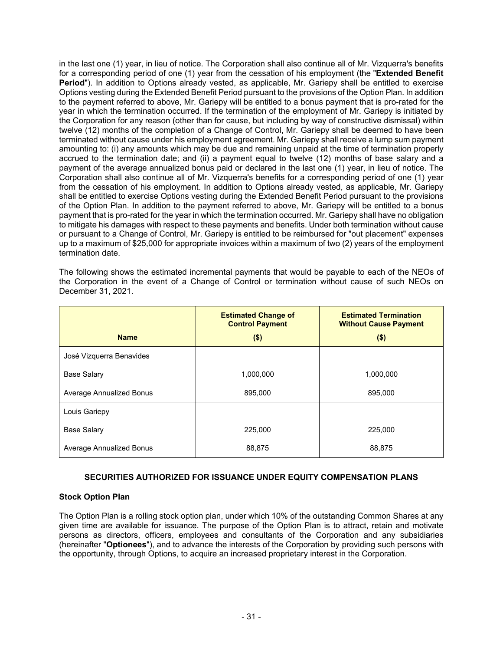in the last one (1) year, in lieu of notice. The Corporation shall also continue all of Mr. Vizquerra's benefits for a corresponding period of one (1) year from the cessation of his employment (the "**Extended Benefit Period**"). In addition to Options already vested, as applicable. Mr. Gariepy shall be entitled to exercise Options vesting during the Extended Benefit Period pursuant to the provisions of the Option Plan. In addition to the payment referred to above, Mr. Gariepy will be entitled to a bonus payment that is pro-rated for the year in which the termination occurred. If the termination of the employment of Mr. Gariepy is initiated by the Corporation for any reason (other than for cause, but including by way of constructive dismissal) within twelve (12) months of the completion of a Change of Control, Mr. Gariepy shall be deemed to have been terminated without cause under his employment agreement. Mr. Gariepy shall receive a lump sum payment amounting to: (i) any amounts which may be due and remaining unpaid at the time of termination properly accrued to the termination date; and (ii) a payment equal to twelve (12) months of base salary and a payment of the average annualized bonus paid or declared in the last one (1) year, in lieu of notice. The Corporation shall also continue all of Mr. Vizquerra's benefits for a corresponding period of one (1) year from the cessation of his employment. In addition to Options already vested, as applicable, Mr. Gariepy shall be entitled to exercise Options vesting during the Extended Benefit Period pursuant to the provisions of the Option Plan. In addition to the payment referred to above, Mr. Gariepy will be entitled to a bonus payment that is pro-rated for the year in which the termination occurred. Mr. Gariepy shall have no obligation to mitigate his damages with respect to these payments and benefits. Under both termination without cause or pursuant to a Change of Control, Mr. Gariepy is entitled to be reimbursed for "out placement" expenses up to a maximum of \$25,000 for appropriate invoices within a maximum of two (2) years of the employment termination date.

The following shows the estimated incremental payments that would be payable to each of the NEOs of the Corporation in the event of a Change of Control or termination without cause of such NEOs on December 31, 2021.

|                          | <b>Estimated Change of</b><br><b>Control Payment</b> | <b>Estimated Termination</b><br><b>Without Cause Payment</b> |  |  |
|--------------------------|------------------------------------------------------|--------------------------------------------------------------|--|--|
| <b>Name</b>              | $($ \$)                                              | $($ \$)                                                      |  |  |
| José Vizquerra Benavides |                                                      |                                                              |  |  |
| <b>Base Salary</b>       | 1,000,000                                            | 1,000,000                                                    |  |  |
| Average Annualized Bonus | 895,000                                              | 895,000                                                      |  |  |
| Louis Gariepy            |                                                      |                                                              |  |  |
| <b>Base Salary</b>       | 225,000                                              | 225,000                                                      |  |  |
| Average Annualized Bonus | 88,875                                               | 88,875                                                       |  |  |

# **SECURITIES AUTHORIZED FOR ISSUANCE UNDER EQUITY COMPENSATION PLANS**

### **Stock Option Plan**

The Option Plan is a rolling stock option plan, under which 10% of the outstanding Common Shares at any given time are available for issuance. The purpose of the Option Plan is to attract, retain and motivate persons as directors, officers, employees and consultants of the Corporation and any subsidiaries (hereinafter "**Optionees**"), and to advance the interests of the Corporation by providing such persons with the opportunity, through Options, to acquire an increased proprietary interest in the Corporation.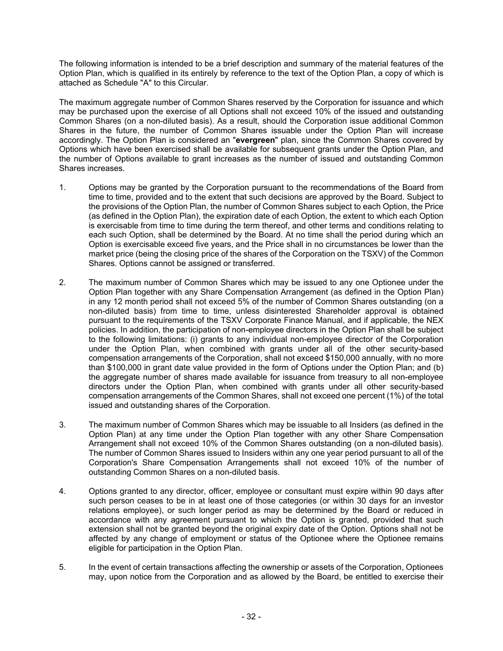The following information is intended to be a brief description and summary of the material features of the Option Plan, which is qualified in its entirely by reference to the text of the Option Plan, a copy of which is attached as Schedule "A" to this Circular.

The maximum aggregate number of Common Shares reserved by the Corporation for issuance and which may be purchased upon the exercise of all Options shall not exceed 10% of the issued and outstanding Common Shares (on a non-diluted basis). As a result, should the Corporation issue additional Common Shares in the future, the number of Common Shares issuable under the Option Plan will increase accordingly. The Option Plan is considered an "**evergreen**" plan, since the Common Shares covered by Options which have been exercised shall be available for subsequent grants under the Option Plan, and the number of Options available to grant increases as the number of issued and outstanding Common Shares increases.

- 1. Options may be granted by the Corporation pursuant to the recommendations of the Board from time to time, provided and to the extent that such decisions are approved by the Board. Subject to the provisions of the Option Plan, the number of Common Shares subject to each Option, the Price (as defined in the Option Plan), the expiration date of each Option, the extent to which each Option is exercisable from time to time during the term thereof, and other terms and conditions relating to each such Option, shall be determined by the Board. At no time shall the period during which an Option is exercisable exceed five years, and the Price shall in no circumstances be lower than the market price (being the closing price of the shares of the Corporation on the TSXV) of the Common Shares. Options cannot be assigned or transferred.
- 2. The maximum number of Common Shares which may be issued to any one Optionee under the Option Plan together with any Share Compensation Arrangement (as defined in the Option Plan) in any 12 month period shall not exceed 5% of the number of Common Shares outstanding (on a non-diluted basis) from time to time, unless disinterested Shareholder approval is obtained pursuant to the requirements of the TSXV Corporate Finance Manual, and if applicable, the NEX policies. In addition, the participation of non-employee directors in the Option Plan shall be subject to the following limitations: (i) grants to any individual non-employee director of the Corporation under the Option Plan, when combined with grants under all of the other security-based compensation arrangements of the Corporation, shall not exceed \$150,000 annually, with no more than \$100,000 in grant date value provided in the form of Options under the Option Plan; and (b) the aggregate number of shares made available for issuance from treasury to all non-employee directors under the Option Plan, when combined with grants under all other security-based compensation arrangements of the Common Shares, shall not exceed one percent (1%) of the total issued and outstanding shares of the Corporation.
- 3. The maximum number of Common Shares which may be issuable to all Insiders (as defined in the Option Plan) at any time under the Option Plan together with any other Share Compensation Arrangement shall not exceed 10% of the Common Shares outstanding (on a non-diluted basis). The number of Common Shares issued to Insiders within any one year period pursuant to all of the Corporation's Share Compensation Arrangements shall not exceed 10% of the number of outstanding Common Shares on a non-diluted basis.
- 4. Options granted to any director, officer, employee or consultant must expire within 90 days after such person ceases to be in at least one of those categories (or within 30 days for an investor relations employee), or such longer period as may be determined by the Board or reduced in accordance with any agreement pursuant to which the Option is granted, provided that such extension shall not be granted beyond the original expiry date of the Option. Options shall not be affected by any change of employment or status of the Optionee where the Optionee remains eligible for participation in the Option Plan.
- 5. In the event of certain transactions affecting the ownership or assets of the Corporation, Optionees may, upon notice from the Corporation and as allowed by the Board, be entitled to exercise their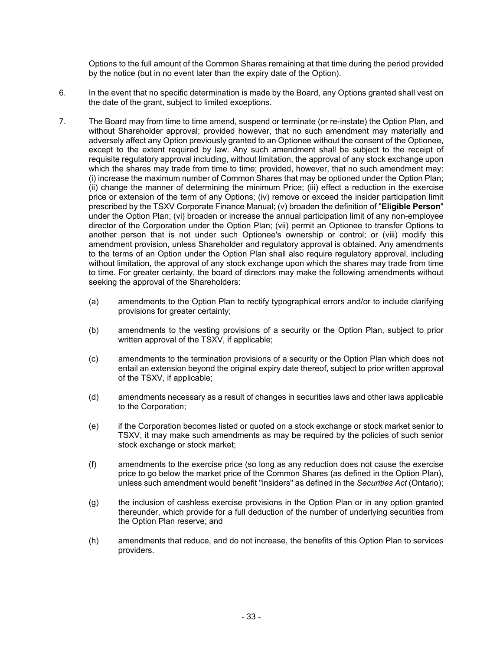Options to the full amount of the Common Shares remaining at that time during the period provided by the notice (but in no event later than the expiry date of the Option).

- 6. In the event that no specific determination is made by the Board, any Options granted shall vest on the date of the grant, subject to limited exceptions.
- 7. The Board may from time to time amend, suspend or terminate (or re-instate) the Option Plan, and without Shareholder approval; provided however, that no such amendment may materially and adversely affect any Option previously granted to an Optionee without the consent of the Optionee, except to the extent required by law. Any such amendment shall be subject to the receipt of requisite regulatory approval including, without limitation, the approval of any stock exchange upon which the shares may trade from time to time; provided, however, that no such amendment may: (i) increase the maximum number of Common Shares that may be optioned under the Option Plan; (ii) change the manner of determining the minimum Price; (iii) effect a reduction in the exercise price or extension of the term of any Options; (iv) remove or exceed the insider participation limit prescribed by the TSXV Corporate Finance Manual; (v) broaden the definition of "**Eligible Person**" under the Option Plan; (vi) broaden or increase the annual participation limit of any non-employee director of the Corporation under the Option Plan; (vii) permit an Optionee to transfer Options to another person that is not under such Optionee's ownership or control; or (viii) modify this amendment provision, unless Shareholder and regulatory approval is obtained. Any amendments to the terms of an Option under the Option Plan shall also require regulatory approval, including without limitation, the approval of any stock exchange upon which the shares may trade from time to time. For greater certainty, the board of directors may make the following amendments without seeking the approval of the Shareholders:
	- (a) amendments to the Option Plan to rectify typographical errors and/or to include clarifying provisions for greater certainty;
	- (b) amendments to the vesting provisions of a security or the Option Plan, subject to prior written approval of the TSXV, if applicable;
	- (c) amendments to the termination provisions of a security or the Option Plan which does not entail an extension beyond the original expiry date thereof, subject to prior written approval of the TSXV, if applicable;
	- (d) amendments necessary as a result of changes in securities laws and other laws applicable to the Corporation;
	- (e) if the Corporation becomes listed or quoted on a stock exchange or stock market senior to TSXV, it may make such amendments as may be required by the policies of such senior stock exchange or stock market;
	- (f) amendments to the exercise price (so long as any reduction does not cause the exercise price to go below the market price of the Common Shares (as defined in the Option Plan), unless such amendment would benefit "insiders" as defined in the *Securities Act* (Ontario);
	- (g) the inclusion of cashless exercise provisions in the Option Plan or in any option granted thereunder, which provide for a full deduction of the number of underlying securities from the Option Plan reserve; and
	- (h) amendments that reduce, and do not increase, the benefits of this Option Plan to services providers.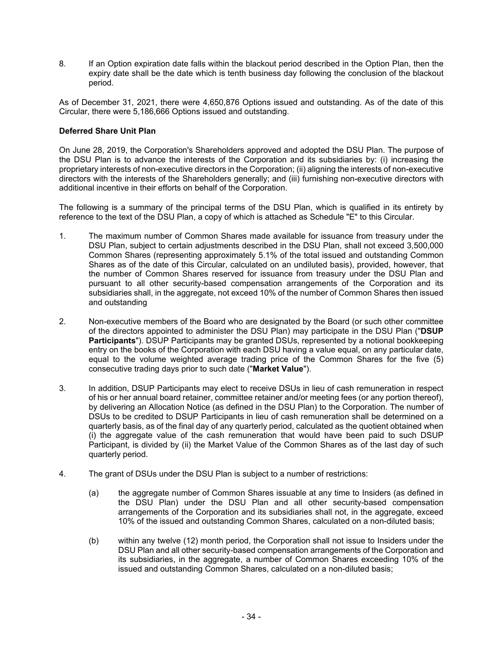8. If an Option expiration date falls within the blackout period described in the Option Plan, then the expiry date shall be the date which is tenth business day following the conclusion of the blackout period.

As of December 31, 2021, there were 4,650,876 Options issued and outstanding. As of the date of this Circular, there were 5,186,666 Options issued and outstanding.

### **Deferred Share Unit Plan**

On June 28, 2019, the Corporation's Shareholders approved and adopted the DSU Plan. The purpose of the DSU Plan is to advance the interests of the Corporation and its subsidiaries by: (i) increasing the proprietary interests of non-executive directors in the Corporation; (ii) aligning the interests of non-executive directors with the interests of the Shareholders generally; and (iii) furnishing non-executive directors with additional incentive in their efforts on behalf of the Corporation.

The following is a summary of the principal terms of the DSU Plan, which is qualified in its entirety by reference to the text of the DSU Plan, a copy of which is attached as Schedule "E" to this Circular.

- 1. The maximum number of Common Shares made available for issuance from treasury under the DSU Plan, subject to certain adjustments described in the DSU Plan, shall not exceed 3,500,000 Common Shares (representing approximately 5.1% of the total issued and outstanding Common Shares as of the date of this Circular, calculated on an undiluted basis), provided, however, that the number of Common Shares reserved for issuance from treasury under the DSU Plan and pursuant to all other security-based compensation arrangements of the Corporation and its subsidiaries shall, in the aggregate, not exceed 10% of the number of Common Shares then issued and outstanding
- 2. Non-executive members of the Board who are designated by the Board (or such other committee of the directors appointed to administer the DSU Plan) may participate in the DSU Plan ("**DSUP Participants**"). DSUP Participants may be granted DSUs, represented by a notional bookkeeping entry on the books of the Corporation with each DSU having a value equal, on any particular date, equal to the volume weighted average trading price of the Common Shares for the five (5) consecutive trading days prior to such date ("**Market Value**").
- 3. In addition, DSUP Participants may elect to receive DSUs in lieu of cash remuneration in respect of his or her annual board retainer, committee retainer and/or meeting fees (or any portion thereof), by delivering an Allocation Notice (as defined in the DSU Plan) to the Corporation. The number of DSUs to be credited to DSUP Participants in lieu of cash remuneration shall be determined on a quarterly basis, as of the final day of any quarterly period, calculated as the quotient obtained when (i) the aggregate value of the cash remuneration that would have been paid to such DSUP Participant, is divided by (ii) the Market Value of the Common Shares as of the last day of such quarterly period.
- 4. The grant of DSUs under the DSU Plan is subject to a number of restrictions:
	- (a) the aggregate number of Common Shares issuable at any time to Insiders (as defined in the DSU Plan) under the DSU Plan and all other security-based compensation arrangements of the Corporation and its subsidiaries shall not, in the aggregate, exceed 10% of the issued and outstanding Common Shares, calculated on a non-diluted basis;
	- (b) within any twelve (12) month period, the Corporation shall not issue to Insiders under the DSU Plan and all other security-based compensation arrangements of the Corporation and its subsidiaries, in the aggregate, a number of Common Shares exceeding 10% of the issued and outstanding Common Shares, calculated on a non-diluted basis;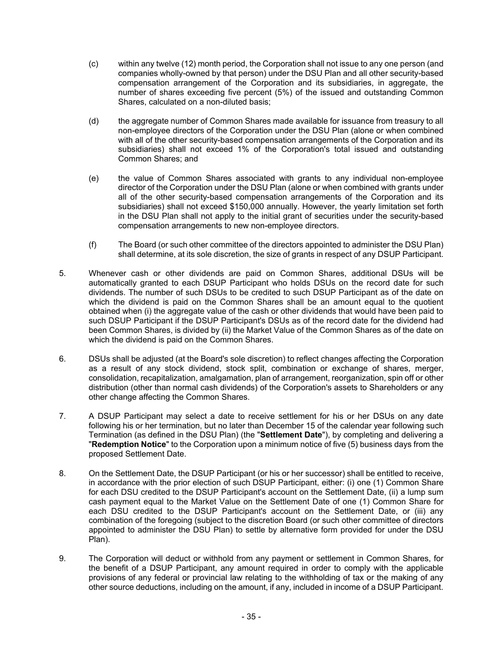- (c) within any twelve (12) month period, the Corporation shall not issue to any one person (and companies wholly-owned by that person) under the DSU Plan and all other security-based compensation arrangement of the Corporation and its subsidiaries, in aggregate, the number of shares exceeding five percent (5%) of the issued and outstanding Common Shares, calculated on a non-diluted basis;
- (d) the aggregate number of Common Shares made available for issuance from treasury to all non-employee directors of the Corporation under the DSU Plan (alone or when combined with all of the other security-based compensation arrangements of the Corporation and its subsidiaries) shall not exceed 1% of the Corporation's total issued and outstanding Common Shares; and
- (e) the value of Common Shares associated with grants to any individual non-employee director of the Corporation under the DSU Plan (alone or when combined with grants under all of the other security-based compensation arrangements of the Corporation and its subsidiaries) shall not exceed \$150,000 annually. However, the yearly limitation set forth in the DSU Plan shall not apply to the initial grant of securities under the security-based compensation arrangements to new non-employee directors.
- (f) The Board (or such other committee of the directors appointed to administer the DSU Plan) shall determine, at its sole discretion, the size of grants in respect of any DSUP Participant.
- 5. Whenever cash or other dividends are paid on Common Shares, additional DSUs will be automatically granted to each DSUP Participant who holds DSUs on the record date for such dividends. The number of such DSUs to be credited to such DSUP Participant as of the date on which the dividend is paid on the Common Shares shall be an amount equal to the quotient obtained when (i) the aggregate value of the cash or other dividends that would have been paid to such DSUP Participant if the DSUP Participant's DSUs as of the record date for the dividend had been Common Shares, is divided by (ii) the Market Value of the Common Shares as of the date on which the dividend is paid on the Common Shares.
- 6. DSUs shall be adjusted (at the Board's sole discretion) to reflect changes affecting the Corporation as a result of any stock dividend, stock split, combination or exchange of shares, merger, consolidation, recapitalization, amalgamation, plan of arrangement, reorganization, spin off or other distribution (other than normal cash dividends) of the Corporation's assets to Shareholders or any other change affecting the Common Shares.
- 7. A DSUP Participant may select a date to receive settlement for his or her DSUs on any date following his or her termination, but no later than December 15 of the calendar year following such Termination (as defined in the DSU Plan) (the "**Settlement Date**"), by completing and delivering a "**Redemption Notice**" to the Corporation upon a minimum notice of five (5) business days from the proposed Settlement Date.
- 8. On the Settlement Date, the DSUP Participant (or his or her successor) shall be entitled to receive, in accordance with the prior election of such DSUP Participant, either: (i) one (1) Common Share for each DSU credited to the DSUP Participant's account on the Settlement Date, (ii) a lump sum cash payment equal to the Market Value on the Settlement Date of one (1) Common Share for each DSU credited to the DSUP Participant's account on the Settlement Date, or (iii) any combination of the foregoing (subject to the discretion Board (or such other committee of directors appointed to administer the DSU Plan) to settle by alternative form provided for under the DSU Plan).
- 9. The Corporation will deduct or withhold from any payment or settlement in Common Shares, for the benefit of a DSUP Participant, any amount required in order to comply with the applicable provisions of any federal or provincial law relating to the withholding of tax or the making of any other source deductions, including on the amount, if any, included in income of a DSUP Participant.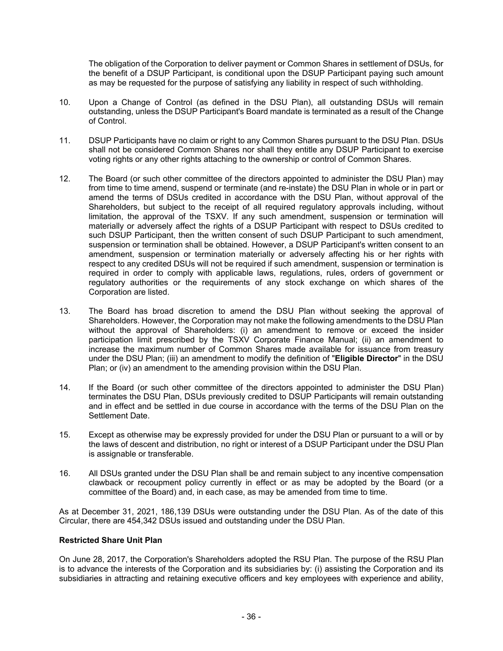The obligation of the Corporation to deliver payment or Common Shares in settlement of DSUs, for the benefit of a DSUP Participant, is conditional upon the DSUP Participant paying such amount as may be requested for the purpose of satisfying any liability in respect of such withholding.

- 10. Upon a Change of Control (as defined in the DSU Plan), all outstanding DSUs will remain outstanding, unless the DSUP Participant's Board mandate is terminated as a result of the Change of Control.
- 11. DSUP Participants have no claim or right to any Common Shares pursuant to the DSU Plan. DSUs shall not be considered Common Shares nor shall they entitle any DSUP Participant to exercise voting rights or any other rights attaching to the ownership or control of Common Shares.
- 12. The Board (or such other committee of the directors appointed to administer the DSU Plan) may from time to time amend, suspend or terminate (and re-instate) the DSU Plan in whole or in part or amend the terms of DSUs credited in accordance with the DSU Plan, without approval of the Shareholders, but subject to the receipt of all required regulatory approvals including, without limitation, the approval of the TSXV. If any such amendment, suspension or termination will materially or adversely affect the rights of a DSUP Participant with respect to DSUs credited to such DSUP Participant, then the written consent of such DSUP Participant to such amendment, suspension or termination shall be obtained. However, a DSUP Participant's written consent to an amendment, suspension or termination materially or adversely affecting his or her rights with respect to any credited DSUs will not be required if such amendment, suspension or termination is required in order to comply with applicable laws, regulations, rules, orders of government or regulatory authorities or the requirements of any stock exchange on which shares of the Corporation are listed.
- 13. The Board has broad discretion to amend the DSU Plan without seeking the approval of Shareholders. However, the Corporation may not make the following amendments to the DSU Plan without the approval of Shareholders: (i) an amendment to remove or exceed the insider participation limit prescribed by the TSXV Corporate Finance Manual; (ii) an amendment to increase the maximum number of Common Shares made available for issuance from treasury under the DSU Plan; (iii) an amendment to modify the definition of "**Eligible Director**" in the DSU Plan; or (iv) an amendment to the amending provision within the DSU Plan.
- 14. If the Board (or such other committee of the directors appointed to administer the DSU Plan) terminates the DSU Plan, DSUs previously credited to DSUP Participants will remain outstanding and in effect and be settled in due course in accordance with the terms of the DSU Plan on the Settlement Date.
- 15. Except as otherwise may be expressly provided for under the DSU Plan or pursuant to a will or by the laws of descent and distribution, no right or interest of a DSUP Participant under the DSU Plan is assignable or transferable.
- 16. All DSUs granted under the DSU Plan shall be and remain subject to any incentive compensation clawback or recoupment policy currently in effect or as may be adopted by the Board (or a committee of the Board) and, in each case, as may be amended from time to time.

As at December 31, 2021, 186,139 DSUs were outstanding under the DSU Plan. As of the date of this Circular, there are 454,342 DSUs issued and outstanding under the DSU Plan.

### **Restricted Share Unit Plan**

On June 28, 2017, the Corporation's Shareholders adopted the RSU Plan. The purpose of the RSU Plan is to advance the interests of the Corporation and its subsidiaries by: (i) assisting the Corporation and its subsidiaries in attracting and retaining executive officers and key employees with experience and ability,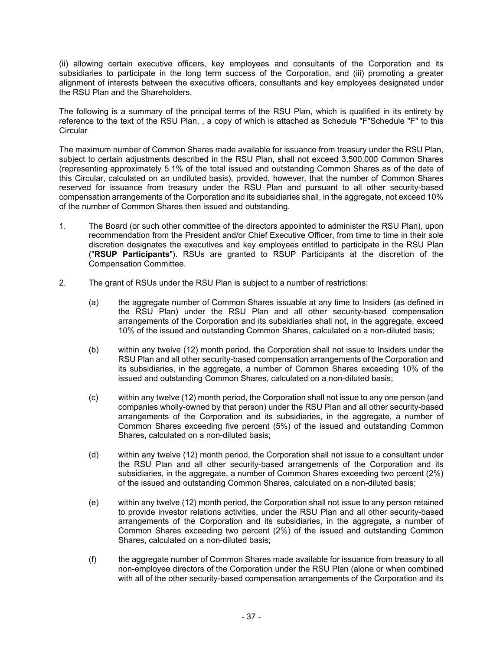(ii) allowing certain executive officers, key employees and consultants of the Corporation and its subsidiaries to participate in the long term success of the Corporation, and (iii) promoting a greater alignment of interests between the executive officers, consultants and key employees designated under the RSU Plan and the Shareholders.

The following is a summary of the principal terms of the RSU Plan, which is qualified in its entirety by reference to the text of the RSU Plan, , a copy of which is attached as Schedule "F"Schedule "F" to this **Circular** 

The maximum number of Common Shares made available for issuance from treasury under the RSU Plan, subject to certain adjustments described in the RSU Plan, shall not exceed 3,500,000 Common Shares (representing approximately 5.1% of the total issued and outstanding Common Shares as of the date of this Circular, calculated on an undiluted basis), provided, however, that the number of Common Shares reserved for issuance from treasury under the RSU Plan and pursuant to all other security-based compensation arrangements of the Corporation and its subsidiaries shall, in the aggregate, not exceed 10% of the number of Common Shares then issued and outstanding.

- 1. The Board (or such other committee of the directors appointed to administer the RSU Plan), upon recommendation from the President and/or Chief Executive Officer, from time to time in their sole discretion designates the executives and key employees entitled to participate in the RSU Plan ("**RSUP Participants**"). RSUs are granted to RSUP Participants at the discretion of the Compensation Committee.
- 2. The grant of RSUs under the RSU Plan is subject to a number of restrictions:
	- (a) the aggregate number of Common Shares issuable at any time to Insiders (as defined in the RSU Plan) under the RSU Plan and all other security-based compensation arrangements of the Corporation and its subsidiaries shall not, in the aggregate, exceed 10% of the issued and outstanding Common Shares, calculated on a non-diluted basis;
	- (b) within any twelve (12) month period, the Corporation shall not issue to Insiders under the RSU Plan and all other security-based compensation arrangements of the Corporation and its subsidiaries, in the aggregate, a number of Common Shares exceeding 10% of the issued and outstanding Common Shares, calculated on a non-diluted basis;
	- (c) within any twelve (12) month period, the Corporation shall not issue to any one person (and companies wholly-owned by that person) under the RSU Plan and all other security-based arrangements of the Corporation and its subsidiaries, in the aggregate, a number of Common Shares exceeding five percent (5%) of the issued and outstanding Common Shares, calculated on a non-diluted basis;
	- (d) within any twelve (12) month period, the Corporation shall not issue to a consultant under the RSU Plan and all other security-based arrangements of the Corporation and its subsidiaries, in the aggregate, a number of Common Shares exceeding two percent (2%) of the issued and outstanding Common Shares, calculated on a non-diluted basis;
	- (e) within any twelve (12) month period, the Corporation shall not issue to any person retained to provide investor relations activities, under the RSU Plan and all other security-based arrangements of the Corporation and its subsidiaries, in the aggregate, a number of Common Shares exceeding two percent (2%) of the issued and outstanding Common Shares, calculated on a non-diluted basis;
	- (f) the aggregate number of Common Shares made available for issuance from treasury to all non-employee directors of the Corporation under the RSU Plan (alone or when combined with all of the other security-based compensation arrangements of the Corporation and its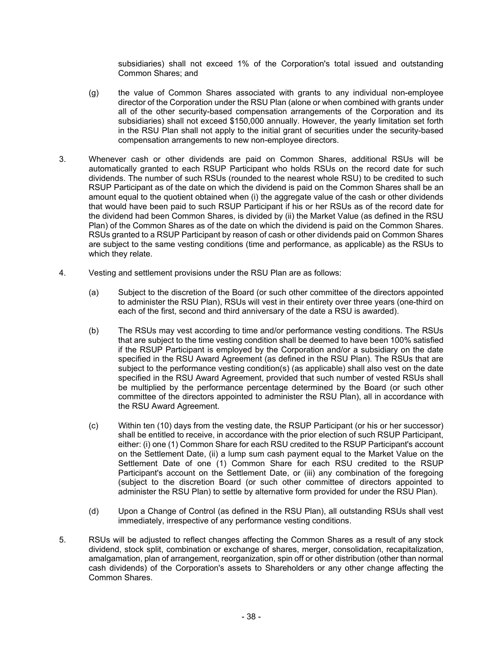subsidiaries) shall not exceed 1% of the Corporation's total issued and outstanding Common Shares; and

- (g) the value of Common Shares associated with grants to any individual non-employee director of the Corporation under the RSU Plan (alone or when combined with grants under all of the other security-based compensation arrangements of the Corporation and its subsidiaries) shall not exceed \$150,000 annually. However, the yearly limitation set forth in the RSU Plan shall not apply to the initial grant of securities under the security-based compensation arrangements to new non-employee directors.
- 3. Whenever cash or other dividends are paid on Common Shares, additional RSUs will be automatically granted to each RSUP Participant who holds RSUs on the record date for such dividends. The number of such RSUs (rounded to the nearest whole RSU) to be credited to such RSUP Participant as of the date on which the dividend is paid on the Common Shares shall be an amount equal to the quotient obtained when (i) the aggregate value of the cash or other dividends that would have been paid to such RSUP Participant if his or her RSUs as of the record date for the dividend had been Common Shares, is divided by (ii) the Market Value (as defined in the RSU Plan) of the Common Shares as of the date on which the dividend is paid on the Common Shares. RSUs granted to a RSUP Participant by reason of cash or other dividends paid on Common Shares are subject to the same vesting conditions (time and performance, as applicable) as the RSUs to which they relate.
- 4. Vesting and settlement provisions under the RSU Plan are as follows:
	- (a) Subject to the discretion of the Board (or such other committee of the directors appointed to administer the RSU Plan), RSUs will vest in their entirety over three years (one-third on each of the first, second and third anniversary of the date a RSU is awarded).
	- (b) The RSUs may vest according to time and/or performance vesting conditions. The RSUs that are subject to the time vesting condition shall be deemed to have been 100% satisfied if the RSUP Participant is employed by the Corporation and/or a subsidiary on the date specified in the RSU Award Agreement (as defined in the RSU Plan). The RSUs that are subject to the performance vesting condition(s) (as applicable) shall also vest on the date specified in the RSU Award Agreement, provided that such number of vested RSUs shall be multiplied by the performance percentage determined by the Board (or such other committee of the directors appointed to administer the RSU Plan), all in accordance with the RSU Award Agreement.
	- (c) Within ten (10) days from the vesting date, the RSUP Participant (or his or her successor) shall be entitled to receive, in accordance with the prior election of such RSUP Participant, either: (i) one (1) Common Share for each RSU credited to the RSUP Participant's account on the Settlement Date, (ii) a lump sum cash payment equal to the Market Value on the Settlement Date of one (1) Common Share for each RSU credited to the RSUP Participant's account on the Settlement Date, or (iii) any combination of the foregoing (subject to the discretion Board (or such other committee of directors appointed to administer the RSU Plan) to settle by alternative form provided for under the RSU Plan).
	- (d) Upon a Change of Control (as defined in the RSU Plan), all outstanding RSUs shall vest immediately, irrespective of any performance vesting conditions.
- 5. RSUs will be adjusted to reflect changes affecting the Common Shares as a result of any stock dividend, stock split, combination or exchange of shares, merger, consolidation, recapitalization, amalgamation, plan of arrangement, reorganization, spin off or other distribution (other than normal cash dividends) of the Corporation's assets to Shareholders or any other change affecting the Common Shares.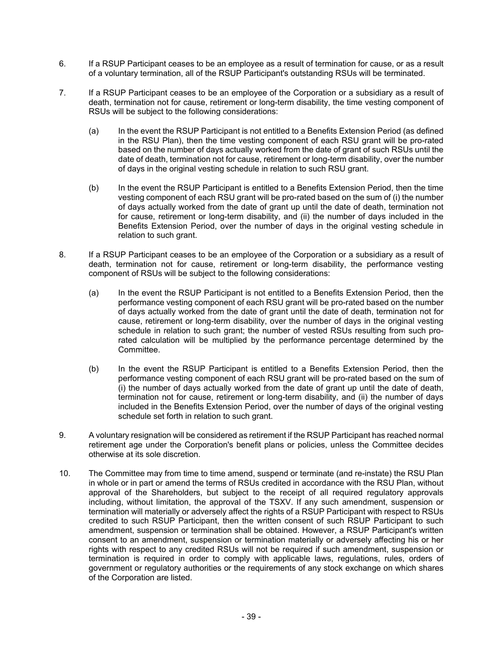- 6. If a RSUP Participant ceases to be an employee as a result of termination for cause, or as a result of a voluntary termination, all of the RSUP Participant's outstanding RSUs will be terminated.
- 7. If a RSUP Participant ceases to be an employee of the Corporation or a subsidiary as a result of death, termination not for cause, retirement or long-term disability, the time vesting component of RSUs will be subject to the following considerations:
	- (a) In the event the RSUP Participant is not entitled to a Benefits Extension Period (as defined in the RSU Plan), then the time vesting component of each RSU grant will be pro-rated based on the number of days actually worked from the date of grant of such RSUs until the date of death, termination not for cause, retirement or long-term disability, over the number of days in the original vesting schedule in relation to such RSU grant.
	- (b) In the event the RSUP Participant is entitled to a Benefits Extension Period, then the time vesting component of each RSU grant will be pro-rated based on the sum of (i) the number of days actually worked from the date of grant up until the date of death, termination not for cause, retirement or long-term disability, and (ii) the number of days included in the Benefits Extension Period, over the number of days in the original vesting schedule in relation to such grant.
- 8. If a RSUP Participant ceases to be an employee of the Corporation or a subsidiary as a result of death, termination not for cause, retirement or long-term disability, the performance vesting component of RSUs will be subject to the following considerations:
	- (a) In the event the RSUP Participant is not entitled to a Benefits Extension Period, then the performance vesting component of each RSU grant will be pro-rated based on the number of days actually worked from the date of grant until the date of death, termination not for cause, retirement or long-term disability, over the number of days in the original vesting schedule in relation to such grant; the number of vested RSUs resulting from such prorated calculation will be multiplied by the performance percentage determined by the Committee.
	- (b) In the event the RSUP Participant is entitled to a Benefits Extension Period, then the performance vesting component of each RSU grant will be pro-rated based on the sum of (i) the number of days actually worked from the date of grant up until the date of death, termination not for cause, retirement or long-term disability, and (ii) the number of days included in the Benefits Extension Period, over the number of days of the original vesting schedule set forth in relation to such grant.
- 9. A voluntary resignation will be considered as retirement if the RSUP Participant has reached normal retirement age under the Corporation's benefit plans or policies, unless the Committee decides otherwise at its sole discretion.
- 10. The Committee may from time to time amend, suspend or terminate (and re-instate) the RSU Plan in whole or in part or amend the terms of RSUs credited in accordance with the RSU Plan, without approval of the Shareholders, but subject to the receipt of all required regulatory approvals including, without limitation, the approval of the TSXV. If any such amendment, suspension or termination will materially or adversely affect the rights of a RSUP Participant with respect to RSUs credited to such RSUP Participant, then the written consent of such RSUP Participant to such amendment, suspension or termination shall be obtained. However, a RSUP Participant's written consent to an amendment, suspension or termination materially or adversely affecting his or her rights with respect to any credited RSUs will not be required if such amendment, suspension or termination is required in order to comply with applicable laws, regulations, rules, orders of government or regulatory authorities or the requirements of any stock exchange on which shares of the Corporation are listed.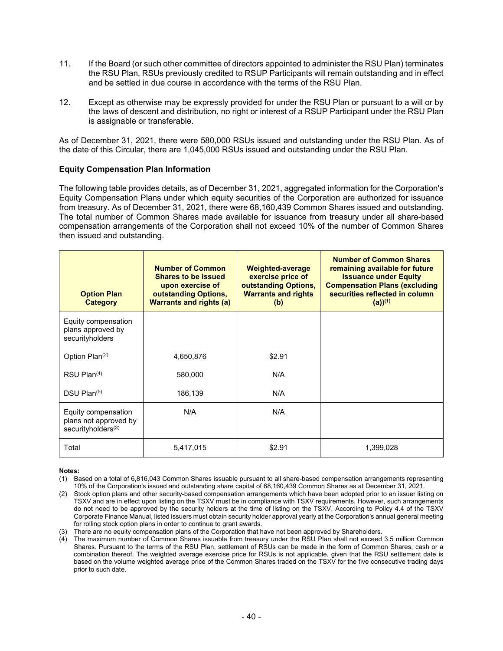- 11. If the Board (or such other committee of directors appointed to administer the RSU Plan) terminates the RSU Plan, RSUs previously credited to RSUP Participants will remain outstanding and in effect and be settled in due course in accordance with the terms of the RSU Plan.
- 12. Except as otherwise may be expressly provided for under the RSU Plan or pursuant to a will or by the laws of descent and distribution, no right or interest of a RSUP Participant under the RSU Plan is assignable or transferable.

As of December 31, 2021, there were 580,000 RSUs issued and outstanding under the RSU Plan. As of the date of this Circular, there are 1,045,000 RSUs issued and outstanding under the RSU Plan.

#### **Equity Compensation Plan Information**

The following table provides details, as of December 31, 2021, aggregated information for the Corporation's Equity Compensation Plans under which equity securities of the Corporation are authorized for issuance from treasury. As of December 31, 2021, there were 68,160,439 Common Shares issued and outstanding. The total number of Common Shares made available for issuance from treasury under all share-based compensation arrangements of the Corporation shall not exceed 10% of the number of Common Shares then issued and outstanding.

| <b>Option Plan</b><br><b>Category</b>                                          | <b>Number of Common</b><br><b>Shares to be issued</b><br>upon exercise of<br>outstanding Options,<br><b>Warrants and rights (a)</b> | <b>Weighted-average</b><br>exercise price of<br>outstanding Options,<br><b>Warrants and rights</b><br>(b) | <b>Number of Common Shares</b><br>remaining available for future<br><b>issuance under Equity</b><br><b>Compensation Plans (excluding</b><br>securities reflected in column<br>$(a))^{(1)}$ |
|--------------------------------------------------------------------------------|-------------------------------------------------------------------------------------------------------------------------------------|-----------------------------------------------------------------------------------------------------------|--------------------------------------------------------------------------------------------------------------------------------------------------------------------------------------------|
| Equity compensation<br>plans approved by<br>securityholders                    |                                                                                                                                     |                                                                                                           |                                                                                                                                                                                            |
| Option Plan <sup>(2)</sup>                                                     | 4,650,876                                                                                                                           | \$2.91                                                                                                    |                                                                                                                                                                                            |
| $RSU$ Plan $(4)$                                                               | 580,000                                                                                                                             | N/A                                                                                                       |                                                                                                                                                                                            |
| $DSU$ Plan $(5)$                                                               | 186,139                                                                                                                             | N/A                                                                                                       |                                                                                                                                                                                            |
| Equity compensation<br>plans not approved by<br>securityholders <sup>(3)</sup> | N/A                                                                                                                                 | N/A                                                                                                       |                                                                                                                                                                                            |
| Total                                                                          | 5,417,015                                                                                                                           | \$2.91                                                                                                    | 1,399,028                                                                                                                                                                                  |

#### **Notes:**

<sup>(1)</sup> Based on a total of 6,816,043 Common Shares issuable pursuant to all share-based compensation arrangements representing 10% of the Corporation's issued and outstanding share capital of 68,160,439 Common Shares as at December 31, 2021.

<sup>(2)</sup> Stock option plans and other security-based compensation arrangements which have been adopted prior to an issuer listing on TSXV and are in effect upon listing on the TSXV must be in compliance with TSXV requirements. However, such arrangements do not need to be approved by the security holders at the time of listing on the TSXV. According to Policy 4.4 of the TSXV Corporate Finance Manual, listed issuers must obtain security holder approval yearly at the Corporation's annual general meeting for rolling stock option plans in order to continue to grant awards.

<sup>(3)</sup> There are no equity compensation plans of the Corporation that have not been approved by Shareholders.

<sup>(4)</sup> The maximum number of Common Shares issuable from treasury under the RSU Plan shall not exceed 3.5 million Common Shares. Pursuant to the terms of the RSU Plan, settlement of RSUs can be made in the form of Common Shares, cash or a combination thereof. The weighted average exercise price for RSUs is not applicable, given that the RSU settlement date is based on the volume weighted average price of the Common Shares traded on the TSXV for the five consecutive trading days prior to such date.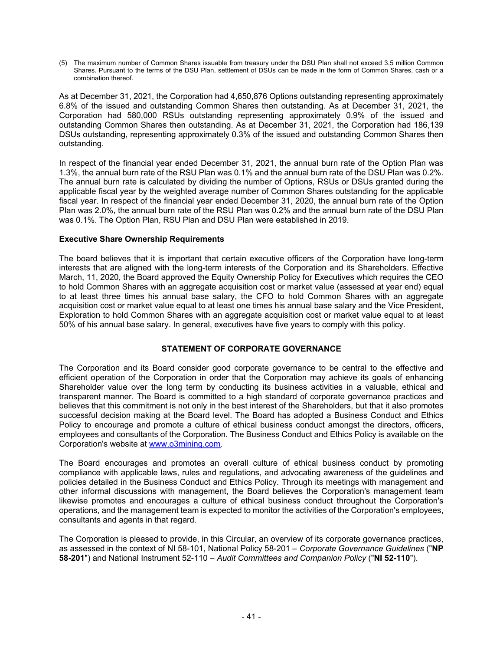(5) The maximum number of Common Shares issuable from treasury under the DSU Plan shall not exceed 3.5 million Common Shares. Pursuant to the terms of the DSU Plan, settlement of DSUs can be made in the form of Common Shares, cash or a combination thereof.

As at December 31, 2021, the Corporation had 4,650,876 Options outstanding representing approximately 6.8% of the issued and outstanding Common Shares then outstanding. As at December 31, 2021, the Corporation had 580,000 RSUs outstanding representing approximately 0.9% of the issued and outstanding Common Shares then outstanding. As at December 31, 2021, the Corporation had 186,139 DSUs outstanding, representing approximately 0.3% of the issued and outstanding Common Shares then outstanding.

In respect of the financial year ended December 31, 2021, the annual burn rate of the Option Plan was 1.3%, the annual burn rate of the RSU Plan was 0.1% and the annual burn rate of the DSU Plan was 0.2%. The annual burn rate is calculated by dividing the number of Options, RSUs or DSUs granted during the applicable fiscal year by the weighted average number of Common Shares outstanding for the applicable fiscal year. In respect of the financial year ended December 31, 2020, the annual burn rate of the Option Plan was 2.0%, the annual burn rate of the RSU Plan was 0.2% and the annual burn rate of the DSU Plan was 0.1%. The Option Plan, RSU Plan and DSU Plan were established in 2019.

### **Executive Share Ownership Requirements**

The board believes that it is important that certain executive officers of the Corporation have long-term interests that are aligned with the long-term interests of the Corporation and its Shareholders. Effective March, 11, 2020, the Board approved the Equity Ownership Policy for Executives which requires the CEO to hold Common Shares with an aggregate acquisition cost or market value (assessed at year end) equal to at least three times his annual base salary, the CFO to hold Common Shares with an aggregate acquisition cost or market value equal to at least one times his annual base salary and the Vice President, Exploration to hold Common Shares with an aggregate acquisition cost or market value equal to at least 50% of his annual base salary. In general, executives have five years to comply with this policy.

# **STATEMENT OF CORPORATE GOVERNANCE**

The Corporation and its Board consider good corporate governance to be central to the effective and efficient operation of the Corporation in order that the Corporation may achieve its goals of enhancing Shareholder value over the long term by conducting its business activities in a valuable, ethical and transparent manner. The Board is committed to a high standard of corporate governance practices and believes that this commitment is not only in the best interest of the Shareholders, but that it also promotes successful decision making at the Board level. The Board has adopted a Business Conduct and Ethics Policy to encourage and promote a culture of ethical business conduct amongst the directors, officers, employees and consultants of the Corporation. The Business Conduct and Ethics Policy is available on the Corporation's website at www.o3mining.com.

The Board encourages and promotes an overall culture of ethical business conduct by promoting compliance with applicable laws, rules and regulations, and advocating awareness of the guidelines and policies detailed in the Business Conduct and Ethics Policy. Through its meetings with management and other informal discussions with management, the Board believes the Corporation's management team likewise promotes and encourages a culture of ethical business conduct throughout the Corporation's operations, and the management team is expected to monitor the activities of the Corporation's employees, consultants and agents in that regard.

The Corporation is pleased to provide, in this Circular, an overview of its corporate governance practices, as assessed in the context of NI 58-101, National Policy 58-201 – *Corporate Governance Guidelines* ("**NP 58-201**") and National Instrument 52-110 – *Audit Committees and Companion Policy* ("**NI 52-110**").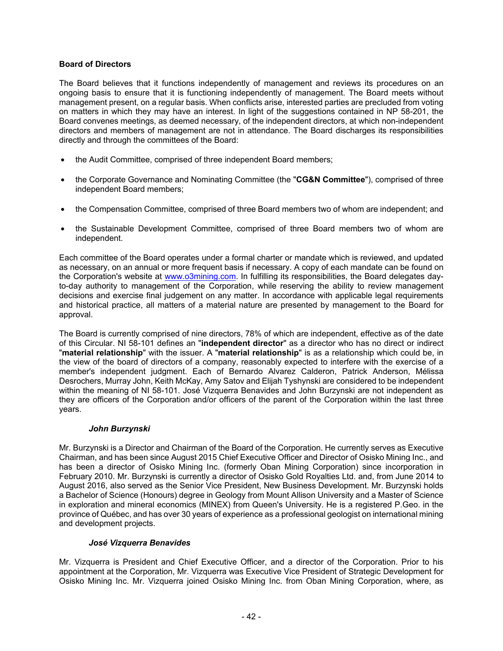### **Board of Directors**

The Board believes that it functions independently of management and reviews its procedures on an ongoing basis to ensure that it is functioning independently of management. The Board meets without management present, on a regular basis. When conflicts arise, interested parties are precluded from voting on matters in which they may have an interest. In light of the suggestions contained in NP 58-201, the Board convenes meetings, as deemed necessary, of the independent directors, at which non-independent directors and members of management are not in attendance. The Board discharges its responsibilities directly and through the committees of the Board:

- the Audit Committee, comprised of three independent Board members;
- the Corporate Governance and Nominating Committee (the "**CG&N Committee**"), comprised of three independent Board members;
- the Compensation Committee, comprised of three Board members two of whom are independent; and
- the Sustainable Development Committee, comprised of three Board members two of whom are independent.

Each committee of the Board operates under a formal charter or mandate which is reviewed, and updated as necessary, on an annual or more frequent basis if necessary. A copy of each mandate can be found on the Corporation's website at www.o3mining.com. In fulfilling its responsibilities, the Board delegates dayto-day authority to management of the Corporation, while reserving the ability to review management decisions and exercise final judgement on any matter. In accordance with applicable legal requirements and historical practice, all matters of a material nature are presented by management to the Board for approval.

The Board is currently comprised of nine directors, 78% of which are independent, effective as of the date of this Circular. NI 58-101 defines an "**independent director**" as a director who has no direct or indirect "**material relationship**" with the issuer. A "**material relationship**" is as a relationship which could be, in the view of the board of directors of a company, reasonably expected to interfere with the exercise of a member's independent judgment. Each of Bernardo Alvarez Calderon, Patrick Anderson, Mélissa Desrochers, Murray John, Keith McKay, Amy Satov and Elijah Tyshynski are considered to be independent within the meaning of NI 58-101. José Vizquerra Benavides and John Burzynski are not independent as they are officers of the Corporation and/or officers of the parent of the Corporation within the last three years.

### *John Burzynski*

Mr. Burzynski is a Director and Chairman of the Board of the Corporation. He currently serves as Executive Chairman, and has been since August 2015 Chief Executive Officer and Director of Osisko Mining Inc., and has been a director of Osisko Mining Inc. (formerly Oban Mining Corporation) since incorporation in February 2010. Mr. Burzynski is currently a director of Osisko Gold Royalties Ltd. and, from June 2014 to August 2016, also served as the Senior Vice President, New Business Development. Mr. Burzynski holds a Bachelor of Science (Honours) degree in Geology from Mount Allison University and a Master of Science in exploration and mineral economics (MINEX) from Queen's University. He is a registered P.Geo. in the province of Québec, and has over 30 years of experience as a professional geologist on international mining and development projects.

### *José Vizquerra Benavides*

Mr. Vizquerra is President and Chief Executive Officer, and a director of the Corporation. Prior to his appointment at the Corporation, Mr. Vizquerra was Executive Vice President of Strategic Development for Osisko Mining Inc. Mr. Vizquerra joined Osisko Mining Inc. from Oban Mining Corporation, where, as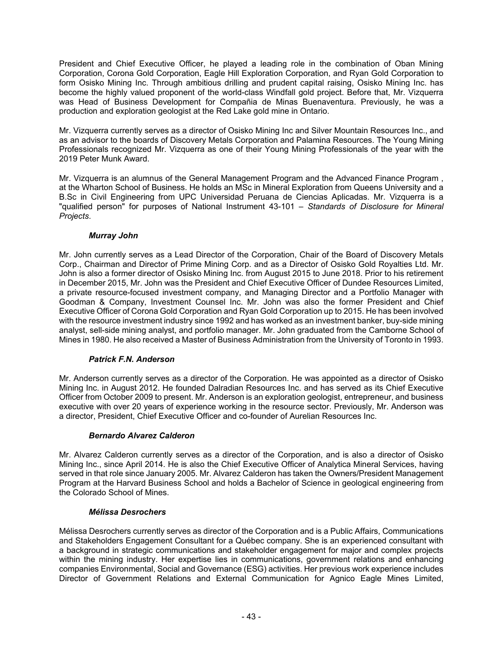President and Chief Executive Officer, he played a leading role in the combination of Oban Mining Corporation, Corona Gold Corporation, Eagle Hill Exploration Corporation, and Ryan Gold Corporation to form Osisko Mining Inc. Through ambitious drilling and prudent capital raising, Osisko Mining Inc. has become the highly valued proponent of the world-class Windfall gold project. Before that, Mr. Vizquerra was Head of Business Development for Compañia de Minas Buenaventura. Previously, he was a production and exploration geologist at the Red Lake gold mine in Ontario.

Mr. Vizquerra currently serves as a director of Osisko Mining Inc and Silver Mountain Resources Inc., and as an advisor to the boards of Discovery Metals Corporation and Palamina Resources. The Young Mining Professionals recognized Mr. Vizquerra as one of their Young Mining Professionals of the year with the 2019 Peter Munk Award.

Mr. Vizquerra is an alumnus of the General Management Program and the Advanced Finance Program , at the Wharton School of Business. He holds an MSc in Mineral Exploration from Queens University and a B.Sc in Civil Engineering from UPC Universidad Peruana de Ciencias Aplicadas. Mr. Vizquerra is a "qualified person" for purposes of National Instrument 43-101 – *Standards of Disclosure for Mineral Projects*.

# *Murray John*

Mr. John currently serves as a Lead Director of the Corporation, Chair of the Board of Discovery Metals Corp., Chairman and Director of Prime Mining Corp. and as a Director of Osisko Gold Royalties Ltd. Mr. John is also a former director of Osisko Mining Inc. from August 2015 to June 2018. Prior to his retirement in December 2015, Mr. John was the President and Chief Executive Officer of Dundee Resources Limited, a private resource-focused investment company, and Managing Director and a Portfolio Manager with Goodman & Company, Investment Counsel Inc. Mr. John was also the former President and Chief Executive Officer of Corona Gold Corporation and Ryan Gold Corporation up to 2015. He has been involved with the resource investment industry since 1992 and has worked as an investment banker, buy-side mining analyst, sell-side mining analyst, and portfolio manager. Mr. John graduated from the Camborne School of Mines in 1980. He also received a Master of Business Administration from the University of Toronto in 1993.

### *Patrick F.N. Anderson*

Mr. Anderson currently serves as a director of the Corporation. He was appointed as a director of Osisko Mining Inc. in August 2012. He founded Dalradian Resources Inc. and has served as its Chief Executive Officer from October 2009 to present. Mr. Anderson is an exploration geologist, entrepreneur, and business executive with over 20 years of experience working in the resource sector. Previously, Mr. Anderson was a director, President, Chief Executive Officer and co-founder of Aurelian Resources Inc.

# *Bernardo Alvarez Calderon*

Mr. Alvarez Calderon currently serves as a director of the Corporation, and is also a director of Osisko Mining Inc., since April 2014. He is also the Chief Executive Officer of Analytica Mineral Services, having served in that role since January 2005. Mr. Alvarez Calderon has taken the Owners/President Management Program at the Harvard Business School and holds a Bachelor of Science in geological engineering from the Colorado School of Mines.

### *Mélissa Desrochers*

Mélissa Desrochers currently serves as director of the Corporation and is a Public Affairs, Communications and Stakeholders Engagement Consultant for a Québec company. She is an experienced consultant with a background in strategic communications and stakeholder engagement for major and complex projects within the mining industry. Her expertise lies in communications, government relations and enhancing companies Environmental, Social and Governance (ESG) activities. Her previous work experience includes Director of Government Relations and External Communication for Agnico Eagle Mines Limited,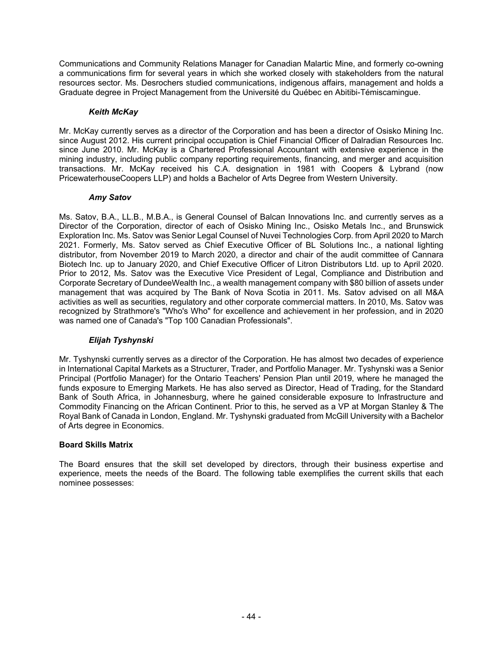Communications and Community Relations Manager for Canadian Malartic Mine, and formerly co-owning a communications firm for several years in which she worked closely with stakeholders from the natural resources sector. Ms. Desrochers studied communications, indigenous affairs, management and holds a Graduate degree in Project Management from the Université du Québec en Abitibi-Témiscamingue.

### *Keith McKay*

Mr. McKay currently serves as a director of the Corporation and has been a director of Osisko Mining Inc. since August 2012. His current principal occupation is Chief Financial Officer of Dalradian Resources Inc. since June 2010. Mr. McKay is a Chartered Professional Accountant with extensive experience in the mining industry, including public company reporting requirements, financing, and merger and acquisition transactions. Mr. McKay received his C.A. designation in 1981 with Coopers & Lybrand (now PricewaterhouseCoopers LLP) and holds a Bachelor of Arts Degree from Western University.

### *Amy Satov*

Ms. Satov, B.A., LL.B., M.B.A., is General Counsel of Balcan Innovations Inc. and currently serves as a Director of the Corporation, director of each of Osisko Mining Inc., Osisko Metals Inc., and Brunswick Exploration Inc. Ms. Satov was Senior Legal Counsel of Nuvei Technologies Corp. from April 2020 to March 2021. Formerly, Ms. Satov served as Chief Executive Officer of BL Solutions Inc., a national lighting distributor, from November 2019 to March 2020, a director and chair of the audit committee of Cannara Biotech Inc. up to January 2020, and Chief Executive Officer of Litron Distributors Ltd. up to April 2020. Prior to 2012, Ms. Satov was the Executive Vice President of Legal, Compliance and Distribution and Corporate Secretary of DundeeWealth Inc., a wealth management company with \$80 billion of assets under management that was acquired by The Bank of Nova Scotia in 2011. Ms. Satov advised on all M&A activities as well as securities, regulatory and other corporate commercial matters. In 2010, Ms. Satov was recognized by Strathmore's "Who's Who" for excellence and achievement in her profession, and in 2020 was named one of Canada's "Top 100 Canadian Professionals".

### *Elijah Tyshynski*

Mr. Tyshynski currently serves as a director of the Corporation. He has almost two decades of experience in International Capital Markets as a Structurer, Trader, and Portfolio Manager. Mr. Tyshynski was a Senior Principal (Portfolio Manager) for the Ontario Teachers' Pension Plan until 2019, where he managed the funds exposure to Emerging Markets. He has also served as Director, Head of Trading, for the Standard Bank of South Africa, in Johannesburg, where he gained considerable exposure to Infrastructure and Commodity Financing on the African Continent. Prior to this, he served as a VP at Morgan Stanley & The Royal Bank of Canada in London, England. Mr. Tyshynski graduated from McGill University with a Bachelor of Arts degree in Economics.

### **Board Skills Matrix**

The Board ensures that the skill set developed by directors, through their business expertise and experience, meets the needs of the Board. The following table exemplifies the current skills that each nominee possesses: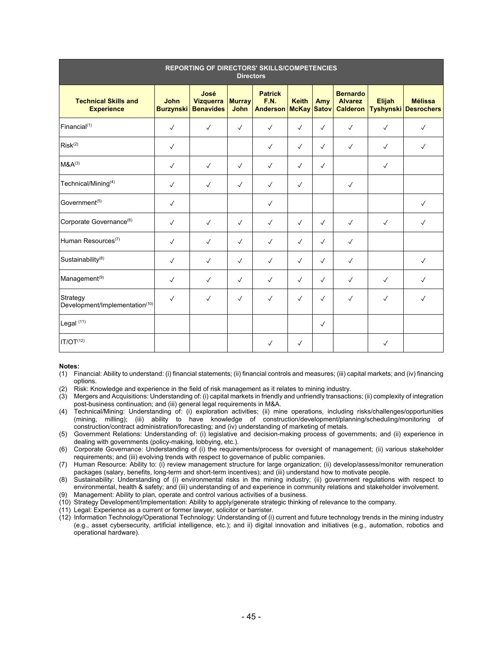| <b>REPORTING OF DIRECTORS' SKILLS/COMPETENCIES</b><br><b>Directors</b> |                                 |                                              |                       |                                           |                                    |              |                                                      |               |                                               |
|------------------------------------------------------------------------|---------------------------------|----------------------------------------------|-----------------------|-------------------------------------------|------------------------------------|--------------|------------------------------------------------------|---------------|-----------------------------------------------|
| <b>Technical Skills and</b><br><b>Experience</b>                       | <b>John</b><br><b>Burzynski</b> | José<br><b>Vizquerra</b><br><b>Benavides</b> | <b>Murray</b><br>John | <b>Patrick</b><br>F.N.<br><b>Anderson</b> | <b>Keith</b><br><b>McKay Satov</b> | Amy          | <b>Bernardo</b><br><b>Alvarez</b><br><b>Calderon</b> | <b>Elijah</b> | <b>Mélissa</b><br><b>Tyshynski Desrochers</b> |
| Financial $(1)$                                                        | $\checkmark$                    | $\checkmark$                                 | $\checkmark$          | $\checkmark$                              | $\checkmark$                       | $\checkmark$ | $\checkmark$                                         | $\checkmark$  | $\checkmark$                                  |
| Risk <sup>(2)</sup>                                                    | $\checkmark$                    |                                              |                       | $\checkmark$                              | $\checkmark$                       | $\checkmark$ | $\checkmark$                                         | $\checkmark$  | $\checkmark$                                  |
| $M&A^{(3)}$                                                            | $\checkmark$                    | $\checkmark$                                 | $\checkmark$          | $\checkmark$                              | $\checkmark$                       | $\checkmark$ |                                                      | $\checkmark$  |                                               |
| Technical/Mining <sup>(4)</sup>                                        | $\checkmark$                    | $\checkmark$                                 | $\checkmark$          | $\checkmark$                              | $\checkmark$                       |              | $\checkmark$                                         |               |                                               |
| Government <sup>(5)</sup>                                              | $\checkmark$                    |                                              |                       | $\checkmark$                              |                                    |              |                                                      |               | $\checkmark$                                  |
| Corporate Governance <sup>(6)</sup>                                    | $\checkmark$                    | $\checkmark$                                 | $\checkmark$          | $\checkmark$                              | $\checkmark$                       | $\checkmark$ | $\checkmark$                                         | $\checkmark$  | $\checkmark$                                  |
| Human Resources <sup>(7)</sup>                                         | $\checkmark$                    | $\checkmark$                                 | $\checkmark$          | $\checkmark$                              | $\checkmark$                       | $\checkmark$ | $\checkmark$                                         |               |                                               |
| Sustainability <sup>(8)</sup>                                          | $\checkmark$                    | $\checkmark$                                 | $\checkmark$          | $\checkmark$                              | $\checkmark$                       | $\checkmark$ | $\checkmark$                                         |               | $\checkmark$                                  |
| Management <sup>(9)</sup>                                              | $\checkmark$                    | $\checkmark$                                 | $\checkmark$          | $\checkmark$                              | $\checkmark$                       | $\checkmark$ | $\checkmark$                                         | $\checkmark$  | $\checkmark$                                  |
| Strategy<br>Development/Implementation(10)                             | $\checkmark$                    | $\checkmark$                                 | $\checkmark$          | $\checkmark$                              | $\checkmark$                       | $\checkmark$ | $\checkmark$                                         | $\checkmark$  | $\sqrt{ }$                                    |
| Legal <sup>(11)</sup>                                                  |                                 |                                              |                       |                                           |                                    | $\checkmark$ |                                                      |               |                                               |
| IT/OT <sup>(12)</sup>                                                  |                                 |                                              |                       | $\checkmark$                              | $\checkmark$                       |              |                                                      | $\checkmark$  |                                               |

#### **Notes:**

(1) Financial: Ability to understand: (i) financial statements; (ii) financial controls and measures; (iii) capital markets; and (iv) financing options.

(2) Risk: Knowledge and experience in the field of risk management as it relates to mining industry.

(3) Mergers and Acquisitions: Understanding of: (i) capital markets in friendly and unfriendly transactions; (ii) complexity of integration post-business continuation; and (iii) general legal requirements in M&A.

(4) Technical/Mining: Understanding of: (i) exploration activities; (ii) mine operations, including risks/challenges/opportunities (mining, milling); (iii) ability to have knowledge of construction/development/planning/scheduling/monitoring of construction/contract administration/forecasting; and (iv) understanding of marketing of metals.

(5) Government Relations: Understanding of: (i) legislative and decision-making process of governments; and (ii) experience in dealing with governments (policy-making, lobbying, etc.).

(6) Corporate Governance: Understanding of (i) the requirements/process for oversight of management; (ii) various stakeholder requirements; and (iii) evolving trends with respect to governance of public companies.

(7) Human Resource: Ability to: (i) review management structure for large organization; (ii) develop/assess/monitor remuneration packages (salary, benefits, long-term and short-term incentives); and (iii) understand how to motivate people.

(8) Sustainability: Understanding of (i) environmental risks in the mining industry; (ii) government regulations with respect to environmental, health & safety; and (iii) understanding of and experience in community relations and stakeholder involvement.

(9) Management: Ability to plan, operate and control various activities of a business.

(10) Strategy Development/Implementation: Ability to apply/generate strategic thinking of relevance to the company.

(11) Legal: Experience as a current or former lawyer, solicitor or barrister.

(12) Information Technology/Operational Technology: Understanding of (i) current and future technology trends in the mining industry (e.g., asset cybersecurity, artificial intelligence, etc.); and ii) digital innovation and initiatives (e.g., automation, robotics and operational hardware).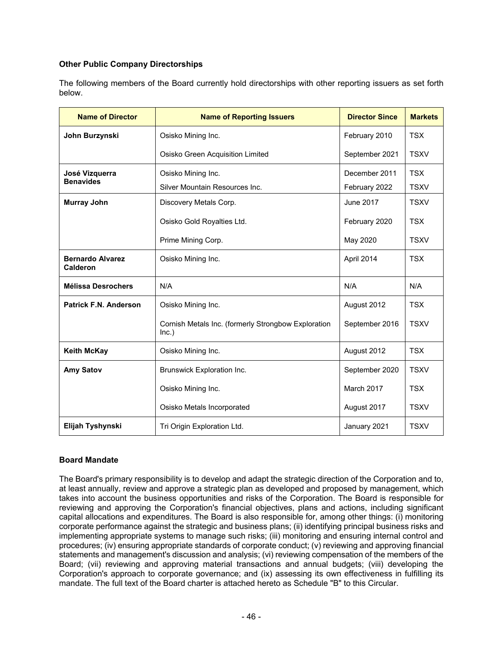# **Other Public Company Directorships**

The following members of the Board currently hold directorships with other reporting issuers as set forth below.

| <b>Name of Director</b>                    | <b>Name of Reporting Issuers</b>                             | <b>Director Since</b> | <b>Markets</b> |
|--------------------------------------------|--------------------------------------------------------------|-----------------------|----------------|
| John Burzynski                             | Osisko Mining Inc.                                           | February 2010         | <b>TSX</b>     |
|                                            | Osisko Green Acquisition Limited                             | September 2021        | <b>TSXV</b>    |
| José Vizquerra                             | Osisko Mining Inc.                                           | December 2011         | <b>TSX</b>     |
| <b>Benavides</b>                           | Silver Mountain Resources Inc.                               | February 2022         | <b>TSXV</b>    |
| <b>Murray John</b>                         | Discovery Metals Corp.                                       | <b>June 2017</b>      | <b>TSXV</b>    |
|                                            | Osisko Gold Royalties Ltd.                                   | February 2020         | <b>TSX</b>     |
|                                            | Prime Mining Corp.                                           | May 2020              | <b>TSXV</b>    |
| <b>Bernardo Alvarez</b><br><b>Calderon</b> | Osisko Mining Inc.                                           | April 2014            | <b>TSX</b>     |
| <b>Mélissa Desrochers</b>                  | N/A                                                          | N/A                   | N/A            |
| <b>Patrick F.N. Anderson</b>               | Osisko Mining Inc.                                           | August 2012           | <b>TSX</b>     |
|                                            | Cornish Metals Inc. (formerly Strongbow Exploration<br>Inc.) | September 2016        | <b>TSXV</b>    |
| <b>Keith McKay</b>                         | Osisko Mining Inc.                                           | August 2012           | <b>TSX</b>     |
| <b>Amy Satov</b>                           | Brunswick Exploration Inc.                                   | September 2020        | <b>TSXV</b>    |
|                                            | Osisko Mining Inc.                                           | March 2017            | <b>TSX</b>     |
|                                            | Osisko Metals Incorporated                                   | August 2017           | <b>TSXV</b>    |
| Elijah Tyshynski                           | Tri Origin Exploration Ltd.<br>January 2021                  |                       | <b>TSXV</b>    |

### **Board Mandate**

The Board's primary responsibility is to develop and adapt the strategic direction of the Corporation and to, at least annually, review and approve a strategic plan as developed and proposed by management, which takes into account the business opportunities and risks of the Corporation. The Board is responsible for reviewing and approving the Corporation's financial objectives, plans and actions, including significant capital allocations and expenditures. The Board is also responsible for, among other things: (i) monitoring corporate performance against the strategic and business plans; (ii) identifying principal business risks and implementing appropriate systems to manage such risks; (iii) monitoring and ensuring internal control and procedures; (iv) ensuring appropriate standards of corporate conduct; (v) reviewing and approving financial statements and management's discussion and analysis; (vi) reviewing compensation of the members of the Board; (vii) reviewing and approving material transactions and annual budgets; (viii) developing the Corporation's approach to corporate governance; and (ix) assessing its own effectiveness in fulfilling its mandate. The full text of the Board charter is attached hereto as Schedule "B" to this Circular.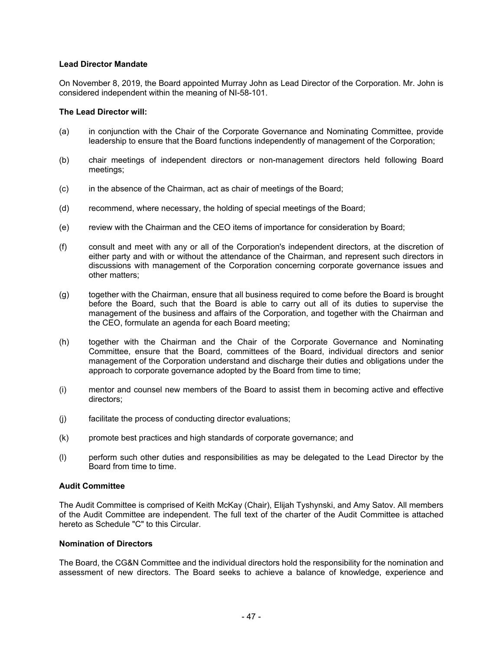#### **Lead Director Mandate**

On November 8, 2019, the Board appointed Murray John as Lead Director of the Corporation. Mr. John is considered independent within the meaning of NI-58-101.

#### **The Lead Director will:**

- (a) in conjunction with the Chair of the Corporate Governance and Nominating Committee, provide leadership to ensure that the Board functions independently of management of the Corporation;
- (b) chair meetings of independent directors or non-management directors held following Board meetings;
- (c) in the absence of the Chairman, act as chair of meetings of the Board;
- (d) recommend, where necessary, the holding of special meetings of the Board;
- (e) review with the Chairman and the CEO items of importance for consideration by Board;
- (f) consult and meet with any or all of the Corporation's independent directors, at the discretion of either party and with or without the attendance of the Chairman, and represent such directors in discussions with management of the Corporation concerning corporate governance issues and other matters;
- (g) together with the Chairman, ensure that all business required to come before the Board is brought before the Board, such that the Board is able to carry out all of its duties to supervise the management of the business and affairs of the Corporation, and together with the Chairman and the CEO, formulate an agenda for each Board meeting;
- (h) together with the Chairman and the Chair of the Corporate Governance and Nominating Committee, ensure that the Board, committees of the Board, individual directors and senior management of the Corporation understand and discharge their duties and obligations under the approach to corporate governance adopted by the Board from time to time;
- (i) mentor and counsel new members of the Board to assist them in becoming active and effective directors;
- (j) facilitate the process of conducting director evaluations;
- (k) promote best practices and high standards of corporate governance; and
- (l) perform such other duties and responsibilities as may be delegated to the Lead Director by the Board from time to time.

#### **Audit Committee**

The Audit Committee is comprised of Keith McKay (Chair), Elijah Tyshynski, and Amy Satov. All members of the Audit Committee are independent. The full text of the charter of the Audit Committee is attached hereto as Schedule "C" to this Circular.

#### **Nomination of Directors**

The Board, the CG&N Committee and the individual directors hold the responsibility for the nomination and assessment of new directors. The Board seeks to achieve a balance of knowledge, experience and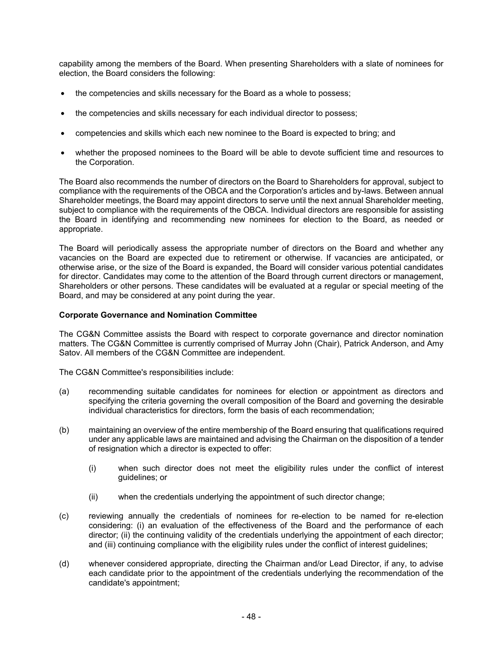capability among the members of the Board. When presenting Shareholders with a slate of nominees for election, the Board considers the following:

- the competencies and skills necessary for the Board as a whole to possess;
- the competencies and skills necessary for each individual director to possess;
- competencies and skills which each new nominee to the Board is expected to bring; and
- whether the proposed nominees to the Board will be able to devote sufficient time and resources to the Corporation.

The Board also recommends the number of directors on the Board to Shareholders for approval, subject to compliance with the requirements of the OBCA and the Corporation's articles and by-laws. Between annual Shareholder meetings, the Board may appoint directors to serve until the next annual Shareholder meeting, subject to compliance with the requirements of the OBCA. Individual directors are responsible for assisting the Board in identifying and recommending new nominees for election to the Board, as needed or appropriate.

The Board will periodically assess the appropriate number of directors on the Board and whether any vacancies on the Board are expected due to retirement or otherwise. If vacancies are anticipated, or otherwise arise, or the size of the Board is expanded, the Board will consider various potential candidates for director. Candidates may come to the attention of the Board through current directors or management, Shareholders or other persons. These candidates will be evaluated at a regular or special meeting of the Board, and may be considered at any point during the year.

#### **Corporate Governance and Nomination Committee**

The CG&N Committee assists the Board with respect to corporate governance and director nomination matters. The CG&N Committee is currently comprised of Murray John (Chair), Patrick Anderson, and Amy Satov. All members of the CG&N Committee are independent.

The CG&N Committee's responsibilities include:

- (a) recommending suitable candidates for nominees for election or appointment as directors and specifying the criteria governing the overall composition of the Board and governing the desirable individual characteristics for directors, form the basis of each recommendation;
- (b) maintaining an overview of the entire membership of the Board ensuring that qualifications required under any applicable laws are maintained and advising the Chairman on the disposition of a tender of resignation which a director is expected to offer:
	- (i) when such director does not meet the eligibility rules under the conflict of interest guidelines; or
	- (ii) when the credentials underlying the appointment of such director change;
- (c) reviewing annually the credentials of nominees for re-election to be named for re-election considering: (i) an evaluation of the effectiveness of the Board and the performance of each director; (ii) the continuing validity of the credentials underlying the appointment of each director; and (iii) continuing compliance with the eligibility rules under the conflict of interest guidelines;
- (d) whenever considered appropriate, directing the Chairman and/or Lead Director, if any, to advise each candidate prior to the appointment of the credentials underlying the recommendation of the candidate's appointment;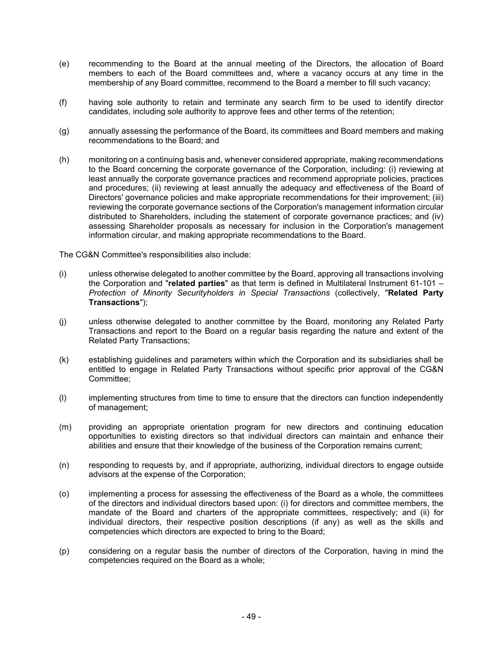- (e) recommending to the Board at the annual meeting of the Directors, the allocation of Board members to each of the Board committees and, where a vacancy occurs at any time in the membership of any Board committee, recommend to the Board a member to fill such vacancy;
- (f) having sole authority to retain and terminate any search firm to be used to identify director candidates, including sole authority to approve fees and other terms of the retention;
- (g) annually assessing the performance of the Board, its committees and Board members and making recommendations to the Board; and
- (h) monitoring on a continuing basis and, whenever considered appropriate, making recommendations to the Board concerning the corporate governance of the Corporation, including: (i) reviewing at least annually the corporate governance practices and recommend appropriate policies, practices and procedures; (ii) reviewing at least annually the adequacy and effectiveness of the Board of Directors' governance policies and make appropriate recommendations for their improvement; (iii) reviewing the corporate governance sections of the Corporation's management information circular distributed to Shareholders, including the statement of corporate governance practices; and (iv) assessing Shareholder proposals as necessary for inclusion in the Corporation's management information circular, and making appropriate recommendations to the Board.

The CG&N Committee's responsibilities also include:

- (i) unless otherwise delegated to another committee by the Board, approving all transactions involving the Corporation and "**related parties**" as that term is defined in Multilateral Instrument 61-101 – *Protection of Minority Securityholders in Special Transactions* (collectively, "**Related Party Transactions**");
- (j) unless otherwise delegated to another committee by the Board, monitoring any Related Party Transactions and report to the Board on a regular basis regarding the nature and extent of the Related Party Transactions;
- (k) establishing guidelines and parameters within which the Corporation and its subsidiaries shall be entitled to engage in Related Party Transactions without specific prior approval of the CG&N Committee;
- (l) implementing structures from time to time to ensure that the directors can function independently of management;
- (m) providing an appropriate orientation program for new directors and continuing education opportunities to existing directors so that individual directors can maintain and enhance their abilities and ensure that their knowledge of the business of the Corporation remains current;
- (n) responding to requests by, and if appropriate, authorizing, individual directors to engage outside advisors at the expense of the Corporation;
- (o) implementing a process for assessing the effectiveness of the Board as a whole, the committees of the directors and individual directors based upon: (i) for directors and committee members, the mandate of the Board and charters of the appropriate committees, respectively; and (ii) for individual directors, their respective position descriptions (if any) as well as the skills and competencies which directors are expected to bring to the Board;
- (p) considering on a regular basis the number of directors of the Corporation, having in mind the competencies required on the Board as a whole;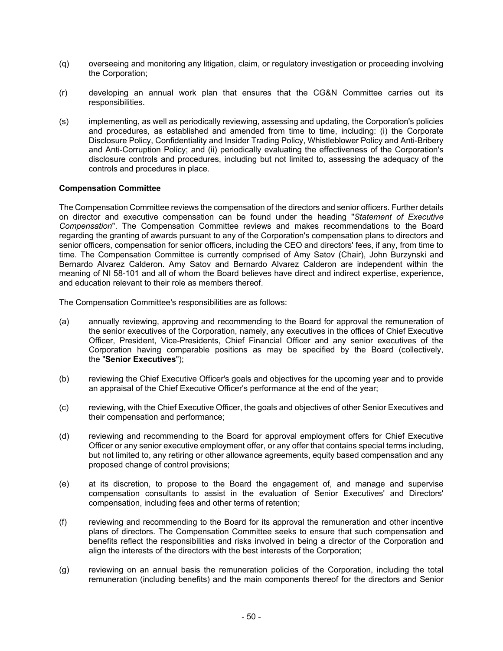- (q) overseeing and monitoring any litigation, claim, or regulatory investigation or proceeding involving the Corporation;
- (r) developing an annual work plan that ensures that the CG&N Committee carries out its responsibilities.
- (s) implementing, as well as periodically reviewing, assessing and updating, the Corporation's policies and procedures, as established and amended from time to time, including: (i) the Corporate Disclosure Policy, Confidentiality and Insider Trading Policy, Whistleblower Policy and Anti-Bribery and Anti-Corruption Policy; and (ii) periodically evaluating the effectiveness of the Corporation's disclosure controls and procedures, including but not limited to, assessing the adequacy of the controls and procedures in place.

#### **Compensation Committee**

The Compensation Committee reviews the compensation of the directors and senior officers. Further details on director and executive compensation can be found under the heading "*Statement of Executive Compensation*". The Compensation Committee reviews and makes recommendations to the Board regarding the granting of awards pursuant to any of the Corporation's compensation plans to directors and senior officers, compensation for senior officers, including the CEO and directors' fees, if any, from time to time. The Compensation Committee is currently comprised of Amy Satov (Chair), John Burzynski and Bernardo Alvarez Calderon. Amy Satov and Bernardo Alvarez Calderon are independent within the meaning of NI 58-101 and all of whom the Board believes have direct and indirect expertise, experience, and education relevant to their role as members thereof.

The Compensation Committee's responsibilities are as follows:

- (a) annually reviewing, approving and recommending to the Board for approval the remuneration of the senior executives of the Corporation, namely, any executives in the offices of Chief Executive Officer, President, Vice-Presidents, Chief Financial Officer and any senior executives of the Corporation having comparable positions as may be specified by the Board (collectively, the "**Senior Executives**");
- (b) reviewing the Chief Executive Officer's goals and objectives for the upcoming year and to provide an appraisal of the Chief Executive Officer's performance at the end of the year;
- (c) reviewing, with the Chief Executive Officer, the goals and objectives of other Senior Executives and their compensation and performance;
- (d) reviewing and recommending to the Board for approval employment offers for Chief Executive Officer or any senior executive employment offer, or any offer that contains special terms including, but not limited to, any retiring or other allowance agreements, equity based compensation and any proposed change of control provisions;
- (e) at its discretion, to propose to the Board the engagement of, and manage and supervise compensation consultants to assist in the evaluation of Senior Executives' and Directors' compensation, including fees and other terms of retention;
- (f) reviewing and recommending to the Board for its approval the remuneration and other incentive plans of directors. The Compensation Committee seeks to ensure that such compensation and benefits reflect the responsibilities and risks involved in being a director of the Corporation and align the interests of the directors with the best interests of the Corporation;
- (g) reviewing on an annual basis the remuneration policies of the Corporation, including the total remuneration (including benefits) and the main components thereof for the directors and Senior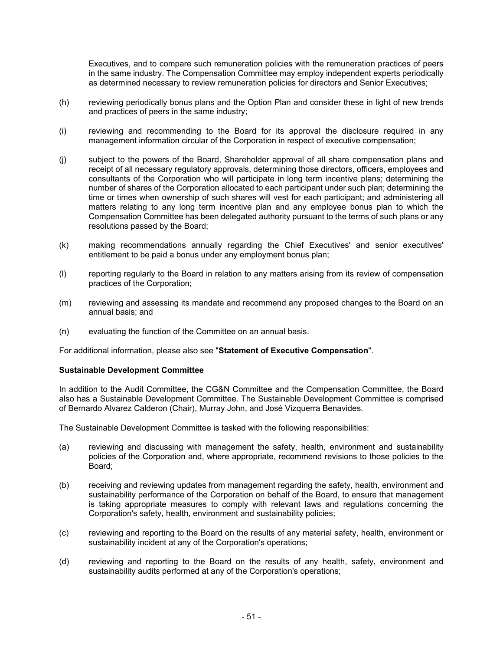Executives, and to compare such remuneration policies with the remuneration practices of peers in the same industry. The Compensation Committee may employ independent experts periodically as determined necessary to review remuneration policies for directors and Senior Executives;

- (h) reviewing periodically bonus plans and the Option Plan and consider these in light of new trends and practices of peers in the same industry;
- (i) reviewing and recommending to the Board for its approval the disclosure required in any management information circular of the Corporation in respect of executive compensation;
- (j) subject to the powers of the Board, Shareholder approval of all share compensation plans and receipt of all necessary regulatory approvals, determining those directors, officers, employees and consultants of the Corporation who will participate in long term incentive plans; determining the number of shares of the Corporation allocated to each participant under such plan; determining the time or times when ownership of such shares will vest for each participant; and administering all matters relating to any long term incentive plan and any employee bonus plan to which the Compensation Committee has been delegated authority pursuant to the terms of such plans or any resolutions passed by the Board;
- (k) making recommendations annually regarding the Chief Executives' and senior executives' entitlement to be paid a bonus under any employment bonus plan;
- (l) reporting regularly to the Board in relation to any matters arising from its review of compensation practices of the Corporation;
- (m) reviewing and assessing its mandate and recommend any proposed changes to the Board on an annual basis; and
- (n) evaluating the function of the Committee on an annual basis.

For additional information, please also see "**Statement of Executive Compensation**".

#### **Sustainable Development Committee**

In addition to the Audit Committee, the CG&N Committee and the Compensation Committee, the Board also has a Sustainable Development Committee. The Sustainable Development Committee is comprised of Bernardo Alvarez Calderon (Chair), Murray John, and José Vizquerra Benavides.

The Sustainable Development Committee is tasked with the following responsibilities:

- (a) reviewing and discussing with management the safety, health, environment and sustainability policies of the Corporation and, where appropriate, recommend revisions to those policies to the Board;
- (b) receiving and reviewing updates from management regarding the safety, health, environment and sustainability performance of the Corporation on behalf of the Board, to ensure that management is taking appropriate measures to comply with relevant laws and regulations concerning the Corporation's safety, health, environment and sustainability policies;
- (c) reviewing and reporting to the Board on the results of any material safety, health, environment or sustainability incident at any of the Corporation's operations;
- (d) reviewing and reporting to the Board on the results of any health, safety, environment and sustainability audits performed at any of the Corporation's operations;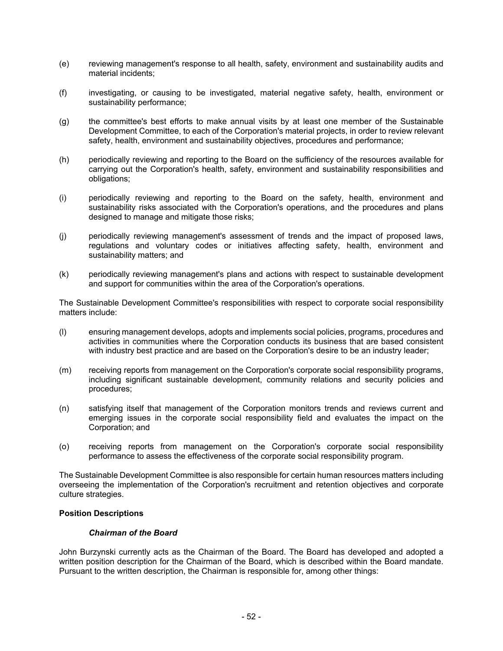- (e) reviewing management's response to all health, safety, environment and sustainability audits and material incidents;
- (f) investigating, or causing to be investigated, material negative safety, health, environment or sustainability performance;
- (g) the committee's best efforts to make annual visits by at least one member of the Sustainable Development Committee, to each of the Corporation's material projects, in order to review relevant safety, health, environment and sustainability objectives, procedures and performance;
- (h) periodically reviewing and reporting to the Board on the sufficiency of the resources available for carrying out the Corporation's health, safety, environment and sustainability responsibilities and obligations;
- (i) periodically reviewing and reporting to the Board on the safety, health, environment and sustainability risks associated with the Corporation's operations, and the procedures and plans designed to manage and mitigate those risks;
- (j) periodically reviewing management's assessment of trends and the impact of proposed laws, regulations and voluntary codes or initiatives affecting safety, health, environment and sustainability matters; and
- (k) periodically reviewing management's plans and actions with respect to sustainable development and support for communities within the area of the Corporation's operations.

The Sustainable Development Committee's responsibilities with respect to corporate social responsibility matters include:

- (l) ensuring management develops, adopts and implements social policies, programs, procedures and activities in communities where the Corporation conducts its business that are based consistent with industry best practice and are based on the Corporation's desire to be an industry leader;
- (m) receiving reports from management on the Corporation's corporate social responsibility programs, including significant sustainable development, community relations and security policies and procedures;
- (n) satisfying itself that management of the Corporation monitors trends and reviews current and emerging issues in the corporate social responsibility field and evaluates the impact on the Corporation; and
- (o) receiving reports from management on the Corporation's corporate social responsibility performance to assess the effectiveness of the corporate social responsibility program.

The Sustainable Development Committee is also responsible for certain human resources matters including overseeing the implementation of the Corporation's recruitment and retention objectives and corporate culture strategies.

#### **Position Descriptions**

#### *Chairman of the Board*

John Burzynski currently acts as the Chairman of the Board. The Board has developed and adopted a written position description for the Chairman of the Board, which is described within the Board mandate. Pursuant to the written description, the Chairman is responsible for, among other things: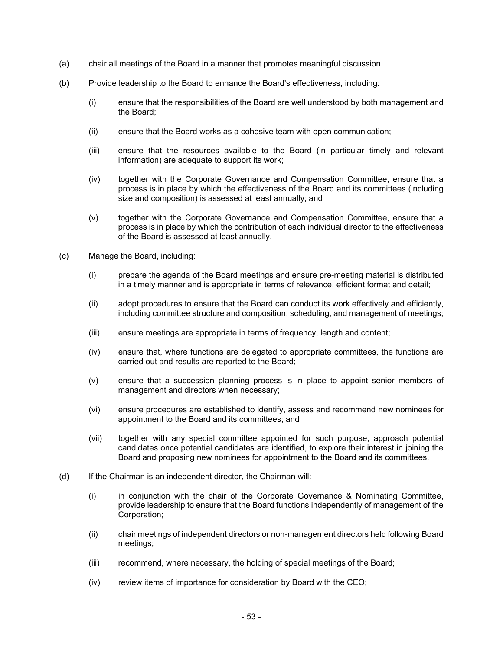- (a) chair all meetings of the Board in a manner that promotes meaningful discussion.
- (b) Provide leadership to the Board to enhance the Board's effectiveness, including:
	- (i) ensure that the responsibilities of the Board are well understood by both management and the Board;
	- (ii) ensure that the Board works as a cohesive team with open communication;
	- (iii) ensure that the resources available to the Board (in particular timely and relevant information) are adequate to support its work;
	- (iv) together with the Corporate Governance and Compensation Committee, ensure that a process is in place by which the effectiveness of the Board and its committees (including size and composition) is assessed at least annually; and
	- (v) together with the Corporate Governance and Compensation Committee, ensure that a process is in place by which the contribution of each individual director to the effectiveness of the Board is assessed at least annually.
- (c) Manage the Board, including:
	- (i) prepare the agenda of the Board meetings and ensure pre-meeting material is distributed in a timely manner and is appropriate in terms of relevance, efficient format and detail;
	- (ii) adopt procedures to ensure that the Board can conduct its work effectively and efficiently, including committee structure and composition, scheduling, and management of meetings;
	- (iii) ensure meetings are appropriate in terms of frequency, length and content;
	- (iv) ensure that, where functions are delegated to appropriate committees, the functions are carried out and results are reported to the Board;
	- (v) ensure that a succession planning process is in place to appoint senior members of management and directors when necessary;
	- (vi) ensure procedures are established to identify, assess and recommend new nominees for appointment to the Board and its committees; and
	- (vii) together with any special committee appointed for such purpose, approach potential candidates once potential candidates are identified, to explore their interest in joining the Board and proposing new nominees for appointment to the Board and its committees.
- (d) If the Chairman is an independent director, the Chairman will:
	- (i) in conjunction with the chair of the Corporate Governance & Nominating Committee, provide leadership to ensure that the Board functions independently of management of the Corporation;
	- (ii) chair meetings of independent directors or non-management directors held following Board meetings;
	- (iii) recommend, where necessary, the holding of special meetings of the Board;
	- (iv) review items of importance for consideration by Board with the CEO;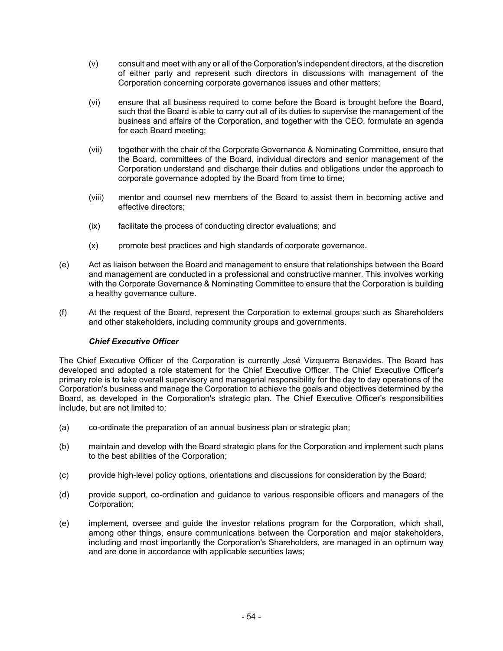- (v) consult and meet with any or all of the Corporation's independent directors, at the discretion of either party and represent such directors in discussions with management of the Corporation concerning corporate governance issues and other matters;
- (vi) ensure that all business required to come before the Board is brought before the Board, such that the Board is able to carry out all of its duties to supervise the management of the business and affairs of the Corporation, and together with the CEO, formulate an agenda for each Board meeting;
- (vii) together with the chair of the Corporate Governance & Nominating Committee, ensure that the Board, committees of the Board, individual directors and senior management of the Corporation understand and discharge their duties and obligations under the approach to corporate governance adopted by the Board from time to time;
- (viii) mentor and counsel new members of the Board to assist them in becoming active and effective directors;
- (ix) facilitate the process of conducting director evaluations; and
- (x) promote best practices and high standards of corporate governance.
- (e) Act as liaison between the Board and management to ensure that relationships between the Board and management are conducted in a professional and constructive manner. This involves working with the Corporate Governance & Nominating Committee to ensure that the Corporation is building a healthy governance culture.
- (f) At the request of the Board, represent the Corporation to external groups such as Shareholders and other stakeholders, including community groups and governments.

### *Chief Executive Officer*

The Chief Executive Officer of the Corporation is currently José Vizquerra Benavides. The Board has developed and adopted a role statement for the Chief Executive Officer. The Chief Executive Officer's primary role is to take overall supervisory and managerial responsibility for the day to day operations of the Corporation's business and manage the Corporation to achieve the goals and objectives determined by the Board, as developed in the Corporation's strategic plan. The Chief Executive Officer's responsibilities include, but are not limited to:

- (a) co-ordinate the preparation of an annual business plan or strategic plan;
- (b) maintain and develop with the Board strategic plans for the Corporation and implement such plans to the best abilities of the Corporation;
- (c) provide high-level policy options, orientations and discussions for consideration by the Board;
- (d) provide support, co-ordination and guidance to various responsible officers and managers of the Corporation;
- (e) implement, oversee and guide the investor relations program for the Corporation, which shall, among other things, ensure communications between the Corporation and major stakeholders, including and most importantly the Corporation's Shareholders, are managed in an optimum way and are done in accordance with applicable securities laws;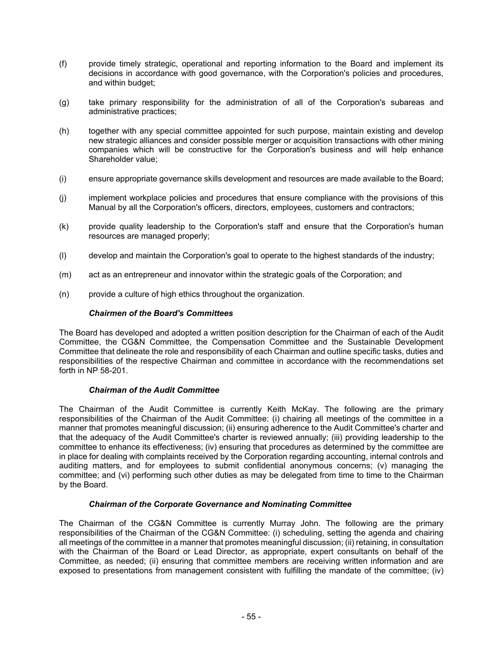- (f) provide timely strategic, operational and reporting information to the Board and implement its decisions in accordance with good governance, with the Corporation's policies and procedures, and within budget;
- (g) take primary responsibility for the administration of all of the Corporation's subareas and administrative practices;
- (h) together with any special committee appointed for such purpose, maintain existing and develop new strategic alliances and consider possible merger or acquisition transactions with other mining companies which will be constructive for the Corporation's business and will help enhance Shareholder value;
- (i) ensure appropriate governance skills development and resources are made available to the Board;
- (j) implement workplace policies and procedures that ensure compliance with the provisions of this Manual by all the Corporation's officers, directors, employees, customers and contractors;
- (k) provide quality leadership to the Corporation's staff and ensure that the Corporation's human resources are managed properly;
- (l) develop and maintain the Corporation's goal to operate to the highest standards of the industry;
- (m) act as an entrepreneur and innovator within the strategic goals of the Corporation; and
- (n) provide a culture of high ethics throughout the organization.

#### *Chairmen of the Board's Committees*

The Board has developed and adopted a written position description for the Chairman of each of the Audit Committee, the CG&N Committee, the Compensation Committee and the Sustainable Development Committee that delineate the role and responsibility of each Chairman and outline specific tasks, duties and responsibilities of the respective Chairman and committee in accordance with the recommendations set forth in NP 58-201.

#### *Chairman of the Audit Committee*

The Chairman of the Audit Committee is currently Keith McKay. The following are the primary responsibilities of the Chairman of the Audit Committee: (i) chairing all meetings of the committee in a manner that promotes meaningful discussion; (ii) ensuring adherence to the Audit Committee's charter and that the adequacy of the Audit Committee's charter is reviewed annually; (iii) providing leadership to the committee to enhance its effectiveness; (iv) ensuring that procedures as determined by the committee are in place for dealing with complaints received by the Corporation regarding accounting, internal controls and auditing matters, and for employees to submit confidential anonymous concerns; (v) managing the committee; and (vi) performing such other duties as may be delegated from time to time to the Chairman by the Board.

#### *Chairman of the Corporate Governance and Nominating Committee*

The Chairman of the CG&N Committee is currently Murray John. The following are the primary responsibilities of the Chairman of the CG&N Committee: (i) scheduling, setting the agenda and chairing all meetings of the committee in a manner that promotes meaningful discussion; (ii) retaining, in consultation with the Chairman of the Board or Lead Director, as appropriate, expert consultants on behalf of the Committee, as needed; (ii) ensuring that committee members are receiving written information and are exposed to presentations from management consistent with fulfilling the mandate of the committee; (iv)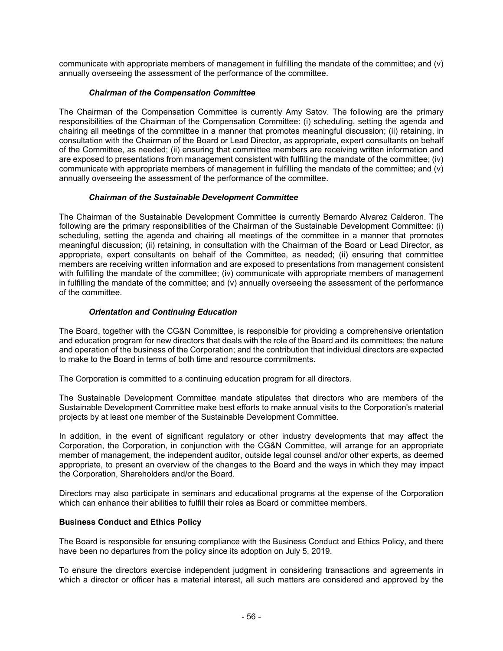communicate with appropriate members of management in fulfilling the mandate of the committee; and (v) annually overseeing the assessment of the performance of the committee.

### *Chairman of the Compensation Committee*

The Chairman of the Compensation Committee is currently Amy Satov. The following are the primary responsibilities of the Chairman of the Compensation Committee: (i) scheduling, setting the agenda and chairing all meetings of the committee in a manner that promotes meaningful discussion; (ii) retaining, in consultation with the Chairman of the Board or Lead Director, as appropriate, expert consultants on behalf of the Committee, as needed; (ii) ensuring that committee members are receiving written information and are exposed to presentations from management consistent with fulfilling the mandate of the committee; (iv) communicate with appropriate members of management in fulfilling the mandate of the committee; and (v) annually overseeing the assessment of the performance of the committee.

### *Chairman of the Sustainable Development Committee*

The Chairman of the Sustainable Development Committee is currently Bernardo Alvarez Calderon. The following are the primary responsibilities of the Chairman of the Sustainable Development Committee: (i) scheduling, setting the agenda and chairing all meetings of the committee in a manner that promotes meaningful discussion; (ii) retaining, in consultation with the Chairman of the Board or Lead Director, as appropriate, expert consultants on behalf of the Committee, as needed; (ii) ensuring that committee members are receiving written information and are exposed to presentations from management consistent with fulfilling the mandate of the committee; (iv) communicate with appropriate members of management in fulfilling the mandate of the committee; and  $(v)$  annually overseeing the assessment of the performance of the committee.

# *Orientation and Continuing Education*

The Board, together with the CG&N Committee, is responsible for providing a comprehensive orientation and education program for new directors that deals with the role of the Board and its committees; the nature and operation of the business of the Corporation; and the contribution that individual directors are expected to make to the Board in terms of both time and resource commitments.

The Corporation is committed to a continuing education program for all directors.

The Sustainable Development Committee mandate stipulates that directors who are members of the Sustainable Development Committee make best efforts to make annual visits to the Corporation's material projects by at least one member of the Sustainable Development Committee.

In addition, in the event of significant regulatory or other industry developments that may affect the Corporation, the Corporation, in conjunction with the CG&N Committee, will arrange for an appropriate member of management, the independent auditor, outside legal counsel and/or other experts, as deemed appropriate, to present an overview of the changes to the Board and the ways in which they may impact the Corporation, Shareholders and/or the Board.

Directors may also participate in seminars and educational programs at the expense of the Corporation which can enhance their abilities to fulfill their roles as Board or committee members.

### **Business Conduct and Ethics Policy**

The Board is responsible for ensuring compliance with the Business Conduct and Ethics Policy, and there have been no departures from the policy since its adoption on July 5, 2019.

To ensure the directors exercise independent judgment in considering transactions and agreements in which a director or officer has a material interest, all such matters are considered and approved by the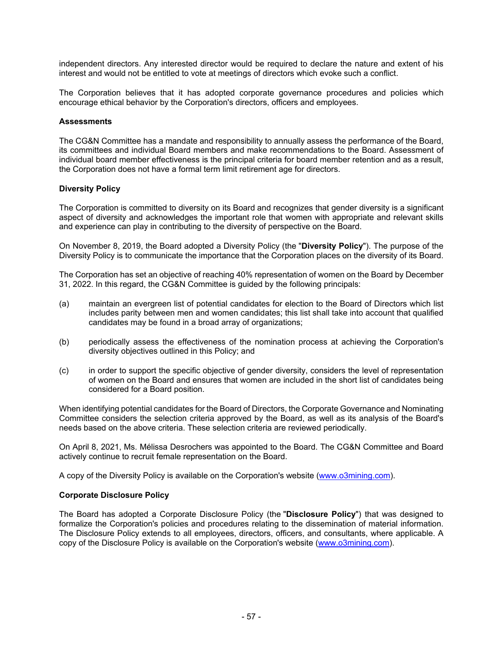independent directors. Any interested director would be required to declare the nature and extent of his interest and would not be entitled to vote at meetings of directors which evoke such a conflict.

The Corporation believes that it has adopted corporate governance procedures and policies which encourage ethical behavior by the Corporation's directors, officers and employees.

#### **Assessments**

The CG&N Committee has a mandate and responsibility to annually assess the performance of the Board, its committees and individual Board members and make recommendations to the Board. Assessment of individual board member effectiveness is the principal criteria for board member retention and as a result, the Corporation does not have a formal term limit retirement age for directors.

### **Diversity Policy**

The Corporation is committed to diversity on its Board and recognizes that gender diversity is a significant aspect of diversity and acknowledges the important role that women with appropriate and relevant skills and experience can play in contributing to the diversity of perspective on the Board.

On November 8, 2019, the Board adopted a Diversity Policy (the "**Diversity Policy**"). The purpose of the Diversity Policy is to communicate the importance that the Corporation places on the diversity of its Board.

The Corporation has set an objective of reaching 40% representation of women on the Board by December 31, 2022. In this regard, the CG&N Committee is guided by the following principals:

- (a) maintain an evergreen list of potential candidates for election to the Board of Directors which list includes parity between men and women candidates; this list shall take into account that qualified candidates may be found in a broad array of organizations;
- (b) periodically assess the effectiveness of the nomination process at achieving the Corporation's diversity objectives outlined in this Policy; and
- (c) in order to support the specific objective of gender diversity, considers the level of representation of women on the Board and ensures that women are included in the short list of candidates being considered for a Board position.

When identifying potential candidates for the Board of Directors, the Corporate Governance and Nominating Committee considers the selection criteria approved by the Board, as well as its analysis of the Board's needs based on the above criteria. These selection criteria are reviewed periodically.

On April 8, 2021, Ms. Mélissa Desrochers was appointed to the Board. The CG&N Committee and Board actively continue to recruit female representation on the Board.

A copy of the Diversity Policy is available on the Corporation's website (www.o3mining.com).

#### **Corporate Disclosure Policy**

The Board has adopted a Corporate Disclosure Policy (the "**Disclosure Policy**") that was designed to formalize the Corporation's policies and procedures relating to the dissemination of material information. The Disclosure Policy extends to all employees, directors, officers, and consultants, where applicable. A copy of the Disclosure Policy is available on the Corporation's website (www.o3mining.com).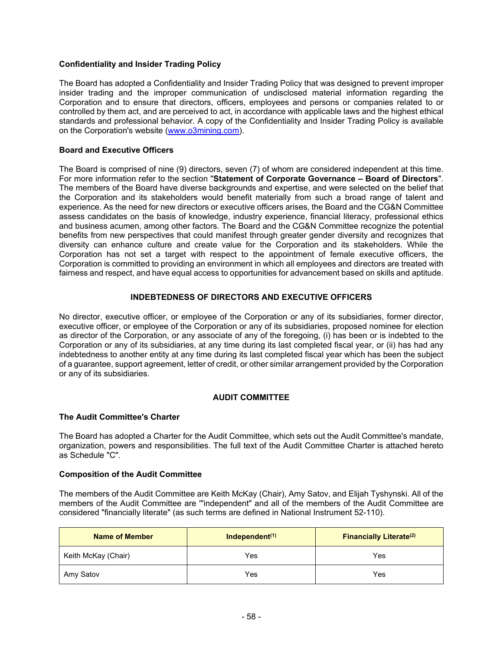### **Confidentiality and Insider Trading Policy**

The Board has adopted a Confidentiality and Insider Trading Policy that was designed to prevent improper insider trading and the improper communication of undisclosed material information regarding the Corporation and to ensure that directors, officers, employees and persons or companies related to or controlled by them act, and are perceived to act, in accordance with applicable laws and the highest ethical standards and professional behavior. A copy of the Confidentiality and Insider Trading Policy is available on the Corporation's website (www.o3mining.com).

#### **Board and Executive Officers**

The Board is comprised of nine (9) directors, seven (7) of whom are considered independent at this time. For more information refer to the section "**Statement of Corporate Governance – Board of Directors**". The members of the Board have diverse backgrounds and expertise, and were selected on the belief that the Corporation and its stakeholders would benefit materially from such a broad range of talent and experience. As the need for new directors or executive officers arises, the Board and the CG&N Committee assess candidates on the basis of knowledge, industry experience, financial literacy, professional ethics and business acumen, among other factors. The Board and the CG&N Committee recognize the potential benefits from new perspectives that could manifest through greater gender diversity and recognizes that diversity can enhance culture and create value for the Corporation and its stakeholders. While the Corporation has not set a target with respect to the appointment of female executive officers, the Corporation is committed to providing an environment in which all employees and directors are treated with fairness and respect, and have equal access to opportunities for advancement based on skills and aptitude.

#### **INDEBTEDNESS OF DIRECTORS AND EXECUTIVE OFFICERS**

No director, executive officer, or employee of the Corporation or any of its subsidiaries, former director, executive officer, or employee of the Corporation or any of its subsidiaries, proposed nominee for election as director of the Corporation, or any associate of any of the foregoing, (i) has been or is indebted to the Corporation or any of its subsidiaries, at any time during its last completed fiscal year, or (ii) has had any indebtedness to another entity at any time during its last completed fiscal year which has been the subject of a guarantee, support agreement, letter of credit, or other similar arrangement provided by the Corporation or any of its subsidiaries.

### **AUDIT COMMITTEE**

#### **The Audit Committee's Charter**

The Board has adopted a Charter for the Audit Committee, which sets out the Audit Committee's mandate, organization, powers and responsibilities. The full text of the Audit Committee Charter is attached hereto as Schedule "C".

#### **Composition of the Audit Committee**

The members of the Audit Committee are Keith McKay (Chair), Amy Satov, and Elijah Tyshynski. All of the members of the Audit Committee are '"independent" and all of the members of the Audit Committee are considered "financially literate" (as such terms are defined in National Instrument 52-110).

| <b>Name of Member</b> | Independent <sup>(1)</sup> | <b>Financially Literate<sup>(2)</sup></b> |  |  |
|-----------------------|----------------------------|-------------------------------------------|--|--|
| Keith McKay (Chair)   | Yes<br>Yes                 |                                           |  |  |
| Amy Satov             | Yes                        | Yes                                       |  |  |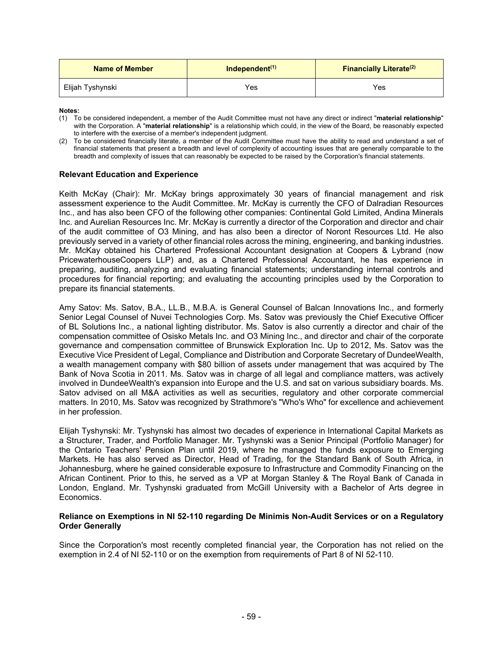| <b>Name of Member</b> | Independent $(1)$ | <b>Financially Literate</b> <sup>(2)</sup> |  |  |
|-----------------------|-------------------|--------------------------------------------|--|--|
| Elijah Tyshynski      | Yes               | Yes                                        |  |  |

**Notes:** 

- (1) To be considered independent, a member of the Audit Committee must not have any direct or indirect "**material relationship**" with the Corporation. A "**material relationship**" is a relationship which could, in the view of the Board, be reasonably expected to interfere with the exercise of a member's independent judgment.
- (2) To be considered financially literate, a member of the Audit Committee must have the ability to read and understand a set of financial statements that present a breadth and level of complexity of accounting issues that are generally comparable to the breadth and complexity of issues that can reasonably be expected to be raised by the Corporation's financial statements.

#### **Relevant Education and Experience**

Keith McKay (Chair): Mr. McKay brings approximately 30 years of financial management and risk assessment experience to the Audit Committee. Mr. McKay is currently the CFO of Dalradian Resources Inc., and has also been CFO of the following other companies: Continental Gold Limited, Andina Minerals Inc. and Aurelian Resources Inc. Mr. McKay is currently a director of the Corporation and director and chair of the audit committee of O3 Mining, and has also been a director of Noront Resources Ltd. He also previously served in a variety of other financial roles across the mining, engineering, and banking industries. Mr. McKay obtained his Chartered Professional Accountant designation at Coopers & Lybrand (now PricewaterhouseCoopers LLP) and, as a Chartered Professional Accountant, he has experience in preparing, auditing, analyzing and evaluating financial statements; understanding internal controls and procedures for financial reporting; and evaluating the accounting principles used by the Corporation to prepare its financial statements.

Amy Satov: Ms. Satov, B.A., LL.B., M.B.A. is General Counsel of Balcan Innovations Inc., and formerly Senior Legal Counsel of Nuvei Technologies Corp. Ms. Satov was previously the Chief Executive Officer of BL Solutions Inc., a national lighting distributor. Ms. Satov is also currently a director and chair of the compensation committee of Osisko Metals Inc. and O3 Mining Inc., and director and chair of the corporate governance and compensation committee of Brunswick Exploration Inc. Up to 2012, Ms. Satov was the Executive Vice President of Legal, Compliance and Distribution and Corporate Secretary of DundeeWealth, a wealth management company with \$80 billion of assets under management that was acquired by The Bank of Nova Scotia in 2011. Ms. Satov was in charge of all legal and compliance matters, was actively involved in DundeeWealth's expansion into Europe and the U.S. and sat on various subsidiary boards. Ms. Satov advised on all M&A activities as well as securities, regulatory and other corporate commercial matters. In 2010, Ms. Satov was recognized by Strathmore's "Who's Who" for excellence and achievement in her profession.

Elijah Tyshynski: Mr. Tyshynski has almost two decades of experience in International Capital Markets as a Structurer, Trader, and Portfolio Manager. Mr. Tyshynski was a Senior Principal (Portfolio Manager) for the Ontario Teachers' Pension Plan until 2019, where he managed the funds exposure to Emerging Markets. He has also served as Director, Head of Trading, for the Standard Bank of South Africa, in Johannesburg, where he gained considerable exposure to Infrastructure and Commodity Financing on the African Continent. Prior to this, he served as a VP at Morgan Stanley & The Royal Bank of Canada in London, England. Mr. Tyshynski graduated from McGill University with a Bachelor of Arts degree in Economics.

#### **Reliance on Exemptions in NI 52-110 regarding De Minimis Non-Audit Services or on a Regulatory Order Generally**

Since the Corporation's most recently completed financial year, the Corporation has not relied on the exemption in 2.4 of NI 52-110 or on the exemption from requirements of Part 8 of NI 52-110.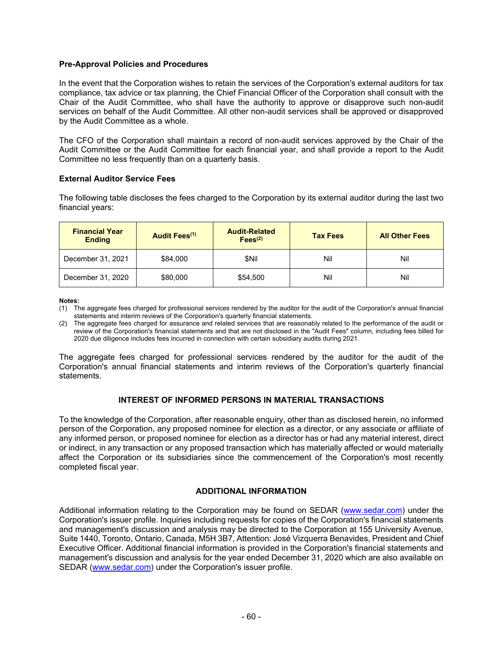#### **Pre-Approval Policies and Procedures**

In the event that the Corporation wishes to retain the services of the Corporation's external auditors for tax compliance, tax advice or tax planning, the Chief Financial Officer of the Corporation shall consult with the Chair of the Audit Committee, who shall have the authority to approve or disapprove such non-audit services on behalf of the Audit Committee. All other non-audit services shall be approved or disapproved by the Audit Committee as a whole.

The CFO of the Corporation shall maintain a record of non-audit services approved by the Chair of the Audit Committee or the Audit Committee for each financial year, and shall provide a report to the Audit Committee no less frequently than on a quarterly basis.

#### **External Auditor Service Fees**

The following table discloses the fees charged to the Corporation by its external auditor during the last two financial years:

| <b>Financial Year</b><br><b>Ending</b> | Audit Fees <sup>(1)</sup> | <b>Audit-Related</b><br>Fees <sup>(2)</sup> | <b>Tax Fees</b> | <b>All Other Fees</b> |
|----------------------------------------|---------------------------|---------------------------------------------|-----------------|-----------------------|
| December 31, 2021                      | \$84,000                  | \$Nil                                       | Nil             | Nil                   |
| December 31, 2020                      | \$80,000                  | \$54,500                                    | Nil             | Nil                   |

**Notes:** 

The aggregate fees charged for professional services rendered by the auditor for the audit of the Corporation's annual financial statements and interim reviews of the Corporation's quarterly financial statements.

### **INTEREST OF INFORMED PERSONS IN MATERIAL TRANSACTIONS**

To the knowledge of the Corporation, after reasonable enquiry, other than as disclosed herein, no informed person of the Corporation, any proposed nominee for election as a director, or any associate or affiliate of any informed person, or proposed nominee for election as a director has or had any material interest, direct or indirect, in any transaction or any proposed transaction which has materially affected or would materially affect the Corporation or its subsidiaries since the commencement of the Corporation's most recently completed fiscal year.

### **ADDITIONAL INFORMATION**

Additional information relating to the Corporation may be found on SEDAR (www.sedar.com) under the Corporation's issuer profile. Inquiries including requests for copies of the Corporation's financial statements and management's discussion and analysis may be directed to the Corporation at 155 University Avenue, Suite 1440, Toronto, Ontario, Canada, M5H 3B7, Attention: José Vizquerra Benavides, President and Chief Executive Officer. Additional financial information is provided in the Corporation's financial statements and management's discussion and analysis for the year ended December 31, 2020 which are also available on SEDAR (www.sedar.com) under the Corporation's issuer profile.

<sup>(1)</sup> The aggregate fees charged for professional services rendered by the auditor for the audit of the Corporation's annual financial statements and interim reviews of the Corporation's quarterly financial statements.

<sup>(2)</sup> The aggregate fees charged for assurance and related services that are reasonably related to the performance of the audit or review of the Corporation's financial statements and that are not disclosed in the "Audit Fees" column, including fees billed for 2020 due diligence includes fees incurred in connection with certain subsidiary audits during 2021.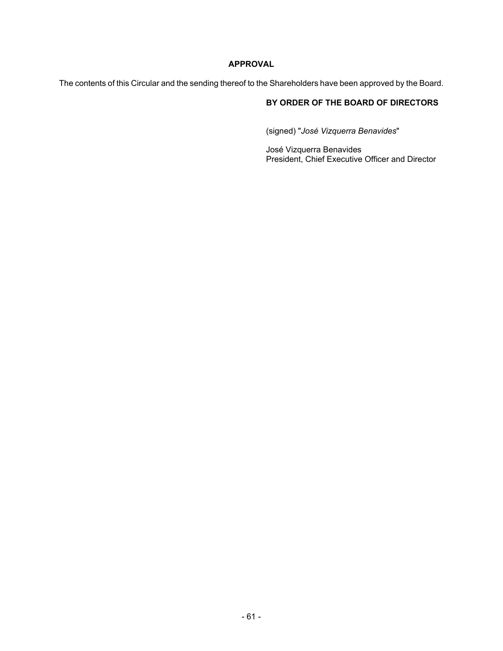# **APPROVAL**

The contents of this Circular and the sending thereof to the Shareholders have been approved by the Board.

# **BY ORDER OF THE BOARD OF DIRECTORS**

(signed) "*José Vizquerra Benavides*"

José Vizquerra Benavides President, Chief Executive Officer and Director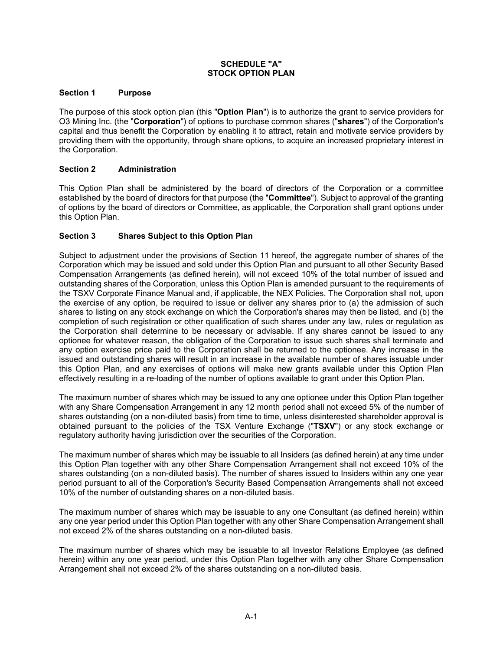#### **SCHEDULE "A" STOCK OPTION PLAN**

#### **Section 1 Purpose**

The purpose of this stock option plan (this "**Option Plan**") is to authorize the grant to service providers for O3 Mining Inc. (the "**Corporation**") of options to purchase common shares ("**shares**") of the Corporation's capital and thus benefit the Corporation by enabling it to attract, retain and motivate service providers by providing them with the opportunity, through share options, to acquire an increased proprietary interest in the Corporation.

### **Section 2 Administration**

This Option Plan shall be administered by the board of directors of the Corporation or a committee established by the board of directors for that purpose (the "**Committee**"). Subject to approval of the granting of options by the board of directors or Committee, as applicable, the Corporation shall grant options under this Option Plan.

# **Section 3 Shares Subject to this Option Plan**

Subject to adjustment under the provisions of Section 11 hereof, the aggregate number of shares of the Corporation which may be issued and sold under this Option Plan and pursuant to all other Security Based Compensation Arrangements (as defined herein), will not exceed 10% of the total number of issued and outstanding shares of the Corporation, unless this Option Plan is amended pursuant to the requirements of the TSXV Corporate Finance Manual and, if applicable, the NEX Policies. The Corporation shall not, upon the exercise of any option, be required to issue or deliver any shares prior to (a) the admission of such shares to listing on any stock exchange on which the Corporation's shares may then be listed, and (b) the completion of such registration or other qualification of such shares under any law, rules or regulation as the Corporation shall determine to be necessary or advisable. If any shares cannot be issued to any optionee for whatever reason, the obligation of the Corporation to issue such shares shall terminate and any option exercise price paid to the Corporation shall be returned to the optionee. Any increase in the issued and outstanding shares will result in an increase in the available number of shares issuable under this Option Plan, and any exercises of options will make new grants available under this Option Plan effectively resulting in a re-loading of the number of options available to grant under this Option Plan.

The maximum number of shares which may be issued to any one optionee under this Option Plan together with any Share Compensation Arrangement in any 12 month period shall not exceed 5% of the number of shares outstanding (on a non-diluted basis) from time to time, unless disinterested shareholder approval is obtained pursuant to the policies of the TSX Venture Exchange ("**TSXV**") or any stock exchange or regulatory authority having jurisdiction over the securities of the Corporation.

The maximum number of shares which may be issuable to all Insiders (as defined herein) at any time under this Option Plan together with any other Share Compensation Arrangement shall not exceed 10% of the shares outstanding (on a non-diluted basis). The number of shares issued to Insiders within any one year period pursuant to all of the Corporation's Security Based Compensation Arrangements shall not exceed 10% of the number of outstanding shares on a non-diluted basis.

The maximum number of shares which may be issuable to any one Consultant (as defined herein) within any one year period under this Option Plan together with any other Share Compensation Arrangement shall not exceed 2% of the shares outstanding on a non-diluted basis.

The maximum number of shares which may be issuable to all Investor Relations Employee (as defined herein) within any one year period, under this Option Plan together with any other Share Compensation Arrangement shall not exceed 2% of the shares outstanding on a non-diluted basis.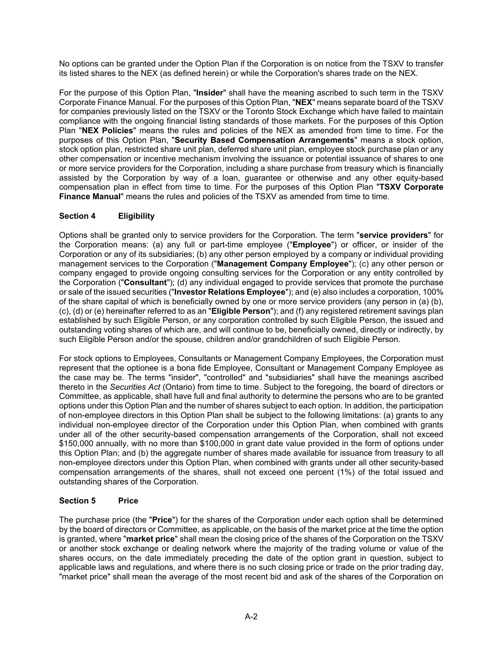No options can be granted under the Option Plan if the Corporation is on notice from the TSXV to transfer its listed shares to the NEX (as defined herein) or while the Corporation's shares trade on the NEX.

For the purpose of this Option Plan, "**Insider**" shall have the meaning ascribed to such term in the TSXV Corporate Finance Manual. For the purposes of this Option Plan, "**NEX**" means separate board of the TSXV for companies previously listed on the TSXV or the Toronto Stock Exchange which have failed to maintain compliance with the ongoing financial listing standards of those markets. For the purposes of this Option Plan "**NEX Policies**" means the rules and policies of the NEX as amended from time to time. For the purposes of this Option Plan, "**Security Based Compensation Arrangements**" means a stock option, stock option plan, restricted share unit plan, deferred share unit plan, employee stock purchase plan or any other compensation or incentive mechanism involving the issuance or potential issuance of shares to one or more service providers for the Corporation, including a share purchase from treasury which is financially assisted by the Corporation by way of a loan, guarantee or otherwise and any other equity-based compensation plan in effect from time to time. For the purposes of this Option Plan "**TSXV Corporate Finance Manual**" means the rules and policies of the TSXV as amended from time to time.

# **Section 4 Eligibility**

Options shall be granted only to service providers for the Corporation. The term "**service providers**" for the Corporation means: (a) any full or part-time employee ("**Employee**") or officer, or insider of the Corporation or any of its subsidiaries; (b) any other person employed by a company or individual providing management services to the Corporation ("**Management Company Employee**"); (c) any other person or company engaged to provide ongoing consulting services for the Corporation or any entity controlled by the Corporation ("**Consultant**"); (d) any individual engaged to provide services that promote the purchase or sale of the issued securities ("**Investor Relations Employee**"); and (e) also includes a corporation, 100% of the share capital of which is beneficially owned by one or more service providers (any person in (a) (b), (c), (d) or (e) hereinafter referred to as an "**Eligible Person**"); and (f) any registered retirement savings plan established by such Eligible Person, or any corporation controlled by such Eligible Person, the issued and outstanding voting shares of which are, and will continue to be, beneficially owned, directly or indirectly, by such Eligible Person and/or the spouse, children and/or grandchildren of such Eligible Person.

For stock options to Employees, Consultants or Management Company Employees, the Corporation must represent that the optionee is a bona fide Employee, Consultant or Management Company Employee as the case may be. The terms "insider", "controlled" and "subsidiaries" shall have the meanings ascribed thereto in the *Securities Act* (Ontario) from time to time. Subject to the foregoing, the board of directors or Committee, as applicable, shall have full and final authority to determine the persons who are to be granted options under this Option Plan and the number of shares subject to each option. In addition, the participation of non-employee directors in this Option Plan shall be subject to the following limitations: (a) grants to any individual non-employee director of the Corporation under this Option Plan, when combined with grants under all of the other security-based compensation arrangements of the Corporation, shall not exceed \$150,000 annually, with no more than \$100,000 in grant date value provided in the form of options under this Option Plan; and (b) the aggregate number of shares made available for issuance from treasury to all non-employee directors under this Option Plan, when combined with grants under all other security-based compensation arrangements of the shares, shall not exceed one percent (1%) of the total issued and outstanding shares of the Corporation.

# **Section 5 Price**

The purchase price (the "**Price**") for the shares of the Corporation under each option shall be determined by the board of directors or Committee, as applicable, on the basis of the market price at the time the option is granted, where "**market price**" shall mean the closing price of the shares of the Corporation on the TSXV or another stock exchange or dealing network where the majority of the trading volume or value of the shares occurs, on the date immediately preceding the date of the option grant in question, subject to applicable laws and regulations, and where there is no such closing price or trade on the prior trading day, "market price" shall mean the average of the most recent bid and ask of the shares of the Corporation on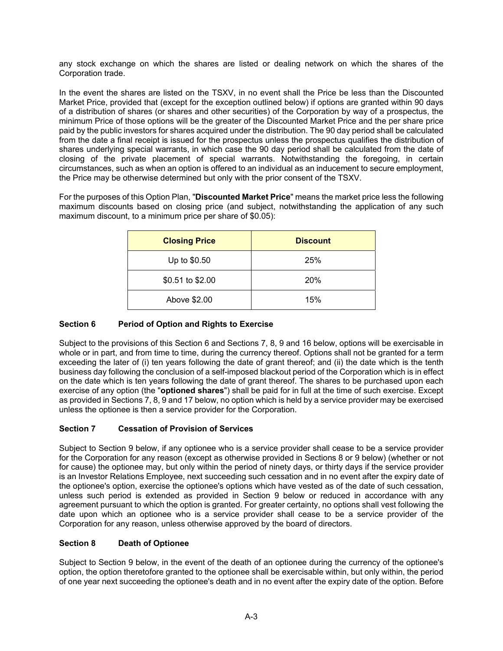any stock exchange on which the shares are listed or dealing network on which the shares of the Corporation trade.

In the event the shares are listed on the TSXV, in no event shall the Price be less than the Discounted Market Price, provided that (except for the exception outlined below) if options are granted within 90 days of a distribution of shares (or shares and other securities) of the Corporation by way of a prospectus, the minimum Price of those options will be the greater of the Discounted Market Price and the per share price paid by the public investors for shares acquired under the distribution. The 90 day period shall be calculated from the date a final receipt is issued for the prospectus unless the prospectus qualifies the distribution of shares underlying special warrants, in which case the 90 day period shall be calculated from the date of closing of the private placement of special warrants. Notwithstanding the foregoing, in certain circumstances, such as when an option is offered to an individual as an inducement to secure employment, the Price may be otherwise determined but only with the prior consent of the TSXV.

For the purposes of this Option Plan, "**Discounted Market Price**" means the market price less the following maximum discounts based on closing price (and subject, notwithstanding the application of any such maximum discount, to a minimum price per share of \$0.05):

| <b>Closing Price</b> | <b>Discount</b> |
|----------------------|-----------------|
| Up to \$0.50         | 25%             |
| \$0.51 to \$2.00     | 20%             |
| Above \$2.00         | 15%             |

### **Section 6 Period of Option and Rights to Exercise**

Subject to the provisions of this Section 6 and Sections 7, 8, 9 and 16 below, options will be exercisable in whole or in part, and from time to time, during the currency thereof. Options shall not be granted for a term exceeding the later of (i) ten years following the date of grant thereof; and (ii) the date which is the tenth business day following the conclusion of a self-imposed blackout period of the Corporation which is in effect on the date which is ten years following the date of grant thereof. The shares to be purchased upon each exercise of any option (the "**optioned shares**") shall be paid for in full at the time of such exercise. Except as provided in Sections 7, 8, 9 and 17 below, no option which is held by a service provider may be exercised unless the optionee is then a service provider for the Corporation.

### **Section 7 Cessation of Provision of Services**

Subject to Section 9 below, if any optionee who is a service provider shall cease to be a service provider for the Corporation for any reason (except as otherwise provided in Sections 8 or 9 below) (whether or not for cause) the optionee may, but only within the period of ninety days, or thirty days if the service provider is an Investor Relations Employee, next succeeding such cessation and in no event after the expiry date of the optionee's option, exercise the optionee's options which have vested as of the date of such cessation, unless such period is extended as provided in Section 9 below or reduced in accordance with any agreement pursuant to which the option is granted. For greater certainty, no options shall vest following the date upon which an optionee who is a service provider shall cease to be a service provider of the Corporation for any reason, unless otherwise approved by the board of directors.

### **Section 8 Death of Optionee**

Subject to Section 9 below, in the event of the death of an optionee during the currency of the optionee's option, the option theretofore granted to the optionee shall be exercisable within, but only within, the period of one year next succeeding the optionee's death and in no event after the expiry date of the option. Before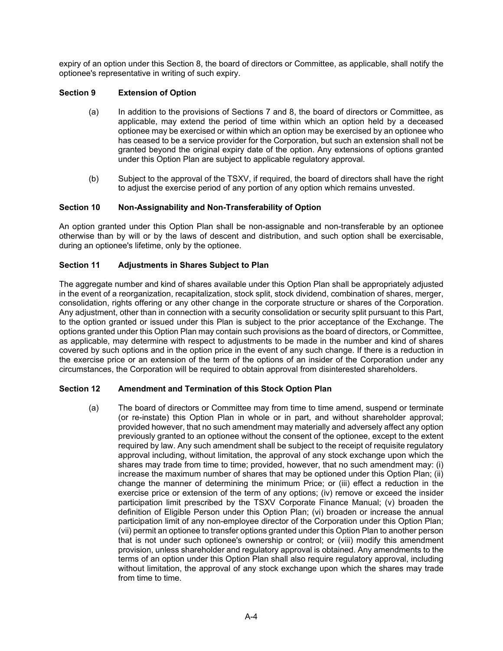expiry of an option under this Section 8, the board of directors or Committee, as applicable, shall notify the optionee's representative in writing of such expiry.

### **Section 9 Extension of Option**

- (a) In addition to the provisions of Sections 7 and 8, the board of directors or Committee, as applicable, may extend the period of time within which an option held by a deceased optionee may be exercised or within which an option may be exercised by an optionee who has ceased to be a service provider for the Corporation, but such an extension shall not be granted beyond the original expiry date of the option. Any extensions of options granted under this Option Plan are subject to applicable regulatory approval.
- (b) Subject to the approval of the TSXV, if required, the board of directors shall have the right to adjust the exercise period of any portion of any option which remains unvested.

### **Section 10 Non-Assignability and Non-Transferability of Option**

An option granted under this Option Plan shall be non-assignable and non-transferable by an optionee otherwise than by will or by the laws of descent and distribution, and such option shall be exercisable, during an optionee's lifetime, only by the optionee.

# **Section 11 Adjustments in Shares Subject to Plan**

The aggregate number and kind of shares available under this Option Plan shall be appropriately adjusted in the event of a reorganization, recapitalization, stock split, stock dividend, combination of shares, merger, consolidation, rights offering or any other change in the corporate structure or shares of the Corporation. Any adjustment, other than in connection with a security consolidation or security split pursuant to this Part, to the option granted or issued under this Plan is subject to the prior acceptance of the Exchange. The options granted under this Option Plan may contain such provisions as the board of directors, or Committee, as applicable, may determine with respect to adjustments to be made in the number and kind of shares covered by such options and in the option price in the event of any such change. If there is a reduction in the exercise price or an extension of the term of the options of an insider of the Corporation under any circumstances, the Corporation will be required to obtain approval from disinterested shareholders.

### **Section 12 Amendment and Termination of this Stock Option Plan**

(a) The board of directors or Committee may from time to time amend, suspend or terminate (or re-instate) this Option Plan in whole or in part, and without shareholder approval; provided however, that no such amendment may materially and adversely affect any option previously granted to an optionee without the consent of the optionee, except to the extent required by law. Any such amendment shall be subject to the receipt of requisite regulatory approval including, without limitation, the approval of any stock exchange upon which the shares may trade from time to time; provided, however, that no such amendment may: (i) increase the maximum number of shares that may be optioned under this Option Plan; (ii) change the manner of determining the minimum Price; or (iii) effect a reduction in the exercise price or extension of the term of any options; (iv) remove or exceed the insider participation limit prescribed by the TSXV Corporate Finance Manual; (v) broaden the definition of Eligible Person under this Option Plan; (vi) broaden or increase the annual participation limit of any non-employee director of the Corporation under this Option Plan; (vii) permit an optionee to transfer options granted under this Option Plan to another person that is not under such optionee's ownership or control; or (viii) modify this amendment provision, unless shareholder and regulatory approval is obtained. Any amendments to the terms of an option under this Option Plan shall also require regulatory approval, including without limitation, the approval of any stock exchange upon which the shares may trade from time to time.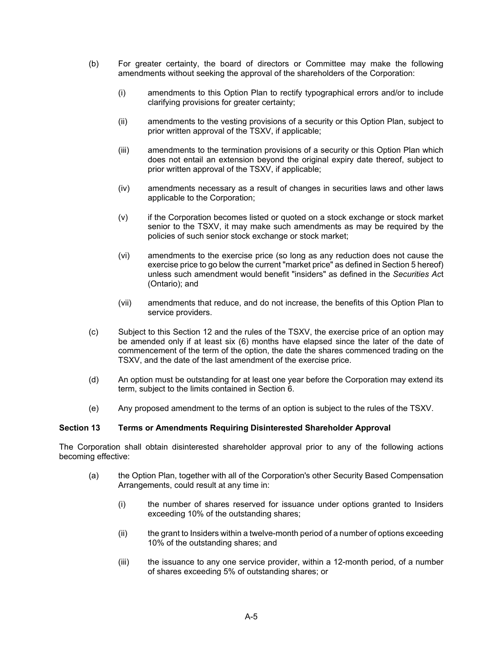- (b) For greater certainty, the board of directors or Committee may make the following amendments without seeking the approval of the shareholders of the Corporation:
	- (i) amendments to this Option Plan to rectify typographical errors and/or to include clarifying provisions for greater certainty;
	- (ii) amendments to the vesting provisions of a security or this Option Plan, subject to prior written approval of the TSXV, if applicable;
	- (iii) amendments to the termination provisions of a security or this Option Plan which does not entail an extension beyond the original expiry date thereof, subject to prior written approval of the TSXV, if applicable;
	- (iv) amendments necessary as a result of changes in securities laws and other laws applicable to the Corporation;
	- (v) if the Corporation becomes listed or quoted on a stock exchange or stock market senior to the TSXV, it may make such amendments as may be required by the policies of such senior stock exchange or stock market;
	- (vi) amendments to the exercise price (so long as any reduction does not cause the exercise price to go below the current "market price" as defined in Section 5 hereof) unless such amendment would benefit "insiders" as defined in the *Securities Ac*t (Ontario); and
	- (vii) amendments that reduce, and do not increase, the benefits of this Option Plan to service providers.
- (c) Subject to this Section 12 and the rules of the TSXV, the exercise price of an option may be amended only if at least six (6) months have elapsed since the later of the date of commencement of the term of the option, the date the shares commenced trading on the TSXV, and the date of the last amendment of the exercise price.
- (d) An option must be outstanding for at least one year before the Corporation may extend its term, subject to the limits contained in Section 6.
- (e) Any proposed amendment to the terms of an option is subject to the rules of the TSXV.

#### **Section 13 Terms or Amendments Requiring Disinterested Shareholder Approval**

The Corporation shall obtain disinterested shareholder approval prior to any of the following actions becoming effective:

- (a) the Option Plan, together with all of the Corporation's other Security Based Compensation Arrangements, could result at any time in:
	- (i) the number of shares reserved for issuance under options granted to Insiders exceeding 10% of the outstanding shares;
	- (ii) the grant to Insiders within a twelve-month period of a number of options exceeding 10% of the outstanding shares; and
	- (iii) the issuance to any one service provider, within a 12-month period, of a number of shares exceeding 5% of outstanding shares; or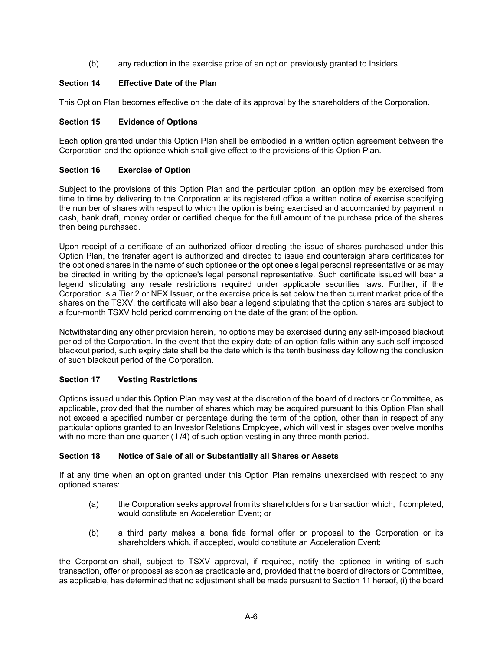(b) any reduction in the exercise price of an option previously granted to Insiders.

# **Section 14 Effective Date of the Plan**

This Option Plan becomes effective on the date of its approval by the shareholders of the Corporation.

### **Section 15 Evidence of Options**

Each option granted under this Option Plan shall be embodied in a written option agreement between the Corporation and the optionee which shall give effect to the provisions of this Option Plan.

### **Section 16 Exercise of Option**

Subject to the provisions of this Option Plan and the particular option, an option may be exercised from time to time by delivering to the Corporation at its registered office a written notice of exercise specifying the number of shares with respect to which the option is being exercised and accompanied by payment in cash, bank draft, money order or certified cheque for the full amount of the purchase price of the shares then being purchased.

Upon receipt of a certificate of an authorized officer directing the issue of shares purchased under this Option Plan, the transfer agent is authorized and directed to issue and countersign share certificates for the optioned shares in the name of such optionee or the optionee's legal personal representative or as may be directed in writing by the optionee's legal personal representative. Such certificate issued will bear a legend stipulating any resale restrictions required under applicable securities laws. Further, if the Corporation is a Tier 2 or NEX Issuer, or the exercise price is set below the then current market price of the shares on the TSXV, the certificate will also bear a legend stipulating that the option shares are subject to a four-month TSXV hold period commencing on the date of the grant of the option.

Notwithstanding any other provision herein, no options may be exercised during any self-imposed blackout period of the Corporation. In the event that the expiry date of an option falls within any such self-imposed blackout period, such expiry date shall be the date which is the tenth business day following the conclusion of such blackout period of the Corporation.

### **Section 17 Vesting Restrictions**

Options issued under this Option Plan may vest at the discretion of the board of directors or Committee, as applicable, provided that the number of shares which may be acquired pursuant to this Option Plan shall not exceed a specified number or percentage during the term of the option, other than in respect of any particular options granted to an Investor Relations Employee, which will vest in stages over twelve months with no more than one quarter  $(1/4)$  of such option vesting in any three month period.

### **Section 18 Notice of Sale of all or Substantially all Shares or Assets**

If at any time when an option granted under this Option Plan remains unexercised with respect to any optioned shares:

- (a) the Corporation seeks approval from its shareholders for a transaction which, if completed, would constitute an Acceleration Event; or
- (b) a third party makes a bona fide formal offer or proposal to the Corporation or its shareholders which, if accepted, would constitute an Acceleration Event;

the Corporation shall, subject to TSXV approval, if required, notify the optionee in writing of such transaction, offer or proposal as soon as practicable and, provided that the board of directors or Committee, as applicable, has determined that no adjustment shall be made pursuant to Section 11 hereof, (i) the board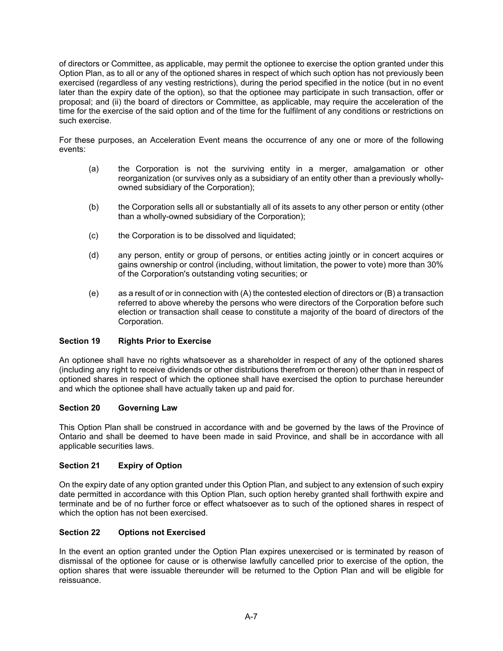of directors or Committee, as applicable, may permit the optionee to exercise the option granted under this Option Plan, as to all or any of the optioned shares in respect of which such option has not previously been exercised (regardless of any vesting restrictions), during the period specified in the notice (but in no event later than the expiry date of the option), so that the optionee may participate in such transaction, offer or proposal; and (ii) the board of directors or Committee, as applicable, may require the acceleration of the time for the exercise of the said option and of the time for the fulfilment of any conditions or restrictions on such exercise.

For these purposes, an Acceleration Event means the occurrence of any one or more of the following events:

- (a) the Corporation is not the surviving entity in a merger, amalgamation or other reorganization (or survives only as a subsidiary of an entity other than a previously whollyowned subsidiary of the Corporation);
- (b) the Corporation sells all or substantially all of its assets to any other person or entity (other than a wholly-owned subsidiary of the Corporation);
- (c) the Corporation is to be dissolved and liquidated;
- (d) any person, entity or group of persons, or entities acting jointly or in concert acquires or gains ownership or control (including, without limitation, the power to vote) more than 30% of the Corporation's outstanding voting securities; or
- (e) as a result of or in connection with (A) the contested election of directors or (B) a transaction referred to above whereby the persons who were directors of the Corporation before such election or transaction shall cease to constitute a majority of the board of directors of the Corporation.

#### **Section 19 Rights Prior to Exercise**

An optionee shall have no rights whatsoever as a shareholder in respect of any of the optioned shares (including any right to receive dividends or other distributions therefrom or thereon) other than in respect of optioned shares in respect of which the optionee shall have exercised the option to purchase hereunder and which the optionee shall have actually taken up and paid for.

#### **Section 20 Governing Law**

This Option Plan shall be construed in accordance with and be governed by the laws of the Province of Ontario and shall be deemed to have been made in said Province, and shall be in accordance with all applicable securities laws.

### **Section 21 Expiry of Option**

On the expiry date of any option granted under this Option Plan, and subject to any extension of such expiry date permitted in accordance with this Option Plan, such option hereby granted shall forthwith expire and terminate and be of no further force or effect whatsoever as to such of the optioned shares in respect of which the option has not been exercised.

#### **Section 22 Options not Exercised**

In the event an option granted under the Option Plan expires unexercised or is terminated by reason of dismissal of the optionee for cause or is otherwise lawfully cancelled prior to exercise of the option, the option shares that were issuable thereunder will be returned to the Option Plan and will be eligible for reissuance.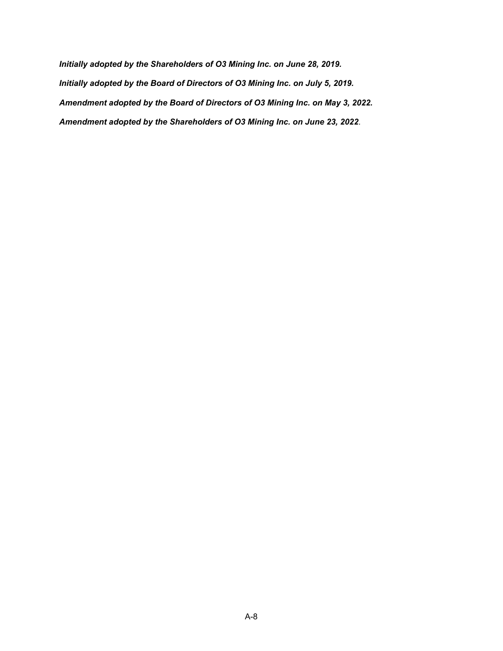*Initially adopted by the Shareholders of O3 Mining Inc. on June 28, 2019. Initially adopted by the Board of Directors of O3 Mining Inc. on July 5, 2019. Amendment adopted by the Board of Directors of O3 Mining Inc. on May 3, 2022. Amendment adopted by the Shareholders of O3 Mining Inc. on June 23, 2022*.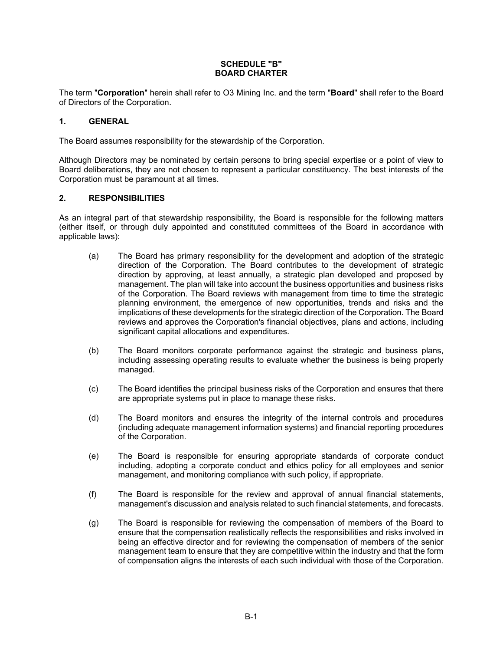### **SCHEDULE "B" BOARD CHARTER**

The term "**Corporation**" herein shall refer to O3 Mining Inc. and the term "**Board**" shall refer to the Board of Directors of the Corporation.

## **1. GENERAL**

The Board assumes responsibility for the stewardship of the Corporation.

Although Directors may be nominated by certain persons to bring special expertise or a point of view to Board deliberations, they are not chosen to represent a particular constituency. The best interests of the Corporation must be paramount at all times.

## **2. RESPONSIBILITIES**

As an integral part of that stewardship responsibility, the Board is responsible for the following matters (either itself, or through duly appointed and constituted committees of the Board in accordance with applicable laws):

- (a) The Board has primary responsibility for the development and adoption of the strategic direction of the Corporation. The Board contributes to the development of strategic direction by approving, at least annually, a strategic plan developed and proposed by management. The plan will take into account the business opportunities and business risks of the Corporation. The Board reviews with management from time to time the strategic planning environment, the emergence of new opportunities, trends and risks and the implications of these developments for the strategic direction of the Corporation. The Board reviews and approves the Corporation's financial objectives, plans and actions, including significant capital allocations and expenditures.
- (b) The Board monitors corporate performance against the strategic and business plans, including assessing operating results to evaluate whether the business is being properly managed.
- (c) The Board identifies the principal business risks of the Corporation and ensures that there are appropriate systems put in place to manage these risks.
- (d) The Board monitors and ensures the integrity of the internal controls and procedures (including adequate management information systems) and financial reporting procedures of the Corporation.
- (e) The Board is responsible for ensuring appropriate standards of corporate conduct including, adopting a corporate conduct and ethics policy for all employees and senior management, and monitoring compliance with such policy, if appropriate.
- (f) The Board is responsible for the review and approval of annual financial statements, management's discussion and analysis related to such financial statements, and forecasts.
- (g) The Board is responsible for reviewing the compensation of members of the Board to ensure that the compensation realistically reflects the responsibilities and risks involved in being an effective director and for reviewing the compensation of members of the senior management team to ensure that they are competitive within the industry and that the form of compensation aligns the interests of each such individual with those of the Corporation.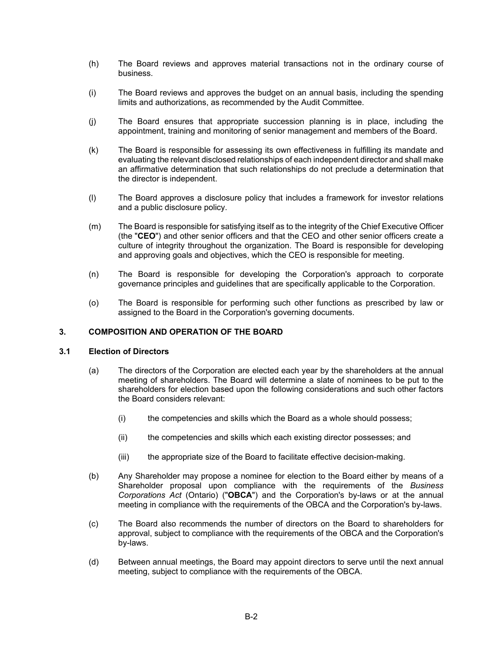- (h) The Board reviews and approves material transactions not in the ordinary course of business.
- (i) The Board reviews and approves the budget on an annual basis, including the spending limits and authorizations, as recommended by the Audit Committee.
- (j) The Board ensures that appropriate succession planning is in place, including the appointment, training and monitoring of senior management and members of the Board.
- (k) The Board is responsible for assessing its own effectiveness in fulfilling its mandate and evaluating the relevant disclosed relationships of each independent director and shall make an affirmative determination that such relationships do not preclude a determination that the director is independent.
- (l) The Board approves a disclosure policy that includes a framework for investor relations and a public disclosure policy.
- (m) The Board is responsible for satisfying itself as to the integrity of the Chief Executive Officer (the "**CEO**") and other senior officers and that the CEO and other senior officers create a culture of integrity throughout the organization. The Board is responsible for developing and approving goals and objectives, which the CEO is responsible for meeting.
- (n) The Board is responsible for developing the Corporation's approach to corporate governance principles and guidelines that are specifically applicable to the Corporation.
- (o) The Board is responsible for performing such other functions as prescribed by law or assigned to the Board in the Corporation's governing documents.

#### **3. COMPOSITION AND OPERATION OF THE BOARD**

#### **3.1 Election of Directors**

- (a) The directors of the Corporation are elected each year by the shareholders at the annual meeting of shareholders. The Board will determine a slate of nominees to be put to the shareholders for election based upon the following considerations and such other factors the Board considers relevant:
	- (i) the competencies and skills which the Board as a whole should possess;
	- (ii) the competencies and skills which each existing director possesses; and
	- (iii) the appropriate size of the Board to facilitate effective decision-making.
- (b) Any Shareholder may propose a nominee for election to the Board either by means of a Shareholder proposal upon compliance with the requirements of the *Business Corporations Act* (Ontario) ("**OBCA**") and the Corporation's by-laws or at the annual meeting in compliance with the requirements of the OBCA and the Corporation's by-laws.
- (c) The Board also recommends the number of directors on the Board to shareholders for approval, subject to compliance with the requirements of the OBCA and the Corporation's by-laws.
- (d) Between annual meetings, the Board may appoint directors to serve until the next annual meeting, subject to compliance with the requirements of the OBCA.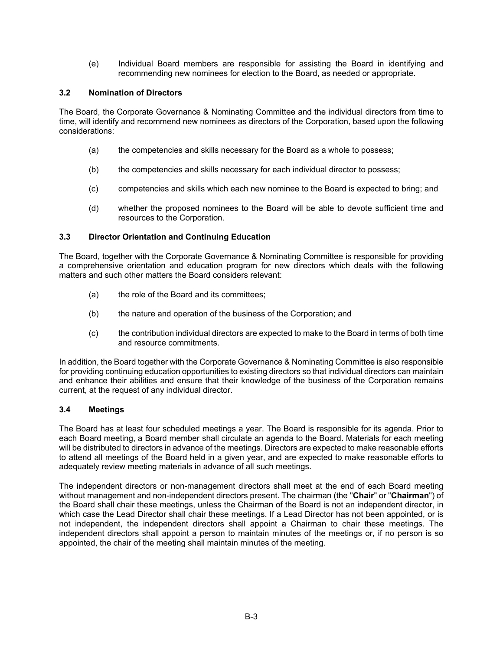(e) Individual Board members are responsible for assisting the Board in identifying and recommending new nominees for election to the Board, as needed or appropriate.

# **3.2 Nomination of Directors**

The Board, the Corporate Governance & Nominating Committee and the individual directors from time to time, will identify and recommend new nominees as directors of the Corporation, based upon the following considerations:

- (a) the competencies and skills necessary for the Board as a whole to possess;
- (b) the competencies and skills necessary for each individual director to possess;
- (c) competencies and skills which each new nominee to the Board is expected to bring; and
- (d) whether the proposed nominees to the Board will be able to devote sufficient time and resources to the Corporation.

# **3.3 Director Orientation and Continuing Education**

The Board, together with the Corporate Governance & Nominating Committee is responsible for providing a comprehensive orientation and education program for new directors which deals with the following matters and such other matters the Board considers relevant:

- (a) the role of the Board and its committees;
- (b) the nature and operation of the business of the Corporation; and
- (c) the contribution individual directors are expected to make to the Board in terms of both time and resource commitments.

In addition, the Board together with the Corporate Governance & Nominating Committee is also responsible for providing continuing education opportunities to existing directors so that individual directors can maintain and enhance their abilities and ensure that their knowledge of the business of the Corporation remains current, at the request of any individual director.

## **3.4 Meetings**

The Board has at least four scheduled meetings a year. The Board is responsible for its agenda. Prior to each Board meeting, a Board member shall circulate an agenda to the Board. Materials for each meeting will be distributed to directors in advance of the meetings. Directors are expected to make reasonable efforts to attend all meetings of the Board held in a given year, and are expected to make reasonable efforts to adequately review meeting materials in advance of all such meetings.

The independent directors or non-management directors shall meet at the end of each Board meeting without management and non-independent directors present. The chairman (the "**Chair**" or "**Chairman**") of the Board shall chair these meetings, unless the Chairman of the Board is not an independent director, in which case the Lead Director shall chair these meetings. If a Lead Director has not been appointed, or is not independent, the independent directors shall appoint a Chairman to chair these meetings. The independent directors shall appoint a person to maintain minutes of the meetings or, if no person is so appointed, the chair of the meeting shall maintain minutes of the meeting.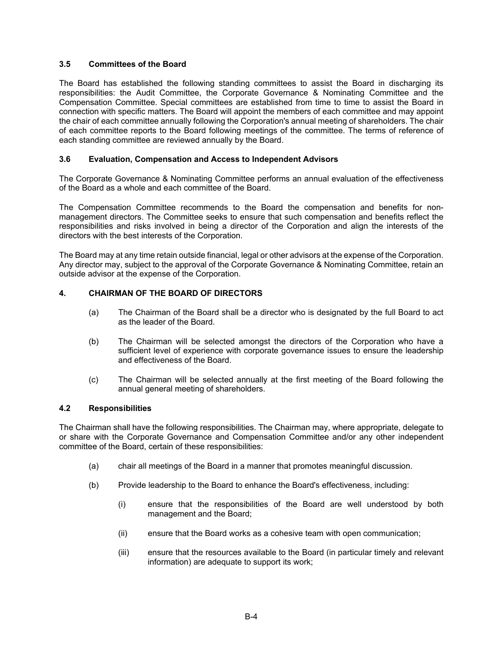### **3.5 Committees of the Board**

The Board has established the following standing committees to assist the Board in discharging its responsibilities: the Audit Committee, the Corporate Governance & Nominating Committee and the Compensation Committee. Special committees are established from time to time to assist the Board in connection with specific matters. The Board will appoint the members of each committee and may appoint the chair of each committee annually following the Corporation's annual meeting of shareholders. The chair of each committee reports to the Board following meetings of the committee. The terms of reference of each standing committee are reviewed annually by the Board.

### **3.6 Evaluation, Compensation and Access to Independent Advisors**

The Corporate Governance & Nominating Committee performs an annual evaluation of the effectiveness of the Board as a whole and each committee of the Board.

The Compensation Committee recommends to the Board the compensation and benefits for nonmanagement directors. The Committee seeks to ensure that such compensation and benefits reflect the responsibilities and risks involved in being a director of the Corporation and align the interests of the directors with the best interests of the Corporation.

The Board may at any time retain outside financial, legal or other advisors at the expense of the Corporation. Any director may, subject to the approval of the Corporate Governance & Nominating Committee, retain an outside advisor at the expense of the Corporation.

## **4. CHAIRMAN OF THE BOARD OF DIRECTORS**

- (a) The Chairman of the Board shall be a director who is designated by the full Board to act as the leader of the Board.
- (b) The Chairman will be selected amongst the directors of the Corporation who have a sufficient level of experience with corporate governance issues to ensure the leadership and effectiveness of the Board.
- (c) The Chairman will be selected annually at the first meeting of the Board following the annual general meeting of shareholders.

#### **4.2 Responsibilities**

The Chairman shall have the following responsibilities. The Chairman may, where appropriate, delegate to or share with the Corporate Governance and Compensation Committee and/or any other independent committee of the Board, certain of these responsibilities:

- (a) chair all meetings of the Board in a manner that promotes meaningful discussion.
- (b) Provide leadership to the Board to enhance the Board's effectiveness, including:
	- (i) ensure that the responsibilities of the Board are well understood by both management and the Board;
	- (ii) ensure that the Board works as a cohesive team with open communication;
	- (iii) ensure that the resources available to the Board (in particular timely and relevant information) are adequate to support its work;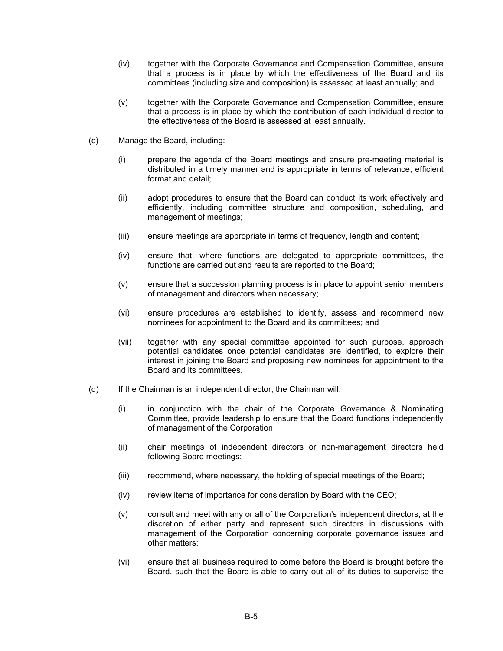- (iv) together with the Corporate Governance and Compensation Committee, ensure that a process is in place by which the effectiveness of the Board and its committees (including size and composition) is assessed at least annually; and
- (v) together with the Corporate Governance and Compensation Committee, ensure that a process is in place by which the contribution of each individual director to the effectiveness of the Board is assessed at least annually.
- (c) Manage the Board, including:
	- (i) prepare the agenda of the Board meetings and ensure pre-meeting material is distributed in a timely manner and is appropriate in terms of relevance, efficient format and detail;
	- (ii) adopt procedures to ensure that the Board can conduct its work effectively and efficiently, including committee structure and composition, scheduling, and management of meetings;
	- (iii) ensure meetings are appropriate in terms of frequency, length and content;
	- (iv) ensure that, where functions are delegated to appropriate committees, the functions are carried out and results are reported to the Board;
	- (v) ensure that a succession planning process is in place to appoint senior members of management and directors when necessary;
	- (vi) ensure procedures are established to identify, assess and recommend new nominees for appointment to the Board and its committees; and
	- (vii) together with any special committee appointed for such purpose, approach potential candidates once potential candidates are identified, to explore their interest in joining the Board and proposing new nominees for appointment to the Board and its committees.
- (d) If the Chairman is an independent director, the Chairman will:
	- (i) in conjunction with the chair of the Corporate Governance & Nominating Committee, provide leadership to ensure that the Board functions independently of management of the Corporation;
	- (ii) chair meetings of independent directors or non-management directors held following Board meetings;
	- (iii) recommend, where necessary, the holding of special meetings of the Board;
	- (iv) review items of importance for consideration by Board with the CEO;
	- (v) consult and meet with any or all of the Corporation's independent directors, at the discretion of either party and represent such directors in discussions with management of the Corporation concerning corporate governance issues and other matters;
	- (vi) ensure that all business required to come before the Board is brought before the Board, such that the Board is able to carry out all of its duties to supervise the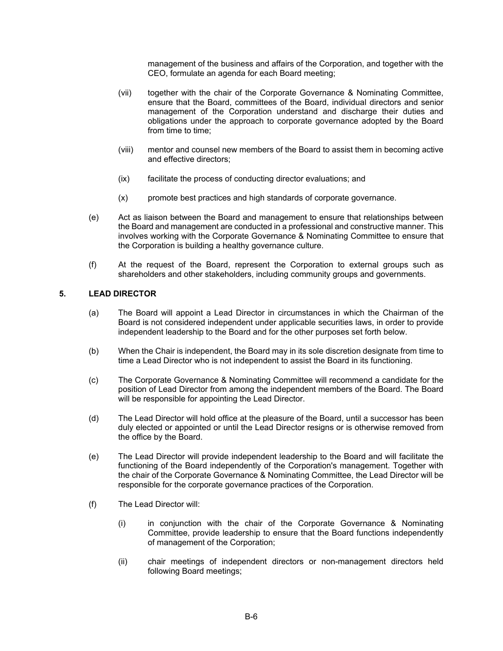management of the business and affairs of the Corporation, and together with the CEO, formulate an agenda for each Board meeting;

- (vii) together with the chair of the Corporate Governance & Nominating Committee, ensure that the Board, committees of the Board, individual directors and senior management of the Corporation understand and discharge their duties and obligations under the approach to corporate governance adopted by the Board from time to time;
- (viii) mentor and counsel new members of the Board to assist them in becoming active and effective directors;
- (ix) facilitate the process of conducting director evaluations; and
- (x) promote best practices and high standards of corporate governance.
- (e) Act as liaison between the Board and management to ensure that relationships between the Board and management are conducted in a professional and constructive manner. This involves working with the Corporate Governance & Nominating Committee to ensure that the Corporation is building a healthy governance culture.
- (f) At the request of the Board, represent the Corporation to external groups such as shareholders and other stakeholders, including community groups and governments.

# **5. LEAD DIRECTOR**

- (a) The Board will appoint a Lead Director in circumstances in which the Chairman of the Board is not considered independent under applicable securities laws, in order to provide independent leadership to the Board and for the other purposes set forth below.
- (b) When the Chair is independent, the Board may in its sole discretion designate from time to time a Lead Director who is not independent to assist the Board in its functioning.
- (c) The Corporate Governance & Nominating Committee will recommend a candidate for the position of Lead Director from among the independent members of the Board. The Board will be responsible for appointing the Lead Director.
- (d) The Lead Director will hold office at the pleasure of the Board, until a successor has been duly elected or appointed or until the Lead Director resigns or is otherwise removed from the office by the Board.
- (e) The Lead Director will provide independent leadership to the Board and will facilitate the functioning of the Board independently of the Corporation's management. Together with the chair of the Corporate Governance & Nominating Committee, the Lead Director will be responsible for the corporate governance practices of the Corporation.
- (f) The Lead Director will:
	- (i) in conjunction with the chair of the Corporate Governance & Nominating Committee, provide leadership to ensure that the Board functions independently of management of the Corporation;
	- (ii) chair meetings of independent directors or non-management directors held following Board meetings;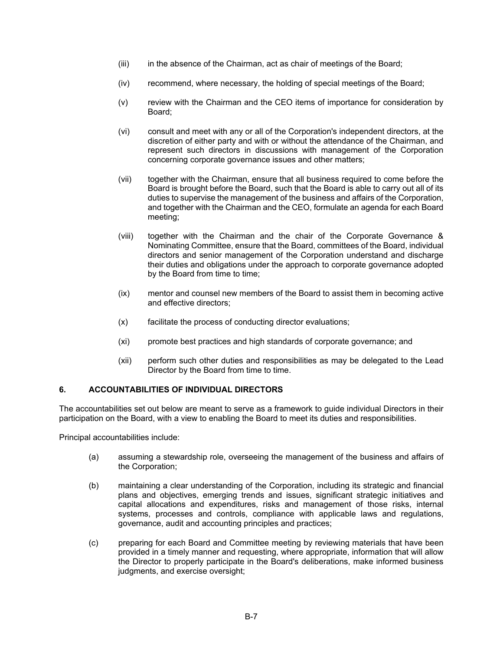- (iii) in the absence of the Chairman, act as chair of meetings of the Board;
- (iv) recommend, where necessary, the holding of special meetings of the Board;
- (v) review with the Chairman and the CEO items of importance for consideration by Board;
- (vi) consult and meet with any or all of the Corporation's independent directors, at the discretion of either party and with or without the attendance of the Chairman, and represent such directors in discussions with management of the Corporation concerning corporate governance issues and other matters;
- (vii) together with the Chairman, ensure that all business required to come before the Board is brought before the Board, such that the Board is able to carry out all of its duties to supervise the management of the business and affairs of the Corporation, and together with the Chairman and the CEO, formulate an agenda for each Board meeting;
- (viii) together with the Chairman and the chair of the Corporate Governance & Nominating Committee, ensure that the Board, committees of the Board, individual directors and senior management of the Corporation understand and discharge their duties and obligations under the approach to corporate governance adopted by the Board from time to time;
- (ix) mentor and counsel new members of the Board to assist them in becoming active and effective directors;
- (x) facilitate the process of conducting director evaluations;
- (xi) promote best practices and high standards of corporate governance; and
- (xii) perform such other duties and responsibilities as may be delegated to the Lead Director by the Board from time to time.

## **6. ACCOUNTABILITIES OF INDIVIDUAL DIRECTORS**

The accountabilities set out below are meant to serve as a framework to guide individual Directors in their participation on the Board, with a view to enabling the Board to meet its duties and responsibilities.

Principal accountabilities include:

- (a) assuming a stewardship role, overseeing the management of the business and affairs of the Corporation;
- (b) maintaining a clear understanding of the Corporation, including its strategic and financial plans and objectives, emerging trends and issues, significant strategic initiatives and capital allocations and expenditures, risks and management of those risks, internal systems, processes and controls, compliance with applicable laws and regulations, governance, audit and accounting principles and practices;
- (c) preparing for each Board and Committee meeting by reviewing materials that have been provided in a timely manner and requesting, where appropriate, information that will allow the Director to properly participate in the Board's deliberations, make informed business judgments, and exercise oversight;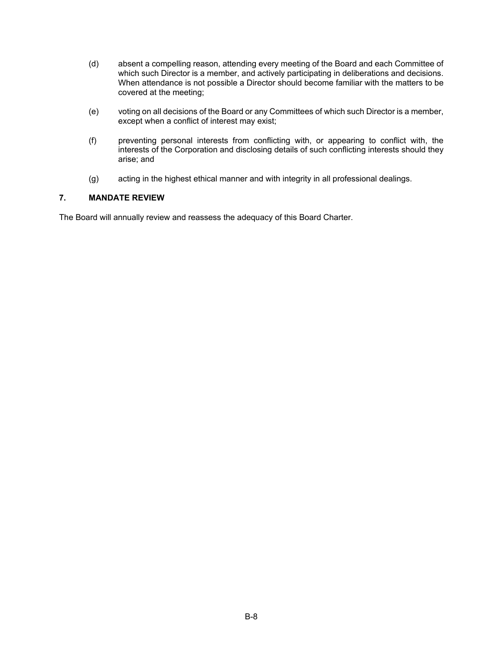- (d) absent a compelling reason, attending every meeting of the Board and each Committee of which such Director is a member, and actively participating in deliberations and decisions. When attendance is not possible a Director should become familiar with the matters to be covered at the meeting;
- (e) voting on all decisions of the Board or any Committees of which such Director is a member, except when a conflict of interest may exist;
- (f) preventing personal interests from conflicting with, or appearing to conflict with, the interests of the Corporation and disclosing details of such conflicting interests should they arise; and
- (g) acting in the highest ethical manner and with integrity in all professional dealings.

### **7. MANDATE REVIEW**

The Board will annually review and reassess the adequacy of this Board Charter.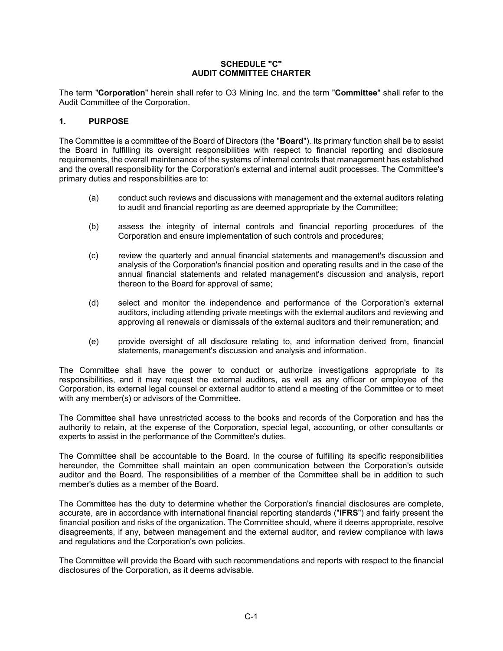### **SCHEDULE "C" AUDIT COMMITTEE CHARTER**

The term "**Corporation**" herein shall refer to O3 Mining Inc. and the term "**Committee**" shall refer to the Audit Committee of the Corporation.

## **1. PURPOSE**

The Committee is a committee of the Board of Directors (the "**Board**"). Its primary function shall be to assist the Board in fulfilling its oversight responsibilities with respect to financial reporting and disclosure requirements, the overall maintenance of the systems of internal controls that management has established and the overall responsibility for the Corporation's external and internal audit processes. The Committee's primary duties and responsibilities are to:

- (a) conduct such reviews and discussions with management and the external auditors relating to audit and financial reporting as are deemed appropriate by the Committee;
- (b) assess the integrity of internal controls and financial reporting procedures of the Corporation and ensure implementation of such controls and procedures;
- (c) review the quarterly and annual financial statements and management's discussion and analysis of the Corporation's financial position and operating results and in the case of the annual financial statements and related management's discussion and analysis, report thereon to the Board for approval of same;
- (d) select and monitor the independence and performance of the Corporation's external auditors, including attending private meetings with the external auditors and reviewing and approving all renewals or dismissals of the external auditors and their remuneration; and
- (e) provide oversight of all disclosure relating to, and information derived from, financial statements, management's discussion and analysis and information.

The Committee shall have the power to conduct or authorize investigations appropriate to its responsibilities, and it may request the external auditors, as well as any officer or employee of the Corporation, its external legal counsel or external auditor to attend a meeting of the Committee or to meet with any member(s) or advisors of the Committee.

The Committee shall have unrestricted access to the books and records of the Corporation and has the authority to retain, at the expense of the Corporation, special legal, accounting, or other consultants or experts to assist in the performance of the Committee's duties.

The Committee shall be accountable to the Board. In the course of fulfilling its specific responsibilities hereunder, the Committee shall maintain an open communication between the Corporation's outside auditor and the Board. The responsibilities of a member of the Committee shall be in addition to such member's duties as a member of the Board.

The Committee has the duty to determine whether the Corporation's financial disclosures are complete, accurate, are in accordance with international financial reporting standards ("**IFRS**") and fairly present the financial position and risks of the organization. The Committee should, where it deems appropriate, resolve disagreements, if any, between management and the external auditor, and review compliance with laws and regulations and the Corporation's own policies.

The Committee will provide the Board with such recommendations and reports with respect to the financial disclosures of the Corporation, as it deems advisable.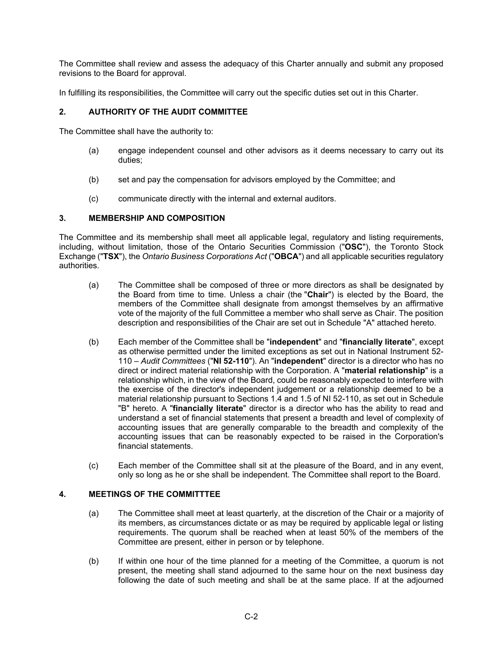The Committee shall review and assess the adequacy of this Charter annually and submit any proposed revisions to the Board for approval.

In fulfilling its responsibilities, the Committee will carry out the specific duties set out in this Charter.

## **2. AUTHORITY OF THE AUDIT COMMITTEE**

The Committee shall have the authority to:

- (a) engage independent counsel and other advisors as it deems necessary to carry out its duties;
- (b) set and pay the compensation for advisors employed by the Committee; and
- (c) communicate directly with the internal and external auditors.

### **3. MEMBERSHIP AND COMPOSITION**

The Committee and its membership shall meet all applicable legal, regulatory and listing requirements, including, without limitation, those of the Ontario Securities Commission ("**OSC**"), the Toronto Stock Exchange ("**TSX**"), the *Ontario Business Corporations Act* ("**OBCA**") and all applicable securities regulatory authorities.

- (a) The Committee shall be composed of three or more directors as shall be designated by the Board from time to time. Unless a chair (the "**Chair**") is elected by the Board, the members of the Committee shall designate from amongst themselves by an affirmative vote of the majority of the full Committee a member who shall serve as Chair. The position description and responsibilities of the Chair are set out in Schedule "A" attached hereto.
- (b) Each member of the Committee shall be "**independent**" and "**financially literate**", except as otherwise permitted under the limited exceptions as set out in National Instrument 52- 110 – *Audit Committees* ("**NI 52-110**"). An "**independent**" director is a director who has no direct or indirect material relationship with the Corporation. A "**material relationship**" is a relationship which, in the view of the Board, could be reasonably expected to interfere with the exercise of the director's independent judgement or a relationship deemed to be a material relationship pursuant to Sections 1.4 and 1.5 of NI 52-110, as set out in Schedule "B" hereto. A "**financially literate**" director is a director who has the ability to read and understand a set of financial statements that present a breadth and level of complexity of accounting issues that are generally comparable to the breadth and complexity of the accounting issues that can be reasonably expected to be raised in the Corporation's financial statements.
- (c) Each member of the Committee shall sit at the pleasure of the Board, and in any event, only so long as he or she shall be independent. The Committee shall report to the Board.

### **4. MEETINGS OF THE COMMITTTEE**

- (a) The Committee shall meet at least quarterly, at the discretion of the Chair or a majority of its members, as circumstances dictate or as may be required by applicable legal or listing requirements. The quorum shall be reached when at least 50% of the members of the Committee are present, either in person or by telephone.
- (b) If within one hour of the time planned for a meeting of the Committee, a quorum is not present, the meeting shall stand adjourned to the same hour on the next business day following the date of such meeting and shall be at the same place. If at the adjourned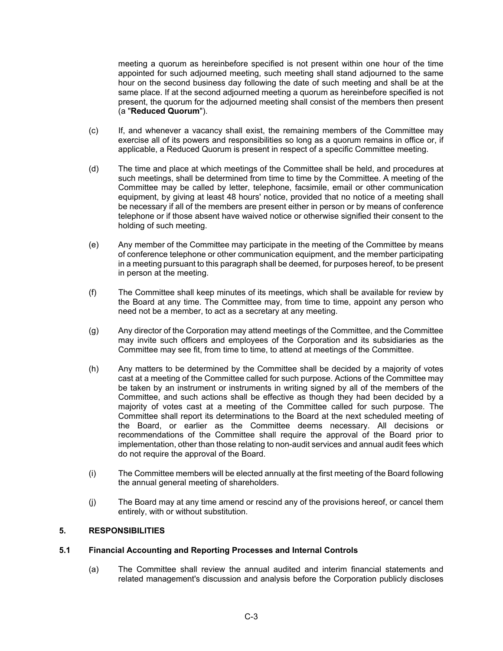meeting a quorum as hereinbefore specified is not present within one hour of the time appointed for such adjourned meeting, such meeting shall stand adjourned to the same hour on the second business day following the date of such meeting and shall be at the same place. If at the second adjourned meeting a quorum as hereinbefore specified is not present, the quorum for the adjourned meeting shall consist of the members then present (a "**Reduced Quorum**").

- (c) If, and whenever a vacancy shall exist, the remaining members of the Committee may exercise all of its powers and responsibilities so long as a quorum remains in office or, if applicable, a Reduced Quorum is present in respect of a specific Committee meeting.
- (d) The time and place at which meetings of the Committee shall be held, and procedures at such meetings, shall be determined from time to time by the Committee. A meeting of the Committee may be called by letter, telephone, facsimile, email or other communication equipment, by giving at least 48 hours' notice, provided that no notice of a meeting shall be necessary if all of the members are present either in person or by means of conference telephone or if those absent have waived notice or otherwise signified their consent to the holding of such meeting.
- (e) Any member of the Committee may participate in the meeting of the Committee by means of conference telephone or other communication equipment, and the member participating in a meeting pursuant to this paragraph shall be deemed, for purposes hereof, to be present in person at the meeting.
- (f) The Committee shall keep minutes of its meetings, which shall be available for review by the Board at any time. The Committee may, from time to time, appoint any person who need not be a member, to act as a secretary at any meeting.
- (g) Any director of the Corporation may attend meetings of the Committee, and the Committee may invite such officers and employees of the Corporation and its subsidiaries as the Committee may see fit, from time to time, to attend at meetings of the Committee.
- (h) Any matters to be determined by the Committee shall be decided by a majority of votes cast at a meeting of the Committee called for such purpose. Actions of the Committee may be taken by an instrument or instruments in writing signed by all of the members of the Committee, and such actions shall be effective as though they had been decided by a majority of votes cast at a meeting of the Committee called for such purpose. The Committee shall report its determinations to the Board at the next scheduled meeting of the Board, or earlier as the Committee deems necessary. All decisions or recommendations of the Committee shall require the approval of the Board prior to implementation, other than those relating to non-audit services and annual audit fees which do not require the approval of the Board.
- (i) The Committee members will be elected annually at the first meeting of the Board following the annual general meeting of shareholders.
- (j) The Board may at any time amend or rescind any of the provisions hereof, or cancel them entirely, with or without substitution.

# **5. RESPONSIBILITIES**

## **5.1 Financial Accounting and Reporting Processes and Internal Controls**

(a) The Committee shall review the annual audited and interim financial statements and related management's discussion and analysis before the Corporation publicly discloses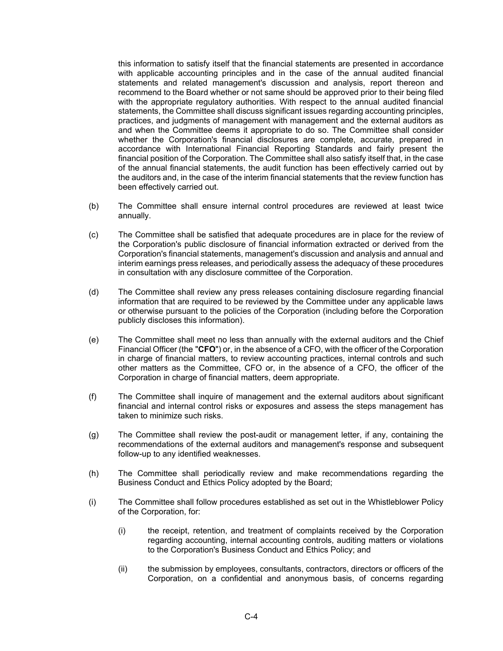this information to satisfy itself that the financial statements are presented in accordance with applicable accounting principles and in the case of the annual audited financial statements and related management's discussion and analysis, report thereon and recommend to the Board whether or not same should be approved prior to their being filed with the appropriate regulatory authorities. With respect to the annual audited financial statements, the Committee shall discuss significant issues regarding accounting principles, practices, and judgments of management with management and the external auditors as and when the Committee deems it appropriate to do so. The Committee shall consider whether the Corporation's financial disclosures are complete, accurate, prepared in accordance with International Financial Reporting Standards and fairly present the financial position of the Corporation. The Committee shall also satisfy itself that, in the case of the annual financial statements, the audit function has been effectively carried out by the auditors and, in the case of the interim financial statements that the review function has been effectively carried out.

- (b) The Committee shall ensure internal control procedures are reviewed at least twice annually.
- (c) The Committee shall be satisfied that adequate procedures are in place for the review of the Corporation's public disclosure of financial information extracted or derived from the Corporation's financial statements, management's discussion and analysis and annual and interim earnings press releases, and periodically assess the adequacy of these procedures in consultation with any disclosure committee of the Corporation.
- (d) The Committee shall review any press releases containing disclosure regarding financial information that are required to be reviewed by the Committee under any applicable laws or otherwise pursuant to the policies of the Corporation (including before the Corporation publicly discloses this information).
- (e) The Committee shall meet no less than annually with the external auditors and the Chief Financial Officer (the "**CFO**") or, in the absence of a CFO, with the officer of the Corporation in charge of financial matters, to review accounting practices, internal controls and such other matters as the Committee, CFO or, in the absence of a CFO, the officer of the Corporation in charge of financial matters, deem appropriate.
- (f) The Committee shall inquire of management and the external auditors about significant financial and internal control risks or exposures and assess the steps management has taken to minimize such risks.
- (g) The Committee shall review the post-audit or management letter, if any, containing the recommendations of the external auditors and management's response and subsequent follow-up to any identified weaknesses.
- (h) The Committee shall periodically review and make recommendations regarding the Business Conduct and Ethics Policy adopted by the Board;
- (i) The Committee shall follow procedures established as set out in the Whistleblower Policy of the Corporation, for:
	- (i) the receipt, retention, and treatment of complaints received by the Corporation regarding accounting, internal accounting controls, auditing matters or violations to the Corporation's Business Conduct and Ethics Policy; and
	- (ii) the submission by employees, consultants, contractors, directors or officers of the Corporation, on a confidential and anonymous basis, of concerns regarding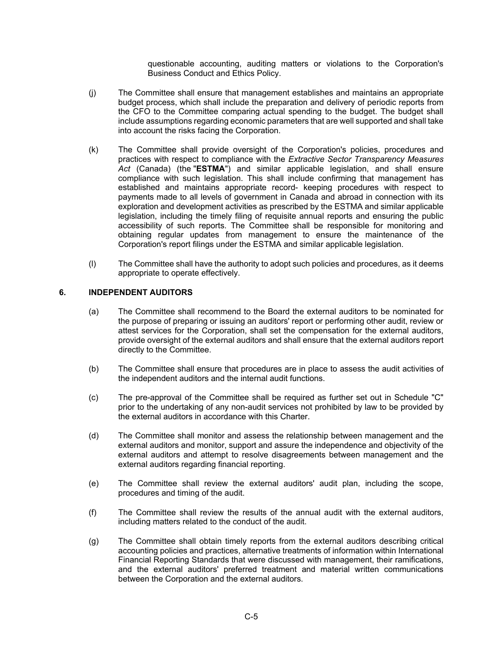questionable accounting, auditing matters or violations to the Corporation's Business Conduct and Ethics Policy.

- (j) The Committee shall ensure that management establishes and maintains an appropriate budget process, which shall include the preparation and delivery of periodic reports from the CFO to the Committee comparing actual spending to the budget. The budget shall include assumptions regarding economic parameters that are well supported and shall take into account the risks facing the Corporation.
- (k) The Committee shall provide oversight of the Corporation's policies, procedures and practices with respect to compliance with the *Extractive Sector Transparency Measures Act* (Canada) (the "**ESTMA**") and similar applicable legislation, and shall ensure compliance with such legislation. This shall include confirming that management has established and maintains appropriate record- keeping procedures with respect to payments made to all levels of government in Canada and abroad in connection with its exploration and development activities as prescribed by the ESTMA and similar applicable legislation, including the timely filing of requisite annual reports and ensuring the public accessibility of such reports. The Committee shall be responsible for monitoring and obtaining regular updates from management to ensure the maintenance of the Corporation's report filings under the ESTMA and similar applicable legislation.
- (l) The Committee shall have the authority to adopt such policies and procedures, as it deems appropriate to operate effectively.

## **6. INDEPENDENT AUDITORS**

- (a) The Committee shall recommend to the Board the external auditors to be nominated for the purpose of preparing or issuing an auditors' report or performing other audit, review or attest services for the Corporation, shall set the compensation for the external auditors, provide oversight of the external auditors and shall ensure that the external auditors report directly to the Committee.
- (b) The Committee shall ensure that procedures are in place to assess the audit activities of the independent auditors and the internal audit functions.
- (c) The pre-approval of the Committee shall be required as further set out in Schedule "C" prior to the undertaking of any non-audit services not prohibited by law to be provided by the external auditors in accordance with this Charter.
- (d) The Committee shall monitor and assess the relationship between management and the external auditors and monitor, support and assure the independence and objectivity of the external auditors and attempt to resolve disagreements between management and the external auditors regarding financial reporting.
- (e) The Committee shall review the external auditors' audit plan, including the scope, procedures and timing of the audit.
- (f) The Committee shall review the results of the annual audit with the external auditors, including matters related to the conduct of the audit.
- (g) The Committee shall obtain timely reports from the external auditors describing critical accounting policies and practices, alternative treatments of information within International Financial Reporting Standards that were discussed with management, their ramifications, and the external auditors' preferred treatment and material written communications between the Corporation and the external auditors.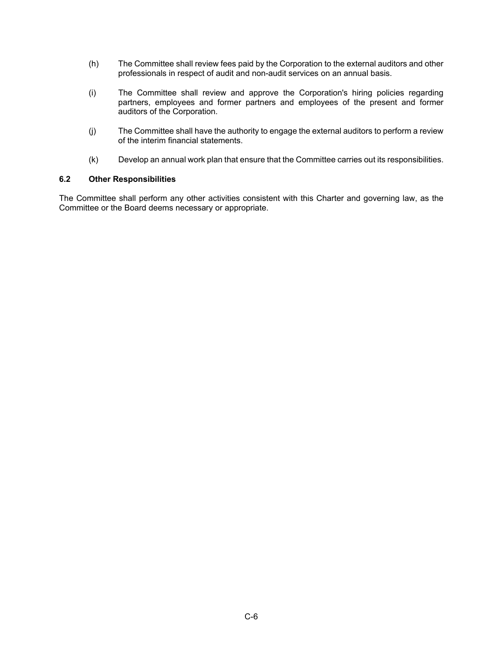- (h) The Committee shall review fees paid by the Corporation to the external auditors and other professionals in respect of audit and non-audit services on an annual basis.
- (i) The Committee shall review and approve the Corporation's hiring policies regarding partners, employees and former partners and employees of the present and former auditors of the Corporation.
- (j) The Committee shall have the authority to engage the external auditors to perform a review of the interim financial statements.
- (k) Develop an annual work plan that ensure that the Committee carries out its responsibilities.

### **6.2 Other Responsibilities**

The Committee shall perform any other activities consistent with this Charter and governing law, as the Committee or the Board deems necessary or appropriate.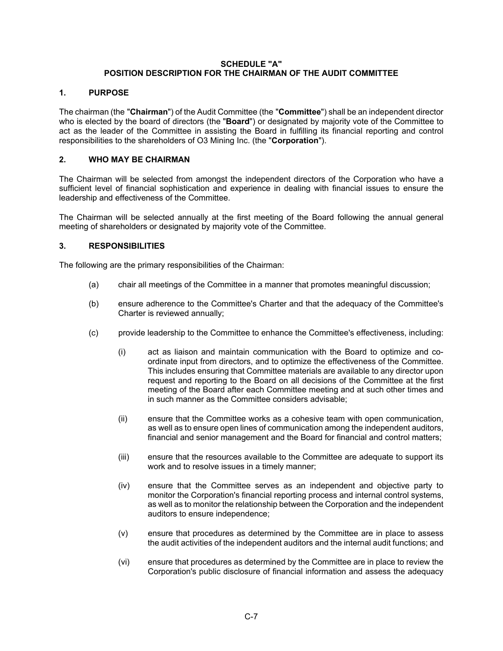### **SCHEDULE "A" POSITION DESCRIPTION FOR THE CHAIRMAN OF THE AUDIT COMMITTEE**

# **1. PURPOSE**

The chairman (the "**Chairman**") of the Audit Committee (the "**Committee**") shall be an independent director who is elected by the board of directors (the "**Board**") or designated by majority vote of the Committee to act as the leader of the Committee in assisting the Board in fulfilling its financial reporting and control responsibilities to the shareholders of O3 Mining Inc. (the "**Corporation**").

# **2. WHO MAY BE CHAIRMAN**

The Chairman will be selected from amongst the independent directors of the Corporation who have a sufficient level of financial sophistication and experience in dealing with financial issues to ensure the leadership and effectiveness of the Committee.

The Chairman will be selected annually at the first meeting of the Board following the annual general meeting of shareholders or designated by majority vote of the Committee.

## **3. RESPONSIBILITIES**

The following are the primary responsibilities of the Chairman:

- (a) chair all meetings of the Committee in a manner that promotes meaningful discussion;
- (b) ensure adherence to the Committee's Charter and that the adequacy of the Committee's Charter is reviewed annually;
- (c) provide leadership to the Committee to enhance the Committee's effectiveness, including:
	- (i) act as liaison and maintain communication with the Board to optimize and coordinate input from directors, and to optimize the effectiveness of the Committee. This includes ensuring that Committee materials are available to any director upon request and reporting to the Board on all decisions of the Committee at the first meeting of the Board after each Committee meeting and at such other times and in such manner as the Committee considers advisable;
	- (ii) ensure that the Committee works as a cohesive team with open communication, as well as to ensure open lines of communication among the independent auditors, financial and senior management and the Board for financial and control matters;
	- (iii) ensure that the resources available to the Committee are adequate to support its work and to resolve issues in a timely manner;
	- (iv) ensure that the Committee serves as an independent and objective party to monitor the Corporation's financial reporting process and internal control systems, as well as to monitor the relationship between the Corporation and the independent auditors to ensure independence;
	- (v) ensure that procedures as determined by the Committee are in place to assess the audit activities of the independent auditors and the internal audit functions; and
	- (vi) ensure that procedures as determined by the Committee are in place to review the Corporation's public disclosure of financial information and assess the adequacy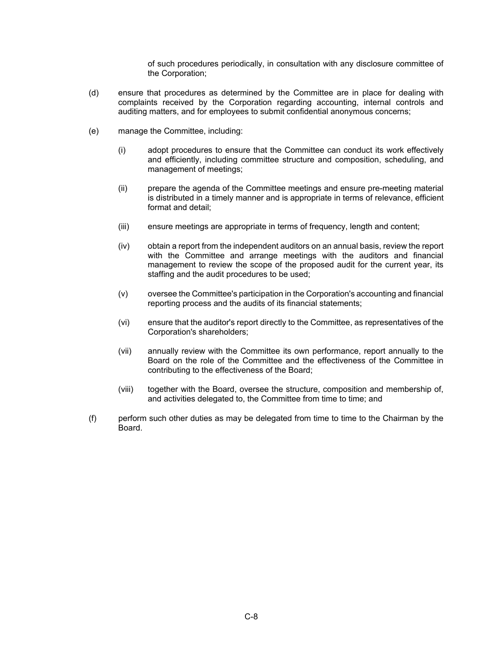of such procedures periodically, in consultation with any disclosure committee of the Corporation;

- (d) ensure that procedures as determined by the Committee are in place for dealing with complaints received by the Corporation regarding accounting, internal controls and auditing matters, and for employees to submit confidential anonymous concerns;
- (e) manage the Committee, including:
	- (i) adopt procedures to ensure that the Committee can conduct its work effectively and efficiently, including committee structure and composition, scheduling, and management of meetings;
	- (ii) prepare the agenda of the Committee meetings and ensure pre-meeting material is distributed in a timely manner and is appropriate in terms of relevance, efficient format and detail;
	- (iii) ensure meetings are appropriate in terms of frequency, length and content;
	- (iv) obtain a report from the independent auditors on an annual basis, review the report with the Committee and arrange meetings with the auditors and financial management to review the scope of the proposed audit for the current year, its staffing and the audit procedures to be used;
	- (v) oversee the Committee's participation in the Corporation's accounting and financial reporting process and the audits of its financial statements;
	- (vi) ensure that the auditor's report directly to the Committee, as representatives of the Corporation's shareholders;
	- (vii) annually review with the Committee its own performance, report annually to the Board on the role of the Committee and the effectiveness of the Committee in contributing to the effectiveness of the Board;
	- (viii) together with the Board, oversee the structure, composition and membership of, and activities delegated to, the Committee from time to time; and
- (f) perform such other duties as may be delegated from time to time to the Chairman by the Board.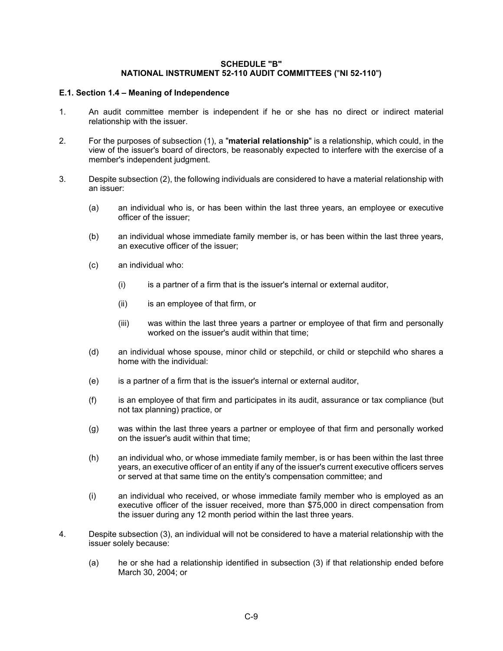#### **SCHEDULE "B" NATIONAL INSTRUMENT 52-110 AUDIT COMMITTEES (**"**NI 52-110**"**)**

### **E.1. Section 1.4 – Meaning of Independence**

- 1. An audit committee member is independent if he or she has no direct or indirect material relationship with the issuer.
- 2. For the purposes of subsection (1), a "**material relationship**" is a relationship, which could, in the view of the issuer's board of directors, be reasonably expected to interfere with the exercise of a member's independent judgment.
- 3. Despite subsection (2), the following individuals are considered to have a material relationship with an issuer:
	- (a) an individual who is, or has been within the last three years, an employee or executive officer of the issuer;
	- (b) an individual whose immediate family member is, or has been within the last three years, an executive officer of the issuer;
	- (c) an individual who:
		- (i) is a partner of a firm that is the issuer's internal or external auditor,
		- (ii) is an employee of that firm, or
		- (iii) was within the last three years a partner or employee of that firm and personally worked on the issuer's audit within that time;
	- (d) an individual whose spouse, minor child or stepchild, or child or stepchild who shares a home with the individual:
	- (e) is a partner of a firm that is the issuer's internal or external auditor,
	- (f) is an employee of that firm and participates in its audit, assurance or tax compliance (but not tax planning) practice, or
	- (g) was within the last three years a partner or employee of that firm and personally worked on the issuer's audit within that time;
	- (h) an individual who, or whose immediate family member, is or has been within the last three years, an executive officer of an entity if any of the issuer's current executive officers serves or served at that same time on the entity's compensation committee; and
	- (i) an individual who received, or whose immediate family member who is employed as an executive officer of the issuer received, more than \$75,000 in direct compensation from the issuer during any 12 month period within the last three years.
- 4. Despite subsection (3), an individual will not be considered to have a material relationship with the issuer solely because:
	- (a) he or she had a relationship identified in subsection (3) if that relationship ended before March 30, 2004; or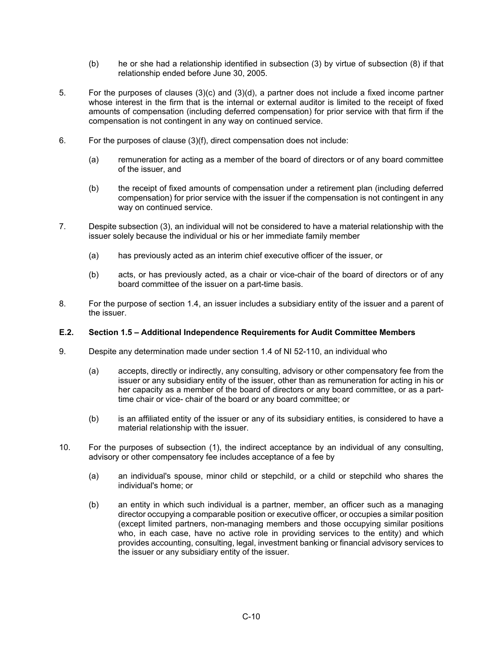- (b) he or she had a relationship identified in subsection (3) by virtue of subsection (8) if that relationship ended before June 30, 2005.
- 5. For the purposes of clauses (3)(c) and (3)(d), a partner does not include a fixed income partner whose interest in the firm that is the internal or external auditor is limited to the receipt of fixed amounts of compensation (including deferred compensation) for prior service with that firm if the compensation is not contingent in any way on continued service.
- 6. For the purposes of clause (3)(f), direct compensation does not include:
	- (a) remuneration for acting as a member of the board of directors or of any board committee of the issuer, and
	- (b) the receipt of fixed amounts of compensation under a retirement plan (including deferred compensation) for prior service with the issuer if the compensation is not contingent in any way on continued service.
- 7. Despite subsection (3), an individual will not be considered to have a material relationship with the issuer solely because the individual or his or her immediate family member
	- (a) has previously acted as an interim chief executive officer of the issuer, or
	- (b) acts, or has previously acted, as a chair or vice-chair of the board of directors or of any board committee of the issuer on a part-time basis.
- 8. For the purpose of section 1.4, an issuer includes a subsidiary entity of the issuer and a parent of the issuer.

#### **E.2. Section 1.5 – Additional Independence Requirements for Audit Committee Members**

- 9. Despite any determination made under section 1.4 of NI 52-110, an individual who
	- (a) accepts, directly or indirectly, any consulting, advisory or other compensatory fee from the issuer or any subsidiary entity of the issuer, other than as remuneration for acting in his or her capacity as a member of the board of directors or any board committee, or as a parttime chair or vice- chair of the board or any board committee; or
	- (b) is an affiliated entity of the issuer or any of its subsidiary entities, is considered to have a material relationship with the issuer.
- 10. For the purposes of subsection (1), the indirect acceptance by an individual of any consulting, advisory or other compensatory fee includes acceptance of a fee by
	- (a) an individual's spouse, minor child or stepchild, or a child or stepchild who shares the individual's home; or
	- (b) an entity in which such individual is a partner, member, an officer such as a managing director occupying a comparable position or executive officer, or occupies a similar position (except limited partners, non-managing members and those occupying similar positions who, in each case, have no active role in providing services to the entity) and which provides accounting, consulting, legal, investment banking or financial advisory services to the issuer or any subsidiary entity of the issuer.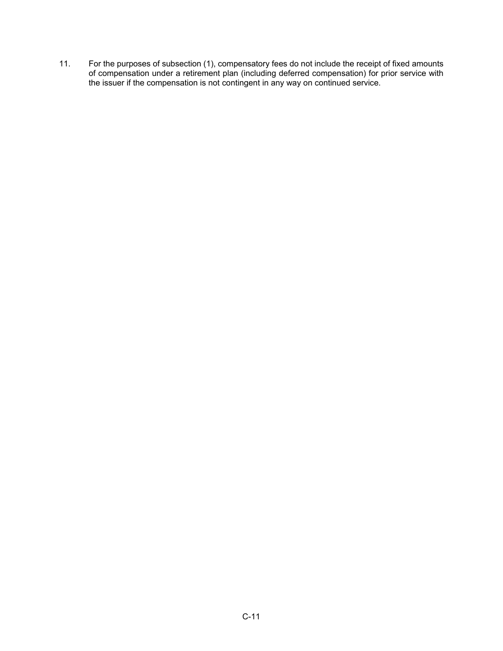11. For the purposes of subsection (1), compensatory fees do not include the receipt of fixed amounts of compensation under a retirement plan (including deferred compensation) for prior service with the issuer if the compensation is not contingent in any way on continued service.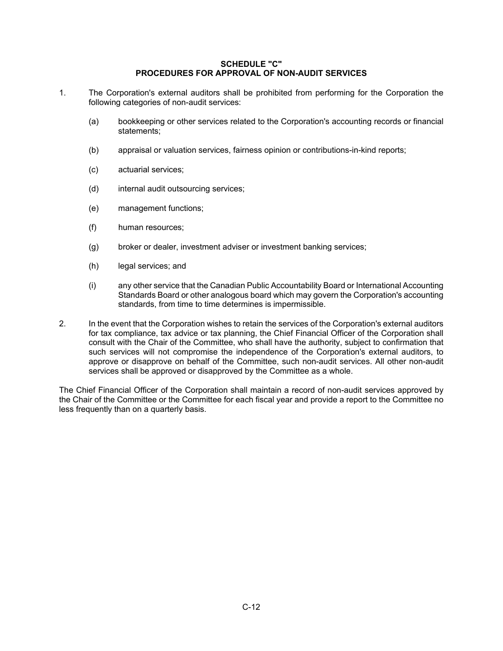#### **SCHEDULE "C" PROCEDURES FOR APPROVAL OF NON-AUDIT SERVICES**

- 1. The Corporation's external auditors shall be prohibited from performing for the Corporation the following categories of non-audit services:
	- (a) bookkeeping or other services related to the Corporation's accounting records or financial statements;
	- (b) appraisal or valuation services, fairness opinion or contributions-in-kind reports;
	- (c) actuarial services;
	- (d) internal audit outsourcing services;
	- (e) management functions;
	- (f) human resources;
	- (g) broker or dealer, investment adviser or investment banking services;
	- (h) legal services; and
	- (i) any other service that the Canadian Public Accountability Board or International Accounting Standards Board or other analogous board which may govern the Corporation's accounting standards, from time to time determines is impermissible.
- 2. In the event that the Corporation wishes to retain the services of the Corporation's external auditors for tax compliance, tax advice or tax planning, the Chief Financial Officer of the Corporation shall consult with the Chair of the Committee, who shall have the authority, subject to confirmation that such services will not compromise the independence of the Corporation's external auditors, to approve or disapprove on behalf of the Committee, such non-audit services. All other non-audit services shall be approved or disapproved by the Committee as a whole.

The Chief Financial Officer of the Corporation shall maintain a record of non-audit services approved by the Chair of the Committee or the Committee for each fiscal year and provide a report to the Committee no less frequently than on a quarterly basis.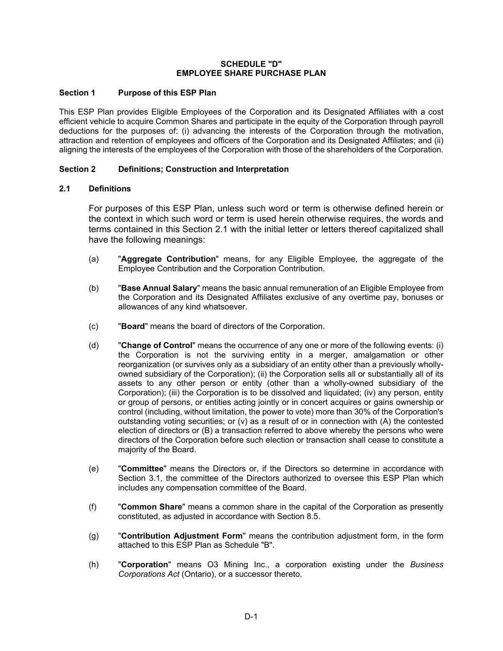#### **SCHEDULE "D" EMPLOYEE SHARE PURCHASE PLAN**

### **Section 1 Purpose of this ESP Plan**

This ESP Plan provides Eligible Employees of the Corporation and its Designated Affiliates with a cost efficient vehicle to acquire Common Shares and participate in the equity of the Corporation through payroll deductions for the purposes of: (i) advancing the interests of the Corporation through the motivation, attraction and retention of employees and officers of the Corporation and its Designated Affiliates; and (ii) aligning the interests of the employees of the Corporation with those of the shareholders of the Corporation.

### **Section 2 Definitions; Construction and Interpretation**

### **2.1 Definitions**

For purposes of this ESP Plan, unless such word or term is otherwise defined herein or the context in which such word or term is used herein otherwise requires, the words and terms contained in this Section 2.1 with the initial letter or letters thereof capitalized shall have the following meanings:

- (a) "**Aggregate Contribution**" means, for any Eligible Employee, the aggregate of the Employee Contribution and the Corporation Contribution.
- (b) "**Base Annual Salary**" means the basic annual remuneration of an Eligible Employee from the Corporation and its Designated Affiliates exclusive of any overtime pay, bonuses or allowances of any kind whatsoever.
- (c) "**Board**" means the board of directors of the Corporation.
- (d) "**Change of Control**" means the occurrence of any one or more of the following events: (i) the Corporation is not the surviving entity in a merger, amalgamation or other reorganization (or survives only as a subsidiary of an entity other than a previously whollyowned subsidiary of the Corporation); (ii) the Corporation sells all or substantially all of its assets to any other person or entity (other than a wholly-owned subsidiary of the Corporation); (iii) the Corporation is to be dissolved and liquidated; (iv) any person, entity or group of persons, or entities acting jointly or in concert acquires or gains ownership or control (including, without limitation, the power to vote) more than 30% of the Corporation's outstanding voting securities; or (v) as a result of or in connection with (A) the contested election of directors or (B) a transaction referred to above whereby the persons who were directors of the Corporation before such election or transaction shall cease to constitute a majority of the Board.
- (e) "**Committee**" means the Directors or, if the Directors so determine in accordance with Section 3.1, the committee of the Directors authorized to oversee this ESP Plan which includes any compensation committee of the Board.
- (f) "**Common Share**" means a common share in the capital of the Corporation as presently constituted, as adjusted in accordance with Section 8.5.
- (g) "**Contribution Adjustment Form**" means the contribution adjustment form, in the form attached to this ESP Plan as Schedule "B".
- (h) "**Corporation**" means O3 Mining Inc., a corporation existing under the *Business Corporations Act* (Ontario), or a successor thereto.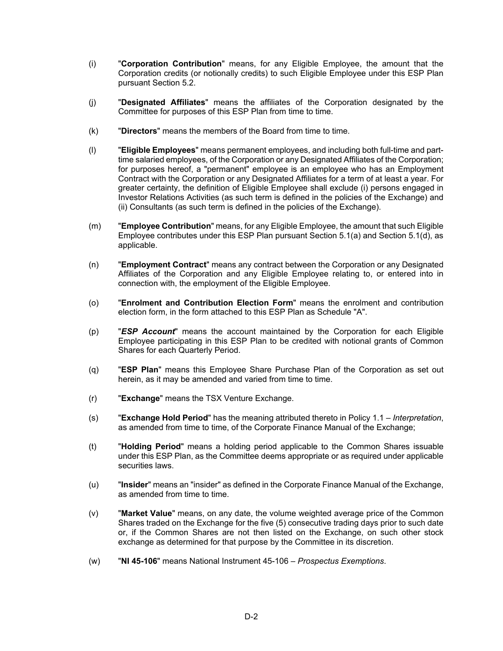- (i) "**Corporation Contribution**" means, for any Eligible Employee, the amount that the Corporation credits (or notionally credits) to such Eligible Employee under this ESP Plan pursuant Section 5.2.
- (j) "**Designated Affiliates**" means the affiliates of the Corporation designated by the Committee for purposes of this ESP Plan from time to time.
- (k) "**Directors**" means the members of the Board from time to time.
- (l) "**Eligible Employees**" means permanent employees, and including both full-time and parttime salaried employees, of the Corporation or any Designated Affiliates of the Corporation; for purposes hereof, a "permanent" employee is an employee who has an Employment Contract with the Corporation or any Designated Affiliates for a term of at least a year. For greater certainty, the definition of Eligible Employee shall exclude (i) persons engaged in Investor Relations Activities (as such term is defined in the policies of the Exchange) and (ii) Consultants (as such term is defined in the policies of the Exchange).
- (m) "**Employee Contribution**" means, for any Eligible Employee, the amount that such Eligible Employee contributes under this ESP Plan pursuant Section 5.1(a) and Section 5.1(d), as applicable.
- (n) "**Employment Contract**" means any contract between the Corporation or any Designated Affiliates of the Corporation and any Eligible Employee relating to, or entered into in connection with, the employment of the Eligible Employee.
- (o) "**Enrolment and Contribution Election Form**" means the enrolment and contribution election form, in the form attached to this ESP Plan as Schedule "A".
- (p) "*ESP Account*" means the account maintained by the Corporation for each Eligible Employee participating in this ESP Plan to be credited with notional grants of Common Shares for each Quarterly Period.
- (q) "**ESP Plan**" means this Employee Share Purchase Plan of the Corporation as set out herein, as it may be amended and varied from time to time.
- (r) "**Exchange**" means the TSX Venture Exchange.
- (s) "**Exchange Hold Period**" has the meaning attributed thereto in Policy 1.1 *Interpretation*, as amended from time to time, of the Corporate Finance Manual of the Exchange;
- (t) "**Holding Period**" means a holding period applicable to the Common Shares issuable under this ESP Plan, as the Committee deems appropriate or as required under applicable securities laws.
- (u) "**Insider**" means an "insider" as defined in the Corporate Finance Manual of the Exchange, as amended from time to time.
- (v) "**Market Value**" means, on any date, the volume weighted average price of the Common Shares traded on the Exchange for the five (5) consecutive trading days prior to such date or, if the Common Shares are not then listed on the Exchange, on such other stock exchange as determined for that purpose by the Committee in its discretion.
- (w) "**NI 45-106**" means National Instrument 45-106 *Prospectus Exemptions*.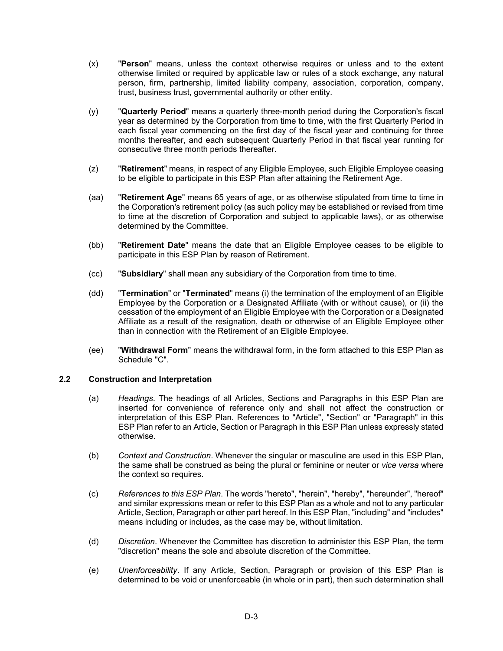- (x) "**Person**" means, unless the context otherwise requires or unless and to the extent otherwise limited or required by applicable law or rules of a stock exchange, any natural person, firm, partnership, limited liability company, association, corporation, company, trust, business trust, governmental authority or other entity.
- (y) "**Quarterly Period**" means a quarterly three-month period during the Corporation's fiscal year as determined by the Corporation from time to time, with the first Quarterly Period in each fiscal year commencing on the first day of the fiscal year and continuing for three months thereafter, and each subsequent Quarterly Period in that fiscal year running for consecutive three month periods thereafter.
- (z) "**Retirement**" means, in respect of any Eligible Employee, such Eligible Employee ceasing to be eligible to participate in this ESP Plan after attaining the Retirement Age.
- (aa) "**Retirement Age**" means 65 years of age, or as otherwise stipulated from time to time in the Corporation's retirement policy (as such policy may be established or revised from time to time at the discretion of Corporation and subject to applicable laws), or as otherwise determined by the Committee.
- (bb) "**Retirement Date**" means the date that an Eligible Employee ceases to be eligible to participate in this ESP Plan by reason of Retirement.
- (cc) "**Subsidiary**" shall mean any subsidiary of the Corporation from time to time.
- (dd) "**Termination**" or "**Terminated**" means (i) the termination of the employment of an Eligible Employee by the Corporation or a Designated Affiliate (with or without cause), or (ii) the cessation of the employment of an Eligible Employee with the Corporation or a Designated Affiliate as a result of the resignation, death or otherwise of an Eligible Employee other than in connection with the Retirement of an Eligible Employee.
- (ee) "**Withdrawal Form**" means the withdrawal form, in the form attached to this ESP Plan as Schedule "C".

### **2.2 Construction and Interpretation**

- (a) *Headings*. The headings of all Articles, Sections and Paragraphs in this ESP Plan are inserted for convenience of reference only and shall not affect the construction or interpretation of this ESP Plan. References to "Article", "Section" or "Paragraph" in this ESP Plan refer to an Article, Section or Paragraph in this ESP Plan unless expressly stated otherwise.
- (b) *Context and Construction*. Whenever the singular or masculine are used in this ESP Plan, the same shall be construed as being the plural or feminine or neuter or *vice versa* where the context so requires.
- (c) *References to this ESP Plan*. The words "hereto", "herein", "hereby", "hereunder", "hereof" and similar expressions mean or refer to this ESP Plan as a whole and not to any particular Article, Section, Paragraph or other part hereof. In this ESP Plan, "including" and "includes" means including or includes, as the case may be, without limitation.
- (d) *Discretion*. Whenever the Committee has discretion to administer this ESP Plan, the term "discretion" means the sole and absolute discretion of the Committee.
- (e) *Unenforceability*. If any Article, Section, Paragraph or provision of this ESP Plan is determined to be void or unenforceable (in whole or in part), then such determination shall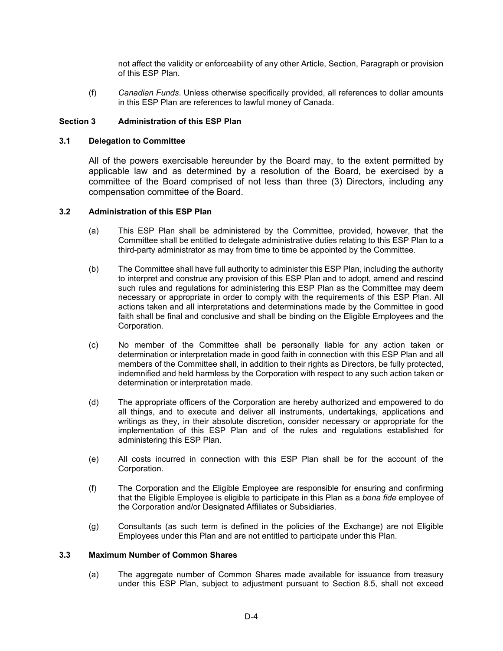not affect the validity or enforceability of any other Article, Section, Paragraph or provision of this ESP Plan.

(f) *Canadian Funds*. Unless otherwise specifically provided, all references to dollar amounts in this ESP Plan are references to lawful money of Canada.

### **Section 3 Administration of this ESP Plan**

#### **3.1 Delegation to Committee**

All of the powers exercisable hereunder by the Board may, to the extent permitted by applicable law and as determined by a resolution of the Board, be exercised by a committee of the Board comprised of not less than three (3) Directors, including any compensation committee of the Board.

### **3.2 Administration of this ESP Plan**

- (a) This ESP Plan shall be administered by the Committee, provided, however, that the Committee shall be entitled to delegate administrative duties relating to this ESP Plan to a third-party administrator as may from time to time be appointed by the Committee.
- (b) The Committee shall have full authority to administer this ESP Plan, including the authority to interpret and construe any provision of this ESP Plan and to adopt, amend and rescind such rules and regulations for administering this ESP Plan as the Committee may deem necessary or appropriate in order to comply with the requirements of this ESP Plan. All actions taken and all interpretations and determinations made by the Committee in good faith shall be final and conclusive and shall be binding on the Eligible Employees and the Corporation.
- (c) No member of the Committee shall be personally liable for any action taken or determination or interpretation made in good faith in connection with this ESP Plan and all members of the Committee shall, in addition to their rights as Directors, be fully protected, indemnified and held harmless by the Corporation with respect to any such action taken or determination or interpretation made.
- (d) The appropriate officers of the Corporation are hereby authorized and empowered to do all things, and to execute and deliver all instruments, undertakings, applications and writings as they, in their absolute discretion, consider necessary or appropriate for the implementation of this ESP Plan and of the rules and regulations established for administering this ESP Plan.
- (e) All costs incurred in connection with this ESP Plan shall be for the account of the Corporation.
- (f) The Corporation and the Eligible Employee are responsible for ensuring and confirming that the Eligible Employee is eligible to participate in this Plan as a *bona fide* employee of the Corporation and/or Designated Affiliates or Subsidiaries.
- (g) Consultants (as such term is defined in the policies of the Exchange) are not Eligible Employees under this Plan and are not entitled to participate under this Plan.

## **3.3 Maximum Number of Common Shares**

(a) The aggregate number of Common Shares made available for issuance from treasury under this ESP Plan, subject to adjustment pursuant to Section 8.5, shall not exceed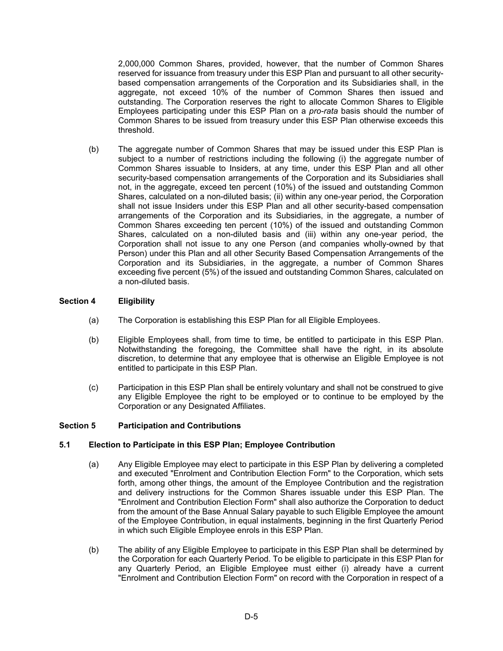2,000,000 Common Shares, provided, however, that the number of Common Shares reserved for issuance from treasury under this ESP Plan and pursuant to all other securitybased compensation arrangements of the Corporation and its Subsidiaries shall, in the aggregate, not exceed 10% of the number of Common Shares then issued and outstanding. The Corporation reserves the right to allocate Common Shares to Eligible Employees participating under this ESP Plan on a *pro-rata* basis should the number of Common Shares to be issued from treasury under this ESP Plan otherwise exceeds this threshold.

(b) The aggregate number of Common Shares that may be issued under this ESP Plan is subject to a number of restrictions including the following (i) the aggregate number of Common Shares issuable to Insiders, at any time, under this ESP Plan and all other security-based compensation arrangements of the Corporation and its Subsidiaries shall not, in the aggregate, exceed ten percent (10%) of the issued and outstanding Common Shares, calculated on a non-diluted basis; (ii) within any one-year period, the Corporation shall not issue Insiders under this ESP Plan and all other security-based compensation arrangements of the Corporation and its Subsidiaries, in the aggregate, a number of Common Shares exceeding ten percent (10%) of the issued and outstanding Common Shares, calculated on a non-diluted basis and (iii) within any one-year period, the Corporation shall not issue to any one Person (and companies wholly-owned by that Person) under this Plan and all other Security Based Compensation Arrangements of the Corporation and its Subsidiaries, in the aggregate, a number of Common Shares exceeding five percent (5%) of the issued and outstanding Common Shares, calculated on a non-diluted basis.

## **Section 4 Eligibility**

- (a) The Corporation is establishing this ESP Plan for all Eligible Employees.
- (b) Eligible Employees shall, from time to time, be entitled to participate in this ESP Plan. Notwithstanding the foregoing, the Committee shall have the right, in its absolute discretion, to determine that any employee that is otherwise an Eligible Employee is not entitled to participate in this ESP Plan.
- (c) Participation in this ESP Plan shall be entirely voluntary and shall not be construed to give any Eligible Employee the right to be employed or to continue to be employed by the Corporation or any Designated Affiliates.

## **Section 5 Participation and Contributions**

#### **5.1 Election to Participate in this ESP Plan; Employee Contribution**

- (a) Any Eligible Employee may elect to participate in this ESP Plan by delivering a completed and executed "Enrolment and Contribution Election Form" to the Corporation, which sets forth, among other things, the amount of the Employee Contribution and the registration and delivery instructions for the Common Shares issuable under this ESP Plan. The "Enrolment and Contribution Election Form" shall also authorize the Corporation to deduct from the amount of the Base Annual Salary payable to such Eligible Employee the amount of the Employee Contribution, in equal instalments, beginning in the first Quarterly Period in which such Eligible Employee enrols in this ESP Plan.
- (b) The ability of any Eligible Employee to participate in this ESP Plan shall be determined by the Corporation for each Quarterly Period. To be eligible to participate in this ESP Plan for any Quarterly Period, an Eligible Employee must either (i) already have a current "Enrolment and Contribution Election Form" on record with the Corporation in respect of a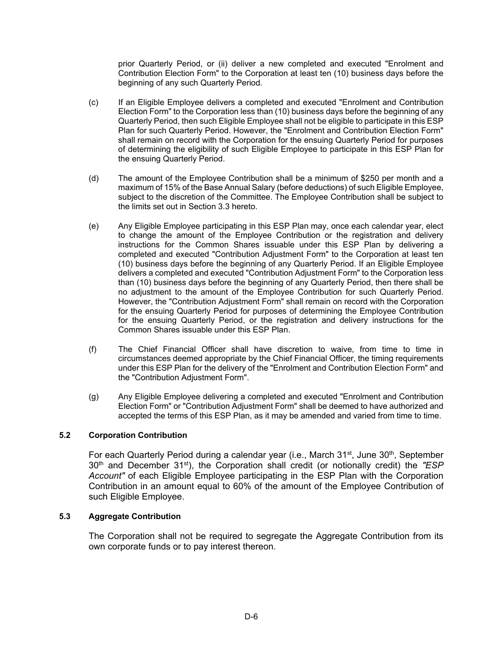prior Quarterly Period, or (ii) deliver a new completed and executed "Enrolment and Contribution Election Form" to the Corporation at least ten (10) business days before the beginning of any such Quarterly Period.

- (c) If an Eligible Employee delivers a completed and executed "Enrolment and Contribution Election Form" to the Corporation less than (10) business days before the beginning of any Quarterly Period, then such Eligible Employee shall not be eligible to participate in this ESP Plan for such Quarterly Period. However, the "Enrolment and Contribution Election Form" shall remain on record with the Corporation for the ensuing Quarterly Period for purposes of determining the eligibility of such Eligible Employee to participate in this ESP Plan for the ensuing Quarterly Period.
- (d) The amount of the Employee Contribution shall be a minimum of \$250 per month and a maximum of 15% of the Base Annual Salary (before deductions) of such Eligible Employee, subject to the discretion of the Committee. The Employee Contribution shall be subject to the limits set out in Section 3.3 hereto.
- (e) Any Eligible Employee participating in this ESP Plan may, once each calendar year, elect to change the amount of the Employee Contribution or the registration and delivery instructions for the Common Shares issuable under this ESP Plan by delivering a completed and executed "Contribution Adjustment Form" to the Corporation at least ten (10) business days before the beginning of any Quarterly Period. If an Eligible Employee delivers a completed and executed "Contribution Adjustment Form" to the Corporation less than (10) business days before the beginning of any Quarterly Period, then there shall be no adjustment to the amount of the Employee Contribution for such Quarterly Period. However, the "Contribution Adjustment Form" shall remain on record with the Corporation for the ensuing Quarterly Period for purposes of determining the Employee Contribution for the ensuing Quarterly Period, or the registration and delivery instructions for the Common Shares issuable under this ESP Plan.
- (f) The Chief Financial Officer shall have discretion to waive, from time to time in circumstances deemed appropriate by the Chief Financial Officer, the timing requirements under this ESP Plan for the delivery of the "Enrolment and Contribution Election Form" and the "Contribution Adjustment Form".
- (g) Any Eligible Employee delivering a completed and executed "Enrolment and Contribution Election Form" or "Contribution Adjustment Form" shall be deemed to have authorized and accepted the terms of this ESP Plan, as it may be amended and varied from time to time.

## **5.2 Corporation Contribution**

For each Quarterly Period during a calendar year (i.e., March  $31<sup>st</sup>$ , June  $30<sup>th</sup>$ , September 30th and December 31st), the Corporation shall credit (or notionally credit) the *"ESP Account"* of each Eligible Employee participating in the ESP Plan with the Corporation Contribution in an amount equal to 60% of the amount of the Employee Contribution of such Eligible Employee.

### **5.3 Aggregate Contribution**

The Corporation shall not be required to segregate the Aggregate Contribution from its own corporate funds or to pay interest thereon.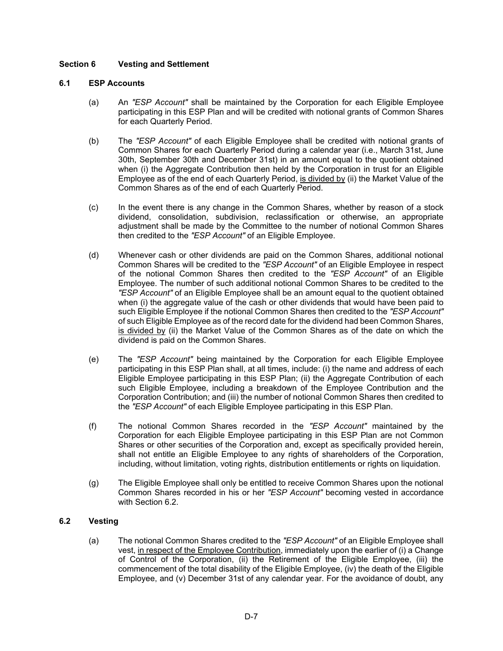# **Section 6 Vesting and Settlement**

### **6.1 ESP Accounts**

- (a) An *"ESP Account"* shall be maintained by the Corporation for each Eligible Employee participating in this ESP Plan and will be credited with notional grants of Common Shares for each Quarterly Period.
- (b) The *"ESP Account"* of each Eligible Employee shall be credited with notional grants of Common Shares for each Quarterly Period during a calendar year (i.e., March 31st, June 30th, September 30th and December 31st) in an amount equal to the quotient obtained when (i) the Aggregate Contribution then held by the Corporation in trust for an Eligible Employee as of the end of each Quarterly Period, is divided by (ii) the Market Value of the Common Shares as of the end of each Quarterly Period.
- (c) In the event there is any change in the Common Shares, whether by reason of a stock dividend, consolidation, subdivision, reclassification or otherwise, an appropriate adjustment shall be made by the Committee to the number of notional Common Shares then credited to the *"ESP Account"* of an Eligible Employee.
- (d) Whenever cash or other dividends are paid on the Common Shares, additional notional Common Shares will be credited to the *"ESP Account"* of an Eligible Employee in respect of the notional Common Shares then credited to the *"ESP Account"* of an Eligible Employee. The number of such additional notional Common Shares to be credited to the *"ESP Account"* of an Eligible Employee shall be an amount equal to the quotient obtained when (i) the aggregate value of the cash or other dividends that would have been paid to such Eligible Employee if the notional Common Shares then credited to the *"ESP Account"* of such Eligible Employee as of the record date for the dividend had been Common Shares, is divided by (ii) the Market Value of the Common Shares as of the date on which the dividend is paid on the Common Shares.
- (e) The *"ESP Account"* being maintained by the Corporation for each Eligible Employee participating in this ESP Plan shall, at all times, include: (i) the name and address of each Eligible Employee participating in this ESP Plan; (ii) the Aggregate Contribution of each such Eligible Employee, including a breakdown of the Employee Contribution and the Corporation Contribution; and (iii) the number of notional Common Shares then credited to the *"ESP Account"* of each Eligible Employee participating in this ESP Plan.
- (f) The notional Common Shares recorded in the *"ESP Account"* maintained by the Corporation for each Eligible Employee participating in this ESP Plan are not Common Shares or other securities of the Corporation and, except as specifically provided herein, shall not entitle an Eligible Employee to any rights of shareholders of the Corporation, including, without limitation, voting rights, distribution entitlements or rights on liquidation.
- (g) The Eligible Employee shall only be entitled to receive Common Shares upon the notional Common Shares recorded in his or her *"ESP Account"* becoming vested in accordance with Section 6.2.

## **6.2 Vesting**

(a) The notional Common Shares credited to the *"ESP Account"* of an Eligible Employee shall vest, in respect of the Employee Contribution, immediately upon the earlier of (i) a Change of Control of the Corporation, (ii) the Retirement of the Eligible Employee, (iii) the commencement of the total disability of the Eligible Employee, (iv) the death of the Eligible Employee, and (v) December 31st of any calendar year. For the avoidance of doubt, any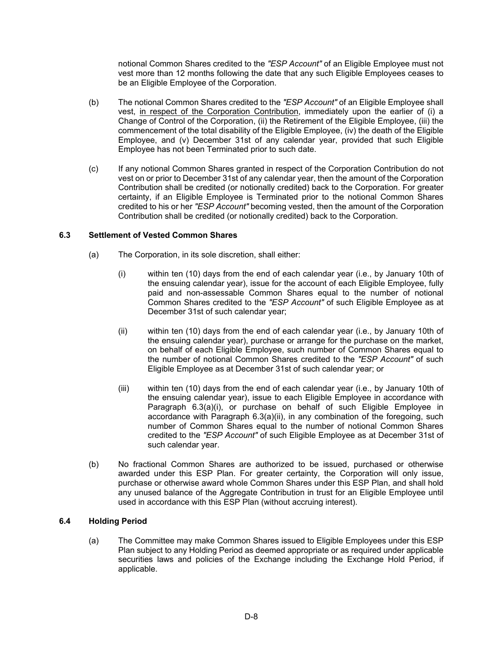notional Common Shares credited to the *"ESP Account"* of an Eligible Employee must not vest more than 12 months following the date that any such Eligible Employees ceases to be an Eligible Employee of the Corporation.

- (b) The notional Common Shares credited to the *"ESP Account"* of an Eligible Employee shall vest, in respect of the Corporation Contribution, immediately upon the earlier of (i) a Change of Control of the Corporation, (ii) the Retirement of the Eligible Employee, (iii) the commencement of the total disability of the Eligible Employee, (iv) the death of the Eligible Employee, and (v) December 31st of any calendar year, provided that such Eligible Employee has not been Terminated prior to such date.
- (c) If any notional Common Shares granted in respect of the Corporation Contribution do not vest on or prior to December 31st of any calendar year, then the amount of the Corporation Contribution shall be credited (or notionally credited) back to the Corporation. For greater certainty, if an Eligible Employee is Terminated prior to the notional Common Shares credited to his or her *"ESP Account"* becoming vested, then the amount of the Corporation Contribution shall be credited (or notionally credited) back to the Corporation.

### **6.3 Settlement of Vested Common Shares**

- (a) The Corporation, in its sole discretion, shall either:
	- (i) within ten (10) days from the end of each calendar year (i.e., by January 10th of the ensuing calendar year), issue for the account of each Eligible Employee, fully paid and non-assessable Common Shares equal to the number of notional Common Shares credited to the *"ESP Account"* of such Eligible Employee as at December 31st of such calendar year;
	- (ii) within ten (10) days from the end of each calendar year (i.e., by January 10th of the ensuing calendar year), purchase or arrange for the purchase on the market, on behalf of each Eligible Employee, such number of Common Shares equal to the number of notional Common Shares credited to the *"ESP Account"* of such Eligible Employee as at December 31st of such calendar year; or
	- (iii) within ten (10) days from the end of each calendar year (i.e., by January 10th of the ensuing calendar year), issue to each Eligible Employee in accordance with Paragraph 6.3(a)(i), or purchase on behalf of such Eligible Employee in accordance with Paragraph 6.3(a)(ii), in any combination of the foregoing, such number of Common Shares equal to the number of notional Common Shares credited to the *"ESP Account"* of such Eligible Employee as at December 31st of such calendar year.
- (b) No fractional Common Shares are authorized to be issued, purchased or otherwise awarded under this ESP Plan. For greater certainty, the Corporation will only issue, purchase or otherwise award whole Common Shares under this ESP Plan, and shall hold any unused balance of the Aggregate Contribution in trust for an Eligible Employee until used in accordance with this ESP Plan (without accruing interest).

#### **6.4 Holding Period**

(a) The Committee may make Common Shares issued to Eligible Employees under this ESP Plan subject to any Holding Period as deemed appropriate or as required under applicable securities laws and policies of the Exchange including the Exchange Hold Period, if applicable.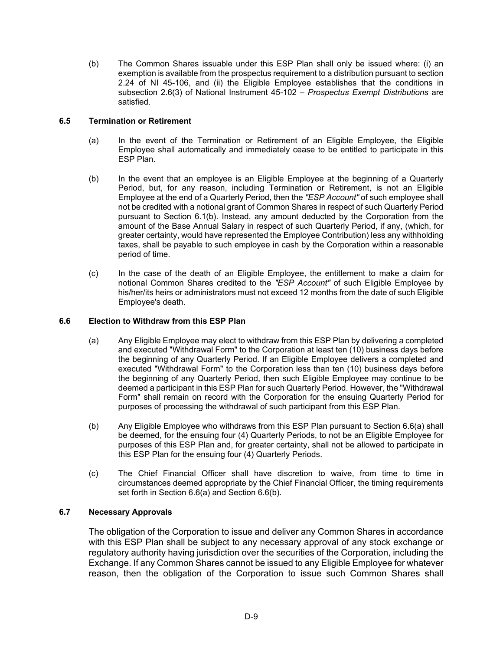(b) The Common Shares issuable under this ESP Plan shall only be issued where: (i) an exemption is available from the prospectus requirement to a distribution pursuant to section 2.24 of NI 45-106, and (ii) the Eligible Employee establishes that the conditions in subsection 2.6(3) of National Instrument 45-102 – *Prospectus Exempt Distributions* are satisfied.

# **6.5 Termination or Retirement**

- (a) In the event of the Termination or Retirement of an Eligible Employee, the Eligible Employee shall automatically and immediately cease to be entitled to participate in this ESP Plan.
- (b) In the event that an employee is an Eligible Employee at the beginning of a Quarterly Period, but, for any reason, including Termination or Retirement, is not an Eligible Employee at the end of a Quarterly Period, then the *"ESP Account"* of such employee shall not be credited with a notional grant of Common Shares in respect of such Quarterly Period pursuant to Section 6.1(b). Instead, any amount deducted by the Corporation from the amount of the Base Annual Salary in respect of such Quarterly Period, if any, (which, for greater certainty, would have represented the Employee Contribution) less any withholding taxes, shall be payable to such employee in cash by the Corporation within a reasonable period of time.
- (c) In the case of the death of an Eligible Employee, the entitlement to make a claim for notional Common Shares credited to the *"ESP Account"* of such Eligible Employee by his/her/its heirs or administrators must not exceed 12 months from the date of such Eligible Employee's death.

# **6.6 Election to Withdraw from this ESP Plan**

- (a) Any Eligible Employee may elect to withdraw from this ESP Plan by delivering a completed and executed "Withdrawal Form" to the Corporation at least ten (10) business days before the beginning of any Quarterly Period. If an Eligible Employee delivers a completed and executed "Withdrawal Form" to the Corporation less than ten (10) business days before the beginning of any Quarterly Period, then such Eligible Employee may continue to be deemed a participant in this ESP Plan for such Quarterly Period. However, the "Withdrawal Form" shall remain on record with the Corporation for the ensuing Quarterly Period for purposes of processing the withdrawal of such participant from this ESP Plan.
- (b) Any Eligible Employee who withdraws from this ESP Plan pursuant to Section 6.6(a) shall be deemed, for the ensuing four (4) Quarterly Periods, to not be an Eligible Employee for purposes of this ESP Plan and, for greater certainty, shall not be allowed to participate in this ESP Plan for the ensuing four (4) Quarterly Periods.
- (c) The Chief Financial Officer shall have discretion to waive, from time to time in circumstances deemed appropriate by the Chief Financial Officer, the timing requirements set forth in Section 6.6(a) and Section 6.6(b).

# **6.7 Necessary Approvals**

The obligation of the Corporation to issue and deliver any Common Shares in accordance with this ESP Plan shall be subject to any necessary approval of any stock exchange or regulatory authority having jurisdiction over the securities of the Corporation, including the Exchange. If any Common Shares cannot be issued to any Eligible Employee for whatever reason, then the obligation of the Corporation to issue such Common Shares shall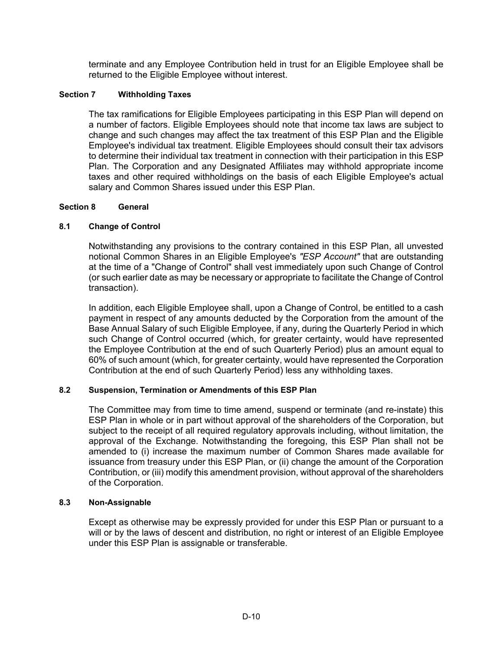terminate and any Employee Contribution held in trust for an Eligible Employee shall be returned to the Eligible Employee without interest.

# **Section 7 Withholding Taxes**

The tax ramifications for Eligible Employees participating in this ESP Plan will depend on a number of factors. Eligible Employees should note that income tax laws are subject to change and such changes may affect the tax treatment of this ESP Plan and the Eligible Employee's individual tax treatment. Eligible Employees should consult their tax advisors to determine their individual tax treatment in connection with their participation in this ESP Plan. The Corporation and any Designated Affiliates may withhold appropriate income taxes and other required withholdings on the basis of each Eligible Employee's actual salary and Common Shares issued under this ESP Plan.

## **Section 8 General**

# **8.1 Change of Control**

Notwithstanding any provisions to the contrary contained in this ESP Plan, all unvested notional Common Shares in an Eligible Employee's *"ESP Account"* that are outstanding at the time of a "Change of Control" shall vest immediately upon such Change of Control (or such earlier date as may be necessary or appropriate to facilitate the Change of Control transaction).

In addition, each Eligible Employee shall, upon a Change of Control, be entitled to a cash payment in respect of any amounts deducted by the Corporation from the amount of the Base Annual Salary of such Eligible Employee, if any, during the Quarterly Period in which such Change of Control occurred (which, for greater certainty, would have represented the Employee Contribution at the end of such Quarterly Period) plus an amount equal to 60% of such amount (which, for greater certainty, would have represented the Corporation Contribution at the end of such Quarterly Period) less any withholding taxes.

## **8.2 Suspension, Termination or Amendments of this ESP Plan**

The Committee may from time to time amend, suspend or terminate (and re-instate) this ESP Plan in whole or in part without approval of the shareholders of the Corporation, but subject to the receipt of all required regulatory approvals including, without limitation, the approval of the Exchange. Notwithstanding the foregoing, this ESP Plan shall not be amended to (i) increase the maximum number of Common Shares made available for issuance from treasury under this ESP Plan, or (ii) change the amount of the Corporation Contribution, or (iii) modify this amendment provision, without approval of the shareholders of the Corporation.

## **8.3 Non-Assignable**

Except as otherwise may be expressly provided for under this ESP Plan or pursuant to a will or by the laws of descent and distribution, no right or interest of an Eligible Employee under this ESP Plan is assignable or transferable.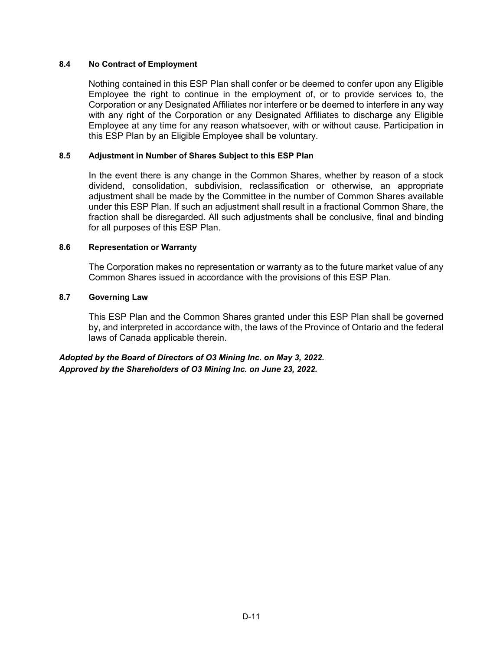# **8.4 No Contract of Employment**

Nothing contained in this ESP Plan shall confer or be deemed to confer upon any Eligible Employee the right to continue in the employment of, or to provide services to, the Corporation or any Designated Affiliates nor interfere or be deemed to interfere in any way with any right of the Corporation or any Designated Affiliates to discharge any Eligible Employee at any time for any reason whatsoever, with or without cause. Participation in this ESP Plan by an Eligible Employee shall be voluntary.

## **8.5 Adjustment in Number of Shares Subject to this ESP Plan**

In the event there is any change in the Common Shares, whether by reason of a stock dividend, consolidation, subdivision, reclassification or otherwise, an appropriate adjustment shall be made by the Committee in the number of Common Shares available under this ESP Plan. If such an adjustment shall result in a fractional Common Share, the fraction shall be disregarded. All such adjustments shall be conclusive, final and binding for all purposes of this ESP Plan.

### **8.6 Representation or Warranty**

The Corporation makes no representation or warranty as to the future market value of any Common Shares issued in accordance with the provisions of this ESP Plan.

### **8.7 Governing Law**

This ESP Plan and the Common Shares granted under this ESP Plan shall be governed by, and interpreted in accordance with, the laws of the Province of Ontario and the federal laws of Canada applicable therein.

*Adopted by the Board of Directors of O3 Mining Inc. on May 3, 2022. Approved by the Shareholders of O3 Mining Inc. on June 23, 2022.*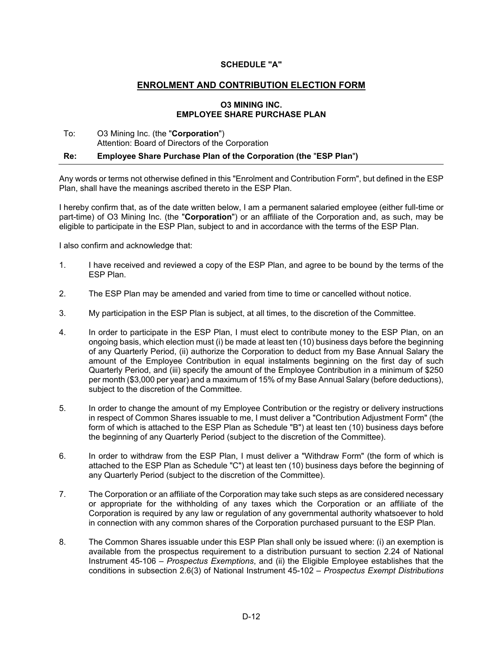### **SCHEDULE "A"**

### **ENROLMENT AND CONTRIBUTION ELECTION FORM**

#### **O3 MINING INC. EMPLOYEE SHARE PURCHASE PLAN**

#### To: O3 Mining Inc. (the "**Corporation**") Attention: Board of Directors of the Corporation

#### **Re: Employee Share Purchase Plan of the Corporation (the** "**ESP Plan**"**)**

Any words or terms not otherwise defined in this "Enrolment and Contribution Form", but defined in the ESP Plan, shall have the meanings ascribed thereto in the ESP Plan.

I hereby confirm that, as of the date written below, I am a permanent salaried employee (either full-time or part-time) of O3 Mining Inc. (the "**Corporation**") or an affiliate of the Corporation and, as such, may be eligible to participate in the ESP Plan, subject to and in accordance with the terms of the ESP Plan.

I also confirm and acknowledge that:

- 1. I have received and reviewed a copy of the ESP Plan, and agree to be bound by the terms of the ESP Plan.
- 2. The ESP Plan may be amended and varied from time to time or cancelled without notice.
- 3. My participation in the ESP Plan is subject, at all times, to the discretion of the Committee.
- 4. In order to participate in the ESP Plan, I must elect to contribute money to the ESP Plan, on an ongoing basis, which election must (i) be made at least ten (10) business days before the beginning of any Quarterly Period, (ii) authorize the Corporation to deduct from my Base Annual Salary the amount of the Employee Contribution in equal instalments beginning on the first day of such Quarterly Period, and (iii) specify the amount of the Employee Contribution in a minimum of \$250 per month (\$3,000 per year) and a maximum of 15% of my Base Annual Salary (before deductions), subject to the discretion of the Committee.
- 5. In order to change the amount of my Employee Contribution or the registry or delivery instructions in respect of Common Shares issuable to me, I must deliver a "Contribution Adjustment Form" (the form of which is attached to the ESP Plan as Schedule "B") at least ten (10) business days before the beginning of any Quarterly Period (subject to the discretion of the Committee).
- 6. In order to withdraw from the ESP Plan, I must deliver a "Withdraw Form" (the form of which is attached to the ESP Plan as Schedule "C") at least ten (10) business days before the beginning of any Quarterly Period (subject to the discretion of the Committee).
- 7. The Corporation or an affiliate of the Corporation may take such steps as are considered necessary or appropriate for the withholding of any taxes which the Corporation or an affiliate of the Corporation is required by any law or regulation of any governmental authority whatsoever to hold in connection with any common shares of the Corporation purchased pursuant to the ESP Plan.
- 8. The Common Shares issuable under this ESP Plan shall only be issued where: (i) an exemption is available from the prospectus requirement to a distribution pursuant to section 2.24 of National Instrument 45-106 – *Prospectus Exemptions*, and (ii) the Eligible Employee establishes that the conditions in subsection 2.6(3) of National Instrument 45-102 – *Prospectus Exempt Distributions*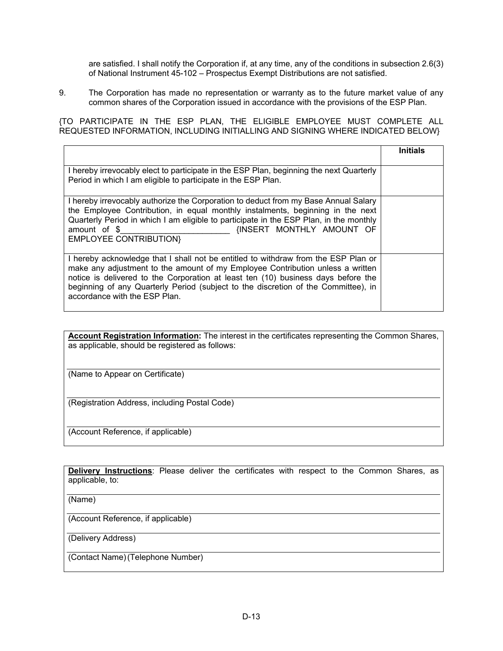are satisfied. I shall notify the Corporation if, at any time, any of the conditions in subsection 2.6(3) of National Instrument 45-102 – Prospectus Exempt Distributions are not satisfied.

9. The Corporation has made no representation or warranty as to the future market value of any common shares of the Corporation issued in accordance with the provisions of the ESP Plan.

{TO PARTICIPATE IN THE ESP PLAN, THE ELIGIBLE EMPLOYEE MUST COMPLETE ALL REQUESTED INFORMATION, INCLUDING INITIALLING AND SIGNING WHERE INDICATED BELOW}

|                                                                                                                                                                                                                                                                                                                                                                                  | <b>Initials</b> |
|----------------------------------------------------------------------------------------------------------------------------------------------------------------------------------------------------------------------------------------------------------------------------------------------------------------------------------------------------------------------------------|-----------------|
| I hereby irrevocably elect to participate in the ESP Plan, beginning the next Quarterly<br>Period in which I am eligible to participate in the ESP Plan.                                                                                                                                                                                                                         |                 |
| I hereby irrevocably authorize the Corporation to deduct from my Base Annual Salary<br>the Employee Contribution, in equal monthly instalments, beginning in the next<br>Quarterly Period in which I am eligible to participate in the ESP Plan, in the monthly<br>INSERT MONTHLY AMOUNT OF<br>amount of \$<br><b>EMPLOYEE CONTRIBUTION}</b>                                     |                 |
| I hereby acknowledge that I shall not be entitled to withdraw from the ESP Plan or<br>make any adjustment to the amount of my Employee Contribution unless a written<br>notice is delivered to the Corporation at least ten (10) business days before the<br>beginning of any Quarterly Period (subject to the discretion of the Committee), in<br>accordance with the ESP Plan. |                 |

**Account Registration Information:** The interest in the certificates representing the Common Shares, as applicable, should be registered as follows:

(Name to Appear on Certificate)

(Registration Address, including Postal Code)

(Account Reference, if applicable)

**Delivery Instructions**: Please deliver the certificates with respect to the Common Shares, as applicable, to:

(Name)

(Account Reference, if applicable)

(Delivery Address)

(Contact Name) (Telephone Number)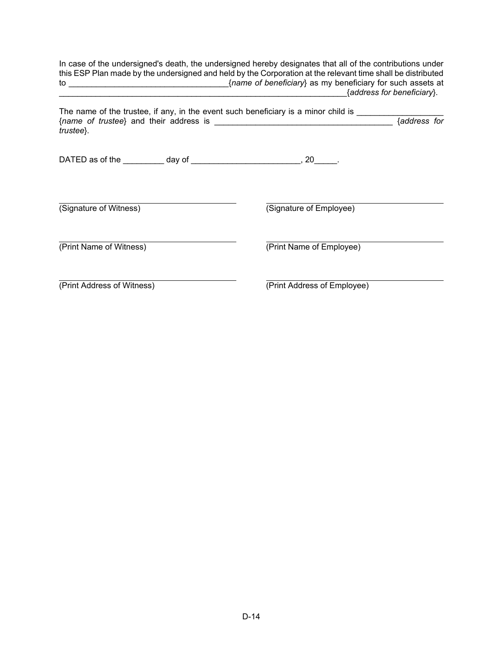| In case of the undersigned's death, the undersigned hereby designates that all of the contributions under<br>this ESP Plan made by the undersigned and held by the Corporation at the relevant time shall be distributed<br>{address for beneficiary}. |                             |              |
|--------------------------------------------------------------------------------------------------------------------------------------------------------------------------------------------------------------------------------------------------------|-----------------------------|--------------|
| The name of the trustee, if any, in the event such beneficiary is a minor child is<br>trustee}.                                                                                                                                                        |                             | {address for |
| DATED as of the __________ day of _______________________________, 20______.                                                                                                                                                                           |                             |              |
| (Signature of Witness)                                                                                                                                                                                                                                 | (Signature of Employee)     |              |
| (Print Name of Witness)                                                                                                                                                                                                                                | (Print Name of Employee)    |              |
| (Print Address of Witness)                                                                                                                                                                                                                             | (Print Address of Employee) |              |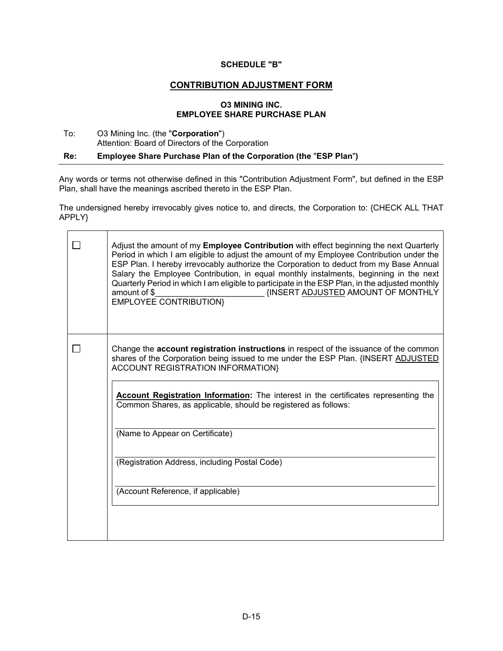### **SCHEDULE "B"**

# **CONTRIBUTION ADJUSTMENT FORM**

#### **O3 MINING INC. EMPLOYEE SHARE PURCHASE PLAN**

### To: O3 Mining Inc. (the "**Corporation**") Attention: Board of Directors of the Corporation

### **Re: Employee Share Purchase Plan of the Corporation (the** "**ESP Plan**"**)**

Any words or terms not otherwise defined in this "Contribution Adjustment Form", but defined in the ESP Plan, shall have the meanings ascribed thereto in the ESP Plan.

The undersigned hereby irrevocably gives notice to, and directs, the Corporation to: {CHECK ALL THAT APPLY}

|  | Adjust the amount of my <b>Employee Contribution</b> with effect beginning the next Quarterly<br>Period in which I am eligible to adjust the amount of my Employee Contribution under the<br>ESP Plan. I hereby irrevocably authorize the Corporation to deduct from my Base Annual<br>Salary the Employee Contribution, in equal monthly instalments, beginning in the next<br>Quarterly Period in which I am eligible to participate in the ESP Plan, in the adjusted monthly<br><b>{INSERT ADJUSTED AMOUNT OF MONTHLY</b><br>amount of \$<br><b>EMPLOYEE CONTRIBUTION</b> |
|--|------------------------------------------------------------------------------------------------------------------------------------------------------------------------------------------------------------------------------------------------------------------------------------------------------------------------------------------------------------------------------------------------------------------------------------------------------------------------------------------------------------------------------------------------------------------------------|
|  | Change the <b>account registration instructions</b> in respect of the issuance of the common<br>shares of the Corporation being issued to me under the ESP Plan. {INSERT ADJUSTED<br><b>ACCOUNT REGISTRATION INFORMATION}</b><br>Account Registration Information: The interest in the certificates representing the<br>Common Shares, as applicable, should be registered as follows:                                                                                                                                                                                       |
|  | (Name to Appear on Certificate)<br>(Registration Address, including Postal Code)                                                                                                                                                                                                                                                                                                                                                                                                                                                                                             |
|  | (Account Reference, if applicable)                                                                                                                                                                                                                                                                                                                                                                                                                                                                                                                                           |
|  |                                                                                                                                                                                                                                                                                                                                                                                                                                                                                                                                                                              |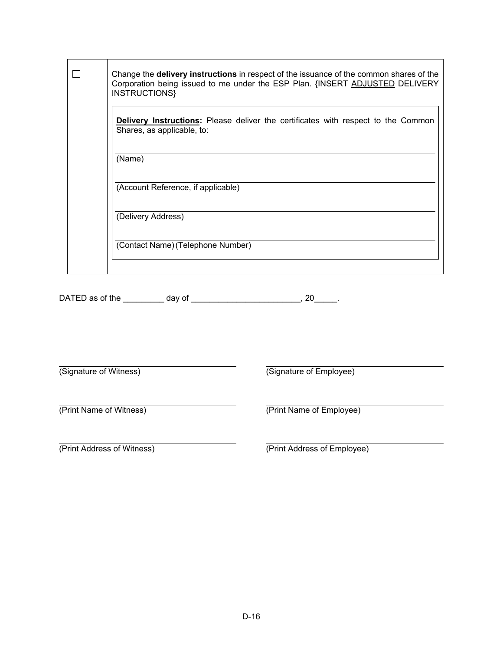|  | Change the <b>delivery instructions</b> in respect of the issuance of the common shares of the<br>Corporation being issued to me under the ESP Plan. {INSERT ADJUSTED DELIVERY<br>INSTRUCTIONS} |
|--|-------------------------------------------------------------------------------------------------------------------------------------------------------------------------------------------------|
|  | <b>Delivery Instructions:</b> Please deliver the certificates with respect to the Common<br>Shares, as applicable, to:                                                                          |
|  | (Name)                                                                                                                                                                                          |
|  | (Account Reference, if applicable)                                                                                                                                                              |
|  | (Delivery Address)                                                                                                                                                                              |
|  | (Contact Name) (Telephone Number)                                                                                                                                                               |
|  |                                                                                                                                                                                                 |

DATED as of the \_\_\_\_\_\_\_\_ day of \_\_\_\_\_\_\_\_\_\_\_\_\_\_\_\_\_\_\_\_\_\_, 20\_\_\_\_\_.

(Signature of Witness)

(Signature of Employee)

(Print Name of Witness)

(Print Address of Witness)

(Print Name of Employee)

(Print Address of Employee)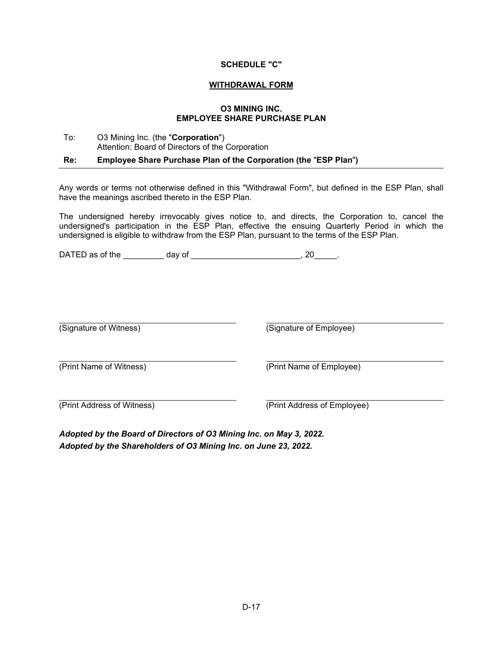#### **SCHEDULE "C"**

#### **WITHDRAWAL FORM**

#### **O3 MINING INC. EMPLOYEE SHARE PURCHASE PLAN**

# To: O3 Mining Inc. (the "**Corporation**") Attention: Board of Directors of the Corporation

**Re: Employee Share Purchase Plan of the Corporation (the** "**ESP Plan**"**)** 

Any words or terms not otherwise defined in this "Withdrawal Form", but defined in the ESP Plan, shall have the meanings ascribed thereto in the ESP Plan.

The undersigned hereby irrevocably gives notice to, and directs, the Corporation to, cancel the undersigned's participation in the ESP Plan, effective the ensuing Quarterly Period in which the undersigned is eligible to withdraw from the ESP Plan, pursuant to the terms of the ESP Plan.

DATED as of the \_\_\_\_\_\_\_\_ day of \_\_\_\_\_\_\_\_\_\_\_\_\_\_\_\_\_\_\_\_\_\_\_, 20\_\_\_\_\_.

(Signature of Witness) (Signature of Employee)

(Print Name of Witness) (Print Name of Employee)

(Print Address of Witness) (Print Address of Employee)

*Adopted by the Board of Directors of O3 Mining Inc. on May 3, 2022. Adopted by the Shareholders of O3 Mining Inc. on June 23, 2022.*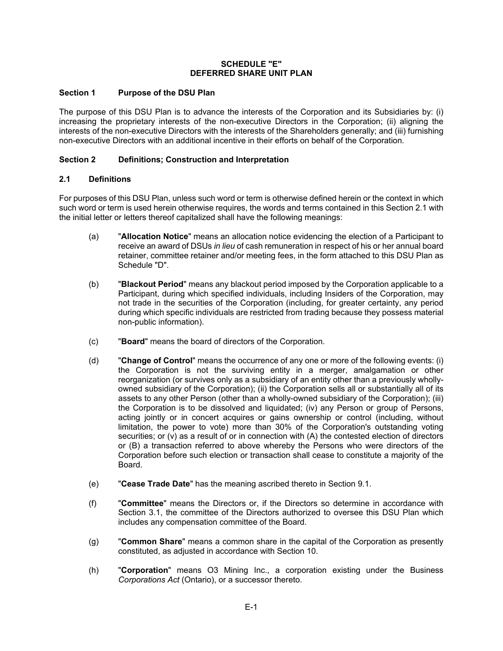#### **SCHEDULE "E" DEFERRED SHARE UNIT PLAN**

### **Section 1 Purpose of the DSU Plan**

The purpose of this DSU Plan is to advance the interests of the Corporation and its Subsidiaries by: (i) increasing the proprietary interests of the non-executive Directors in the Corporation; (ii) aligning the interests of the non-executive Directors with the interests of the Shareholders generally; and (iii) furnishing non-executive Directors with an additional incentive in their efforts on behalf of the Corporation.

### **Section 2 Definitions; Construction and Interpretation**

### **2.1 Definitions**

For purposes of this DSU Plan, unless such word or term is otherwise defined herein or the context in which such word or term is used herein otherwise requires, the words and terms contained in this Section 2.1 with the initial letter or letters thereof capitalized shall have the following meanings:

- (a) "**Allocation Notice**" means an allocation notice evidencing the election of a Participant to receive an award of DSUs *in lieu* of cash remuneration in respect of his or her annual board retainer, committee retainer and/or meeting fees, in the form attached to this DSU Plan as Schedule "D".
- (b) "**Blackout Period**" means any blackout period imposed by the Corporation applicable to a Participant, during which specified individuals, including Insiders of the Corporation, may not trade in the securities of the Corporation (including, for greater certainty, any period during which specific individuals are restricted from trading because they possess material non-public information).
- (c) "**Board**" means the board of directors of the Corporation.
- (d) "**Change of Control**" means the occurrence of any one or more of the following events: (i) the Corporation is not the surviving entity in a merger, amalgamation or other reorganization (or survives only as a subsidiary of an entity other than a previously whollyowned subsidiary of the Corporation); (ii) the Corporation sells all or substantially all of its assets to any other Person (other than a wholly-owned subsidiary of the Corporation); (iii) the Corporation is to be dissolved and liquidated; (iv) any Person or group of Persons, acting jointly or in concert acquires or gains ownership or control (including, without limitation, the power to vote) more than 30% of the Corporation's outstanding voting securities; or (v) as a result of or in connection with (A) the contested election of directors or (B) a transaction referred to above whereby the Persons who were directors of the Corporation before such election or transaction shall cease to constitute a majority of the Board.
- (e) "**Cease Trade Date**" has the meaning ascribed thereto in Section 9.1.
- (f) "**Committee**" means the Directors or, if the Directors so determine in accordance with Section 3.1, the committee of the Directors authorized to oversee this DSU Plan which includes any compensation committee of the Board.
- (g) "**Common Share**" means a common share in the capital of the Corporation as presently constituted, as adjusted in accordance with Section 10.
- (h) "**Corporation**" means O3 Mining Inc., a corporation existing under the Business *Corporations Act* (Ontario), or a successor thereto.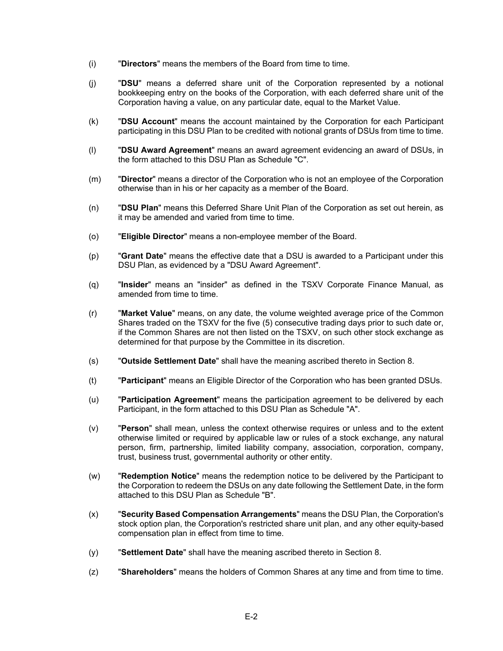- (i) "**Directors**" means the members of the Board from time to time.
- (j) "**DSU**" means a deferred share unit of the Corporation represented by a notional bookkeeping entry on the books of the Corporation, with each deferred share unit of the Corporation having a value, on any particular date, equal to the Market Value.
- (k) "**DSU Account**" means the account maintained by the Corporation for each Participant participating in this DSU Plan to be credited with notional grants of DSUs from time to time.
- (l) "**DSU Award Agreement**" means an award agreement evidencing an award of DSUs, in the form attached to this DSU Plan as Schedule "C".
- (m) "**Director**" means a director of the Corporation who is not an employee of the Corporation otherwise than in his or her capacity as a member of the Board.
- (n) "**DSU Plan**" means this Deferred Share Unit Plan of the Corporation as set out herein, as it may be amended and varied from time to time.
- (o) "**Eligible Director**" means a non-employee member of the Board.
- (p) "**Grant Date**" means the effective date that a DSU is awarded to a Participant under this DSU Plan, as evidenced by a "DSU Award Agreement".
- (q) "**Insider**" means an "insider" as defined in the TSXV Corporate Finance Manual, as amended from time to time.
- (r) "**Market Value**" means, on any date, the volume weighted average price of the Common Shares traded on the TSXV for the five (5) consecutive trading days prior to such date or, if the Common Shares are not then listed on the TSXV, on such other stock exchange as determined for that purpose by the Committee in its discretion.
- (s) "**Outside Settlement Date**" shall have the meaning ascribed thereto in Section 8.
- (t) "**Participant**" means an Eligible Director of the Corporation who has been granted DSUs.
- (u) "**Participation Agreement**" means the participation agreement to be delivered by each Participant, in the form attached to this DSU Plan as Schedule "A".
- (v) "**Person**" shall mean, unless the context otherwise requires or unless and to the extent otherwise limited or required by applicable law or rules of a stock exchange, any natural person, firm, partnership, limited liability company, association, corporation, company, trust, business trust, governmental authority or other entity.
- (w) "**Redemption Notice**" means the redemption notice to be delivered by the Participant to the Corporation to redeem the DSUs on any date following the Settlement Date, in the form attached to this DSU Plan as Schedule "B".
- (x) "**Security Based Compensation Arrangements**" means the DSU Plan, the Corporation's stock option plan, the Corporation's restricted share unit plan, and any other equity-based compensation plan in effect from time to time.
- (y) "**Settlement Date**" shall have the meaning ascribed thereto in Section 8.
- (z) "**Shareholders**" means the holders of Common Shares at any time and from time to time.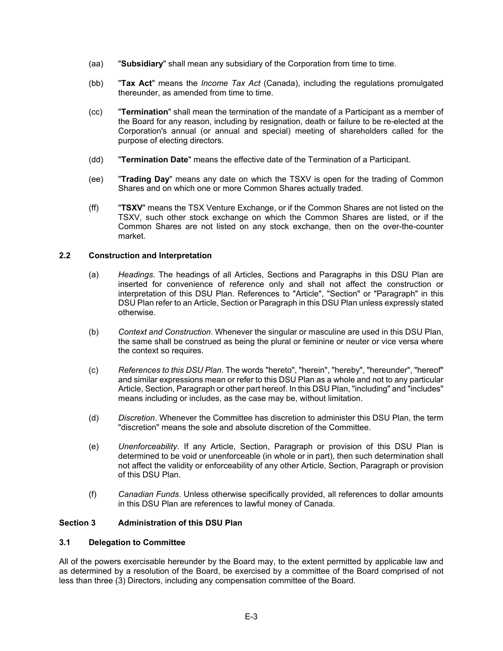- (aa) "**Subsidiary**" shall mean any subsidiary of the Corporation from time to time.
- (bb) "**Tax Act**" means the *Income Tax Act* (Canada), including the regulations promulgated thereunder, as amended from time to time.
- (cc) "**Termination**" shall mean the termination of the mandate of a Participant as a member of the Board for any reason, including by resignation, death or failure to be re-elected at the Corporation's annual (or annual and special) meeting of shareholders called for the purpose of electing directors.
- (dd) "**Termination Date**" means the effective date of the Termination of a Participant.
- (ee) "**Trading Day**" means any date on which the TSXV is open for the trading of Common Shares and on which one or more Common Shares actually traded.
- (ff) "**TSXV**" means the TSX Venture Exchange, or if the Common Shares are not listed on the TSXV, such other stock exchange on which the Common Shares are listed, or if the Common Shares are not listed on any stock exchange, then on the over-the-counter market.

### **2.2 Construction and Interpretation**

- (a) *Headings*. The headings of all Articles, Sections and Paragraphs in this DSU Plan are inserted for convenience of reference only and shall not affect the construction or interpretation of this DSU Plan. References to "Article", "Section" or "Paragraph" in this DSU Plan refer to an Article, Section or Paragraph in this DSU Plan unless expressly stated otherwise.
- (b) *Context and Construction*. Whenever the singular or masculine are used in this DSU Plan, the same shall be construed as being the plural or feminine or neuter or vice versa where the context so requires.
- (c) *References to this DSU Plan*. The words "hereto", "herein", "hereby", "hereunder", "hereof" and similar expressions mean or refer to this DSU Plan as a whole and not to any particular Article, Section, Paragraph or other part hereof. In this DSU Plan, "including" and "includes" means including or includes, as the case may be, without limitation.
- (d) *Discretion*. Whenever the Committee has discretion to administer this DSU Plan, the term "discretion" means the sole and absolute discretion of the Committee.
- (e) *Unenforceability*. If any Article, Section, Paragraph or provision of this DSU Plan is determined to be void or unenforceable (in whole or in part), then such determination shall not affect the validity or enforceability of any other Article, Section, Paragraph or provision of this DSU Plan.
- (f) *Canadian Funds*. Unless otherwise specifically provided, all references to dollar amounts in this DSU Plan are references to lawful money of Canada.

#### **Section 3 Administration of this DSU Plan**

### **3.1 Delegation to Committee**

All of the powers exercisable hereunder by the Board may, to the extent permitted by applicable law and as determined by a resolution of the Board, be exercised by a committee of the Board comprised of not less than three (3) Directors, including any compensation committee of the Board.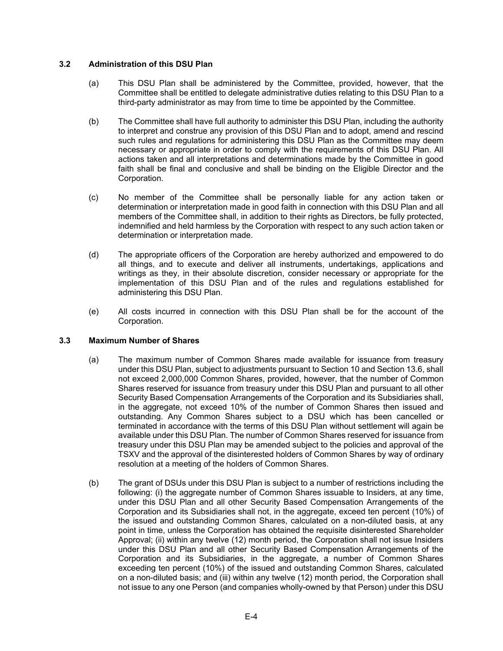### **3.2 Administration of this DSU Plan**

- (a) This DSU Plan shall be administered by the Committee, provided, however, that the Committee shall be entitled to delegate administrative duties relating to this DSU Plan to a third-party administrator as may from time to time be appointed by the Committee.
- (b) The Committee shall have full authority to administer this DSU Plan, including the authority to interpret and construe any provision of this DSU Plan and to adopt, amend and rescind such rules and regulations for administering this DSU Plan as the Committee may deem necessary or appropriate in order to comply with the requirements of this DSU Plan. All actions taken and all interpretations and determinations made by the Committee in good faith shall be final and conclusive and shall be binding on the Eligible Director and the Corporation.
- (c) No member of the Committee shall be personally liable for any action taken or determination or interpretation made in good faith in connection with this DSU Plan and all members of the Committee shall, in addition to their rights as Directors, be fully protected, indemnified and held harmless by the Corporation with respect to any such action taken or determination or interpretation made.
- (d) The appropriate officers of the Corporation are hereby authorized and empowered to do all things, and to execute and deliver all instruments, undertakings, applications and writings as they, in their absolute discretion, consider necessary or appropriate for the implementation of this DSU Plan and of the rules and regulations established for administering this DSU Plan.
- (e) All costs incurred in connection with this DSU Plan shall be for the account of the Corporation.

#### **3.3 Maximum Number of Shares**

- (a) The maximum number of Common Shares made available for issuance from treasury under this DSU Plan, subject to adjustments pursuant to Section 10 and Section 13.6, shall not exceed 2,000,000 Common Shares, provided, however, that the number of Common Shares reserved for issuance from treasury under this DSU Plan and pursuant to all other Security Based Compensation Arrangements of the Corporation and its Subsidiaries shall, in the aggregate, not exceed 10% of the number of Common Shares then issued and outstanding. Any Common Shares subject to a DSU which has been cancelled or terminated in accordance with the terms of this DSU Plan without settlement will again be available under this DSU Plan. The number of Common Shares reserved for issuance from treasury under this DSU Plan may be amended subject to the policies and approval of the TSXV and the approval of the disinterested holders of Common Shares by way of ordinary resolution at a meeting of the holders of Common Shares.
- (b) The grant of DSUs under this DSU Plan is subject to a number of restrictions including the following: (i) the aggregate number of Common Shares issuable to Insiders, at any time, under this DSU Plan and all other Security Based Compensation Arrangements of the Corporation and its Subsidiaries shall not, in the aggregate, exceed ten percent (10%) of the issued and outstanding Common Shares, calculated on a non-diluted basis, at any point in time, unless the Corporation has obtained the requisite disinterested Shareholder Approval; (ii) within any twelve (12) month period, the Corporation shall not issue Insiders under this DSU Plan and all other Security Based Compensation Arrangements of the Corporation and its Subsidiaries, in the aggregate, a number of Common Shares exceeding ten percent (10%) of the issued and outstanding Common Shares, calculated on a non-diluted basis; and (iii) within any twelve (12) month period, the Corporation shall not issue to any one Person (and companies wholly-owned by that Person) under this DSU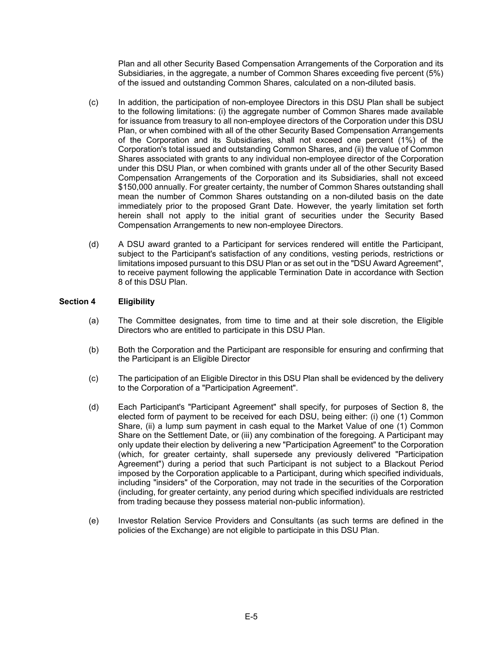Plan and all other Security Based Compensation Arrangements of the Corporation and its Subsidiaries, in the aggregate, a number of Common Shares exceeding five percent (5%) of the issued and outstanding Common Shares, calculated on a non-diluted basis.

- (c) In addition, the participation of non-employee Directors in this DSU Plan shall be subject to the following limitations: (i) the aggregate number of Common Shares made available for issuance from treasury to all non-employee directors of the Corporation under this DSU Plan, or when combined with all of the other Security Based Compensation Arrangements of the Corporation and its Subsidiaries, shall not exceed one percent (1%) of the Corporation's total issued and outstanding Common Shares, and (ii) the value of Common Shares associated with grants to any individual non-employee director of the Corporation under this DSU Plan, or when combined with grants under all of the other Security Based Compensation Arrangements of the Corporation and its Subsidiaries, shall not exceed \$150,000 annually. For greater certainty, the number of Common Shares outstanding shall mean the number of Common Shares outstanding on a non-diluted basis on the date immediately prior to the proposed Grant Date. However, the yearly limitation set forth herein shall not apply to the initial grant of securities under the Security Based Compensation Arrangements to new non-employee Directors.
- (d) A DSU award granted to a Participant for services rendered will entitle the Participant, subject to the Participant's satisfaction of any conditions, vesting periods, restrictions or limitations imposed pursuant to this DSU Plan or as set out in the "DSU Award Agreement", to receive payment following the applicable Termination Date in accordance with Section 8 of this DSU Plan.

### **Section 4 Eligibility**

- (a) The Committee designates, from time to time and at their sole discretion, the Eligible Directors who are entitled to participate in this DSU Plan.
- (b) Both the Corporation and the Participant are responsible for ensuring and confirming that the Participant is an Eligible Director
- (c) The participation of an Eligible Director in this DSU Plan shall be evidenced by the delivery to the Corporation of a "Participation Agreement".
- (d) Each Participant's "Participant Agreement" shall specify, for purposes of Section 8, the elected form of payment to be received for each DSU, being either: (i) one (1) Common Share, (ii) a lump sum payment in cash equal to the Market Value of one (1) Common Share on the Settlement Date, or (iii) any combination of the foregoing. A Participant may only update their election by delivering a new "Participation Agreement" to the Corporation (which, for greater certainty, shall supersede any previously delivered "Participation Agreement") during a period that such Participant is not subject to a Blackout Period imposed by the Corporation applicable to a Participant, during which specified individuals, including "insiders" of the Corporation, may not trade in the securities of the Corporation (including, for greater certainty, any period during which specified individuals are restricted from trading because they possess material non-public information).
- (e) Investor Relation Service Providers and Consultants (as such terms are defined in the policies of the Exchange) are not eligible to participate in this DSU Plan.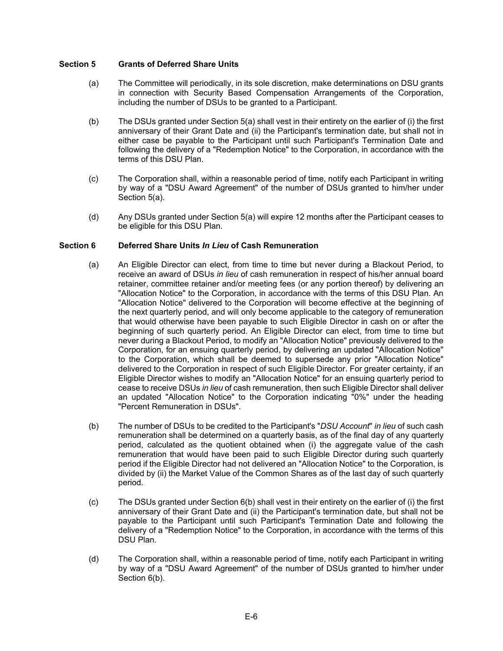### **Section 5 Grants of Deferred Share Units**

- (a) The Committee will periodically, in its sole discretion, make determinations on DSU grants in connection with Security Based Compensation Arrangements of the Corporation, including the number of DSUs to be granted to a Participant.
- (b) The DSUs granted under Section 5(a) shall vest in their entirety on the earlier of (i) the first anniversary of their Grant Date and (ii) the Participant's termination date, but shall not in either case be payable to the Participant until such Participant's Termination Date and following the delivery of a "Redemption Notice" to the Corporation, in accordance with the terms of this DSU Plan.
- (c) The Corporation shall, within a reasonable period of time, notify each Participant in writing by way of a "DSU Award Agreement" of the number of DSUs granted to him/her under Section 5(a).
- (d) Any DSUs granted under Section 5(a) will expire 12 months after the Participant ceases to be eligible for this DSU Plan.

#### **Section 6 Deferred Share Units** *In Lieu* **of Cash Remuneration**

- (a) An Eligible Director can elect, from time to time but never during a Blackout Period, to receive an award of DSUs *in lieu* of cash remuneration in respect of his/her annual board retainer, committee retainer and/or meeting fees (or any portion thereof) by delivering an "Allocation Notice" to the Corporation, in accordance with the terms of this DSU Plan. An "Allocation Notice" delivered to the Corporation will become effective at the beginning of the next quarterly period, and will only become applicable to the category of remuneration that would otherwise have been payable to such Eligible Director in cash on or after the beginning of such quarterly period. An Eligible Director can elect, from time to time but never during a Blackout Period, to modify an "Allocation Notice" previously delivered to the Corporation, for an ensuing quarterly period, by delivering an updated "Allocation Notice" to the Corporation, which shall be deemed to supersede any prior "Allocation Notice" delivered to the Corporation in respect of such Eligible Director. For greater certainty, if an Eligible Director wishes to modify an "Allocation Notice" for an ensuing quarterly period to cease to receive DSUs *in lieu* of cash remuneration, then such Eligible Director shall deliver an updated "Allocation Notice" to the Corporation indicating "0%" under the heading "Percent Remuneration in DSUs".
- (b) The number of DSUs to be credited to the Participant's "*DSU Account*" *in lieu* of such cash remuneration shall be determined on a quarterly basis, as of the final day of any quarterly period, calculated as the quotient obtained when (i) the aggregate value of the cash remuneration that would have been paid to such Eligible Director during such quarterly period if the Eligible Director had not delivered an "Allocation Notice" to the Corporation, is divided by (ii) the Market Value of the Common Shares as of the last day of such quarterly period.
- (c) The DSUs granted under Section 6(b) shall vest in their entirety on the earlier of (i) the first anniversary of their Grant Date and (ii) the Participant's termination date, but shall not be payable to the Participant until such Participant's Termination Date and following the delivery of a "Redemption Notice" to the Corporation, in accordance with the terms of this DSU Plan.
- (d) The Corporation shall, within a reasonable period of time, notify each Participant in writing by way of a "DSU Award Agreement" of the number of DSUs granted to him/her under Section 6(b).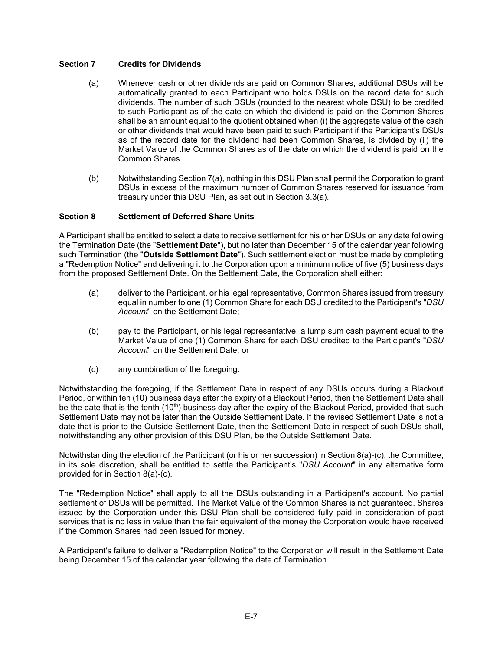## **Section 7 Credits for Dividends**

- (a) Whenever cash or other dividends are paid on Common Shares, additional DSUs will be automatically granted to each Participant who holds DSUs on the record date for such dividends. The number of such DSUs (rounded to the nearest whole DSU) to be credited to such Participant as of the date on which the dividend is paid on the Common Shares shall be an amount equal to the quotient obtained when (i) the aggregate value of the cash or other dividends that would have been paid to such Participant if the Participant's DSUs as of the record date for the dividend had been Common Shares, is divided by (ii) the Market Value of the Common Shares as of the date on which the dividend is paid on the Common Shares.
- (b) Notwithstanding Section 7(a), nothing in this DSU Plan shall permit the Corporation to grant DSUs in excess of the maximum number of Common Shares reserved for issuance from treasury under this DSU Plan, as set out in Section 3.3(a).

### **Section 8 Settlement of Deferred Share Units**

A Participant shall be entitled to select a date to receive settlement for his or her DSUs on any date following the Termination Date (the "**Settlement Date**"), but no later than December 15 of the calendar year following such Termination (the "**Outside Settlement Date**"). Such settlement election must be made by completing a "Redemption Notice" and delivering it to the Corporation upon a minimum notice of five (5) business days from the proposed Settlement Date. On the Settlement Date, the Corporation shall either:

- (a) deliver to the Participant, or his legal representative, Common Shares issued from treasury equal in number to one (1) Common Share for each DSU credited to the Participant's "*DSU Account*" on the Settlement Date;
- (b) pay to the Participant, or his legal representative, a lump sum cash payment equal to the Market Value of one (1) Common Share for each DSU credited to the Participant's "*DSU Account*" on the Settlement Date; or
- (c) any combination of the foregoing.

Notwithstanding the foregoing, if the Settlement Date in respect of any DSUs occurs during a Blackout Period, or within ten (10) business days after the expiry of a Blackout Period, then the Settlement Date shall be the date that is the tenth (10<sup>th</sup>) business day after the expiry of the Blackout Period, provided that such Settlement Date may not be later than the Outside Settlement Date. If the revised Settlement Date is not a date that is prior to the Outside Settlement Date, then the Settlement Date in respect of such DSUs shall, notwithstanding any other provision of this DSU Plan, be the Outside Settlement Date.

Notwithstanding the election of the Participant (or his or her succession) in Section 8(a)-(c), the Committee, in its sole discretion, shall be entitled to settle the Participant's "*DSU Account*" in any alternative form provided for in Section 8(a)-(c).

The "Redemption Notice" shall apply to all the DSUs outstanding in a Participant's account. No partial settlement of DSUs will be permitted. The Market Value of the Common Shares is not guaranteed. Shares issued by the Corporation under this DSU Plan shall be considered fully paid in consideration of past services that is no less in value than the fair equivalent of the money the Corporation would have received if the Common Shares had been issued for money.

A Participant's failure to deliver a "Redemption Notice" to the Corporation will result in the Settlement Date being December 15 of the calendar year following the date of Termination.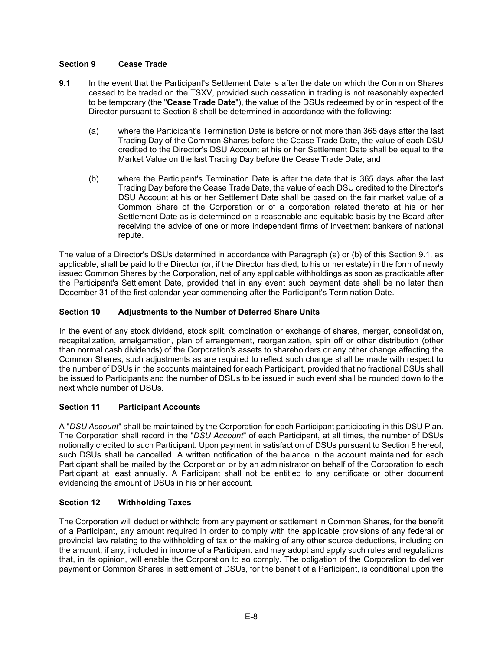# **Section 9 Cease Trade**

- **9.1** In the event that the Participant's Settlement Date is after the date on which the Common Shares ceased to be traded on the TSXV, provided such cessation in trading is not reasonably expected to be temporary (the "**Cease Trade Date**"), the value of the DSUs redeemed by or in respect of the Director pursuant to Section 8 shall be determined in accordance with the following:
	- (a) where the Participant's Termination Date is before or not more than 365 days after the last Trading Day of the Common Shares before the Cease Trade Date, the value of each DSU credited to the Director's DSU Account at his or her Settlement Date shall be equal to the Market Value on the last Trading Day before the Cease Trade Date; and
	- (b) where the Participant's Termination Date is after the date that is 365 days after the last Trading Day before the Cease Trade Date, the value of each DSU credited to the Director's DSU Account at his or her Settlement Date shall be based on the fair market value of a Common Share of the Corporation or of a corporation related thereto at his or her Settlement Date as is determined on a reasonable and equitable basis by the Board after receiving the advice of one or more independent firms of investment bankers of national repute.

The value of a Director's DSUs determined in accordance with Paragraph (a) or (b) of this Section 9.1, as applicable, shall be paid to the Director (or, if the Director has died, to his or her estate) in the form of newly issued Common Shares by the Corporation, net of any applicable withholdings as soon as practicable after the Participant's Settlement Date, provided that in any event such payment date shall be no later than December 31 of the first calendar year commencing after the Participant's Termination Date.

# **Section 10 Adjustments to the Number of Deferred Share Units**

In the event of any stock dividend, stock split, combination or exchange of shares, merger, consolidation, recapitalization, amalgamation, plan of arrangement, reorganization, spin off or other distribution (other than normal cash dividends) of the Corporation's assets to shareholders or any other change affecting the Common Shares, such adjustments as are required to reflect such change shall be made with respect to the number of DSUs in the accounts maintained for each Participant, provided that no fractional DSUs shall be issued to Participants and the number of DSUs to be issued in such event shall be rounded down to the next whole number of DSUs.

# **Section 11 Participant Accounts**

A "*DSU Account*" shall be maintained by the Corporation for each Participant participating in this DSU Plan. The Corporation shall record in the "*DSU Account*" of each Participant, at all times, the number of DSUs notionally credited to such Participant. Upon payment in satisfaction of DSUs pursuant to Section 8 hereof, such DSUs shall be cancelled. A written notification of the balance in the account maintained for each Participant shall be mailed by the Corporation or by an administrator on behalf of the Corporation to each Participant at least annually. A Participant shall not be entitled to any certificate or other document evidencing the amount of DSUs in his or her account.

### **Section 12 Withholding Taxes**

The Corporation will deduct or withhold from any payment or settlement in Common Shares, for the benefit of a Participant, any amount required in order to comply with the applicable provisions of any federal or provincial law relating to the withholding of tax or the making of any other source deductions, including on the amount, if any, included in income of a Participant and may adopt and apply such rules and regulations that, in its opinion, will enable the Corporation to so comply. The obligation of the Corporation to deliver payment or Common Shares in settlement of DSUs, for the benefit of a Participant, is conditional upon the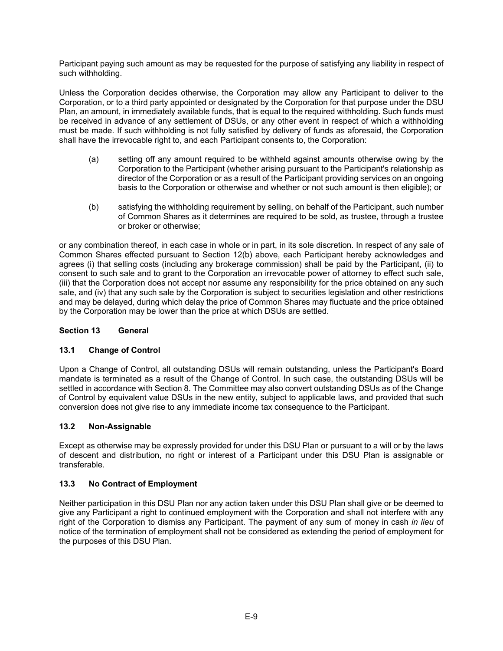Participant paying such amount as may be requested for the purpose of satisfying any liability in respect of such withholding.

Unless the Corporation decides otherwise, the Corporation may allow any Participant to deliver to the Corporation, or to a third party appointed or designated by the Corporation for that purpose under the DSU Plan, an amount, in immediately available funds, that is equal to the required withholding. Such funds must be received in advance of any settlement of DSUs, or any other event in respect of which a withholding must be made. If such withholding is not fully satisfied by delivery of funds as aforesaid, the Corporation shall have the irrevocable right to, and each Participant consents to, the Corporation:

- (a) setting off any amount required to be withheld against amounts otherwise owing by the Corporation to the Participant (whether arising pursuant to the Participant's relationship as director of the Corporation or as a result of the Participant providing services on an ongoing basis to the Corporation or otherwise and whether or not such amount is then eligible); or
- (b) satisfying the withholding requirement by selling, on behalf of the Participant, such number of Common Shares as it determines are required to be sold, as trustee, through a trustee or broker or otherwise;

or any combination thereof, in each case in whole or in part, in its sole discretion. In respect of any sale of Common Shares effected pursuant to Section 12(b) above, each Participant hereby acknowledges and agrees (i) that selling costs (including any brokerage commission) shall be paid by the Participant, (ii) to consent to such sale and to grant to the Corporation an irrevocable power of attorney to effect such sale. (iii) that the Corporation does not accept nor assume any responsibility for the price obtained on any such sale, and (iv) that any such sale by the Corporation is subject to securities legislation and other restrictions and may be delayed, during which delay the price of Common Shares may fluctuate and the price obtained by the Corporation may be lower than the price at which DSUs are settled.

# **Section 13 General**

### **13.1 Change of Control**

Upon a Change of Control, all outstanding DSUs will remain outstanding, unless the Participant's Board mandate is terminated as a result of the Change of Control. In such case, the outstanding DSUs will be settled in accordance with Section 8. The Committee may also convert outstanding DSUs as of the Change of Control by equivalent value DSUs in the new entity, subject to applicable laws, and provided that such conversion does not give rise to any immediate income tax consequence to the Participant.

### **13.2 Non-Assignable**

Except as otherwise may be expressly provided for under this DSU Plan or pursuant to a will or by the laws of descent and distribution, no right or interest of a Participant under this DSU Plan is assignable or transferable.

### **13.3 No Contract of Employment**

Neither participation in this DSU Plan nor any action taken under this DSU Plan shall give or be deemed to give any Participant a right to continued employment with the Corporation and shall not interfere with any right of the Corporation to dismiss any Participant. The payment of any sum of money in cash *in lieu* of notice of the termination of employment shall not be considered as extending the period of employment for the purposes of this DSU Plan.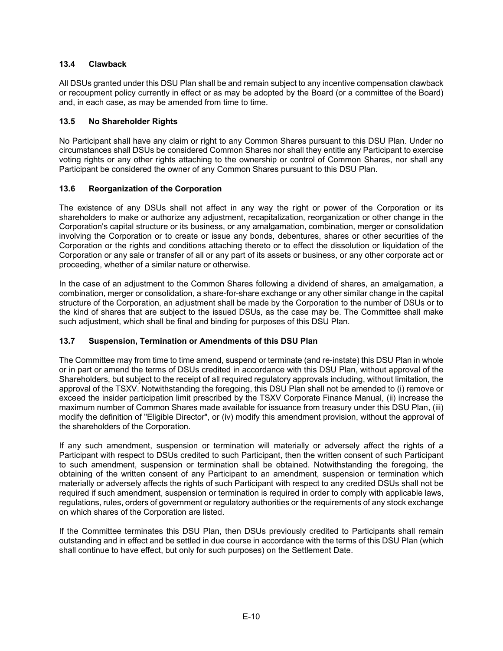# **13.4 Clawback**

All DSUs granted under this DSU Plan shall be and remain subject to any incentive compensation clawback or recoupment policy currently in effect or as may be adopted by the Board (or a committee of the Board) and, in each case, as may be amended from time to time.

### **13.5 No Shareholder Rights**

No Participant shall have any claim or right to any Common Shares pursuant to this DSU Plan. Under no circumstances shall DSUs be considered Common Shares nor shall they entitle any Participant to exercise voting rights or any other rights attaching to the ownership or control of Common Shares, nor shall any Participant be considered the owner of any Common Shares pursuant to this DSU Plan.

### **13.6 Reorganization of the Corporation**

The existence of any DSUs shall not affect in any way the right or power of the Corporation or its shareholders to make or authorize any adjustment, recapitalization, reorganization or other change in the Corporation's capital structure or its business, or any amalgamation, combination, merger or consolidation involving the Corporation or to create or issue any bonds, debentures, shares or other securities of the Corporation or the rights and conditions attaching thereto or to effect the dissolution or liquidation of the Corporation or any sale or transfer of all or any part of its assets or business, or any other corporate act or proceeding, whether of a similar nature or otherwise.

In the case of an adjustment to the Common Shares following a dividend of shares, an amalgamation, a combination, merger or consolidation, a share-for-share exchange or any other similar change in the capital structure of the Corporation, an adjustment shall be made by the Corporation to the number of DSUs or to the kind of shares that are subject to the issued DSUs, as the case may be. The Committee shall make such adjustment, which shall be final and binding for purposes of this DSU Plan.

### **13.7 Suspension, Termination or Amendments of this DSU Plan**

The Committee may from time to time amend, suspend or terminate (and re-instate) this DSU Plan in whole or in part or amend the terms of DSUs credited in accordance with this DSU Plan, without approval of the Shareholders, but subject to the receipt of all required regulatory approvals including, without limitation, the approval of the TSXV. Notwithstanding the foregoing, this DSU Plan shall not be amended to (i) remove or exceed the insider participation limit prescribed by the TSXV Corporate Finance Manual, (ii) increase the maximum number of Common Shares made available for issuance from treasury under this DSU Plan, (iii) modify the definition of "Eligible Director", or (iv) modify this amendment provision, without the approval of the shareholders of the Corporation.

If any such amendment, suspension or termination will materially or adversely affect the rights of a Participant with respect to DSUs credited to such Participant, then the written consent of such Participant to such amendment, suspension or termination shall be obtained. Notwithstanding the foregoing, the obtaining of the written consent of any Participant to an amendment, suspension or termination which materially or adversely affects the rights of such Participant with respect to any credited DSUs shall not be required if such amendment, suspension or termination is required in order to comply with applicable laws, regulations, rules, orders of government or regulatory authorities or the requirements of any stock exchange on which shares of the Corporation are listed.

If the Committee terminates this DSU Plan, then DSUs previously credited to Participants shall remain outstanding and in effect and be settled in due course in accordance with the terms of this DSU Plan (which shall continue to have effect, but only for such purposes) on the Settlement Date.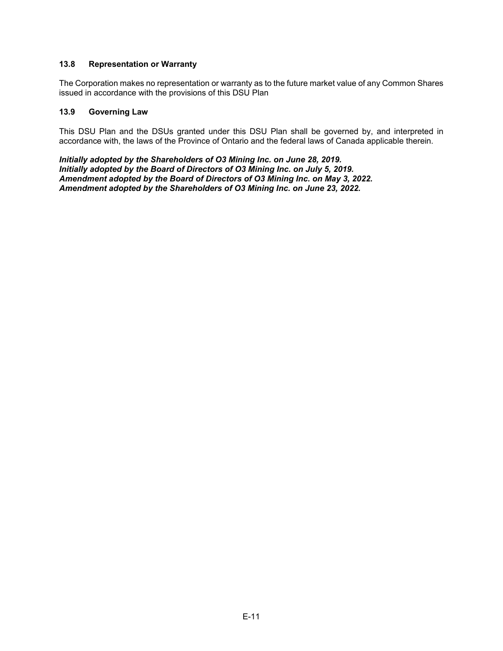### **13.8 Representation or Warranty**

The Corporation makes no representation or warranty as to the future market value of any Common Shares issued in accordance with the provisions of this DSU Plan

#### **13.9 Governing Law**

This DSU Plan and the DSUs granted under this DSU Plan shall be governed by, and interpreted in accordance with, the laws of the Province of Ontario and the federal laws of Canada applicable therein.

*Initially adopted by the Shareholders of O3 Mining Inc. on June 28, 2019. Initially adopted by the Board of Directors of O3 Mining Inc. on July 5, 2019. Amendment adopted by the Board of Directors of O3 Mining Inc. on May 3, 2022. Amendment adopted by the Shareholders of O3 Mining Inc. on June 23, 2022.*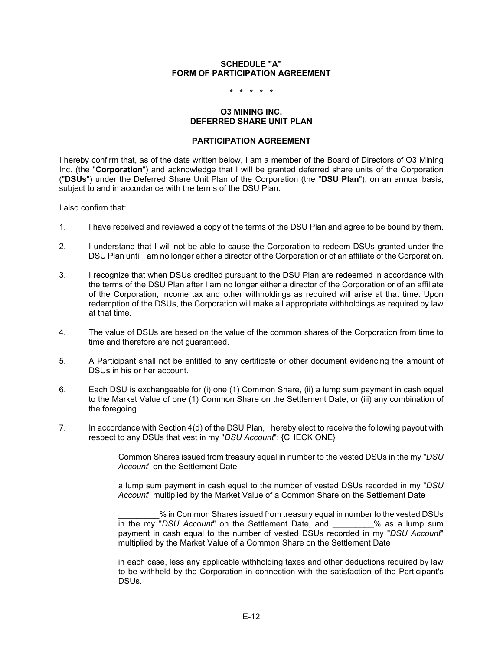### **SCHEDULE "A" FORM OF PARTICIPATION AGREEMENT**

**\* \* \* \* \*** 

#### **O3 MINING INC. DEFERRED SHARE UNIT PLAN**

#### **PARTICIPATION AGREEMENT**

I hereby confirm that, as of the date written below, I am a member of the Board of Directors of O3 Mining Inc. (the "**Corporation**") and acknowledge that I will be granted deferred share units of the Corporation ("**DSUs**") under the Deferred Share Unit Plan of the Corporation (the "**DSU Plan**"), on an annual basis, subject to and in accordance with the terms of the DSU Plan.

I also confirm that:

- 1. I have received and reviewed a copy of the terms of the DSU Plan and agree to be bound by them.
- 2. I understand that I will not be able to cause the Corporation to redeem DSUs granted under the DSU Plan until I am no longer either a director of the Corporation or of an affiliate of the Corporation.
- 3. I recognize that when DSUs credited pursuant to the DSU Plan are redeemed in accordance with the terms of the DSU Plan after I am no longer either a director of the Corporation or of an affiliate of the Corporation, income tax and other withholdings as required will arise at that time. Upon redemption of the DSUs, the Corporation will make all appropriate withholdings as required by law at that time.
- 4. The value of DSUs are based on the value of the common shares of the Corporation from time to time and therefore are not guaranteed.
- 5. A Participant shall not be entitled to any certificate or other document evidencing the amount of DSUs in his or her account.
- 6. Each DSU is exchangeable for (i) one (1) Common Share, (ii) a lump sum payment in cash equal to the Market Value of one (1) Common Share on the Settlement Date, or (iii) any combination of the foregoing.
- 7. In accordance with Section 4(d) of the DSU Plan, I hereby elect to receive the following payout with respect to any DSUs that vest in my "*DSU Account*": {CHECK ONE}

 Common Shares issued from treasury equal in number to the vested DSUs in the my "*DSU Account*" on the Settlement Date

 a lump sum payment in cash equal to the number of vested DSUs recorded in my "*DSU Account*" multiplied by the Market Value of a Common Share on the Settlement Date

% in Common Shares issued from treasury equal in number to the vested DSUs in the my "*DSU Account*" on the Settlement Date, and \_\_\_\_\_\_\_\_\_% as a lump sum payment in cash equal to the number of vested DSUs recorded in my "*DSU Account*" multiplied by the Market Value of a Common Share on the Settlement Date

in each case, less any applicable withholding taxes and other deductions required by law to be withheld by the Corporation in connection with the satisfaction of the Participant's DSUs.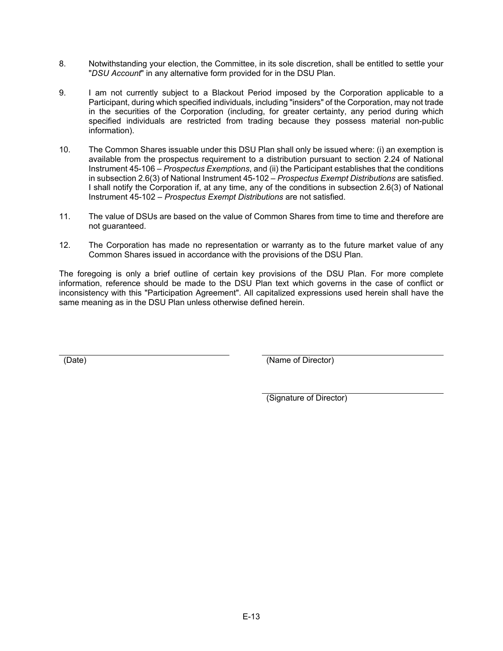- 8. Notwithstanding your election, the Committee, in its sole discretion, shall be entitled to settle your "*DSU Account*" in any alternative form provided for in the DSU Plan.
- 9. I am not currently subject to a Blackout Period imposed by the Corporation applicable to a Participant, during which specified individuals, including "insiders" of the Corporation, may not trade in the securities of the Corporation (including, for greater certainty, any period during which specified individuals are restricted from trading because they possess material non-public information).
- 10. The Common Shares issuable under this DSU Plan shall only be issued where: (i) an exemption is available from the prospectus requirement to a distribution pursuant to section 2.24 of National Instrument 45-106 – *Prospectus Exemptions*, and (ii) the Participant establishes that the conditions in subsection 2.6(3) of National Instrument 45-102 – *Prospectus Exempt Distributions* are satisfied. I shall notify the Corporation if, at any time, any of the conditions in subsection 2.6(3) of National Instrument 45-102 – *Prospectus Exempt Distributions* are not satisfied.
- 11. The value of DSUs are based on the value of Common Shares from time to time and therefore are not guaranteed.
- 12. The Corporation has made no representation or warranty as to the future market value of any Common Shares issued in accordance with the provisions of the DSU Plan.

The foregoing is only a brief outline of certain key provisions of the DSU Plan. For more complete information, reference should be made to the DSU Plan text which governs in the case of conflict or inconsistency with this "Participation Agreement". All capitalized expressions used herein shall have the same meaning as in the DSU Plan unless otherwise defined herein.

(Date) (Name of Director)

(Signature of Director)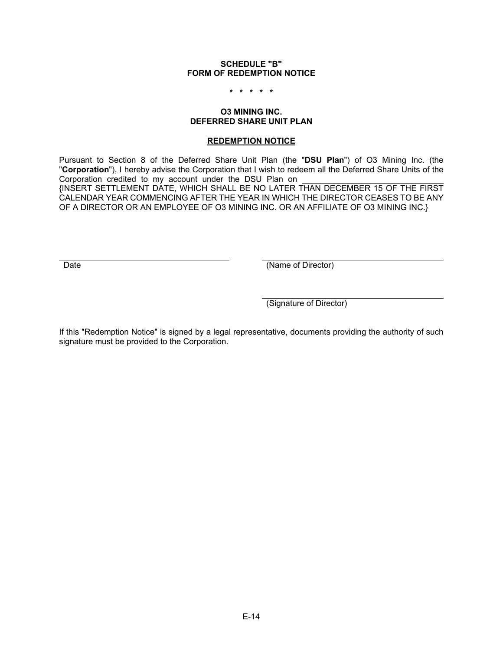#### **SCHEDULE "B" FORM OF REDEMPTION NOTICE**

**\* \* \* \* \*** 

#### **O3 MINING INC. DEFERRED SHARE UNIT PLAN**

#### **REDEMPTION NOTICE**

Pursuant to Section 8 of the Deferred Share Unit Plan (the "**DSU Plan**") of O3 Mining Inc. (the "**Corporation**"), I hereby advise the Corporation that I wish to redeem all the Deferred Share Units of the Corporation credited to my account under the DSU Plan on {INSERT SETTLEMENT DATE, WHICH SHALL BE NO LATER THAN DECEMBER 15 OF THE FIRST CALENDAR YEAR COMMENCING AFTER THE YEAR IN WHICH THE DIRECTOR CEASES TO BE ANY OF A DIRECTOR OR AN EMPLOYEE OF O3 MINING INC. OR AN AFFILIATE OF O3 MINING INC.}

Date (Name of Director)

(Signature of Director)

If this "Redemption Notice" is signed by a legal representative, documents providing the authority of such signature must be provided to the Corporation.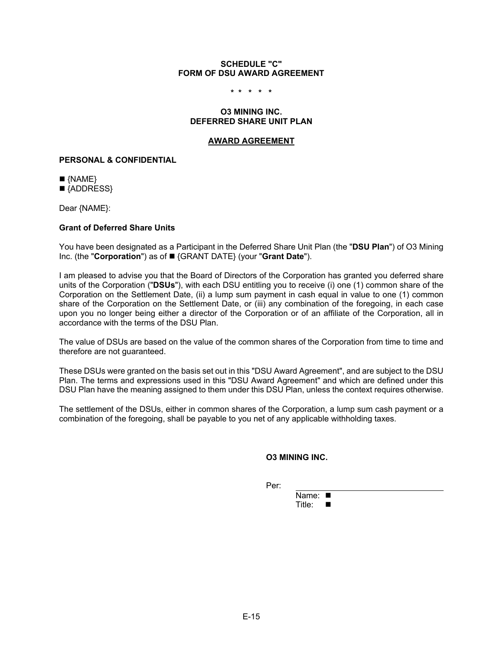#### **SCHEDULE "C" FORM OF DSU AWARD AGREEMENT**

**\* \* \* \* \*** 

#### **O3 MINING INC. DEFERRED SHARE UNIT PLAN**

#### **AWARD AGREEMENT**

#### **PERSONAL & CONFIDENTIAL**

 $\blacksquare$  {NAME}

■ {ADDRESS}

Dear {NAME}:

#### **Grant of Deferred Share Units**

You have been designated as a Participant in the Deferred Share Unit Plan (the "**DSU Plan**") of O3 Mining Inc. (the "**Corporation**") as of {GRANT DATE} (your "**Grant Date**").

I am pleased to advise you that the Board of Directors of the Corporation has granted you deferred share units of the Corporation ("**DSUs**"), with each DSU entitling you to receive (i) one (1) common share of the Corporation on the Settlement Date, (ii) a lump sum payment in cash equal in value to one (1) common share of the Corporation on the Settlement Date, or (iii) any combination of the foregoing, in each case upon you no longer being either a director of the Corporation or of an affiliate of the Corporation, all in accordance with the terms of the DSU Plan.

The value of DSUs are based on the value of the common shares of the Corporation from time to time and therefore are not guaranteed.

These DSUs were granted on the basis set out in this "DSU Award Agreement", and are subject to the DSU Plan. The terms and expressions used in this "DSU Award Agreement" and which are defined under this DSU Plan have the meaning assigned to them under this DSU Plan, unless the context requires otherwise.

The settlement of the DSUs, either in common shares of the Corporation, a lump sum cash payment or a combination of the foregoing, shall be payable to you net of any applicable withholding taxes.

#### **O3 MINING INC.**

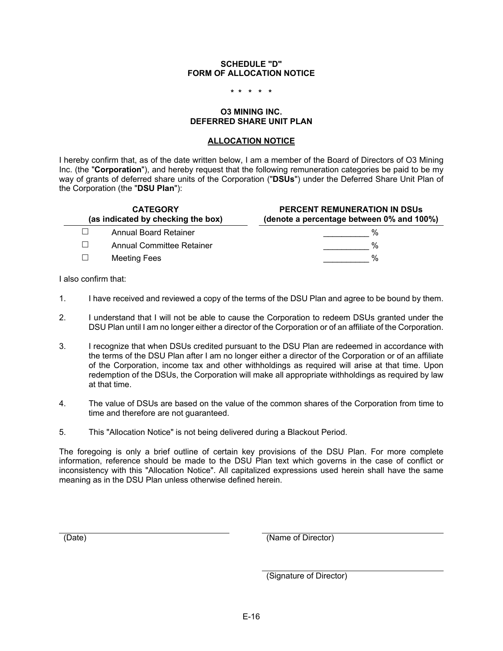### **SCHEDULE "D" FORM OF ALLOCATION NOTICE**

**\* \* \* \* \*** 

#### **O3 MINING INC. DEFERRED SHARE UNIT PLAN**

#### **ALLOCATION NOTICE**

I hereby confirm that, as of the date written below, I am a member of the Board of Directors of O3 Mining Inc. (the "**Corporation**"), and hereby request that the following remuneration categories be paid to be my way of grants of deferred share units of the Corporation ("**DSUs**") under the Deferred Share Unit Plan of the Corporation (the "**DSU Plan**"):

| <b>CATEGORY</b><br>(as indicated by checking the box) |                              | <b>PERCENT REMUNERATION IN DSUS</b><br>(denote a percentage between 0% and 100%) |  |
|-------------------------------------------------------|------------------------------|----------------------------------------------------------------------------------|--|
|                                                       | <b>Annual Board Retainer</b> | %                                                                                |  |
| $\Box$                                                | Annual Committee Retainer    | %                                                                                |  |
|                                                       | <b>Meeting Fees</b>          | %                                                                                |  |

I also confirm that:

- 1. I have received and reviewed a copy of the terms of the DSU Plan and agree to be bound by them.
- 2. I understand that I will not be able to cause the Corporation to redeem DSUs granted under the DSU Plan until I am no longer either a director of the Corporation or of an affiliate of the Corporation.
- 3. I recognize that when DSUs credited pursuant to the DSU Plan are redeemed in accordance with the terms of the DSU Plan after I am no longer either a director of the Corporation or of an affiliate of the Corporation, income tax and other withholdings as required will arise at that time. Upon redemption of the DSUs, the Corporation will make all appropriate withholdings as required by law at that time.
- 4. The value of DSUs are based on the value of the common shares of the Corporation from time to time and therefore are not guaranteed.
- 5. This "Allocation Notice" is not being delivered during a Blackout Period.

The foregoing is only a brief outline of certain key provisions of the DSU Plan. For more complete information, reference should be made to the DSU Plan text which governs in the case of conflict or inconsistency with this "Allocation Notice". All capitalized expressions used herein shall have the same meaning as in the DSU Plan unless otherwise defined herein.

(Date) (Name of Director)

(Signature of Director)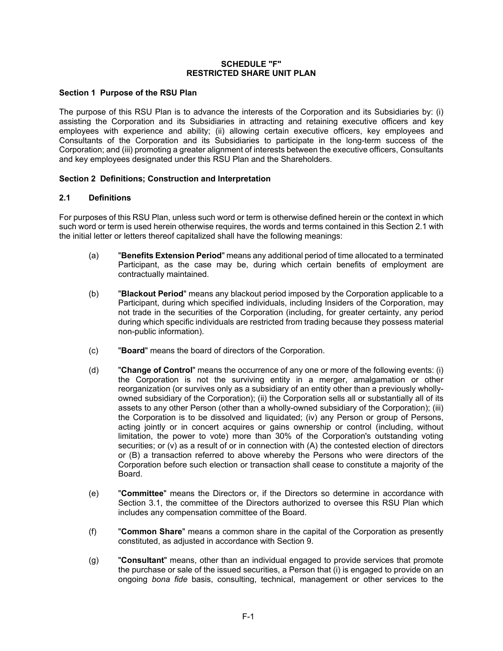#### **SCHEDULE "F" RESTRICTED SHARE UNIT PLAN**

### **Section 1 Purpose of the RSU Plan**

The purpose of this RSU Plan is to advance the interests of the Corporation and its Subsidiaries by: (i) assisting the Corporation and its Subsidiaries in attracting and retaining executive officers and key employees with experience and ability; (ii) allowing certain executive officers, key employees and Consultants of the Corporation and its Subsidiaries to participate in the long-term success of the Corporation; and (iii) promoting a greater alignment of interests between the executive officers, Consultants and key employees designated under this RSU Plan and the Shareholders.

### **Section 2 Definitions; Construction and Interpretation**

#### **2.1 Definitions**

For purposes of this RSU Plan, unless such word or term is otherwise defined herein or the context in which such word or term is used herein otherwise requires, the words and terms contained in this Section 2.1 with the initial letter or letters thereof capitalized shall have the following meanings:

- (a) "**Benefits Extension Period**" means any additional period of time allocated to a terminated Participant, as the case may be, during which certain benefits of employment are contractually maintained.
- (b) "**Blackout Period**" means any blackout period imposed by the Corporation applicable to a Participant, during which specified individuals, including Insiders of the Corporation, may not trade in the securities of the Corporation (including, for greater certainty, any period during which specific individuals are restricted from trading because they possess material non-public information).
- (c) "**Board**" means the board of directors of the Corporation.
- (d) "**Change of Control**" means the occurrence of any one or more of the following events: (i) the Corporation is not the surviving entity in a merger, amalgamation or other reorganization (or survives only as a subsidiary of an entity other than a previously whollyowned subsidiary of the Corporation); (ii) the Corporation sells all or substantially all of its assets to any other Person (other than a wholly-owned subsidiary of the Corporation); (iii) the Corporation is to be dissolved and liquidated; (iv) any Person or group of Persons, acting jointly or in concert acquires or gains ownership or control (including, without limitation, the power to vote) more than 30% of the Corporation's outstanding voting securities; or (v) as a result of or in connection with (A) the contested election of directors or (B) a transaction referred to above whereby the Persons who were directors of the Corporation before such election or transaction shall cease to constitute a majority of the Board.
- (e) "**Committee**" means the Directors or, if the Directors so determine in accordance with Section 3.1, the committee of the Directors authorized to oversee this RSU Plan which includes any compensation committee of the Board.
- (f) "**Common Share**" means a common share in the capital of the Corporation as presently constituted, as adjusted in accordance with Section 9.
- (g) "**Consultant**" means, other than an individual engaged to provide services that promote the purchase or sale of the issued securities, a Person that (i) is engaged to provide on an ongoing *bona fide* basis, consulting, technical, management or other services to the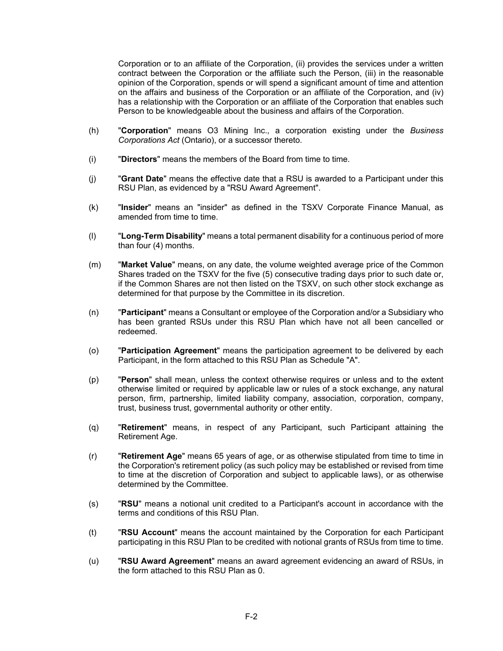Corporation or to an affiliate of the Corporation, (ii) provides the services under a written contract between the Corporation or the affiliate such the Person, (iii) in the reasonable opinion of the Corporation, spends or will spend a significant amount of time and attention on the affairs and business of the Corporation or an affiliate of the Corporation, and (iv) has a relationship with the Corporation or an affiliate of the Corporation that enables such Person to be knowledgeable about the business and affairs of the Corporation.

- (h) "**Corporation**" means O3 Mining Inc., a corporation existing under the *Business Corporations Act* (Ontario), or a successor thereto.
- (i) "**Directors**" means the members of the Board from time to time.
- (j) "**Grant Date**" means the effective date that a RSU is awarded to a Participant under this RSU Plan, as evidenced by a "RSU Award Agreement".
- (k) "**Insider**" means an "insider" as defined in the TSXV Corporate Finance Manual, as amended from time to time.
- (l) "**Long-Term Disability**" means a total permanent disability for a continuous period of more than four (4) months.
- (m) "**Market Value**" means, on any date, the volume weighted average price of the Common Shares traded on the TSXV for the five (5) consecutive trading days prior to such date or, if the Common Shares are not then listed on the TSXV, on such other stock exchange as determined for that purpose by the Committee in its discretion.
- (n) "**Participant**" means a Consultant or employee of the Corporation and/or a Subsidiary who has been granted RSUs under this RSU Plan which have not all been cancelled or redeemed.
- (o) "**Participation Agreement**" means the participation agreement to be delivered by each Participant, in the form attached to this RSU Plan as Schedule "A".
- (p) "**Person**" shall mean, unless the context otherwise requires or unless and to the extent otherwise limited or required by applicable law or rules of a stock exchange, any natural person, firm, partnership, limited liability company, association, corporation, company, trust, business trust, governmental authority or other entity.
- (q) "**Retirement**" means, in respect of any Participant, such Participant attaining the Retirement Age.
- (r) "**Retirement Age**" means 65 years of age, or as otherwise stipulated from time to time in the Corporation's retirement policy (as such policy may be established or revised from time to time at the discretion of Corporation and subject to applicable laws), or as otherwise determined by the Committee.
- (s) "**RSU**" means a notional unit credited to a Participant's account in accordance with the terms and conditions of this RSU Plan.
- (t) "**RSU Account**" means the account maintained by the Corporation for each Participant participating in this RSU Plan to be credited with notional grants of RSUs from time to time.
- (u) "**RSU Award Agreement**" means an award agreement evidencing an award of RSUs, in the form attached to this RSU Plan as 0.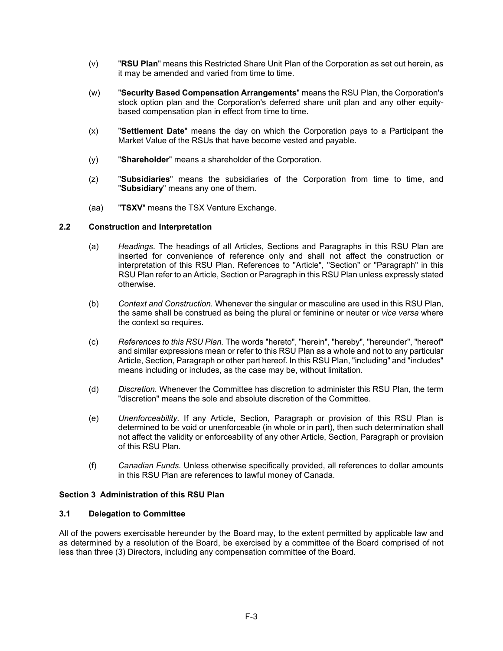- (v) "**RSU Plan**" means this Restricted Share Unit Plan of the Corporation as set out herein, as it may be amended and varied from time to time.
- (w) "**Security Based Compensation Arrangements**" means the RSU Plan, the Corporation's stock option plan and the Corporation's deferred share unit plan and any other equitybased compensation plan in effect from time to time.
- (x) "**Settlement Date**" means the day on which the Corporation pays to a Participant the Market Value of the RSUs that have become vested and payable.
- (y) "**Shareholder**" means a shareholder of the Corporation.
- (z) "**Subsidiaries**" means the subsidiaries of the Corporation from time to time, and "**Subsidiary**" means any one of them.
- (aa) "**TSXV**" means the TSX Venture Exchange.

### **2.2 Construction and Interpretation**

- (a) *Headings*. The headings of all Articles, Sections and Paragraphs in this RSU Plan are inserted for convenience of reference only and shall not affect the construction or interpretation of this RSU Plan. References to "Article", "Section" or "Paragraph" in this RSU Plan refer to an Article, Section or Paragraph in this RSU Plan unless expressly stated otherwise.
- (b) *Context and Construction.* Whenever the singular or masculine are used in this RSU Plan, the same shall be construed as being the plural or feminine or neuter or *vice versa* where the context so requires.
- (c) *References to this RSU Plan.* The words "hereto", "herein", "hereby", "hereunder", "hereof" and similar expressions mean or refer to this RSU Plan as a whole and not to any particular Article, Section, Paragraph or other part hereof. In this RSU Plan, "including" and "includes" means including or includes, as the case may be, without limitation.
- (d) *Discretion.* Whenever the Committee has discretion to administer this RSU Plan, the term "discretion" means the sole and absolute discretion of the Committee.
- (e) *Unenforceability.* If any Article, Section, Paragraph or provision of this RSU Plan is determined to be void or unenforceable (in whole or in part), then such determination shall not affect the validity or enforceability of any other Article, Section, Paragraph or provision of this RSU Plan.
- (f) *Canadian Funds.* Unless otherwise specifically provided, all references to dollar amounts in this RSU Plan are references to lawful money of Canada.

#### **Section 3 Administration of this RSU Plan**

#### **3.1 Delegation to Committee**

All of the powers exercisable hereunder by the Board may, to the extent permitted by applicable law and as determined by a resolution of the Board, be exercised by a committee of the Board comprised of not less than three (3) Directors, including any compensation committee of the Board.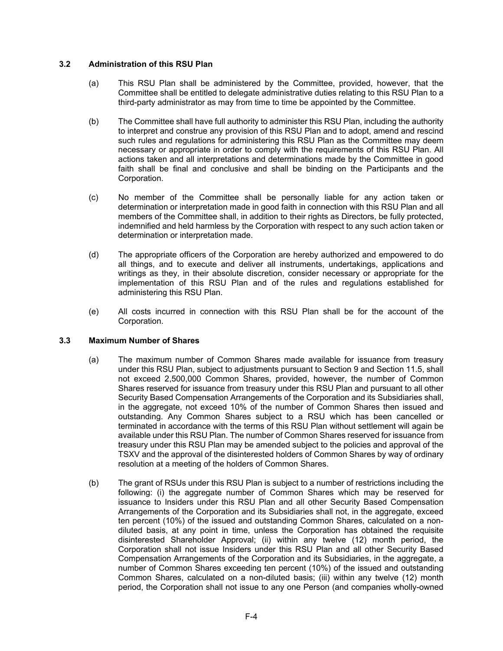### **3.2 Administration of this RSU Plan**

- (a) This RSU Plan shall be administered by the Committee, provided, however, that the Committee shall be entitled to delegate administrative duties relating to this RSU Plan to a third-party administrator as may from time to time be appointed by the Committee.
- (b) The Committee shall have full authority to administer this RSU Plan, including the authority to interpret and construe any provision of this RSU Plan and to adopt, amend and rescind such rules and regulations for administering this RSU Plan as the Committee may deem necessary or appropriate in order to comply with the requirements of this RSU Plan. All actions taken and all interpretations and determinations made by the Committee in good faith shall be final and conclusive and shall be binding on the Participants and the Corporation.
- (c) No member of the Committee shall be personally liable for any action taken or determination or interpretation made in good faith in connection with this RSU Plan and all members of the Committee shall, in addition to their rights as Directors, be fully protected, indemnified and held harmless by the Corporation with respect to any such action taken or determination or interpretation made.
- (d) The appropriate officers of the Corporation are hereby authorized and empowered to do all things, and to execute and deliver all instruments, undertakings, applications and writings as they, in their absolute discretion, consider necessary or appropriate for the implementation of this RSU Plan and of the rules and regulations established for administering this RSU Plan.
- (e) All costs incurred in connection with this RSU Plan shall be for the account of the Corporation.

#### **3.3 Maximum Number of Shares**

- (a) The maximum number of Common Shares made available for issuance from treasury under this RSU Plan, subject to adjustments pursuant to Section 9 and Section 11.5, shall not exceed 2,500,000 Common Shares, provided, however, the number of Common Shares reserved for issuance from treasury under this RSU Plan and pursuant to all other Security Based Compensation Arrangements of the Corporation and its Subsidiaries shall, in the aggregate, not exceed 10% of the number of Common Shares then issued and outstanding. Any Common Shares subject to a RSU which has been cancelled or terminated in accordance with the terms of this RSU Plan without settlement will again be available under this RSU Plan. The number of Common Shares reserved for issuance from treasury under this RSU Plan may be amended subject to the policies and approval of the TSXV and the approval of the disinterested holders of Common Shares by way of ordinary resolution at a meeting of the holders of Common Shares.
- (b) The grant of RSUs under this RSU Plan is subject to a number of restrictions including the following: (i) the aggregate number of Common Shares which may be reserved for issuance to Insiders under this RSU Plan and all other Security Based Compensation Arrangements of the Corporation and its Subsidiaries shall not, in the aggregate, exceed ten percent (10%) of the issued and outstanding Common Shares, calculated on a nondiluted basis, at any point in time, unless the Corporation has obtained the requisite disinterested Shareholder Approval; (ii) within any twelve (12) month period, the Corporation shall not issue Insiders under this RSU Plan and all other Security Based Compensation Arrangements of the Corporation and its Subsidiaries, in the aggregate, a number of Common Shares exceeding ten percent (10%) of the issued and outstanding Common Shares, calculated on a non-diluted basis; (iii) within any twelve (12) month period, the Corporation shall not issue to any one Person (and companies wholly-owned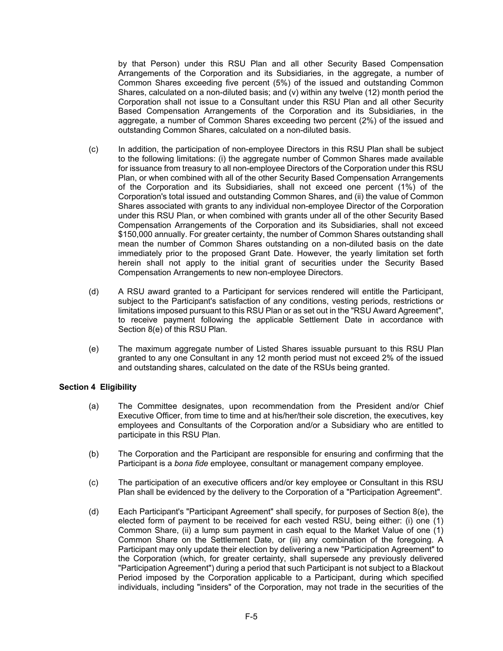by that Person) under this RSU Plan and all other Security Based Compensation Arrangements of the Corporation and its Subsidiaries, in the aggregate, a number of Common Shares exceeding five percent (5%) of the issued and outstanding Common Shares, calculated on a non-diluted basis; and (v) within any twelve (12) month period the Corporation shall not issue to a Consultant under this RSU Plan and all other Security Based Compensation Arrangements of the Corporation and its Subsidiaries, in the aggregate, a number of Common Shares exceeding two percent (2%) of the issued and outstanding Common Shares, calculated on a non-diluted basis.

- (c) In addition, the participation of non-employee Directors in this RSU Plan shall be subject to the following limitations: (i) the aggregate number of Common Shares made available for issuance from treasury to all non-employee Directors of the Corporation under this RSU Plan, or when combined with all of the other Security Based Compensation Arrangements of the Corporation and its Subsidiaries, shall not exceed one percent (1%) of the Corporation's total issued and outstanding Common Shares, and (ii) the value of Common Shares associated with grants to any individual non-employee Director of the Corporation under this RSU Plan, or when combined with grants under all of the other Security Based Compensation Arrangements of the Corporation and its Subsidiaries, shall not exceed \$150,000 annually. For greater certainty, the number of Common Shares outstanding shall mean the number of Common Shares outstanding on a non-diluted basis on the date immediately prior to the proposed Grant Date. However, the yearly limitation set forth herein shall not apply to the initial grant of securities under the Security Based Compensation Arrangements to new non-employee Directors.
- (d) A RSU award granted to a Participant for services rendered will entitle the Participant, subject to the Participant's satisfaction of any conditions, vesting periods, restrictions or limitations imposed pursuant to this RSU Plan or as set out in the "RSU Award Agreement", to receive payment following the applicable Settlement Date in accordance with Section 8(e) of this RSU Plan.
- (e) The maximum aggregate number of Listed Shares issuable pursuant to this RSU Plan granted to any one Consultant in any 12 month period must not exceed 2% of the issued and outstanding shares, calculated on the date of the RSUs being granted.

### **Section 4 Eligibility**

- (a) The Committee designates, upon recommendation from the President and/or Chief Executive Officer, from time to time and at his/her/their sole discretion, the executives, key employees and Consultants of the Corporation and/or a Subsidiary who are entitled to participate in this RSU Plan.
- (b) The Corporation and the Participant are responsible for ensuring and confirming that the Participant is a *bona fide* employee, consultant or management company employee.
- (c) The participation of an executive officers and/or key employee or Consultant in this RSU Plan shall be evidenced by the delivery to the Corporation of a "Participation Agreement".
- (d) Each Participant's "Participant Agreement" shall specify, for purposes of Section 8(e), the elected form of payment to be received for each vested RSU, being either: (i) one (1) Common Share, (ii) a lump sum payment in cash equal to the Market Value of one (1) Common Share on the Settlement Date, or (iii) any combination of the foregoing. A Participant may only update their election by delivering a new "Participation Agreement" to the Corporation (which, for greater certainty, shall supersede any previously delivered "Participation Agreement") during a period that such Participant is not subject to a Blackout Period imposed by the Corporation applicable to a Participant, during which specified individuals, including "insiders" of the Corporation, may not trade in the securities of the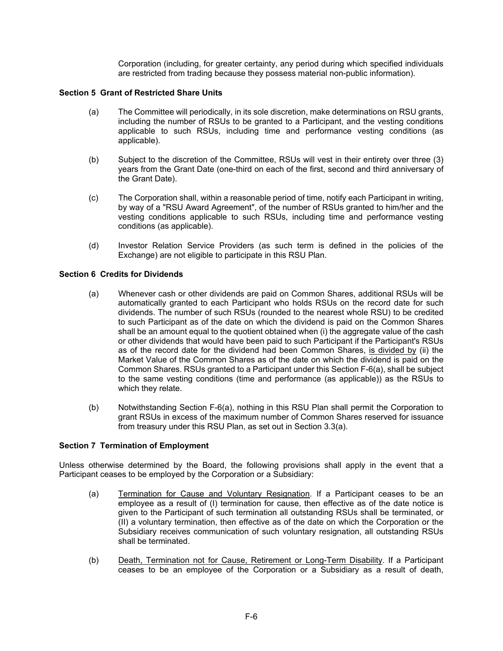Corporation (including, for greater certainty, any period during which specified individuals are restricted from trading because they possess material non-public information).

### **Section 5 Grant of Restricted Share Units**

- (a) The Committee will periodically, in its sole discretion, make determinations on RSU grants, including the number of RSUs to be granted to a Participant, and the vesting conditions applicable to such RSUs, including time and performance vesting conditions (as applicable).
- (b) Subject to the discretion of the Committee, RSUs will vest in their entirety over three (3) years from the Grant Date (one-third on each of the first, second and third anniversary of the Grant Date).
- (c) The Corporation shall, within a reasonable period of time, notify each Participant in writing, by way of a "RSU Award Agreement", of the number of RSUs granted to him/her and the vesting conditions applicable to such RSUs, including time and performance vesting conditions (as applicable).
- (d) Investor Relation Service Providers (as such term is defined in the policies of the Exchange) are not eligible to participate in this RSU Plan.

#### **Section 6 Credits for Dividends**

- (a) Whenever cash or other dividends are paid on Common Shares, additional RSUs will be automatically granted to each Participant who holds RSUs on the record date for such dividends. The number of such RSUs (rounded to the nearest whole RSU) to be credited to such Participant as of the date on which the dividend is paid on the Common Shares shall be an amount equal to the quotient obtained when (i) the aggregate value of the cash or other dividends that would have been paid to such Participant if the Participant's RSUs as of the record date for the dividend had been Common Shares, is divided by (ii) the Market Value of the Common Shares as of the date on which the dividend is paid on the Common Shares. RSUs granted to a Participant under this Section F-6(a), shall be subject to the same vesting conditions (time and performance (as applicable)) as the RSUs to which they relate.
- (b) Notwithstanding Section F-6(a), nothing in this RSU Plan shall permit the Corporation to grant RSUs in excess of the maximum number of Common Shares reserved for issuance from treasury under this RSU Plan, as set out in Section 3.3(a).

#### **Section 7 Termination of Employment**

Unless otherwise determined by the Board, the following provisions shall apply in the event that a Participant ceases to be employed by the Corporation or a Subsidiary:

- (a) Termination for Cause and Voluntary Resignation. If a Participant ceases to be an employee as a result of (I) termination for cause, then effective as of the date notice is given to the Participant of such termination all outstanding RSUs shall be terminated, or (II) a voluntary termination, then effective as of the date on which the Corporation or the Subsidiary receives communication of such voluntary resignation, all outstanding RSUs shall be terminated.
- (b) Death, Termination not for Cause, Retirement or Long-Term Disability. If a Participant ceases to be an employee of the Corporation or a Subsidiary as a result of death,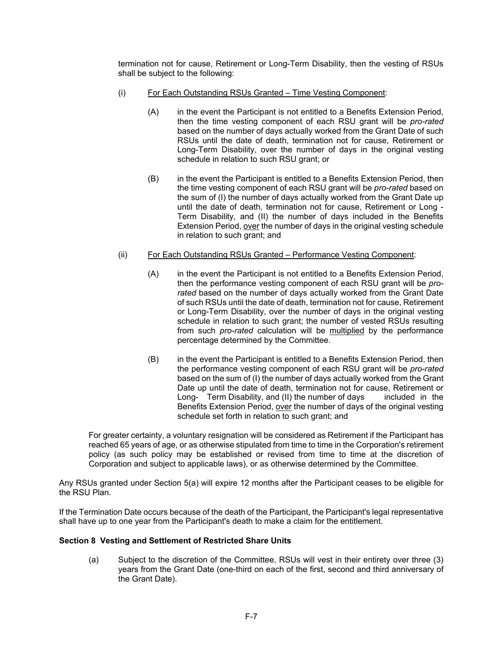termination not for cause, Retirement or Long-Term Disability, then the vesting of RSUs shall be subject to the following:

- (i) For Each Outstanding RSUs Granted Time Vesting Component:
	- (A) in the event the Participant is not entitled to a Benefits Extension Period, then the time vesting component of each RSU grant will be *pro-rated* based on the number of days actually worked from the Grant Date of such RSUs until the date of death, termination not for cause, Retirement or Long-Term Disability, over the number of days in the original vesting schedule in relation to such RSU grant; or
	- (B) in the event the Participant is entitled to a Benefits Extension Period, then the time vesting component of each RSU grant will be *pro-rated* based on the sum of (I) the number of days actually worked from the Grant Date up until the date of death, termination not for cause, Retirement or Long - Term Disability, and (II) the number of days included in the Benefits Extension Period, over the number of days in the original vesting schedule in relation to such grant; and
- (ii) For Each Outstanding RSUs Granted Performance Vesting Component:
	- (A) in the event the Participant is not entitled to a Benefits Extension Period, then the performance vesting component of each RSU grant will be *prorated* based on the number of days actually worked from the Grant Date of such RSUs until the date of death, termination not for cause, Retirement or Long-Term Disability, over the number of days in the original vesting schedule in relation to such grant; the number of vested RSUs resulting from such *pro-rated* calculation will be multiplied by the performance percentage determined by the Committee.
	- (B) in the event the Participant is entitled to a Benefits Extension Period, then the performance vesting component of each RSU grant will be *pro-rated* based on the sum of (I) the number of days actually worked from the Grant Date up until the date of death, termination not for cause, Retirement or Long- Term Disability, and (II) the number of days included in the Benefits Extension Period, over the number of days of the original vesting schedule set forth in relation to such grant; and

For greater certainty, a voluntary resignation will be considered as Retirement if the Participant has reached 65 years of age, or as otherwise stipulated from time to time in the Corporation's retirement policy (as such policy may be established or revised from time to time at the discretion of Corporation and subject to applicable laws), or as otherwise determined by the Committee.

Any RSUs granted under Section 5(a) will expire 12 months after the Participant ceases to be eligible for the RSU Plan.

If the Termination Date occurs because of the death of the Participant, the Participant's legal representative shall have up to one year from the Participant's death to make a claim for the entitlement.

### **Section 8 Vesting and Settlement of Restricted Share Units**

(a) Subject to the discretion of the Committee, RSUs will vest in their entirety over three (3) years from the Grant Date (one-third on each of the first, second and third anniversary of the Grant Date).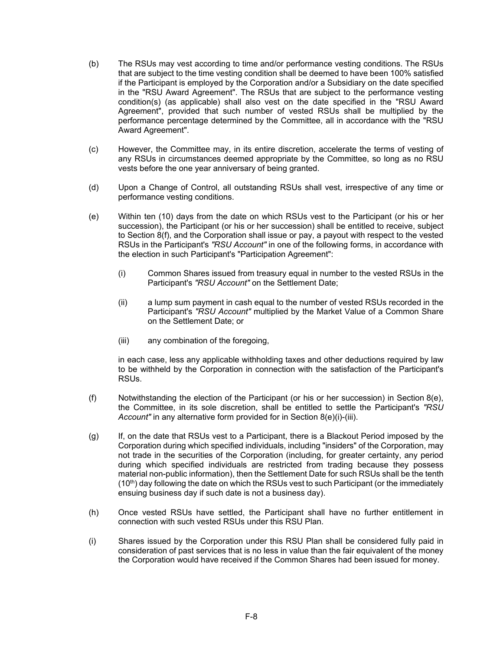- (b) The RSUs may vest according to time and/or performance vesting conditions. The RSUs that are subject to the time vesting condition shall be deemed to have been 100% satisfied if the Participant is employed by the Corporation and/or a Subsidiary on the date specified in the "RSU Award Agreement". The RSUs that are subject to the performance vesting condition(s) (as applicable) shall also vest on the date specified in the "RSU Award Agreement", provided that such number of vested RSUs shall be multiplied by the performance percentage determined by the Committee, all in accordance with the "RSU Award Agreement".
- (c) However, the Committee may, in its entire discretion, accelerate the terms of vesting of any RSUs in circumstances deemed appropriate by the Committee, so long as no RSU vests before the one year anniversary of being granted.
- (d) Upon a Change of Control, all outstanding RSUs shall vest, irrespective of any time or performance vesting conditions.
- (e) Within ten (10) days from the date on which RSUs vest to the Participant (or his or her succession), the Participant (or his or her succession) shall be entitled to receive, subject to Section 8(f), and the Corporation shall issue or pay, a payout with respect to the vested RSUs in the Participant's *"RSU Account"* in one of the following forms, in accordance with the election in such Participant's "Participation Agreement":
	- (i) Common Shares issued from treasury equal in number to the vested RSUs in the Participant's *"RSU Account"* on the Settlement Date;
	- (ii) a lump sum payment in cash equal to the number of vested RSUs recorded in the Participant's *"RSU Account"* multiplied by the Market Value of a Common Share on the Settlement Date; or
	- (iii) any combination of the foregoing,

in each case, less any applicable withholding taxes and other deductions required by law to be withheld by the Corporation in connection with the satisfaction of the Participant's RSUs.

- (f) Notwithstanding the election of the Participant (or his or her succession) in Section 8(e), the Committee, in its sole discretion, shall be entitled to settle the Participant's *"RSU Account"* in any alternative form provided for in Section 8(e)(i)-(iii).
- (g) If, on the date that RSUs vest to a Participant, there is a Blackout Period imposed by the Corporation during which specified individuals, including "insiders" of the Corporation, may not trade in the securities of the Corporation (including, for greater certainty, any period during which specified individuals are restricted from trading because they possess material non-public information), then the Settlement Date for such RSUs shall be the tenth  $(10<sup>th</sup>)$  day following the date on which the RSUs vest to such Participant (or the immediately ensuing business day if such date is not a business day).
- (h) Once vested RSUs have settled, the Participant shall have no further entitlement in connection with such vested RSUs under this RSU Plan.
- (i) Shares issued by the Corporation under this RSU Plan shall be considered fully paid in consideration of past services that is no less in value than the fair equivalent of the money the Corporation would have received if the Common Shares had been issued for money.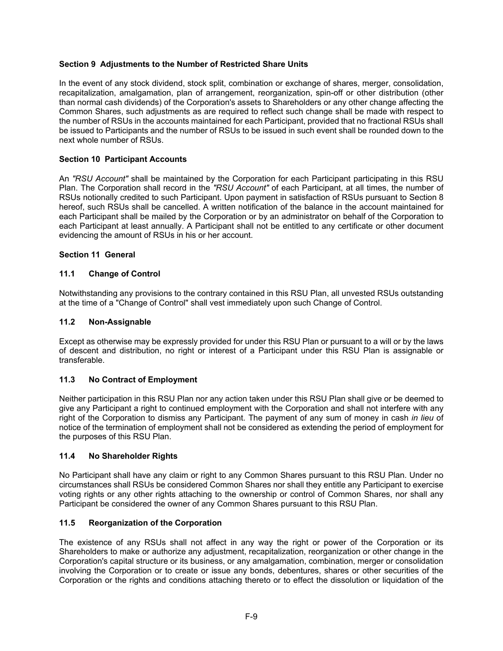# **Section 9 Adjustments to the Number of Restricted Share Units**

In the event of any stock dividend, stock split, combination or exchange of shares, merger, consolidation, recapitalization, amalgamation, plan of arrangement, reorganization, spin-off or other distribution (other than normal cash dividends) of the Corporation's assets to Shareholders or any other change affecting the Common Shares, such adjustments as are required to reflect such change shall be made with respect to the number of RSUs in the accounts maintained for each Participant, provided that no fractional RSUs shall be issued to Participants and the number of RSUs to be issued in such event shall be rounded down to the next whole number of RSUs.

### **Section 10 Participant Accounts**

An *"RSU Account"* shall be maintained by the Corporation for each Participant participating in this RSU Plan. The Corporation shall record in the *"RSU Account"* of each Participant, at all times, the number of RSUs notionally credited to such Participant. Upon payment in satisfaction of RSUs pursuant to Section 8 hereof, such RSUs shall be cancelled. A written notification of the balance in the account maintained for each Participant shall be mailed by the Corporation or by an administrator on behalf of the Corporation to each Participant at least annually. A Participant shall not be entitled to any certificate or other document evidencing the amount of RSUs in his or her account.

### **Section 11 General**

### **11.1 Change of Control**

Notwithstanding any provisions to the contrary contained in this RSU Plan, all unvested RSUs outstanding at the time of a "Change of Control" shall vest immediately upon such Change of Control.

#### **11.2 Non-Assignable**

Except as otherwise may be expressly provided for under this RSU Plan or pursuant to a will or by the laws of descent and distribution, no right or interest of a Participant under this RSU Plan is assignable or transferable.

### **11.3 No Contract of Employment**

Neither participation in this RSU Plan nor any action taken under this RSU Plan shall give or be deemed to give any Participant a right to continued employment with the Corporation and shall not interfere with any right of the Corporation to dismiss any Participant. The payment of any sum of money in cash *in lieu* of notice of the termination of employment shall not be considered as extending the period of employment for the purposes of this RSU Plan.

#### **11.4 No Shareholder Rights**

No Participant shall have any claim or right to any Common Shares pursuant to this RSU Plan. Under no circumstances shall RSUs be considered Common Shares nor shall they entitle any Participant to exercise voting rights or any other rights attaching to the ownership or control of Common Shares, nor shall any Participant be considered the owner of any Common Shares pursuant to this RSU Plan.

#### **11.5 Reorganization of the Corporation**

The existence of any RSUs shall not affect in any way the right or power of the Corporation or its Shareholders to make or authorize any adjustment, recapitalization, reorganization or other change in the Corporation's capital structure or its business, or any amalgamation, combination, merger or consolidation involving the Corporation or to create or issue any bonds, debentures, shares or other securities of the Corporation or the rights and conditions attaching thereto or to effect the dissolution or liquidation of the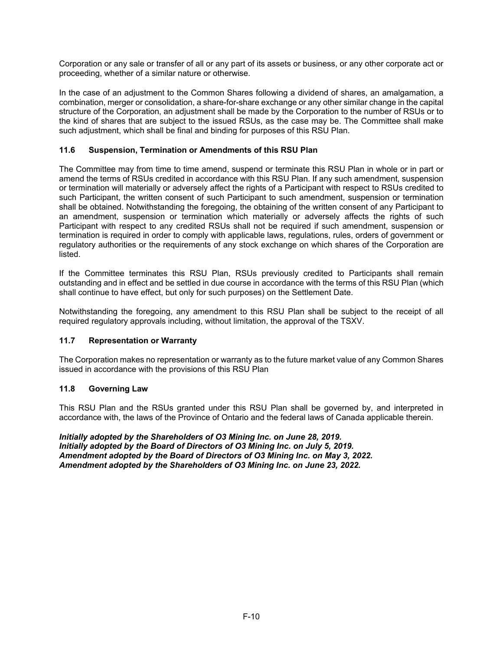Corporation or any sale or transfer of all or any part of its assets or business, or any other corporate act or proceeding, whether of a similar nature or otherwise.

In the case of an adjustment to the Common Shares following a dividend of shares, an amalgamation, a combination, merger or consolidation, a share-for-share exchange or any other similar change in the capital structure of the Corporation, an adjustment shall be made by the Corporation to the number of RSUs or to the kind of shares that are subject to the issued RSUs, as the case may be. The Committee shall make such adjustment, which shall be final and binding for purposes of this RSU Plan.

### **11.6 Suspension, Termination or Amendments of this RSU Plan**

The Committee may from time to time amend, suspend or terminate this RSU Plan in whole or in part or amend the terms of RSUs credited in accordance with this RSU Plan. If any such amendment, suspension or termination will materially or adversely affect the rights of a Participant with respect to RSUs credited to such Participant, the written consent of such Participant to such amendment, suspension or termination shall be obtained. Notwithstanding the foregoing, the obtaining of the written consent of any Participant to an amendment, suspension or termination which materially or adversely affects the rights of such Participant with respect to any credited RSUs shall not be required if such amendment, suspension or termination is required in order to comply with applicable laws, regulations, rules, orders of government or regulatory authorities or the requirements of any stock exchange on which shares of the Corporation are listed.

If the Committee terminates this RSU Plan, RSUs previously credited to Participants shall remain outstanding and in effect and be settled in due course in accordance with the terms of this RSU Plan (which shall continue to have effect, but only for such purposes) on the Settlement Date.

Notwithstanding the foregoing, any amendment to this RSU Plan shall be subject to the receipt of all required regulatory approvals including, without limitation, the approval of the TSXV.

### **11.7 Representation or Warranty**

The Corporation makes no representation or warranty as to the future market value of any Common Shares issued in accordance with the provisions of this RSU Plan

### **11.8 Governing Law**

This RSU Plan and the RSUs granted under this RSU Plan shall be governed by, and interpreted in accordance with, the laws of the Province of Ontario and the federal laws of Canada applicable therein.

*Initially adopted by the Shareholders of O3 Mining Inc. on June 28, 2019. Initially adopted by the Board of Directors of O3 Mining Inc. on July 5, 2019. Amendment adopted by the Board of Directors of O3 Mining Inc. on May 3, 2022. Amendment adopted by the Shareholders of O3 Mining Inc. on June 23, 2022.*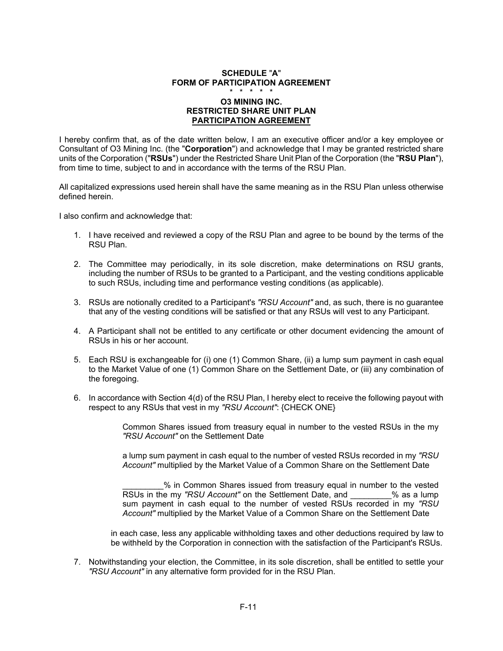#### **SCHEDULE** "**A**" **FORM OF PARTICIPATION AGREEMENT**  \* \* \* \* \*

### **O3 MINING INC. RESTRICTED SHARE UNIT PLAN PARTICIPATION AGREEMENT**

I hereby confirm that, as of the date written below, I am an executive officer and/or a key employee or Consultant of O3 Mining Inc. (the "**Corporation**") and acknowledge that I may be granted restricted share units of the Corporation ("**RSUs**") under the Restricted Share Unit Plan of the Corporation (the "**RSU Plan**"), from time to time, subject to and in accordance with the terms of the RSU Plan.

All capitalized expressions used herein shall have the same meaning as in the RSU Plan unless otherwise defined herein.

I also confirm and acknowledge that:

- 1. I have received and reviewed a copy of the RSU Plan and agree to be bound by the terms of the RSU Plan.
- 2. The Committee may periodically, in its sole discretion, make determinations on RSU grants, including the number of RSUs to be granted to a Participant, and the vesting conditions applicable to such RSUs, including time and performance vesting conditions (as applicable).
- 3. RSUs are notionally credited to a Participant's *"RSU Account"* and, as such, there is no guarantee that any of the vesting conditions will be satisfied or that any RSUs will vest to any Participant.
- 4. A Participant shall not be entitled to any certificate or other document evidencing the amount of RSUs in his or her account.
- 5. Each RSU is exchangeable for (i) one (1) Common Share, (ii) a lump sum payment in cash equal to the Market Value of one (1) Common Share on the Settlement Date, or (iii) any combination of the foregoing.
- 6. In accordance with Section 4(d) of the RSU Plan, I hereby elect to receive the following payout with respect to any RSUs that vest in my *"RSU Account"*: {CHECK ONE}

 Common Shares issued from treasury equal in number to the vested RSUs in the my *"RSU Account"* on the Settlement Date

 a lump sum payment in cash equal to the number of vested RSUs recorded in my *"RSU Account"* multiplied by the Market Value of a Common Share on the Settlement Date

 \_\_\_\_\_\_\_\_\_% in Common Shares issued from treasury equal in number to the vested RSUs in the my "RSU Account" on the Settlement Date, and  $\%$  as a lump sum payment in cash equal to the number of vested RSUs recorded in my *"RSU Account"* multiplied by the Market Value of a Common Share on the Settlement Date

in each case, less any applicable withholding taxes and other deductions required by law to be withheld by the Corporation in connection with the satisfaction of the Participant's RSUs.

7. Notwithstanding your election, the Committee, in its sole discretion, shall be entitled to settle your *"RSU Account"* in any alternative form provided for in the RSU Plan.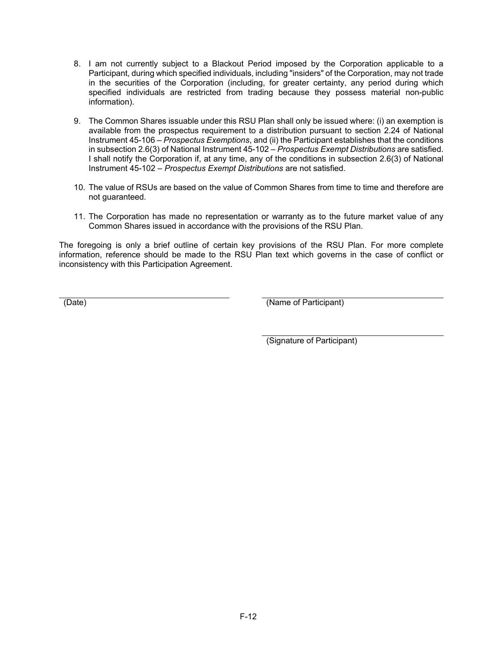- 8. I am not currently subject to a Blackout Period imposed by the Corporation applicable to a Participant, during which specified individuals, including "insiders" of the Corporation, may not trade in the securities of the Corporation (including, for greater certainty, any period during which specified individuals are restricted from trading because they possess material non-public information).
- 9. The Common Shares issuable under this RSU Plan shall only be issued where: (i) an exemption is available from the prospectus requirement to a distribution pursuant to section 2.24 of National Instrument 45-106 – *Prospectus Exemptions*, and (ii) the Participant establishes that the conditions in subsection 2.6(3) of National Instrument 45-102 – *Prospectus Exempt Distributions* are satisfied. I shall notify the Corporation if, at any time, any of the conditions in subsection 2.6(3) of National Instrument 45-102 – *Prospectus Exempt Distributions* are not satisfied.
- 10. The value of RSUs are based on the value of Common Shares from time to time and therefore are not guaranteed.
- 11. The Corporation has made no representation or warranty as to the future market value of any Common Shares issued in accordance with the provisions of the RSU Plan.

The foregoing is only a brief outline of certain key provisions of the RSU Plan. For more complete information, reference should be made to the RSU Plan text which governs in the case of conflict or inconsistency with this Participation Agreement.

(Date) (Name of Participant)

(Signature of Participant)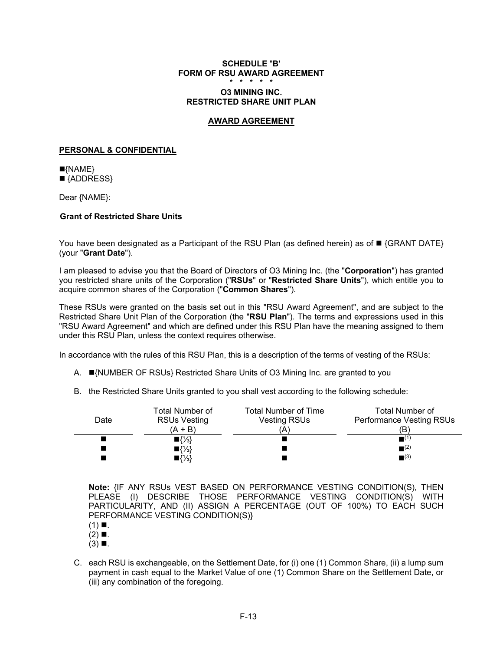#### **SCHEDULE** "**B' FORM OF RSU AWARD AGREEMENT**  \* \* \* \* \*

### **O3 MINING INC. RESTRICTED SHARE UNIT PLAN**

#### **AWARD AGREEMENT**

### **PERSONAL & CONFIDENTIAL**

 $\blacksquare$ {NAME} ■ {ADDRESS}

Dear {NAME}:

# **Grant of Restricted Share Units**

You have been designated as a Participant of the RSU Plan (as defined herein) as of **F** {GRANT DATE} (your "**Grant Date**").

I am pleased to advise you that the Board of Directors of O3 Mining Inc. (the "**Corporation**") has granted you restricted share units of the Corporation ("**RSUs**" or "**Restricted Share Units**"), which entitle you to acquire common shares of the Corporation ("**Common Shares**").

These RSUs were granted on the basis set out in this "RSU Award Agreement", and are subject to the Restricted Share Unit Plan of the Corporation (the "**RSU Plan**"). The terms and expressions used in this "RSU Award Agreement" and which are defined under this RSU Plan have the meaning assigned to them under this RSU Plan, unless the context requires otherwise.

In accordance with the rules of this RSU Plan, this is a description of the terms of vesting of the RSUs:

- A. ■{NUMBER OF RSUs} Restricted Share Units of O3 Mining Inc. are granted to you
- B. the Restricted Share Units granted to you shall vest according to the following schedule:

|      | Total Number of     | <b>Total Number of Time</b> | Total Number of               |
|------|---------------------|-----------------------------|-------------------------------|
| Date | <b>RSUs Vesting</b> | <b>Vesting RSUs</b>         | Performance Vesting RSUs      |
|      | $(A + B)$           |                             | (B'                           |
|      | $\P\{\frac{1}{3}\}$ |                             | $\blacksquare^{(1)}$          |
|      | $\P\{\frac{1}{3}\}$ |                             | $\blacksquare$ <sup>(2)</sup> |
|      | $\P\{\frac{1}{3}\}$ |                             | $\blacksquare$ <sup>(3)</sup> |

**Note:** {IF ANY RSUs VEST BASED ON PERFORMANCE VESTING CONDITION(S), THEN PLEASE (I) DESCRIBE THOSE PERFORMANCE VESTING CONDITION(S) WITH PARTICULARITY, AND (II) ASSIGN A PERCENTAGE (OUT OF 100%) TO EACH SUCH PERFORMANCE VESTING CONDITION(S)}

- $(1)$  .
- $(2) \blacksquare$ .
- $(3)$  .
- C. each RSU is exchangeable, on the Settlement Date, for (i) one (1) Common Share, (ii) a lump sum payment in cash equal to the Market Value of one (1) Common Share on the Settlement Date, or (iii) any combination of the foregoing.